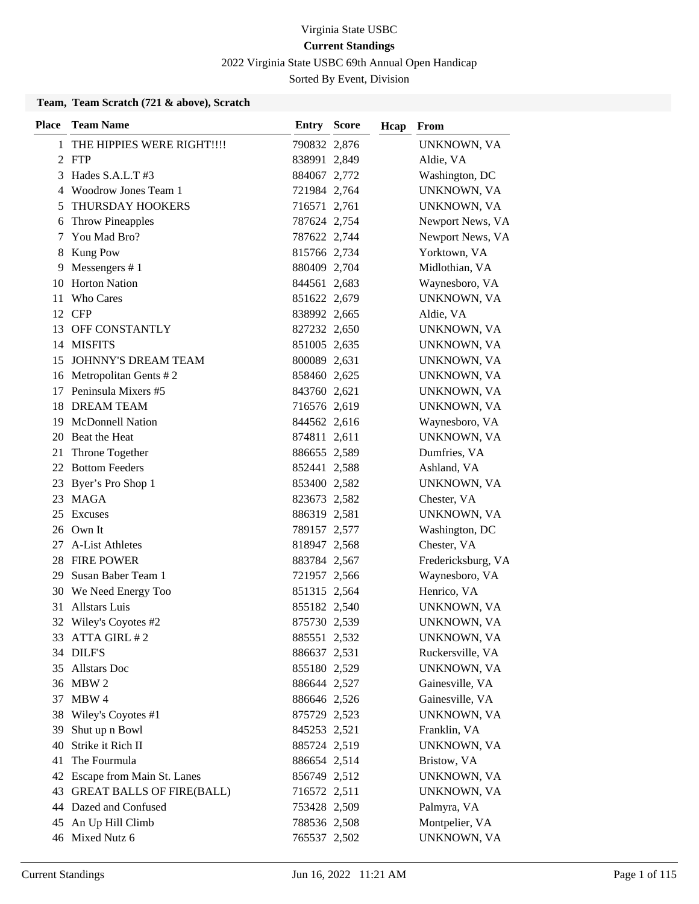2022 Virginia State USBC 69th Annual Open Handicap

Sorted By Event, Division

### **Team, Team Scratch (721 & above), Scratch**

| <b>Place</b> | <b>Team Name</b>              | <b>Entry Score</b> | Hcap | From               |
|--------------|-------------------------------|--------------------|------|--------------------|
| 1            | THE HIPPIES WERE RIGHT!!!!    | 790832 2,876       |      | UNKNOWN, VA        |
|              | 2 FTP                         | 838991 2,849       |      | Aldie, VA          |
| 3            | Hades S.A.L.T#3               | 884067 2,772       |      | Washington, DC     |
| 4            | Woodrow Jones Team 1          | 721984 2,764       |      | UNKNOWN, VA        |
| 5            | THURSDAY HOOKERS              | 716571 2,761       |      | UNKNOWN, VA        |
| 6            | <b>Throw Pineapples</b>       | 787624 2,754       |      | Newport News, VA   |
| 7            | You Mad Bro?                  | 787622 2,744       |      | Newport News, VA   |
| 8            | Kung Pow                      | 815766 2,734       |      | Yorktown, VA       |
| 9            | Messengers $# 1$              | 880409 2,704       |      | Midlothian, VA     |
| 10           | <b>Horton Nation</b>          | 844561 2,683       |      | Waynesboro, VA     |
| 11           | <b>Who Cares</b>              | 851622 2,679       |      | UNKNOWN, VA        |
| 12           | CFP                           | 838992 2,665       |      | Aldie, VA          |
| 13           | OFF CONSTANTLY                | 827232 2,650       |      | UNKNOWN, VA        |
| 14           | <b>MISFITS</b>                | 851005 2,635       |      | UNKNOWN, VA        |
| 15           | <b>JOHNNY'S DREAM TEAM</b>    | 800089 2,631       |      | UNKNOWN, VA        |
|              | 16 Metropolitan Gents #2      | 858460 2,625       |      | UNKNOWN, VA        |
| 17           | Peninsula Mixers #5           | 843760 2,621       |      | UNKNOWN, VA        |
| 18           | <b>DREAM TEAM</b>             | 716576 2,619       |      | UNKNOWN, VA        |
| 19           | <b>McDonnell Nation</b>       | 844562 2,616       |      | Waynesboro, VA     |
| 20           | Beat the Heat                 | 874811 2,611       |      | UNKNOWN, VA        |
| 21           | Throne Together               | 886655 2,589       |      | Dumfries, VA       |
| 22           | <b>Bottom Feeders</b>         | 852441 2,588       |      | Ashland, VA        |
|              | 23 Byer's Pro Shop 1          | 853400 2,582       |      | UNKNOWN, VA        |
|              | 23 MAGA                       | 823673 2,582       |      | Chester, VA        |
| 25           | Excuses                       | 886319 2,581       |      | UNKNOWN, VA        |
| 26           | Own It                        | 789157 2,577       |      | Washington, DC     |
| 27           | A-List Athletes               | 818947 2,568       |      | Chester, VA        |
|              | 28 FIRE POWER                 | 883784 2,567       |      | Fredericksburg, VA |
| 29           | Susan Baber Team 1            | 721957 2,566       |      | Waynesboro, VA     |
|              | 30 We Need Energy Too         | 851315 2,564       |      | Henrico, VA        |
| 31           | <b>Allstars Luis</b>          | 855182 2,540       |      | UNKNOWN, VA        |
| 32           | Wiley's Coyotes #2            | 875730 2,539       |      | UNKNOWN, VA        |
|              | 33 ATTA GIRL #2               | 885551 2,532       |      | UNKNOWN, VA        |
|              | 34 DILF'S                     | 886637 2,531       |      | Ruckersville, VA   |
|              | 35 Allstars Doc               | 855180 2,529       |      | UNKNOWN, VA        |
|              | 36 MBW 2                      | 886644 2,527       |      | Gainesville, VA    |
| 37           | MBW 4                         | 886646 2,526       |      | Gainesville, VA    |
| 38           | Wiley's Coyotes #1            | 875729 2,523       |      | UNKNOWN, VA        |
| 39           | Shut up n Bowl                | 845253 2,521       |      | Franklin, VA       |
| 40           | Strike it Rich II             | 885724 2,519       |      | UNKNOWN, VA        |
| 41           | The Fourmula                  | 886654 2,514       |      | Bristow, VA        |
|              | 42 Escape from Main St. Lanes | 856749 2,512       |      | UNKNOWN, VA        |
|              | 43 GREAT BALLS OF FIRE(BALL)  | 716572 2,511       |      | UNKNOWN, VA        |
|              | 44 Dazed and Confused         | 753428 2,509       |      | Palmyra, VA        |
| 45           | An Up Hill Climb              | 788536 2,508       |      | Montpelier, VA     |
|              | 46 Mixed Nutz 6               | 765537 2,502       |      | UNKNOWN, VA        |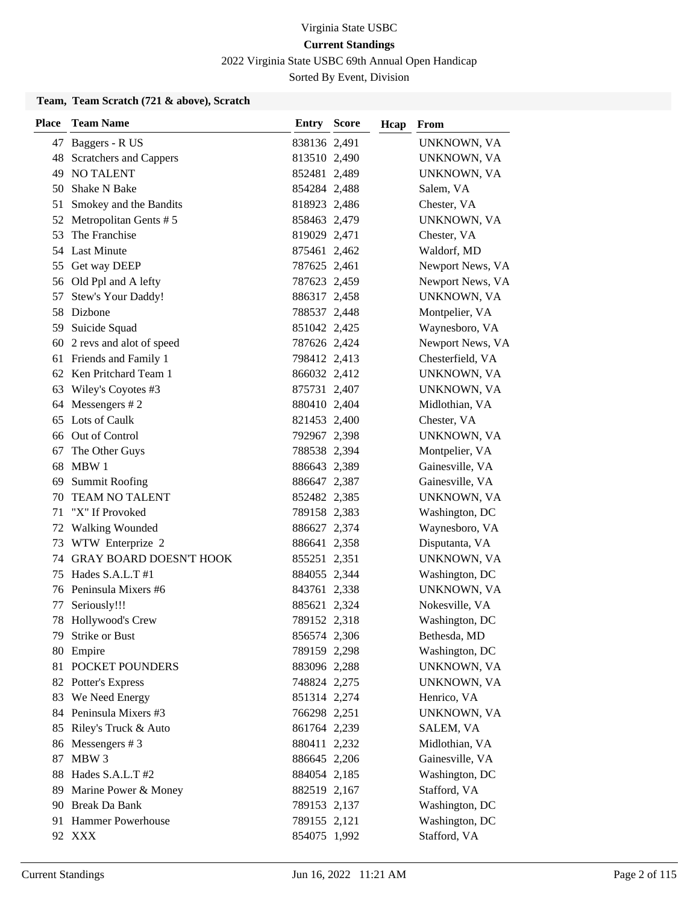2022 Virginia State USBC 69th Annual Open Handicap

Sorted By Event, Division

### **Team, Team Scratch (721 & above), Scratch**

| <b>Place</b> | <b>Team Name</b>            | <b>Entry Score</b> | Hcap | From               |
|--------------|-----------------------------|--------------------|------|--------------------|
|              | 47 Baggers - R US           | 838136 2,491       |      | UNKNOWN, VA        |
|              | 48 Scratchers and Cappers   | 813510 2,490       |      | UNKNOWN, VA        |
|              | <b>49 NO TALENT</b>         | 852481 2,489       |      | UNKNOWN, VA        |
|              | 50 Shake N Bake             | 854284 2,488       |      | Salem, VA          |
| 51           | Smokey and the Bandits      | 818923 2,486       |      | Chester, VA        |
| 52           | Metropolitan Gents #5       | 858463 2,479       |      | UNKNOWN, VA        |
| 53           | The Franchise               | 819029 2,471       |      | Chester, VA        |
|              | 54 Last Minute              | 875461 2,462       |      | Waldorf, MD        |
|              | 55 Get way DEEP             | 787625 2,461       |      | Newport News, VA   |
|              | 56 Old Ppl and A lefty      | 787623 2,459       |      | Newport News, VA   |
| 57           | Stew's Your Daddy!          | 886317 2,458       |      | UNKNOWN, VA        |
|              | 58 Dizbone                  | 788537 2,448       |      | Montpelier, VA     |
|              | 59 Suicide Squad            | 851042 2,425       |      | Waynesboro, VA     |
|              | 60 2 revs and alot of speed | 787626 2,424       |      | Newport News, VA   |
|              | 61 Friends and Family 1     | 798412 2,413       |      | Chesterfield, VA   |
|              | 62 Ken Pritchard Team 1     | 866032 2,412       |      | UNKNOWN, VA        |
|              | 63 Wiley's Coyotes #3       | 875731 2,407       |      | UNKNOWN, VA        |
|              | 64 Messengers #2            | 880410 2,404       |      | Midlothian, VA     |
|              | 65 Lots of Caulk            | 821453 2,400       |      | Chester, VA        |
|              | 66 Out of Control           | 792967 2,398       |      | UNKNOWN, VA        |
| 67           | The Other Guys              | 788538 2,394       |      | Montpelier, VA     |
|              | 68 MBW 1                    | 886643 2,389       |      | Gainesville, VA    |
|              | 69 Summit Roofing           | 886647 2,387       |      | Gainesville, VA    |
| 70           | <b>TEAM NO TALENT</b>       | 852482 2,385       |      | UNKNOWN, VA        |
| 71           | "X" If Provoked             | 789158 2,383       |      | Washington, DC     |
| 72           | <b>Walking Wounded</b>      | 886627 2,374       |      | Waynesboro, VA     |
| 73           | WTW Enterprize 2            | 886641 2,358       |      | Disputanta, VA     |
|              | 74 GRAY BOARD DOESN'T HOOK  | 855251 2,351       |      | UNKNOWN, VA        |
| 75           | Hades $S.A.L.T$ #1          | 884055 2,344       |      | Washington, DC     |
|              | 76 Peninsula Mixers #6      | 843761 2,338       |      | UNKNOWN, VA        |
| 77           | Seriously!!!                | 885621 2,324       |      | Nokesville, VA     |
|              | 78 Hollywood's Crew         | 789152 2,318       |      | Washington, DC     |
| 79.          | Strike or Bust              | 856574 2,306       |      | Bethesda, MD       |
|              | 80 Empire                   | 789159 2,298       |      | Washington, DC     |
| 81           | POCKET POUNDERS             | 883096 2,288       |      | <b>UNKNOWN, VA</b> |
|              | 82 Potter's Express         | 748824 2,275       |      | UNKNOWN, VA        |
|              | 83 We Need Energy           | 851314 2,274       |      | Henrico, VA        |
|              | 84 Peninsula Mixers #3      | 766298 2,251       |      | UNKNOWN, VA        |
|              | 85 Riley's Truck & Auto     | 861764 2,239       |      | SALEM, VA          |
|              | 86 Messengers #3            | 880411 2,232       |      | Midlothian, VA     |
| 87           | MBW 3                       | 886645 2,206       |      | Gainesville, VA    |
|              | 88 Hades S.A.L.T #2         | 884054 2,185       |      | Washington, DC     |
| 89           | Marine Power & Money        | 882519 2,167       |      | Stafford, VA       |
|              | 90 Break Da Bank            | 789153 2,137       |      | Washington, DC     |
|              | 91 Hammer Powerhouse        | 789155 2,121       |      | Washington, DC     |
|              | 92 XXX                      | 854075 1,992       |      | Stafford, VA       |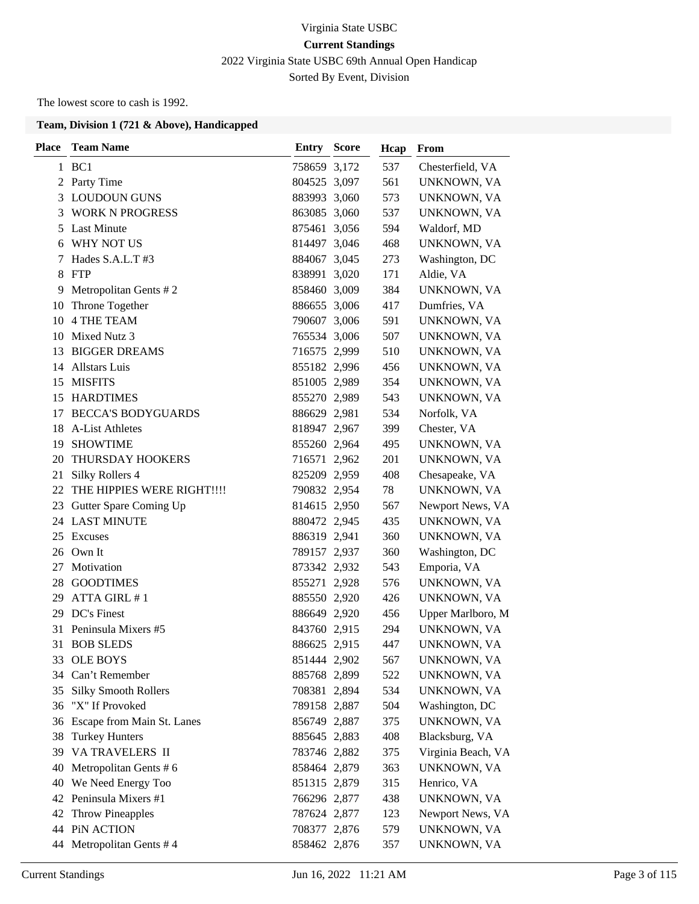# Virginia State USBC **Current Standings** 2022 Virginia State USBC 69th Annual Open Handicap Sorted By Event, Division

The lowest score to cash is 1992.

| Place | <b>Team Name</b>            | <b>Entry Score</b> | Hcap | From               |
|-------|-----------------------------|--------------------|------|--------------------|
|       | 1 BC1                       | 758659 3,172       | 537  | Chesterfield, VA   |
|       | 2 Party Time                | 804525 3,097       | 561  | UNKNOWN, VA        |
|       | 3 LOUDOUN GUNS              | 883993 3,060       | 573  | UNKNOWN, VA        |
| 3     | <b>WORK N PROGRESS</b>      | 863085 3,060       | 537  | UNKNOWN, VA        |
| 5     | <b>Last Minute</b>          | 875461 3,056       | 594  | Waldorf, MD        |
| 6     | WHY NOT US                  | 814497 3,046       | 468  | UNKNOWN, VA        |
| 7     | Hades S.A.L.T #3            | 884067 3,045       | 273  | Washington, DC     |
| 8     | FTP                         | 838991 3,020       | 171  | Aldie, VA          |
| 9     | Metropolitan Gents #2       | 858460 3,009       | 384  | UNKNOWN, VA        |
| 10    | Throne Together             | 886655 3,006       | 417  | Dumfries, VA       |
|       | 10 4 THE TEAM               | 790607 3,006       | 591  | UNKNOWN, VA        |
| 10    | Mixed Nutz 3                | 765534 3,006       | 507  | UNKNOWN, VA        |
| 13    | <b>BIGGER DREAMS</b>        | 716575 2,999       | 510  | UNKNOWN, VA        |
|       | 14 Allstars Luis            | 855182 2,996       | 456  | UNKNOWN, VA        |
|       | 15 MISFITS                  | 851005 2,989       | 354  | UNKNOWN, VA        |
| 15    | <b>HARDTIMES</b>            | 855270 2,989       | 543  | UNKNOWN, VA        |
|       | 17 BECCA'S BODYGUARDS       | 886629 2,981       | 534  | Norfolk, VA        |
| 18    | <b>A-List Athletes</b>      | 818947 2,967       | 399  | Chester, VA        |
| 19    | <b>SHOWTIME</b>             | 855260 2,964       | 495  | UNKNOWN, VA        |
| 20    | THURSDAY HOOKERS            | 716571 2,962       | 201  | UNKNOWN, VA        |
| 21    | Silky Rollers 4             | 825209 2,959       | 408  | Chesapeake, VA     |
| 22    | THE HIPPIES WERE RIGHT!!!!  | 790832 2,954       | 78   | UNKNOWN, VA        |
|       | 23 Gutter Spare Coming Up   | 814615 2,950       | 567  | Newport News, VA   |
|       | 24 LAST MINUTE              | 880472 2,945       | 435  | UNKNOWN, VA        |
| 25    | Excuses                     | 886319 2,941       | 360  | UNKNOWN, VA        |
|       | 26 Own It                   | 789157 2,937       | 360  | Washington, DC     |
| 27    | Motivation                  | 873342 2,932       | 543  | Emporia, VA        |
| 28    | <b>GOODTIMES</b>            | 855271 2,928       | 576  | UNKNOWN, VA        |
| 29    | ATTA GIRL #1                | 885550 2,920       | 426  | UNKNOWN, VA        |
|       | 29 DC's Finest              | 886649 2,920       | 456  | Upper Marlboro, M  |
|       | 31 Peninsula Mixers #5      | 843760 2,915       | 294  | UNKNOWN, VA        |
| 31    | <b>BOB SLEDS</b>            | 886625 2,915       | 447  | UNKNOWN, VA        |
| 33    | <b>OLE BOYS</b>             | 851444 2,902       | 567  | UNKNOWN, VA        |
| 34    | Can't Remember              | 885768 2,899       | 522  | UNKNOWN, VA        |
| 35    | <b>Silky Smooth Rollers</b> | 708381 2,894       | 534  | UNKNOWN, VA        |
| 36    | "X" If Provoked             | 789158 2,887       | 504  | Washington, DC     |
| 36    | Escape from Main St. Lanes  | 856749 2,887       | 375  | <b>UNKNOWN, VA</b> |
| 38    | <b>Turkey Hunters</b>       | 885645 2,883       | 408  | Blacksburg, VA     |
| 39    | VA TRAVELERS II             | 783746 2,882       | 375  | Virginia Beach, VA |
| 40    | Metropolitan Gents #6       | 858464 2,879       | 363  | UNKNOWN, VA        |
| 40    | We Need Energy Too          | 851315 2,879       | 315  | Henrico, VA        |
| 42    | Peninsula Mixers #1         | 766296 2,877       | 438  | UNKNOWN, VA        |
| 42    | <b>Throw Pineapples</b>     | 787624 2,877       | 123  | Newport News, VA   |
| 44    | PiN ACTION                  | 708377 2,876       | 579  | UNKNOWN, VA        |
| 44    | Metropolitan Gents #4       | 858462 2,876       | 357  | UNKNOWN, VA        |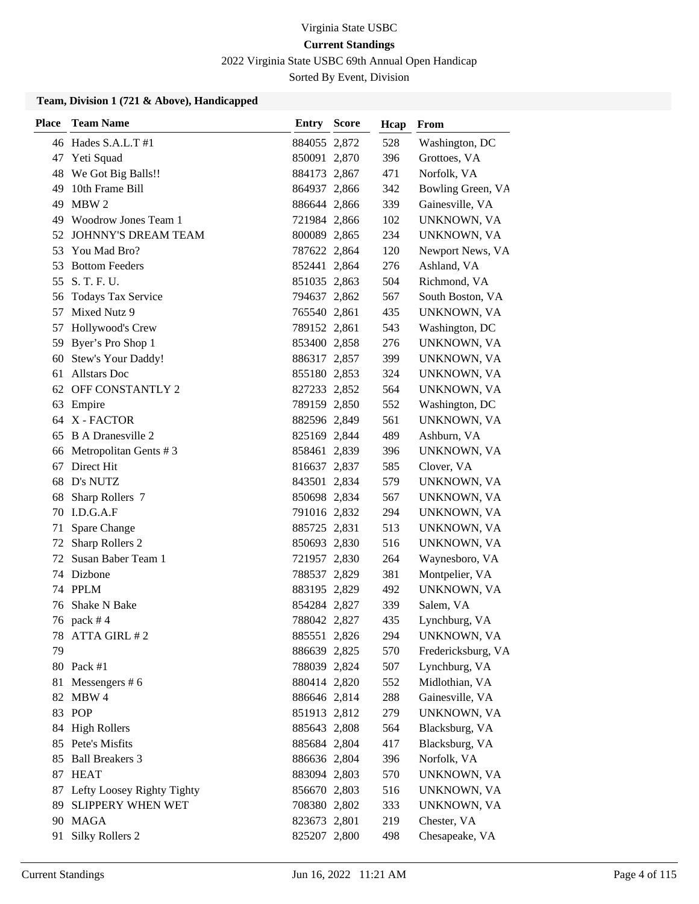2022 Virginia State USBC 69th Annual Open Handicap

Sorted By Event, Division

| <b>Place</b> | <b>Team Name</b>              | Entry        | Score | Hcap | From               |
|--------------|-------------------------------|--------------|-------|------|--------------------|
|              | 46 Hades S.A.L.T #1           | 884055 2,872 |       | 528  | Washington, DC     |
| 47           | Yeti Squad                    | 850091 2,870 |       | 396  | Grottoes, VA       |
|              | 48 We Got Big Balls!!         | 884173 2,867 |       | 471  | Norfolk, VA        |
| 49           | 10th Frame Bill               | 864937 2,866 |       | 342  | Bowling Green, VA  |
| 49           | MBW 2                         | 886644 2,866 |       | 339  | Gainesville, VA    |
| 49           | Woodrow Jones Team 1          | 721984 2,866 |       | 102  | UNKNOWN, VA        |
|              | 52 JOHNNY'S DREAM TEAM        | 800089 2,865 |       | 234  | UNKNOWN, VA        |
| 53           | You Mad Bro?                  | 787622 2,864 |       | 120  | Newport News, VA   |
| 53           | <b>Bottom Feeders</b>         | 852441 2,864 |       | 276  | Ashland, VA        |
| 55           | S. T. F. U.                   | 851035 2,863 |       | 504  | Richmond, VA       |
| 56           | <b>Todays Tax Service</b>     | 794637 2,862 |       | 567  | South Boston, VA   |
| 57           | Mixed Nutz 9                  | 765540 2,861 |       | 435  | UNKNOWN, VA        |
| 57           | Hollywood's Crew              | 789152 2,861 |       | 543  | Washington, DC     |
| 59           | Byer's Pro Shop 1             | 853400 2,858 |       | 276  | UNKNOWN, VA        |
| 60           | Stew's Your Daddy!            | 886317 2,857 |       | 399  | UNKNOWN, VA        |
| 61           | <b>Allstars</b> Doc           | 855180 2,853 |       | 324  | UNKNOWN, VA        |
| 62           | OFF CONSTANTLY 2              | 827233 2,852 |       | 564  | UNKNOWN, VA        |
| 63           | Empire                        | 789159 2,850 |       | 552  | Washington, DC     |
|              | 64 X - FACTOR                 | 882596 2,849 |       | 561  | UNKNOWN, VA        |
|              | 65 B A Dranesville 2          | 825169 2,844 |       | 489  | Ashburn, VA        |
| 66           | Metropolitan Gents #3         | 858461 2,839 |       | 396  | UNKNOWN, VA        |
| 67           | Direct Hit                    | 816637 2,837 |       | 585  | Clover, VA         |
| 68           | D's NUTZ                      | 843501 2,834 |       | 579  | UNKNOWN, VA        |
| 68           | Sharp Rollers 7               | 850698 2,834 |       | 567  | UNKNOWN, VA        |
| 70           | I.D.G.A.F                     | 791016 2,832 |       | 294  | UNKNOWN, VA        |
| 71           | Spare Change                  | 885725 2,831 |       | 513  | UNKNOWN, VA        |
| 72           | Sharp Rollers 2               | 850693 2,830 |       | 516  | UNKNOWN, VA        |
|              | 72 Susan Baber Team 1         | 721957 2,830 |       | 264  | Waynesboro, VA     |
|              | 74 Dizbone                    | 788537 2,829 |       | 381  | Montpelier, VA     |
|              | 74 PPLM                       | 883195 2,829 |       | 492  | UNKNOWN, VA        |
| 76           | Shake N Bake                  | 854284 2,827 |       | 339  | Salem, VA          |
|              | 76 pack #4                    | 788042 2,827 |       | 435  | Lynchburg, VA      |
| 78           | ATTA GIRL #2                  | 885551 2,826 |       | 294  | UNKNOWN, VA        |
| 79           |                               | 886639 2,825 |       | 570  | Fredericksburg, VA |
|              | 80 Pack #1                    | 788039 2,824 |       | 507  | Lynchburg, VA      |
| 81           | Messengers $# 6$              | 880414 2,820 |       | 552  | Midlothian, VA     |
| 82           | MBW 4                         | 886646 2,814 |       | 288  | Gainesville, VA    |
|              | 83 POP                        | 851913 2,812 |       | 279  | UNKNOWN, VA        |
|              | 84 High Rollers               | 885643 2,808 |       | 564  | Blacksburg, VA     |
|              | 85 Pete's Misfits             | 885684 2,804 |       | 417  | Blacksburg, VA     |
| 85           | <b>Ball Breakers 3</b>        | 886636 2,804 |       | 396  | Norfolk, VA        |
|              | 87 HEAT                       | 883094 2,803 |       | 570  | UNKNOWN, VA        |
|              | 87 Lefty Loosey Righty Tighty | 856670 2,803 |       | 516  | UNKNOWN, VA        |
| 89           | SLIPPERY WHEN WET             | 708380 2,802 |       | 333  | UNKNOWN, VA        |
| 90           | MAGA                          | 823673 2,801 |       | 219  | Chester, VA        |
| 91           | <b>Silky Rollers 2</b>        | 825207 2,800 |       | 498  | Chesapeake, VA     |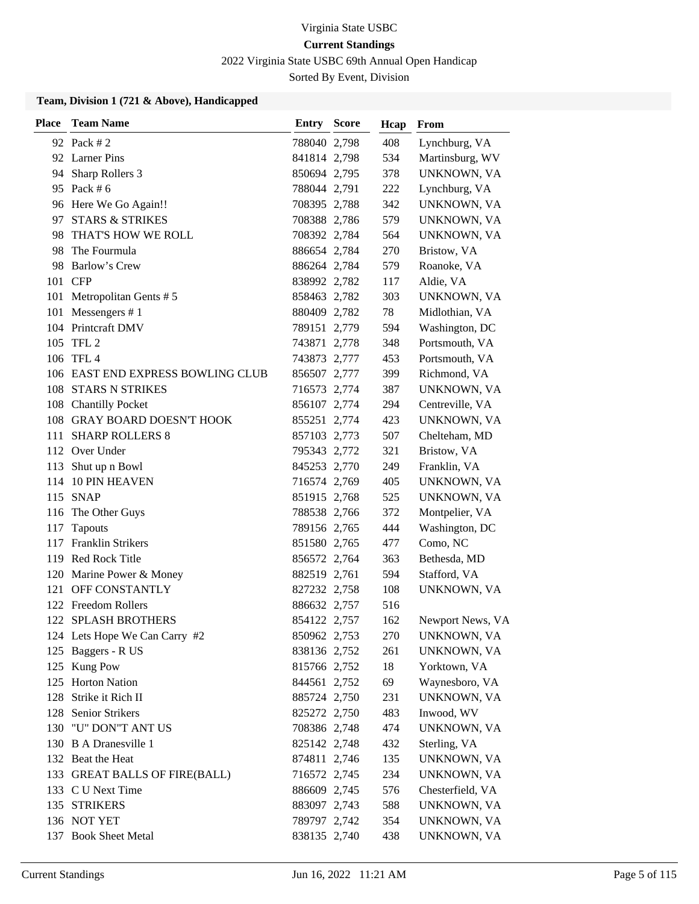2022 Virginia State USBC 69th Annual Open Handicap

Sorted By Event, Division

| <b>Place</b> | <b>Team Name</b>                  | <b>Entry Score</b> | Hcap | From             |
|--------------|-----------------------------------|--------------------|------|------------------|
|              | 92 Pack # 2                       | 788040 2,798       | 408  | Lynchburg, VA    |
|              | 92 Larner Pins                    | 841814 2,798       | 534  | Martinsburg, WV  |
|              | 94 Sharp Rollers 3                | 850694 2,795       | 378  | UNKNOWN, VA      |
|              | 95 Pack # 6                       | 788044 2,791       | 222  | Lynchburg, VA    |
|              | 96 Here We Go Again!!             | 708395 2,788       | 342  | UNKNOWN, VA      |
| 97           | <b>STARS &amp; STRIKES</b>        | 708388 2,786       | 579  | UNKNOWN, VA      |
| 98           | THAT'S HOW WE ROLL                | 708392 2,784       | 564  | UNKNOWN, VA      |
|              | 98 The Fourmula                   | 886654 2,784       | 270  | Bristow, VA      |
| 98           | Barlow's Crew                     | 886264 2,784       | 579  | Roanoke, VA      |
|              | 101 CFP                           | 838992 2,782       | 117  | Aldie, VA        |
| 101          | Metropolitan Gents #5             | 858463 2,782       | 303  | UNKNOWN, VA      |
|              | 101 Messengers #1                 | 880409 2,782       | 78   | Midlothian, VA   |
|              | 104 Printcraft DMV                | 789151 2,779       | 594  | Washington, DC   |
| 105          | TFL 2                             | 743871 2,778       | 348  | Portsmouth, VA   |
|              | 106 TFL 4                         | 743873 2,777       | 453  | Portsmouth, VA   |
|              | 106 EAST END EXPRESS BOWLING CLUB | 856507 2,777       | 399  | Richmond, VA     |
|              | 108 STARS N STRIKES               | 716573 2,774       | 387  | UNKNOWN, VA      |
|              | 108 Chantilly Pocket              | 856107 2,774       | 294  | Centreville, VA  |
|              | 108 GRAY BOARD DOESN'T HOOK       | 855251 2,774       | 423  | UNKNOWN, VA      |
|              | 111 SHARP ROLLERS 8               | 857103 2,773       | 507  | Chelteham, MD    |
|              | 112 Over Under                    | 795343 2,772       | 321  | Bristow, VA      |
| 113          | Shut up n Bowl                    | 845253 2,770       | 249  | Franklin, VA     |
| 114          | <b>10 PIN HEAVEN</b>              | 716574 2,769       | 405  | UNKNOWN, VA      |
|              | 115 SNAP                          | 851915 2,768       | 525  | UNKNOWN, VA      |
|              | 116 The Other Guys                | 788538 2,766       | 372  | Montpelier, VA   |
| 117          | Tapouts                           | 789156 2,765       | 444  | Washington, DC   |
| 117          | <b>Franklin Strikers</b>          | 851580 2,765       | 477  | Como, NC         |
|              | 119 Red Rock Title                | 856572 2,764       | 363  | Bethesda, MD     |
| 120          | Marine Power & Money              | 882519 2,761       | 594  | Stafford, VA     |
|              | 121 OFF CONSTANTLY                | 827232 2,758       | 108  | UNKNOWN, VA      |
|              | 122 Freedom Rollers               | 886632 2,757       | 516  |                  |
|              | 122 SPLASH BROTHERS               | 854122 2,757       | 162  | Newport News, VA |
|              | 124 Lets Hope We Can Carry #2     | 850962 2,753       | 270  | UNKNOWN, VA      |
|              | 125 Baggers - R US                | 838136 2,752       | 261  | UNKNOWN, VA      |
|              | 125 Kung Pow                      | 815766 2,752       | 18   | Yorktown, VA     |
|              | 125 Horton Nation                 | 844561 2,752       | 69   | Waynesboro, VA   |
| 128          | Strike it Rich II                 | 885724 2,750       | 231  | UNKNOWN, VA      |
| 128          | Senior Strikers                   | 825272 2,750       | 483  | Inwood, WV       |
| 130          | "U" DON"T ANT US                  | 708386 2,748       | 474  | UNKNOWN, VA      |
|              | 130 B A Dranesville 1             | 825142 2,748       | 432  | Sterling, VA     |
|              | 132 Beat the Heat                 | 874811 2,746       | 135  | UNKNOWN, VA      |
|              | 133 GREAT BALLS OF FIRE(BALL)     | 716572 2,745       | 234  | UNKNOWN, VA      |
|              | 133 C U Next Time                 | 886609 2,745       | 576  | Chesterfield, VA |
|              | 135 STRIKERS                      | 883097 2,743       | 588  | UNKNOWN, VA      |
|              | 136 NOT YET                       | 789797 2,742       | 354  | UNKNOWN, VA      |
|              | 137 Book Sheet Metal              | 838135 2,740       | 438  | UNKNOWN, VA      |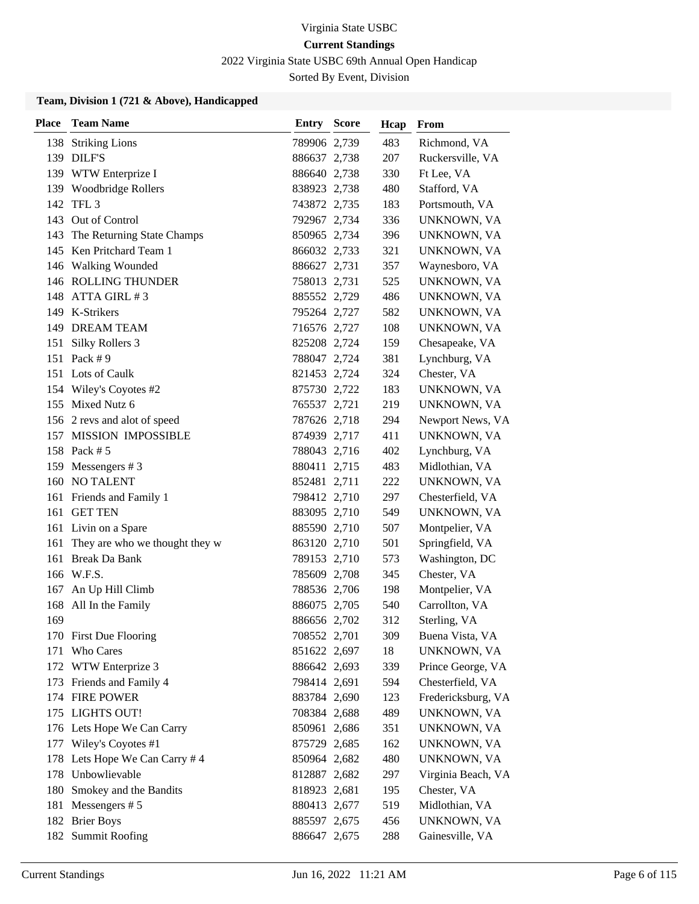2022 Virginia State USBC 69th Annual Open Handicap

Sorted By Event, Division

| <b>Place</b> | <b>Team Name</b>               | <b>Entry Score</b> | Hcap | From               |
|--------------|--------------------------------|--------------------|------|--------------------|
| 138          | <b>Striking Lions</b>          | 789906 2,739       | 483  | Richmond, VA       |
|              | 139 DILF'S                     | 886637 2,738       | 207  | Ruckersville, VA   |
|              | 139 WTW Enterprize I           | 886640 2,738       | 330  | Ft Lee, VA         |
|              | 139 Woodbridge Rollers         | 838923 2,738       | 480  | Stafford, VA       |
| 142          | TFL <sub>3</sub>               | 743872 2,735       | 183  | Portsmouth, VA     |
| 143          | Out of Control                 | 792967 2,734       | 336  | UNKNOWN, VA        |
| 143          | The Returning State Champs     | 850965 2,734       | 396  | UNKNOWN, VA        |
|              | 145 Ken Pritchard Team 1       | 866032 2,733       | 321  | UNKNOWN, VA        |
|              | 146 Walking Wounded            | 886627 2,731       | 357  | Waynesboro, VA     |
|              | 146 ROLLING THUNDER            | 758013 2,731       | 525  | UNKNOWN, VA        |
| 148          | ATTA GIRL #3                   | 885552 2,729       | 486  | UNKNOWN, VA        |
|              | 149 K-Strikers                 | 795264 2,727       | 582  | UNKNOWN, VA        |
| 149          | <b>DREAM TEAM</b>              | 716576 2,727       | 108  | UNKNOWN, VA        |
| 151          | Silky Rollers 3                | 825208 2,724       | 159  | Chesapeake, VA     |
| 151          | Pack #9                        | 788047 2,724       | 381  | Lynchburg, VA      |
|              | 151 Lots of Caulk              | 821453 2,724       | 324  | Chester, VA        |
|              | 154 Wiley's Coyotes #2         | 875730 2,722       | 183  | UNKNOWN, VA        |
| 155          | Mixed Nutz 6                   | 765537 2,721       | 219  | UNKNOWN, VA        |
|              | 156 2 revs and alot of speed   | 787626 2,718       | 294  | Newport News, VA   |
|              | 157 MISSION IMPOSSIBLE         | 874939 2,717       | 411  | UNKNOWN, VA        |
|              | 158 Pack # 5                   | 788043 2,716       | 402  | Lynchburg, VA      |
| 159          | Messengers $# 3$               | 880411 2,715       | 483  | Midlothian, VA     |
| 160          | <b>NO TALENT</b>               | 852481 2,711       | 222  | UNKNOWN, VA        |
|              | 161 Friends and Family 1       | 798412 2,710       | 297  | Chesterfield, VA   |
| 161          | <b>GET TEN</b>                 | 883095 2,710       | 549  | UNKNOWN, VA        |
|              | 161 Livin on a Spare           | 885590 2,710       | 507  | Montpelier, VA     |
| 161          | They are who we thought they w | 863120 2,710       | 501  | Springfield, VA    |
|              | 161 Break Da Bank              | 789153 2,710       | 573  | Washington, DC     |
|              | 166 W.F.S.                     | 785609 2,708       | 345  | Chester, VA        |
| 167          | An Up Hill Climb               | 788536 2,706       | 198  | Montpelier, VA     |
| 168          | All In the Family              | 886075 2,705       | 540  | Carrollton, VA     |
| 169          |                                | 886656 2,702       | 312  | Sterling, VA       |
|              | 170 First Due Flooring         | 708552 2,701       | 309  | Buena Vista, VA    |
| 171          | Who Cares                      | 851622 2,697       | 18   | UNKNOWN, VA        |
|              | 172 WTW Enterprize 3           | 886642 2,693       | 339  | Prince George, VA  |
|              | 173 Friends and Family 4       | 798414 2,691       | 594  | Chesterfield, VA   |
|              | 174 FIRE POWER                 | 883784 2,690       | 123  | Fredericksburg, VA |
|              | 175 LIGHTS OUT!                | 708384 2,688       | 489  | UNKNOWN, VA        |
|              | 176 Lets Hope We Can Carry     | 850961 2,686       | 351  | UNKNOWN, VA        |
|              | 177 Wiley's Coyotes #1         | 875729 2,685       | 162  | UNKNOWN, VA        |
| 178          | Lets Hope We Can Carry # 4     | 850964 2,682       | 480  | UNKNOWN, VA        |
| 178          | Unbowlievable                  | 812887 2,682       | 297  | Virginia Beach, VA |
| 180          | Smokey and the Bandits         | 818923 2,681       | 195  | Chester, VA        |
| 181          | Messengers $# 5$               | 880413 2,677       | 519  | Midlothian, VA     |
|              | 182 Brier Boys                 | 885597 2,675       | 456  | UNKNOWN, VA        |
|              | 182 Summit Roofing             | 886647 2,675       | 288  | Gainesville, VA    |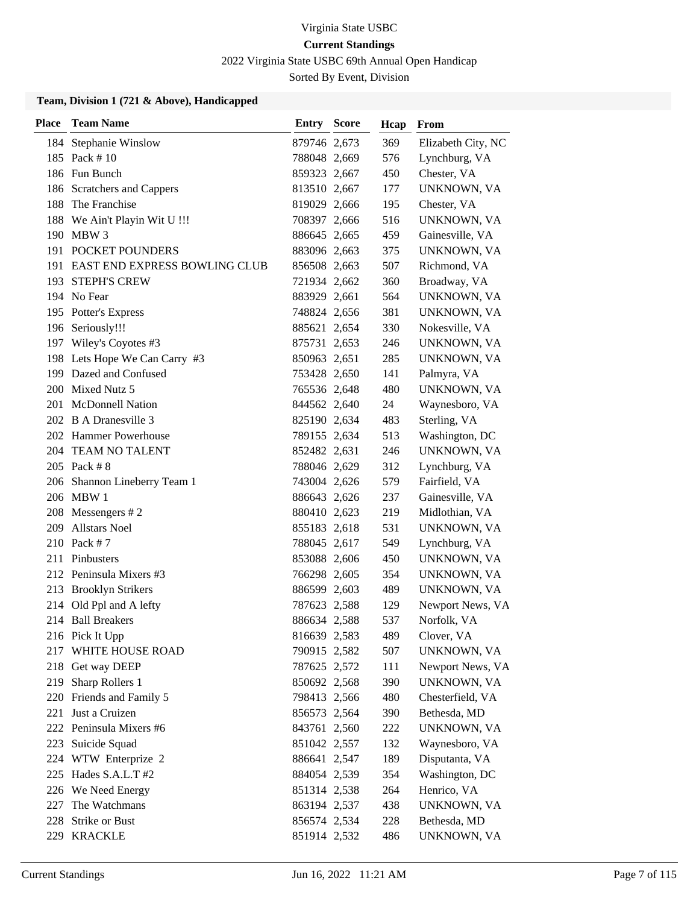2022 Virginia State USBC 69th Annual Open Handicap

Sorted By Event, Division

| <b>Place</b> | <b>Team Name</b>                  | <b>Entry Score</b> | Hcap | From               |
|--------------|-----------------------------------|--------------------|------|--------------------|
|              | 184 Stephanie Winslow             | 879746 2,673       | 369  | Elizabeth City, NC |
|              | 185 Pack #10                      | 788048 2,669       | 576  | Lynchburg, VA      |
|              | 186 Fun Bunch                     | 859323 2,667       | 450  | Chester, VA        |
| 186          | <b>Scratchers and Cappers</b>     | 813510 2,667       | 177  | UNKNOWN, VA        |
| 188          | The Franchise                     | 819029 2,666       | 195  | Chester, VA        |
|              | 188 We Ain't Playin Wit U !!!     | 708397 2,666       | 516  | UNKNOWN, VA        |
|              | 190 MBW 3                         | 886645 2,665       | 459  | Gainesville, VA    |
|              | 191 POCKET POUNDERS               | 883096 2,663       | 375  | UNKNOWN, VA        |
|              | 191 EAST END EXPRESS BOWLING CLUB | 856508 2,663       | 507  | Richmond, VA       |
|              | 193 STEPH'S CREW                  | 721934 2,662       | 360  | Broadway, VA       |
|              | 194 No Fear                       | 883929 2,661       | 564  | UNKNOWN, VA        |
|              | 195 Potter's Express              | 748824 2,656       | 381  | UNKNOWN, VA        |
|              | 196 Seriously!!!                  | 885621 2,654       | 330  | Nokesville, VA     |
|              | 197 Wiley's Coyotes #3            | 875731 2,653       | 246  | UNKNOWN, VA        |
|              | 198 Lets Hope We Can Carry #3     | 850963 2,651       | 285  | UNKNOWN, VA        |
|              | 199 Dazed and Confused            | 753428 2,650       | 141  | Palmyra, VA        |
|              | 200 Mixed Nutz 5                  | 765536 2,648       | 480  | UNKNOWN, VA        |
|              | 201 McDonnell Nation              | 844562 2,640       | 24   | Waynesboro, VA     |
|              | 202 B A Dranesville 3             | 825190 2,634       | 483  | Sterling, VA       |
|              | 202 Hammer Powerhouse             | 789155 2,634       | 513  | Washington, DC     |
|              | 204 TEAM NO TALENT                | 852482 2,631       | 246  | UNKNOWN, VA        |
|              | 205 Pack #8                       | 788046 2,629       | 312  | Lynchburg, VA      |
|              | 206 Shannon Lineberry Team 1      | 743004 2,626       | 579  | Fairfield, VA      |
|              | 206 MBW 1                         | 886643 2,626       | 237  | Gainesville, VA    |
|              | 208 Messengers #2                 | 880410 2,623       | 219  | Midlothian, VA     |
| 209          | <b>Allstars Noel</b>              | 855183 2,618       | 531  | UNKNOWN, VA        |
|              | 210 Pack #7                       | 788045 2,617       | 549  | Lynchburg, VA      |
|              | 211 Pinbusters                    | 853088 2,606       | 450  | UNKNOWN, VA        |
|              | 212 Peninsula Mixers #3           | 766298 2,605       | 354  | UNKNOWN, VA        |
|              | 213 Brooklyn Strikers             | 886599 2,603       | 489  | UNKNOWN, VA        |
|              | 214 Old Ppl and A lefty           | 787623 2,588       | 129  | Newport News, VA   |
|              | 214 Ball Breakers                 | 886634 2,588       | 537  | Norfolk, VA        |
|              | 216 Pick It Upp                   | 816639 2,583       | 489  | Clover, VA         |
|              | 217 WHITE HOUSE ROAD              | 790915 2,582       | 507  | UNKNOWN, VA        |
|              | 218 Get way DEEP                  | 787625 2,572       | 111  | Newport News, VA   |
| 219          | Sharp Rollers 1                   | 850692 2,568       | 390  | UNKNOWN, VA        |
|              | 220 Friends and Family 5          | 798413 2,566       | 480  | Chesterfield, VA   |
| 221          | Just a Cruizen                    | 856573 2,564       | 390  | Bethesda, MD       |
|              | 222 Peninsula Mixers #6           | 843761 2,560       | 222  | UNKNOWN, VA        |
| 223          | Suicide Squad                     | 851042 2,557       | 132  | Waynesboro, VA     |
|              | 224 WTW Enterprize 2              | 886641 2,547       | 189  | Disputanta, VA     |
|              | 225 Hades S.A.L.T #2              | 884054 2,539       | 354  | Washington, DC     |
|              | 226 We Need Energy                | 851314 2,538       | 264  | Henrico, VA        |
| 227          | The Watchmans                     | 863194 2,537       | 438  | UNKNOWN, VA        |
| 228          | Strike or Bust                    | 856574 2,534       | 228  | Bethesda, MD       |
|              | 229 KRACKLE                       | 851914 2,532       | 486  | UNKNOWN, VA        |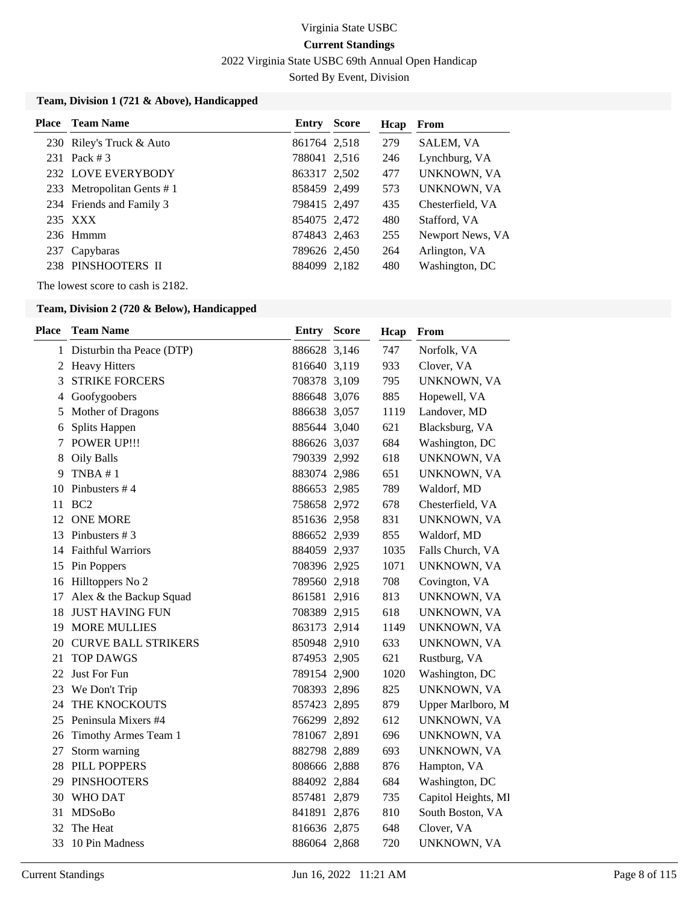2022 Virginia State USBC 69th Annual Open Handicap

Sorted By Event, Division

### **Team, Division 1 (721 & Above), Handicapped**

| <b>Place</b> Team Name    | <b>Entry Score</b> | Hcap | From             |
|---------------------------|--------------------|------|------------------|
| 230 Riley's Truck & Auto  | 861764 2.518       | 279  | SALEM, VA        |
| 231 Pack #3               | 788041 2,516       | 246  | Lynchburg, VA    |
| 232 LOVE EVERYBODY        | 863317 2,502       | 477  | UNKNOWN, VA      |
| 233 Metropolitan Gents #1 | 858459 2,499       | 573  | UNKNOWN, VA      |
| 234 Friends and Family 3  | 798415 2,497       | 435  | Chesterfield, VA |
| 235 XXX                   | 854075 2,472       | 480  | Stafford, VA     |
| $236$ Hmmm                | 874843 2,463       | 255  | Newport News, VA |
| 237 Capybaras             | 789626 2,450       | 264  | Arlington, VA    |
| 238 PINSHOOTERS II        | 884099 2.182       | 480  | Washington, DC   |

The lowest score to cash is 2182.

### **Team, Division 2 (720 & Below), Handicapped**

| <b>Place</b> | <b>Team Name</b>            | Entry        | <b>Score</b> | Hcap | From                |
|--------------|-----------------------------|--------------|--------------|------|---------------------|
|              | 1 Disturbin tha Peace (DTP) | 886628 3,146 |              | 747  | Norfolk, VA         |
| 2            | <b>Heavy Hitters</b>        | 816640 3,119 |              | 933  | Clover, VA          |
| 3            | <b>STRIKE FORCERS</b>       | 708378 3,109 |              | 795  | UNKNOWN, VA         |
| 4            | Goofygoobers                | 886648 3,076 |              | 885  | Hopewell, VA        |
| 5            | Mother of Dragons           | 886638 3,057 |              | 1119 | Landover, MD        |
| 6            | Splits Happen               | 885644 3,040 |              | 621  | Blacksburg, VA      |
| 7            | <b>POWER UP!!!</b>          | 886626 3,037 |              | 684  | Washington, DC      |
| 8            | Oily Balls                  | 790339 2,992 |              | 618  | UNKNOWN, VA         |
| 9            | TNBA #1                     | 883074 2,986 |              | 651  | UNKNOWN, VA         |
| 10           | Pinbusters #4               | 886653 2,985 |              | 789  | Waldorf, MD         |
| 11           | BC <sub>2</sub>             | 758658 2,972 |              | 678  | Chesterfield, VA    |
| 12           | <b>ONE MORE</b>             | 851636 2,958 |              | 831  | UNKNOWN, VA         |
| 13           | Pinbusters #3               | 886652 2,939 |              | 855  | Waldorf, MD         |
| 14           | <b>Faithful Warriors</b>    | 884059 2,937 |              | 1035 | Falls Church, VA    |
| 15           | Pin Poppers                 | 708396 2,925 |              | 1071 | UNKNOWN, VA         |
| 16           | Hilltoppers No 2            | 789560 2,918 |              | 708  | Covington, VA       |
| 17           | Alex & the Backup Squad     | 861581 2,916 |              | 813  | UNKNOWN, VA         |
| 18           | <b>JUST HAVING FUN</b>      | 708389 2,915 |              | 618  | UNKNOWN, VA         |
| 19           | <b>MORE MULLIES</b>         | 863173 2,914 |              | 1149 | UNKNOWN, VA         |
| 20           | <b>CURVE BALL STRIKERS</b>  | 850948 2,910 |              | 633  | UNKNOWN, VA         |
| 21           | <b>TOP DAWGS</b>            | 874953 2,905 |              | 621  | Rustburg, VA        |
| 22           | Just For Fun                | 789154 2,900 |              | 1020 | Washington, DC      |
|              | 23 We Don't Trip            | 708393 2,896 |              | 825  | UNKNOWN, VA         |
| 24           | THE KNOCKOUTS               | 857423 2,895 |              | 879  | Upper Marlboro, M   |
| 25           | Peninsula Mixers #4         | 766299 2,892 |              | 612  | UNKNOWN, VA         |
| 26           | Timothy Armes Team 1        | 781067 2,891 |              | 696  | UNKNOWN, VA         |
| 27           | Storm warning               | 882798 2,889 |              | 693  | UNKNOWN, VA         |
| 28           | PILL POPPERS                | 808666 2,888 |              | 876  | Hampton, VA         |
| 29           | <b>PINSHOOTERS</b>          | 884092 2,884 |              | 684  | Washington, DC      |
| 30           | <b>WHO DAT</b>              | 857481 2,879 |              | 735  | Capitol Heights, Ml |
| 31           | MDSoBo                      | 841891 2,876 |              | 810  | South Boston, VA    |
| 32           | The Heat                    | 816636 2,875 |              | 648  | Clover, VA          |
| 33           | 10 Pin Madness              | 886064 2,868 |              | 720  | UNKNOWN, VA         |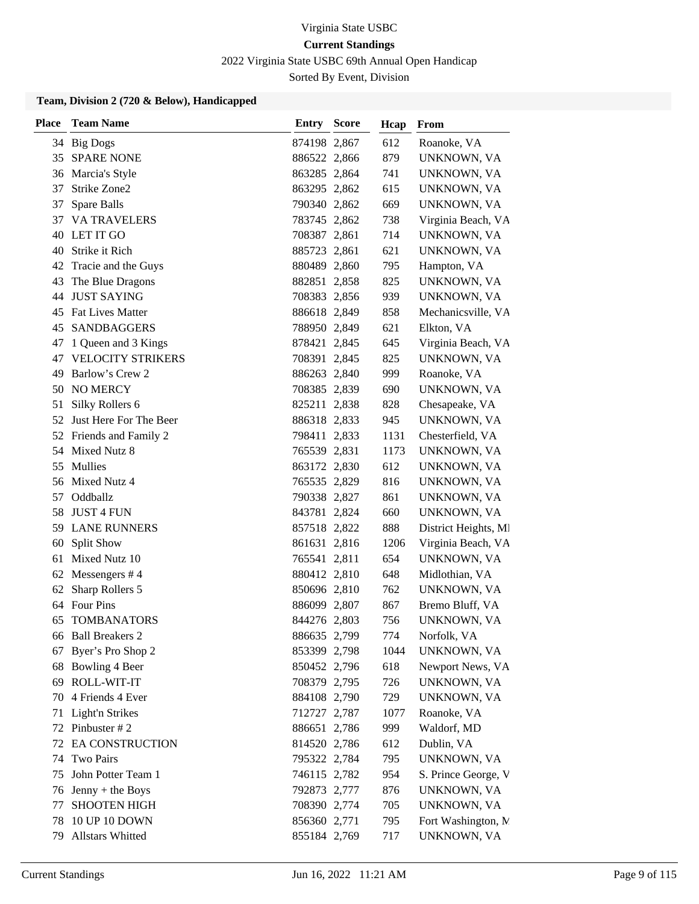2022 Virginia State USBC 69th Annual Open Handicap

Sorted By Event, Division

### **Team, Division 2 (720 & Below), Handicapped**

| <b>Place</b> | <b>Team Name</b>        | <b>Entry Score</b> | Hcap | From                 |
|--------------|-------------------------|--------------------|------|----------------------|
|              | 34 Big Dogs             | 874198 2,867       | 612  | Roanoke, VA          |
| 35           | <b>SPARE NONE</b>       | 886522 2,866       | 879  | UNKNOWN, VA          |
|              | 36 Marcia's Style       | 863285 2,864       | 741  | UNKNOWN, VA          |
| 37           | Strike Zone2            | 863295 2,862       | 615  | UNKNOWN, VA          |
| 37           | Spare Balls             | 790340 2,862       | 669  | UNKNOWN, VA          |
| 37           | <b>VA TRAVELERS</b>     | 783745 2,862       | 738  | Virginia Beach, VA   |
| 40           | LET IT GO               | 708387 2,861       | 714  | UNKNOWN, VA          |
| 40           | Strike it Rich          | 885723 2,861       | 621  | UNKNOWN, VA          |
| 42           | Tracie and the Guys     | 880489 2,860       | 795  | Hampton, VA          |
| 43           | The Blue Dragons        | 882851 2,858       | 825  | UNKNOWN, VA          |
| 44           | <b>JUST SAYING</b>      | 708383 2,856       | 939  | UNKNOWN, VA          |
| 45           | <b>Fat Lives Matter</b> | 886618 2,849       | 858  | Mechanicsville, VA   |
| 45           | SANDBAGGERS             | 788950 2,849       | 621  | Elkton, VA           |
| 47           | 1 Queen and 3 Kings     | 878421 2,845       | 645  | Virginia Beach, VA   |
| 47           | VELOCITY STRIKERS       | 708391 2,845       | 825  | UNKNOWN, VA          |
| 49           | Barlow's Crew 2         | 886263 2,840       | 999  | Roanoke, VA          |
| 50           | <b>NO MERCY</b>         | 708385 2,839       | 690  | UNKNOWN, VA          |
| 51           | Silky Rollers 6         | 825211 2,838       | 828  | Chesapeake, VA       |
| 52           | Just Here For The Beer  | 886318 2,833       | 945  | UNKNOWN, VA          |
|              | 52 Friends and Family 2 | 798411 2,833       | 1131 | Chesterfield, VA     |
|              | 54 Mixed Nutz 8         | 765539 2,831       | 1173 | UNKNOWN, VA          |
| 55           | Mullies                 | 863172 2,830       | 612  | UNKNOWN, VA          |
| 56           | Mixed Nutz 4            | 765535 2,829       | 816  | UNKNOWN, VA          |
| 57           | Oddballz                | 790338 2,827       | 861  | UNKNOWN, VA          |
| 58           | <b>JUST 4 FUN</b>       | 843781 2,824       | 660  | UNKNOWN, VA          |
| 59           | <b>LANE RUNNERS</b>     | 857518 2,822       | 888  | District Heights, MI |
| 60           | <b>Split Show</b>       | 861631 2,816       | 1206 | Virginia Beach, VA   |
| 61           | Mixed Nutz 10           | 765541 2,811       | 654  | UNKNOWN, VA          |
| 62           | Messengers #4           | 880412 2,810       | 648  | Midlothian, VA       |
| 62           | Sharp Rollers 5         | 850696 2,810       | 762  | UNKNOWN, VA          |
| 64           | Four Pins               | 886099 2,807       | 867  | Bremo Bluff, VA      |
| 65           | <b>TOMBANATORS</b>      | 844276 2,803       | 756  | UNKNOWN, VA          |
|              | 66 Ball Breakers 2      | 886635 2,799       | 774  | Norfolk, VA          |
| 67           | Byer's Pro Shop 2       | 853399 2,798       | 1044 | UNKNOWN, VA          |
| 68           | Bowling 4 Beer          | 850452 2,796       | 618  | Newport News, VA     |
| 69           | ROLL-WIT-IT             | 708379 2,795       | 726  | UNKNOWN, VA          |
| 70           | 4 Friends 4 Ever        | 884108 2,790       | 729  | UNKNOWN, VA          |
| 71           | Light'n Strikes         | 712727 2,787       | 1077 | Roanoke, VA          |
| 72           | Pinbuster #2            | 886651 2,786       | 999  | Waldorf, MD          |
| 72           | <b>EA CONSTRUCTION</b>  | 814520 2,786       | 612  | Dublin, VA           |
| 74           | Two Pairs               | 795322 2,784       | 795  | UNKNOWN, VA          |
| 75           | John Potter Team 1      | 746115 2,782       | 954  | S. Prince George, V  |
| 76           | Jenny + the Boys        | 792873 2,777       | 876  | UNKNOWN, VA          |
| 77           | <b>SHOOTEN HIGH</b>     | 708390 2,774       | 705  | UNKNOWN, VA          |
| 78           | 10 UP 10 DOWN           | 856360 2,771       | 795  | Fort Washington, N   |
| 79           | Allstars Whitted        | 855184 2,769       | 717  | UNKNOWN, VA          |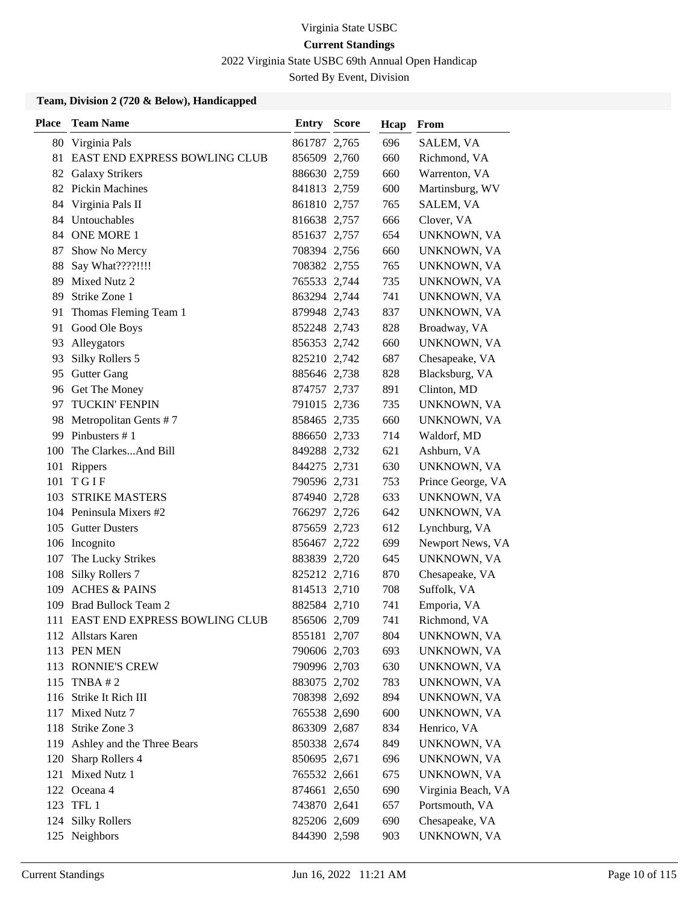2022 Virginia State USBC 69th Annual Open Handicap

Sorted By Event, Division

### **Team, Division 2 (720 & Below), Handicapped**

| <b>Place</b> | <b>Team Name</b>                 | <b>Entry Score</b> | Hcap | <b>From</b>        |
|--------------|----------------------------------|--------------------|------|--------------------|
|              | 80 Virginia Pals                 | 861787 2,765       | 696  | SALEM, VA          |
|              | 81 EAST END EXPRESS BOWLING CLUB | 856509 2,760       | 660  | Richmond, VA       |
|              | 82 Galaxy Strikers               | 886630 2,759       | 660  | Warrenton, VA      |
|              | 82 Pickin Machines               | 841813 2,759       | 600  | Martinsburg, WV    |
| 84           | Virginia Pals II                 | 861810 2,757       | 765  | SALEM, VA          |
|              | 84 Untouchables                  | 816638 2,757       | 666  | Clover, VA         |
|              | 84 ONE MORE 1                    | 851637 2,757       | 654  | UNKNOWN, VA        |
| 87           | Show No Mercy                    | 708394 2,756       | 660  | UNKNOWN, VA        |
| 88           | Say What????!!!!                 | 708382 2,755       | 765  | UNKNOWN, VA        |
| 89           | Mixed Nutz 2                     | 765533 2,744       | 735  | UNKNOWN, VA        |
| 89           | Strike Zone 1                    | 863294 2,744       | 741  | UNKNOWN, VA        |
| 91           | Thomas Fleming Team 1            | 879948 2,743       | 837  | UNKNOWN, VA        |
| 91           | Good Ole Boys                    | 852248 2,743       | 828  | Broadway, VA       |
| 93           | Alleygators                      | 856353 2,742       | 660  | UNKNOWN, VA        |
| 93           | Silky Rollers 5                  | 825210 2,742       | 687  | Chesapeake, VA     |
| 95           | <b>Gutter Gang</b>               | 885646 2,738       | 828  | Blacksburg, VA     |
| 96           | Get The Money                    | 874757 2,737       | 891  | Clinton, MD        |
| 97           | <b>TUCKIN' FENPIN</b>            | 791015 2,736       | 735  | UNKNOWN, VA        |
|              | 98 Metropolitan Gents #7         | 858465 2,735       | 660  | UNKNOWN, VA        |
| 99           | Pinbusters #1                    | 886650 2,733       | 714  | Waldorf, MD        |
| 100          | The ClarkesAnd Bill              | 849288 2,732       | 621  | Ashburn, VA        |
| 101          | Rippers                          | 844275 2,731       | 630  | UNKNOWN, VA        |
| 101          | TGIF                             | 790596 2,731       | 753  | Prince George, VA  |
| 103          | <b>STRIKE MASTERS</b>            | 874940 2,728       | 633  | UNKNOWN, VA        |
|              | 104 Peninsula Mixers #2          | 766297 2,726       | 642  | UNKNOWN, VA        |
|              | 105 Gutter Dusters               | 875659 2,723       | 612  | Lynchburg, VA      |
|              | 106 Incognito                    | 856467 2,722       | 699  | Newport News, VA   |
| 107          | The Lucky Strikes                | 883839 2,720       | 645  | UNKNOWN, VA        |
| 108          | Silky Rollers 7                  | 825212 2,716       | 870  | Chesapeake, VA     |
| 109          | <b>ACHES &amp; PAINS</b>         | 814513 2,710       | 708  | Suffolk, VA        |
| 109          | Brad Bullock Team 2              | 882584 2,710       | 741  | Emporia, VA        |
| 111          | EAST END EXPRESS BOWLING CLUB    | 856506 2,709       | 741  | Richmond, VA       |
|              | 112 Allstars Karen               | 855181 2,707       | 804  | UNKNOWN, VA        |
|              | 113 PEN MEN                      | 790606 2,703       | 693  | UNKNOWN, VA        |
|              | 113 RONNIE'S CREW                | 790996 2,703       | 630  | UNKNOWN, VA        |
|              | 115 TNBA #2                      | 883075 2,702       | 783  | UNKNOWN, VA        |
|              | 116 Strike It Rich III           | 708398 2,692       | 894  | UNKNOWN, VA        |
|              | 117 Mixed Nutz 7                 | 765538 2,690       | 600  | UNKNOWN, VA        |
|              | 118 Strike Zone 3                | 863309 2,687       | 834  | Henrico, VA        |
| 119          | Ashley and the Three Bears       | 850338 2,674       | 849  | UNKNOWN, VA        |
| 120          | Sharp Rollers 4                  | 850695 2,671       | 696  | UNKNOWN, VA        |
| 121          | Mixed Nutz 1                     | 765532 2,661       | 675  | UNKNOWN, VA        |
|              | 122 Oceana 4                     | 874661 2,650       | 690  | Virginia Beach, VA |
|              | 123 TFL 1                        | 743870 2,641       | 657  | Portsmouth, VA     |
| 124          | <b>Silky Rollers</b>             | 825206 2,609       | 690  | Chesapeake, VA     |
|              | 125 Neighbors                    | 844390 2,598       | 903  | UNKNOWN, VA        |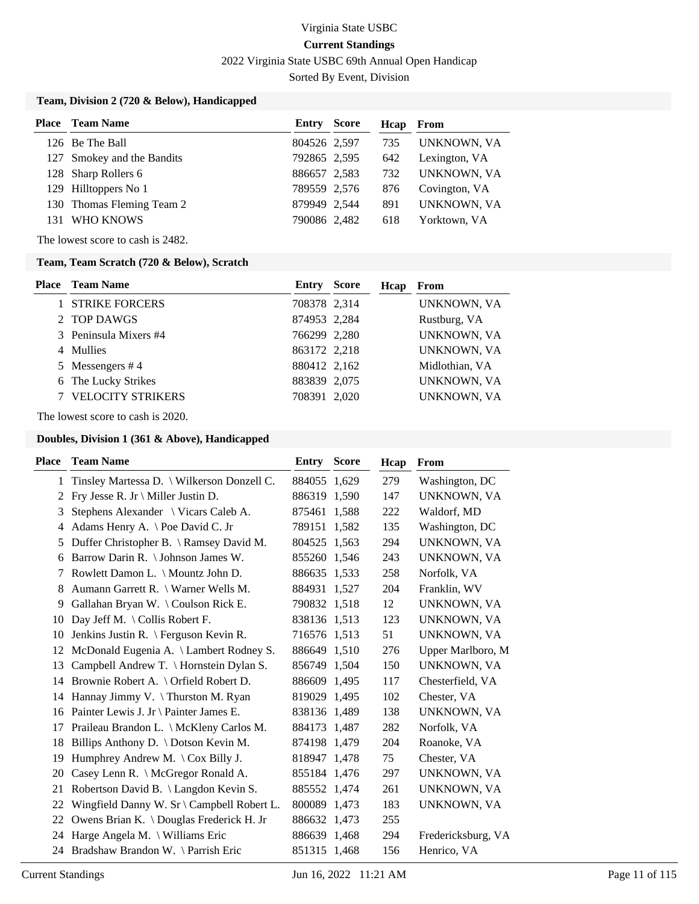2022 Virginia State USBC 69th Annual Open Handicap

Sorted By Event, Division

### **Team, Division 2 (720 & Below), Handicapped**

|     | <b>Place</b> Team Name     | Entry        | Score | Hcap | From          |
|-----|----------------------------|--------------|-------|------|---------------|
|     | 126 Be The Ball            | 804526 2,597 |       | 735  | UNKNOWN, VA   |
|     | 127 Smokey and the Bandits | 792865 2,595 |       | 642  | Lexington, VA |
|     | 128 Sharp Rollers 6        | 886657 2,583 |       | 732  | UNKNOWN, VA   |
|     | 129 Hilltoppers No 1       | 789559 2,576 |       | 876  | Covington, VA |
|     | 130 Thomas Fleming Team 2  | 879949 2.544 |       | 891  | UNKNOWN, VA   |
| 131 | WHO KNOWS                  | 790086 2,482 |       | 618  | Yorktown, VA  |

The lowest score to cash is 2482.

### **Team, Team Scratch (720 & Below), Scratch**

| <b>Place</b> Team Name   | Entry        | <b>Score</b> | Hcap | From               |
|--------------------------|--------------|--------------|------|--------------------|
| <b>STRIKE FORCERS</b>    | 708378 2,314 |              |      | UNKNOWN, VA        |
| 2 TOP DAWGS              | 874953 2,284 |              |      | Rustburg, VA       |
| 3 Peninsula Mixers #4    | 766299 2,280 |              |      | <b>UNKNOWN, VA</b> |
| 4 Mullies                | 863172 2,218 |              |      | UNKNOWN, VA        |
| 5 Messengers #4          | 880412 2,162 |              |      | Midlothian, VA     |
| 6 The Lucky Strikes      | 883839 2,075 |              |      | UNKNOWN, VA        |
| <b>VELOCITY STRIKERS</b> | 708391 2,020 |              |      | UNKNOWN, VA        |

The lowest score to cash is 2020.

| Place        | <b>Team Name</b>                                            | Entry        | <b>Score</b> | Hcap | From               |
|--------------|-------------------------------------------------------------|--------------|--------------|------|--------------------|
| $\mathbf{1}$ | Tinsley Martessa D. \ Wilkerson Donzell C.                  | 884055 1.629 |              | 279  | Washington, DC     |
| 2            | Fry Jesse R. Jr \ Miller Justin D.                          | 886319 1,590 |              | 147  | UNKNOWN, VA        |
| 3            | Stephens Alexander \ Vicars Caleb A.                        | 875461 1,588 |              | 222  | Waldorf, MD        |
| 4            | Adams Henry A. $\heartsuit$ Poe David C. Jr                 | 789151 1,582 |              | 135  | Washington, DC     |
| 5            | Duffer Christopher B. \ Ramsey David M.                     | 804525 1,563 |              | 294  | UNKNOWN, VA        |
| 6            | Barrow Darin R. \ Johnson James W.                          | 855260 1,546 |              | 243  | UNKNOWN, VA        |
| 7            | Rowlett Damon L. \ Mountz John D.                           | 886635 1,533 |              | 258  | Norfolk, VA        |
| 8            | Aumann Garrett R. \ Warner Wells M.                         | 884931 1,527 |              | 204  | Franklin, WV       |
| 9            | Gallahan Bryan W. \Coulson Rick E.                          | 790832 1,518 |              | 12   | UNKNOWN, VA        |
| 10           | Day Jeff M. \ Collis Robert F.                              | 838136 1,513 |              | 123  | UNKNOWN, VA        |
| 10           | Jenkins Justin R. \ Ferguson Kevin R.                       | 716576 1,513 |              | 51   | UNKNOWN, VA        |
| 12           | McDonald Eugenia A. \ Lambert Rodney S.                     | 886649 1,510 |              | 276  | Upper Marlboro, M  |
| 13           | Campbell Andrew T. \ Hornstein Dylan S.                     | 856749 1,504 |              | 150  | UNKNOWN, VA        |
| 14           | Brownie Robert A. \ Orfield Robert D.                       | 886609 1,495 |              | 117  | Chesterfield, VA   |
| 14           | Hannay Jimmy V. \Thurston M. Ryan                           | 819029 1,495 |              | 102  | Chester, VA        |
| 16           | Painter Lewis J. Jr \ Painter James E.                      | 838136 1,489 |              | 138  | UNKNOWN, VA        |
| 17           | Praileau Brandon L. \ McKleny Carlos M.                     | 884173 1,487 |              | 282  | Norfolk, VA        |
| 18           | Billips Anthony D. \ Dotson Kevin M.                        | 874198 1,479 |              | 204  | Roanoke, VA        |
| 19           | Humphrey Andrew M. $\operatorname{\backslash}$ Cox Billy J. | 818947 1,478 |              | 75   | Chester, VA        |
| 20           | Casey Lenn R. \ McGregor Ronald A.                          | 855184 1,476 |              | 297  | UNKNOWN, VA        |
| 21           | Robertson David B. \ Langdon Kevin S.                       | 885552 1,474 |              | 261  | UNKNOWN, VA        |
| 22           | Wingfield Danny W. Sr \ Campbell Robert L.                  | 800089 1,473 |              | 183  | UNKNOWN, VA        |
| 22           | Owens Brian K. \Douglas Frederick H. Jr                     | 886632 1,473 |              | 255  |                    |
| 24           | Harge Angela M. \ Williams Eric                             | 886639 1,468 |              | 294  | Fredericksburg, VA |
| 24           | Bradshaw Brandon W. \Parrish Eric                           | 851315 1,468 |              | 156  | Henrico, VA        |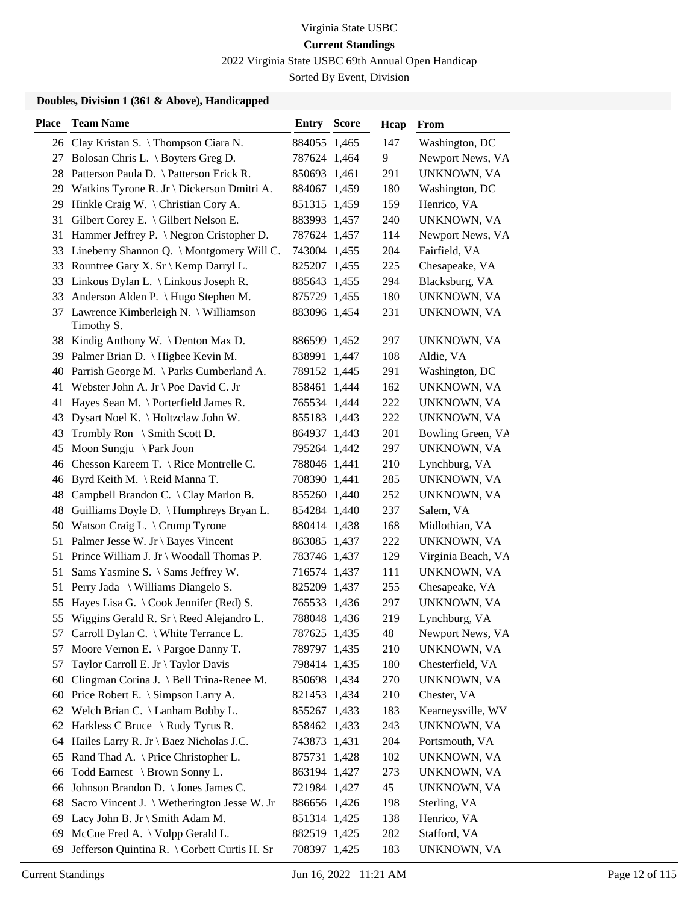2022 Virginia State USBC 69th Annual Open Handicap

Sorted By Event, Division

| Place | <b>Team Name</b>                                      | <b>Entry Score</b> |       | Hcap | From                             |
|-------|-------------------------------------------------------|--------------------|-------|------|----------------------------------|
|       | 26 Clay Kristan S. \Thompson Ciara N.                 | 884055 1,465       |       | 147  | Washington, DC                   |
|       | 27 Bolosan Chris L. \ Boyters Greg D.                 | 787624 1,464       |       | 9    | Newport News, VA                 |
|       | 28 Patterson Paula D. \ Patterson Erick R.            | 850693 1,461       |       | 291  | UNKNOWN, VA                      |
|       | 29 Watkins Tyrone R. Jr \ Dickerson Dmitri A.         | 884067 1,459       |       | 180  | Washington, DC                   |
| 29    | Hinkle Craig W. $\langle$ Christian Cory A.           | 851315 1,459       |       | 159  | Henrico, VA                      |
| 31    | Gilbert Corey E. \ Gilbert Nelson E.                  | 883993 1,457       |       | 240  | UNKNOWN, VA                      |
|       | 31 Hammer Jeffrey P. \ Negron Cristopher D.           | 787624 1,457       |       | 114  | Newport News, VA                 |
|       | 33 Lineberry Shannon Q. \ Montgomery Will C.          | 743004 1,455       |       | 204  | Fairfield, VA                    |
|       | 33 Rountree Gary X. Sr \ Kemp Darryl L.               | 825207 1,455       |       | 225  | Chesapeake, VA                   |
|       | 33 Linkous Dylan L. \ Linkous Joseph R.               | 885643             | 1,455 | 294  | Blacksburg, VA                   |
| 33    | Anderson Alden P. \ Hugo Stephen M.                   | 875729 1,455       |       | 180  | UNKNOWN, VA                      |
|       | 37 Lawrence Kimberleigh N. \ Williamson<br>Timothy S. | 883096 1,454       |       | 231  | UNKNOWN, VA                      |
|       | 38 Kindig Anthony W. \Denton Max D.                   | 886599 1,452       |       | 297  | UNKNOWN, VA                      |
|       | 39 Palmer Brian D. \ Higbee Kevin M.                  | 838991 1,447       |       | 108  | Aldie, VA                        |
|       | 40 Parrish George M. \ Parks Cumberland A.            | 789152 1,445       |       | 291  | Washington, DC                   |
|       | 41 Webster John A. Jr \ Poe David C. Jr               | 858461 1,444       |       | 162  | UNKNOWN, VA                      |
|       | 41 Hayes Sean M. \ Porterfield James R.               | 765534 1,444       |       | 222  | UNKNOWN, VA                      |
| 43    | Dysart Noel K. \ Holtzclaw John W.                    | 855183 1,443       |       | 222  | UNKNOWN, VA                      |
| 43    | Trombly Ron $\setminus$ Smith Scott D.                | 864937 1,443       |       | 201  | Bowling Green, VA                |
| 45    | Moon Sungju $\{$ Park Joon                            | 795264 1,442       |       | 297  | UNKNOWN, VA                      |
| 46    | Chesson Kareem T. $\Re$ Rice Montrelle C.             | 788046 1,441       |       | 210  | Lynchburg, VA                    |
| 46    | Byrd Keith M. \ Reid Manna T.                         | 708390 1,441       |       | 285  | UNKNOWN, VA                      |
|       | 48 Campbell Brandon C. \ Clay Marlon B.               | 855260 1,440       |       | 252  | UNKNOWN, VA                      |
|       | 48 Guilliams Doyle D. \ Humphreys Bryan L.            | 854284 1,440       |       | 237  | Salem, VA                        |
|       | 50 Watson Craig L. \ Crump Tyrone                     | 880414 1,438       |       | 168  | Midlothian, VA                   |
|       | 51 Palmer Jesse W. Jr \ Bayes Vincent                 | 863085 1,437       |       | 222  | UNKNOWN, VA                      |
|       | 51 Prince William J. Jr \ Woodall Thomas P.           | 783746 1,437       |       | 129  | Virginia Beach, VA               |
| 51    | Sams Yasmine S. \ Sams Jeffrey W.                     | 716574 1,437       |       | 111  | UNKNOWN, VA                      |
| 51    | Perry Jada \ Williams Diangelo S.                     | 825209 1,437       |       | 255  | Chesapeake, VA                   |
| 55    | Hayes Lisa G. \Cook Jennifer (Red) S.                 | 765533 1,436       |       | 297  | UNKNOWN, VA                      |
|       | 55 Wiggins Gerald R. Sr \ Reed Alejandro L.           | 788048 1,436       |       | 219  | Lynchburg, VA                    |
|       | 57 Carroll Dylan C. \ White Terrance L.               | 787625 1,435       |       | 48   | Newport News, VA                 |
| 57    | Moore Vernon E. \ Pargoe Danny T.                     | 789797 1,435       |       | 210  | UNKNOWN, VA                      |
| 57    | Taylor Carroll E. Jr \ Taylor Davis                   | 798414 1,435       |       | 180  | Chesterfield, VA                 |
|       | Clingman Corina J. \ Bell Trina-Renee M.              |                    |       | 270  | UNKNOWN, VA                      |
| 60    |                                                       | 850698 1,434       |       |      |                                  |
| 60    | Price Robert E. \ Simpson Larry A.                    | 821453 1,434       |       | 210  | Chester, VA<br>Kearneysville, WV |
|       | 62 Welch Brian C. \ Lanham Bobby L.                   | 855267 1,433       |       | 183  |                                  |
|       | 62 Harkless C Bruce \ Rudy Tyrus R.                   | 858462 1,433       |       | 243  | UNKNOWN, VA                      |
|       | 64 Hailes Larry R. Jr \ Baez Nicholas J.C.            | 743873 1,431       |       | 204  | Portsmouth, VA                   |
| 65    | Rand Thad A. \ Price Christopher L.                   | 875731 1,428       |       | 102  | UNKNOWN, VA                      |
| 66    | Todd Earnest \ Brown Sonny L.                         | 863194 1,427       |       | 273  | UNKNOWN, VA                      |
| 66    | Johnson Brandon D. \ Jones James C.                   | 721984 1,427       |       | 45   | UNKNOWN, VA                      |
| 68    | Sacro Vincent J. \ Wetherington Jesse W. Jr           | 886656 1,426       |       | 198  | Sterling, VA                     |
|       | 69 Lacy John B. Jr \ Smith Adam M.                    | 851314 1,425       |       | 138  | Henrico, VA                      |
| 69    | McCue Fred A. \ Volpp Gerald L.                       | 882519 1,425       |       | 282  | Stafford, VA                     |
| 69    | Jefferson Quintina R. \ Corbett Curtis H. Sr          | 708397 1,425       |       | 183  | UNKNOWN, VA                      |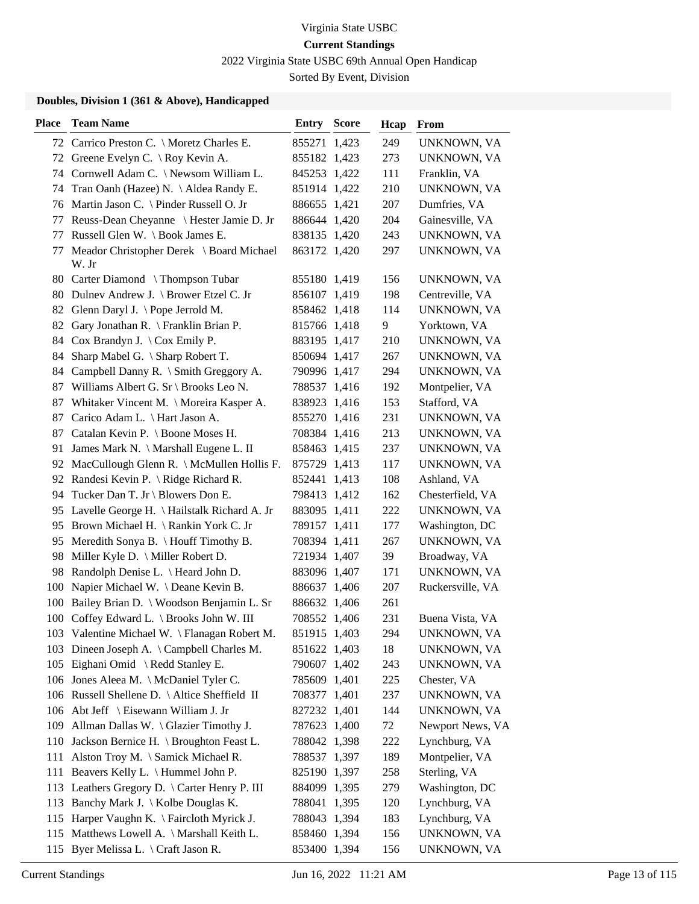2022 Virginia State USBC 69th Annual Open Handicap

Sorted By Event, Division

| <b>Place</b> | <b>Team Name</b>                                        | Entry        | <b>Score</b> | Hcap | From             |
|--------------|---------------------------------------------------------|--------------|--------------|------|------------------|
|              | 72 Carrico Preston C. \ Moretz Charles E.               | 855271 1,423 |              | 249  | UNKNOWN, VA      |
|              | 72 Greene Evelyn C. \ Roy Kevin A.                      | 855182 1,423 |              | 273  | UNKNOWN, VA      |
|              | 74 Cornwell Adam C. \ Newsom William L.                 | 845253 1,422 |              | 111  | Franklin, VA     |
| 74           | Tran Oanh (Hazee) N. \ Aldea Randy E.                   | 851914 1,422 |              | 210  | UNKNOWN, VA      |
| 76           | Martin Jason C. \ Pinder Russell O. Jr                  | 886655 1,421 |              | 207  | Dumfries, VA     |
| 77           | Reuss-Dean Cheyanne \ Hester Jamie D. Jr                | 886644 1,420 |              | 204  | Gainesville, VA  |
| 77           | Russell Glen W. \ Book James E.                         | 838135 1,420 |              | 243  | UNKNOWN, VA      |
| 77           | Meador Christopher Derek \ Board Michael<br>W. Jr       | 863172 1,420 |              | 297  | UNKNOWN, VA      |
|              | 80 Carter Diamond \Thompson Tubar                       | 855180 1,419 |              | 156  | UNKNOWN, VA      |
|              | 80 Dulnev Andrew J. \ Brower Etzel C. Jr                | 856107 1,419 |              | 198  | Centreville, VA  |
| 82           | Glenn Daryl J. $\Phi$ Pope Jerrold M.                   | 858462 1,418 |              | 114  | UNKNOWN, VA      |
| 82           | Gary Jonathan R. \ Franklin Brian P.                    | 815766 1,418 |              | 9    | Yorktown, VA     |
| 84           | Cox Brandyn J. $\operatorname{\backslash}$ Cox Emily P. | 883195 1,417 |              | 210  | UNKNOWN, VA      |
| 84           | Sharp Mabel G. \ Sharp Robert T.                        | 850694 1,417 |              | 267  | UNKNOWN, VA      |
| 84           | Campbell Danny R. \ Smith Greggory A.                   | 790996 1,417 |              | 294  | UNKNOWN, VA      |
|              | 87 Williams Albert G. Sr \ Brooks Leo N.                | 788537 1,416 |              | 192  | Montpelier, VA   |
| 87           | Whitaker Vincent M. \ Moreira Kasper A.                 | 838923 1,416 |              | 153  | Stafford, VA     |
| 87           | Carico Adam L. \ Hart Jason A.                          | 855270 1,416 |              | 231  | UNKNOWN, VA      |
| 87           | Catalan Kevin P. \ Boone Moses H.                       | 708384 1,416 |              | 213  | UNKNOWN, VA      |
| 91           | James Mark N. \ Marshall Eugene L. II                   | 858463 1,415 |              | 237  | UNKNOWN, VA      |
| 92           | MacCullough Glenn R. \ McMullen Hollis F.               | 875729 1,413 |              | 117  | UNKNOWN, VA      |
| 92           | Randesi Kevin P. \ Ridge Richard R.                     | 852441 1,413 |              | 108  | Ashland, VA      |
| 94           | Tucker Dan T. Jr \ Blowers Don E.                       | 798413 1,412 |              | 162  | Chesterfield, VA |
|              | 95 Lavelle George H. \Hailstalk Richard A. Jr           | 883095 1,411 |              | 222  | UNKNOWN, VA      |
| 95           | Brown Michael H. \ Rankin York C. Jr                    | 789157 1,411 |              | 177  | Washington, DC   |
| 95           | Meredith Sonya B. \ Houff Timothy B.                    | 708394 1,411 |              | 267  | UNKNOWN, VA      |
| 98           | Miller Kyle D. \ Miller Robert D.                       | 721934 1,407 |              | 39   | Broadway, VA     |
|              | 98 Randolph Denise L. \ Heard John D.                   | 883096 1,407 |              | 171  | UNKNOWN, VA      |
| 100          | Napier Michael W. \Deane Kevin B.                       | 886637 1,406 |              | 207  | Ruckersville, VA |
| 100          | Bailey Brian D.   Woodson Benjamin L. Sr                | 886632 1,406 |              | 261  |                  |
|              | 100 Coffey Edward L. \ Brooks John W. III               | 708552 1,406 |              | 231  | Buena Vista, VA  |
|              | 103 Valentine Michael W. \ Flanagan Robert M.           | 851915 1,403 |              | 294  | UNKNOWN, VA      |
|              | 103 Dineen Joseph A. \ Campbell Charles M.              | 851622 1,403 |              | 18   | UNKNOWN, VA      |
|              | 105 Eighani Omid \ Redd Stanley E.                      | 790607 1,402 |              | 243  | UNKNOWN, VA      |
|              | 106 Jones Aleea M. \ McDaniel Tyler C.                  | 785609 1,401 |              | 225  | Chester, VA      |
|              | 106 Russell Shellene D. \ Altice Sheffield II           | 708377 1,401 |              | 237  | UNKNOWN, VA      |
|              | 106 Abt Jeff \ Eisewann William J. Jr                   | 827232 1,401 |              | 144  | UNKNOWN, VA      |
|              | 109 Allman Dallas W. \ Glazier Timothy J.               | 787623 1,400 |              | 72   | Newport News, VA |
|              | 110 Jackson Bernice H. \ Broughton Feast L.             | 788042 1,398 |              | 222  | Lynchburg, VA    |
|              | 111 Alston Troy M. \ Samick Michael R.                  | 788537 1,397 |              | 189  | Montpelier, VA   |
| 111          | Beavers Kelly L. \ Hummel John P.                       | 825190 1,397 |              | 258  | Sterling, VA     |
|              | 113 Leathers Gregory D. \ Carter Henry P. III           | 884099 1,395 |              | 279  | Washington, DC   |
|              | 113 Banchy Mark J. \ Kolbe Douglas K.                   | 788041 1,395 |              | 120  | Lynchburg, VA    |
| 115          | Harper Vaughn K. \ Faircloth Myrick J.                  | 788043 1,394 |              | 183  | Lynchburg, VA    |
| 115          | Matthews Lowell A. \ Marshall Keith L.                  | 858460 1,394 |              | 156  | UNKNOWN, VA      |
| 115          | Byer Melissa L. \ Craft Jason R.                        | 853400 1,394 |              | 156  | UNKNOWN, VA      |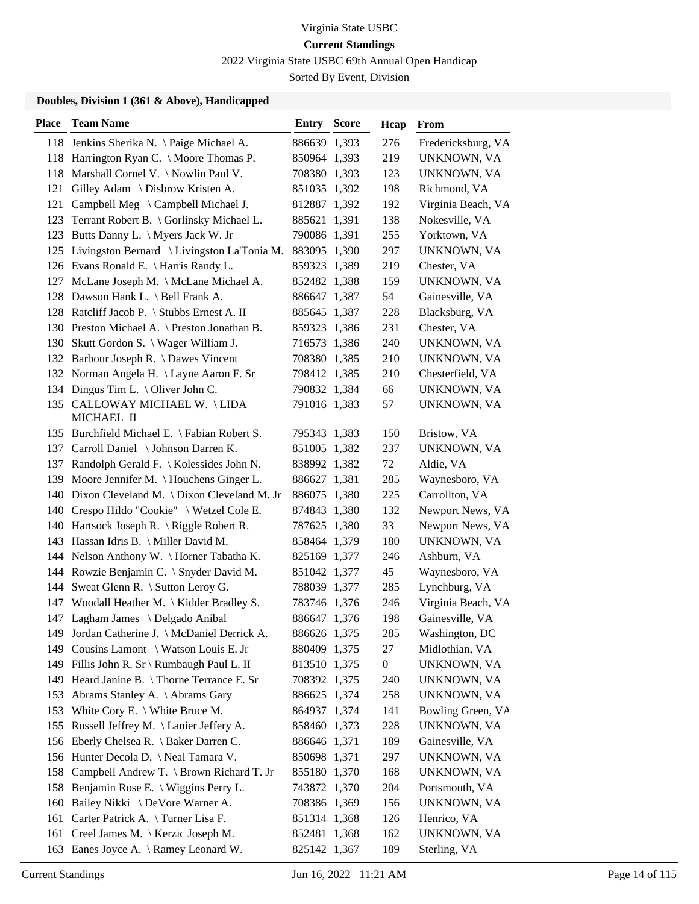2022 Virginia State USBC 69th Annual Open Handicap

Sorted By Event, Division

| <b>Place</b> | <b>Team Name</b>                                | <b>Entry Score</b> | Hcap             | From               |
|--------------|-------------------------------------------------|--------------------|------------------|--------------------|
|              | 118 Jenkins Sherika N. \Paige Michael A.        | 886639 1,393       | 276              | Fredericksburg, VA |
|              | 118 Harrington Ryan C. \ Moore Thomas P.        | 850964 1,393       | 219              | UNKNOWN, VA        |
|              | 118 Marshall Cornel V. \ Nowlin Paul V.         | 708380 1,393       | 123              | UNKNOWN, VA        |
|              | 121 Gilley Adam \ Disbrow Kristen A.            | 851035 1,392       | 198              | Richmond, VA       |
| 121          | Campbell Meg \ Campbell Michael J.              | 812887 1,392       | 192              | Virginia Beach, VA |
| 123          | Terrant Robert B. \ Gorlinsky Michael L.        | 885621 1,391       | 138              | Nokesville, VA     |
|              | 123 Butts Danny L. \ Myers Jack W. Jr           | 790086 1,391       | 255              | Yorktown, VA       |
|              | 125 Livingston Bernard \ Livingston La'Tonia M. | 883095 1,390       | 297              | UNKNOWN, VA        |
|              | 126 Evans Ronald E. \ Harris Randy L.           | 859323 1,389       | 219              | Chester, VA        |
|              | 127 McLane Joseph M. \ McLane Michael A.        | 852482 1,388       | 159              | UNKNOWN, VA        |
|              | 128 Dawson Hank L. \ Bell Frank A.              | 886647 1,387       | 54               | Gainesville, VA    |
|              | 128 Ratcliff Jacob P. \ Stubbs Ernest A. II     | 885645 1,387       | 228              | Blacksburg, VA     |
|              | 130 Preston Michael A. \ Preston Jonathan B.    | 859323 1,386       | 231              | Chester, VA        |
|              | 130 Skutt Gordon S. \ Wager William J.          | 716573 1,386       | 240              | UNKNOWN, VA        |
|              | 132 Barbour Joseph R. \ Dawes Vincent           | 708380 1,385       | 210              | UNKNOWN, VA        |
|              | 132 Norman Angela H. \ Layne Aaron F. Sr        | 798412 1,385       | 210              | Chesterfield, VA   |
|              | 134 Dingus Tim L. \ Oliver John C.              | 790832 1,384       | 66               | UNKNOWN, VA        |
|              | 135 CALLOWAY MICHAEL W. \LIDA<br>MICHAEL II     | 791016 1,383       | 57               | UNKNOWN, VA        |
|              | 135 Burchfield Michael E. \ Fabian Robert S.    | 795343 1,383       | 150              | Bristow, VA        |
|              | 137 Carroll Daniel \ Johnson Darren K.          | 851005 1,382       | 237              | UNKNOWN, VA        |
|              | 137 Randolph Gerald F. \ Kolessides John N.     | 838992 1,382       | 72               | Aldie, VA          |
| 139          | Moore Jennifer M. \ Houchens Ginger L.          | 886627 1,381       | 285              | Waynesboro, VA     |
|              | 140 Dixon Cleveland M. \ Dixon Cleveland M. Jr  | 886075 1,380       | 225              | Carrollton, VA     |
|              | 140 Crespo Hildo "Cookie" \ Wetzel Cole E.      | 874843 1,380       | 132              | Newport News, VA   |
|              | 140 Hartsock Joseph R. \ Riggle Robert R.       | 787625 1,380       | 33               | Newport News, VA   |
|              | 143 Hassan Idris B. \ Miller David M.           | 858464 1,379       | 180              | UNKNOWN, VA        |
|              | 144 Nelson Anthony W. \ Horner Tabatha K.       | 825169 1,377       | 246              | Ashburn, VA        |
|              | 144 Rowzie Benjamin C. \ Snyder David M.        | 851042 1,377       | 45               | Waynesboro, VA     |
|              | 144 Sweat Glenn R. \ Sutton Leroy G.            | 788039 1,377       | 285              | Lynchburg, VA      |
|              | 147 Woodall Heather M. \ Kidder Bradley S.      | 783746 1,376       | 246              | Virginia Beach, VA |
|              | 147 Lagham James \ Delgado Anibal               | 886647 1,376       | 198              | Gainesville, VA    |
|              | 149 Jordan Catherine J. \ McDaniel Derrick A.   | 886626 1,375       | 285              | Washington, DC     |
|              | 149 Cousins Lamont \ Watson Louis E. Jr         | 880409 1,375       | 27               | Midlothian, VA     |
|              | 149 Fillis John R. Sr \ Rumbaugh Paul L. II     | 813510 1,375       | $\boldsymbol{0}$ | UNKNOWN, VA        |
|              | 149 Heard Janine B. \Thorne Terrance E. Sr      | 708392 1,375       | 240              | UNKNOWN, VA        |
|              | 153 Abrams Stanley A. \ Abrams Gary             | 886625 1,374       | 258              | UNKNOWN, VA        |
|              | 153 White Cory E. \ White Bruce M.              | 864937 1,374       | 141              | Bowling Green, VA  |
|              | 155 Russell Jeffrey M. \ Lanier Jeffery A.      | 858460 1,373       | 228              | UNKNOWN, VA        |
|              | 156 Eberly Chelsea R. \ Baker Darren C.         | 886646 1,371       | 189              | Gainesville, VA    |
|              | 156 Hunter Decola D. \ Neal Tamara V.           | 850698 1,371       | 297              | UNKNOWN, VA        |
|              | 158 Campbell Andrew T. \ Brown Richard T. Jr    | 855180 1,370       | 168              | UNKNOWN, VA        |
|              | 158 Benjamin Rose E. \ Wiggins Perry L.         | 743872 1,370       | 204              | Portsmouth, VA     |
| 160          | Bailey Nikki \ DeVore Warner A.                 | 708386 1,369       | 156              | UNKNOWN, VA        |
|              | 161 Carter Patrick A. \Turner Lisa F.           | 851314 1,368       | 126              | Henrico, VA        |
|              | 161 Creel James M. \ Kerzic Joseph M.           | 852481 1,368       | 162              | UNKNOWN, VA        |
|              | 163 Eanes Joyce A. \ Ramey Leonard W.           | 825142 1,367       | 189              | Sterling, VA       |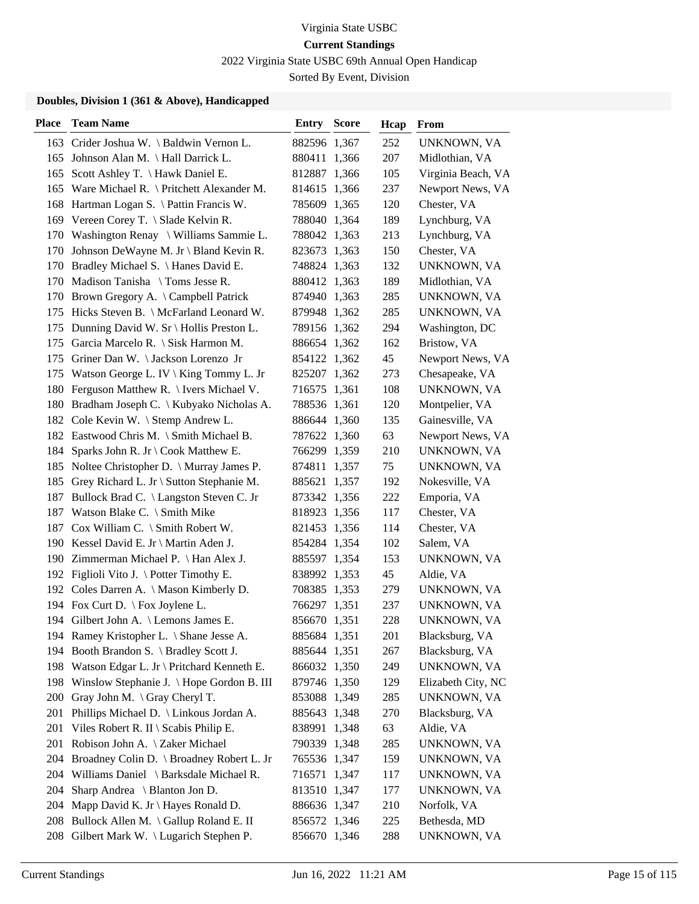2022 Virginia State USBC 69th Annual Open Handicap

Sorted By Event, Division

| <b>Place</b> | <b>Team Name</b>                                 | <b>Entry Score</b> | Hcap | From               |
|--------------|--------------------------------------------------|--------------------|------|--------------------|
|              | 163 Crider Joshua W. \ Baldwin Vernon L.         | 882596 1,367       | 252  | UNKNOWN, VA        |
|              | 165 Johnson Alan M. \ Hall Darrick L.            | 880411 1,366       | 207  | Midlothian, VA     |
| 165          | Scott Ashley T. \ Hawk Daniel E.                 | 812887 1,366       | 105  | Virginia Beach, VA |
| 165          | Ware Michael R. $\langle$ Pritchett Alexander M. | 814615 1,366       | 237  | Newport News, VA   |
| 168          | Hartman Logan S. \ Pattin Francis W.             | 785609 1,365       | 120  | Chester, VA        |
|              | 169 Vereen Corey T. \ Slade Kelvin R.            | 788040 1,364       | 189  | Lynchburg, VA      |
|              | 170 Washington Renay \ Williams Sammie L.        | 788042 1,363       | 213  | Lynchburg, VA      |
|              | 170 Johnson DeWayne M. Jr \ Bland Kevin R.       | 823673 1,363       | 150  | Chester, VA        |
|              | 170 Bradley Michael S. \ Hanes David E.          | 748824 1,363       | 132  | UNKNOWN, VA        |
| 170          | Madison Tanisha \ Toms Jesse R.                  | 880412 1,363       | 189  | Midlothian, VA     |
|              | 170 Brown Gregory A. \ Campbell Patrick          | 874940 1,363       | 285  | UNKNOWN, VA        |
| 175          | Hicks Steven B. \ McFarland Leonard W.           | 879948 1,362       | 285  | UNKNOWN, VA        |
| 175          | Dunning David W. Sr \ Hollis Preston L.          | 789156 1,362       | 294  | Washington, DC     |
| 175          | Garcia Marcelo R. \ Sisk Harmon M.               | 886654 1,362       | 162  | Bristow, VA        |
|              | 175 Griner Dan W. \Jackson Lorenzo Jr            | 854122 1,362       | 45   | Newport News, VA   |
|              | 175 Watson George L. IV \ King Tommy L. Jr       | 825207 1,362       | 273  | Chesapeake, VA     |
| 180          | Ferguson Matthew R. \ Ivers Michael V.           | 716575 1,361       | 108  | UNKNOWN, VA        |
| 180          | Bradham Joseph C. \ Kubyako Nicholas A.          | 788536 1,361       | 120  | Montpelier, VA     |
|              | 182 Cole Kevin W. \ Stemp Andrew L.              | 886644 1,360       | 135  | Gainesville, VA    |
|              | 182 Eastwood Chris M. \ Smith Michael B.         | 787622 1,360       | 63   | Newport News, VA   |
| 184          | Sparks John R. Jr \ Cook Matthew E.              | 766299 1,359       | 210  | UNKNOWN, VA        |
|              | 185 Noltee Christopher D. \ Murray James P.      | 874811 1,357       | 75   | UNKNOWN, VA        |
|              | 185 Grey Richard L. Jr \ Sutton Stephanie M.     | 885621 1,357       | 192  | Nokesville, VA     |
| 187          | Bullock Brad C. \ Langston Steven C. Jr          | 873342 1,356       | 222  | Emporia, VA        |
| 187          | Watson Blake C. \ Smith Mike                     | 818923 1,356       | 117  | Chester, VA        |
| 187          | Cox William C. $\mathcal$ Smith Robert W.        | 821453 1,356       | 114  | Chester, VA        |
|              | 190 Kessel David E. Jr \ Martin Aden J.          | 854284 1,354       | 102  | Salem, VA          |
|              | 190 Zimmerman Michael P. \ Han Alex J.           | 885597 1,354       | 153  | UNKNOWN, VA        |
|              | 192 Figlioli Vito J. \ Potter Timothy E.         | 838992 1,353       | 45   | Aldie, VA          |
|              | 192 Coles Darren A. \ Mason Kimberly D.          | 708385 1,353       | 279  | UNKNOWN, VA        |
|              | 194 Fox Curt D. \ Fox Joylene L.                 | 766297 1,351       | 237  | UNKNOWN, VA        |
|              | 194 Gilbert John A. \ Lemons James E.            | 856670 1,351       | 228  | UNKNOWN, VA        |
|              | 194 Ramey Kristopher L. \ Shane Jesse A.         | 885684 1,351       | 201  | Blacksburg, VA     |
| 194          | Booth Brandon S. \ Bradley Scott J.              | 885644 1,351       | 267  | Blacksburg, VA     |
|              | 198 Watson Edgar L. Jr \ Pritchard Kenneth E.    | 866032 1,350       | 249  | UNKNOWN, VA        |
| 198          | Winslow Stephanie J. \ Hope Gordon B. III        | 879746 1,350       | 129  | Elizabeth City, NC |
| <b>200</b>   | Gray John M. \ Gray Cheryl T.                    | 853088 1,349       | 285  | UNKNOWN, VA        |
| 201          | Phillips Michael D. \ Linkous Jordan A.          | 885643 1,348       | 270  | Blacksburg, VA     |
| 201          | Viles Robert R. II \ Scabis Philip E.            | 838991 1,348       | 63   | Aldie, VA          |
| 201          | Robison John A. \ Zaker Michael                  | 790339 1,348       | 285  | UNKNOWN, VA        |
| 204          | Broadney Colin D. \ Broadney Robert L. Jr        | 765536 1,347       | 159  | UNKNOWN, VA        |
| 204          | Williams Daniel \ Barksdale Michael R.           | 716571 1,347       | 117  | UNKNOWN, VA        |
| 204          | Sharp Andrea \ Blanton Jon D.                    | 813510 1,347       | 177  | UNKNOWN, VA        |
| 204          | Mapp David K. Jr \ Hayes Ronald D.               | 886636 1,347       | 210  | Norfolk, VA        |
| 208          | Bullock Allen M. \ Gallup Roland E. II           | 856572 1,346       | 225  | Bethesda, MD       |
| 208          | Gilbert Mark W. \ Lugarich Stephen P.            | 856670 1,346       | 288  | UNKNOWN, VA        |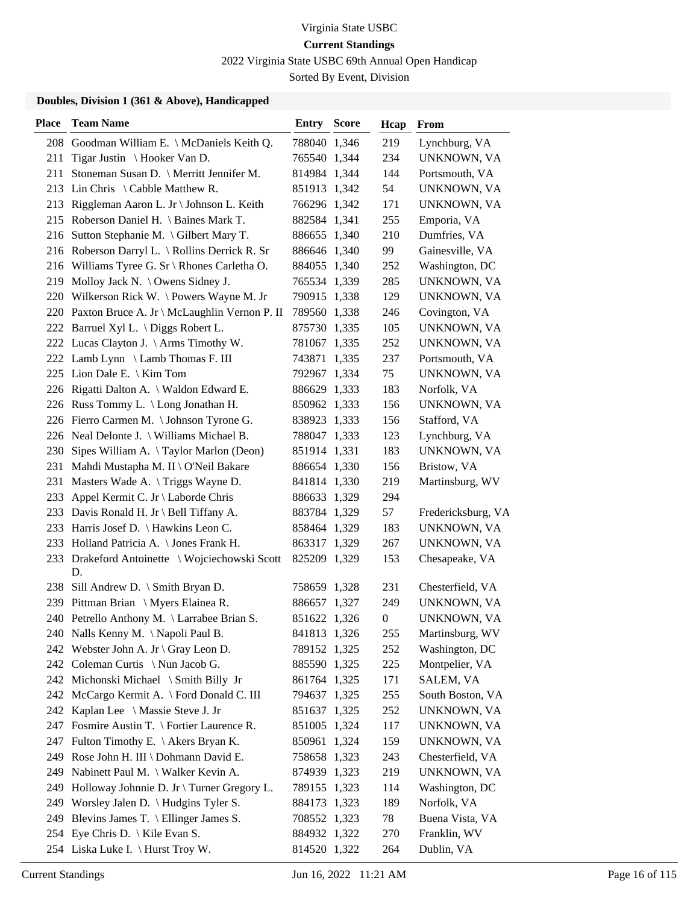2022 Virginia State USBC 69th Annual Open Handicap

Sorted By Event, Division

| <b>Place</b> | <b>Team Name</b>                                     | <b>Entry Score</b> | Hcap             | From               |
|--------------|------------------------------------------------------|--------------------|------------------|--------------------|
|              | 208 Goodman William E. \ McDaniels Keith Q.          | 788040 1,346       | 219              | Lynchburg, VA      |
| 211          | Tigar Justin \ Hooker Van D.                         | 765540 1,344       | 234              | UNKNOWN, VA        |
| 211          | Stoneman Susan D. \ Merritt Jennifer M.              | 814984 1,344       | 144              | Portsmouth, VA     |
|              | 213 Lin Chris \ Cabble Matthew R.                    | 851913 1,342       | 54               | UNKNOWN, VA        |
|              | 213 Riggleman Aaron L. Jr \ Johnson L. Keith         | 766296 1,342       | 171              | UNKNOWN, VA        |
|              | 215 Roberson Daniel H. \ Baines Mark T.              | 882584 1,341       | 255              | Emporia, VA        |
|              | 216 Sutton Stephanie M. \ Gilbert Mary T.            | 886655 1,340       | 210              | Dumfries, VA       |
|              | 216 Roberson Darryl L. \ Rollins Derrick R. Sr       | 886646 1,340       | 99               | Gainesville, VA    |
|              | 216 Williams Tyree G. Sr \ Rhones Carletha O.        | 884055 1,340       | 252              | Washington, DC     |
|              | 219 Molloy Jack N. \ Owens Sidney J.                 | 765534 1,339       | 285              | UNKNOWN, VA        |
|              | 220 Wilkerson Rick W. \Powers Wayne M. Jr            | 790915 1,338       | 129              | UNKNOWN, VA        |
|              | 220 Paxton Bruce A. Jr \ McLaughlin Vernon P. II     | 789560 1,338       | 246              | Covington, VA      |
|              | 222 Barruel Xyl L. \ Diggs Robert L.                 | 875730 1,335       | 105              | UNKNOWN, VA        |
|              | 222 Lucas Clayton J. \ Arms Timothy W.               | 781067 1,335       | 252              | UNKNOWN, VA        |
|              | 222 Lamb Lynn \ Lamb Thomas F. III                   | 743871 1,335       | 237              | Portsmouth, VA     |
|              | 225 Lion Dale E. \ Kim Tom                           | 792967 1,334       | 75               | UNKNOWN, VA        |
|              | 226 Rigatti Dalton A. \ Waldon Edward E.             | 886629 1,333       | 183              | Norfolk, VA        |
|              | 226 Russ Tommy L. \ Long Jonathan H.                 | 850962 1,333       | 156              | UNKNOWN, VA        |
|              | 226 Fierro Carmen M. \ Johnson Tyrone G.             | 838923 1,333       | 156              | Stafford, VA       |
|              | 226 Neal Delonte J. \ Williams Michael B.            | 788047 1,333       | 123              | Lynchburg, VA      |
| 230          | Sipes William A. $\{Taylor\,Marlon\, (Deon)\}$       | 851914 1,331       | 183              | UNKNOWN, VA        |
| 231          | Mahdi Mustapha M. II \ O'Neil Bakare                 | 886654 1,330       | 156              | Bristow, VA        |
| 231          | Masters Wade A. \Triggs Wayne D.                     | 841814 1,330       | 219              | Martinsburg, WV    |
|              | 233 Appel Kermit C. Jr \ Laborde Chris               | 886633 1,329       | 294              |                    |
|              | 233 Davis Ronald H. Jr \ Bell Tiffany A.             | 883784 1,329       | 57               | Fredericksburg, VA |
|              | 233 Harris Josef D. \ Hawkins Leon C.                | 858464 1,329       | 183              | UNKNOWN, VA        |
|              | 233 Holland Patricia A. \ Jones Frank H.             | 863317 1,329       | 267              | UNKNOWN, VA        |
|              | 233 Drakeford Antoinette \ Wojciechowski Scott<br>D. | 825209 1,329       | 153              | Chesapeake, VA     |
|              | 238 Sill Andrew D. \ Smith Bryan D.                  | 758659 1,328       | 231              | Chesterfield, VA   |
|              | 239 Pittman Brian \ Myers Elainea R.                 | 886657 1,327       | 249              | UNKNOWN, VA        |
|              | 240 Petrello Anthony M. \ Larrabee Brian S.          | 851622 1,326       | $\boldsymbol{0}$ | UNKNOWN, VA        |
|              | 240 Nalls Kenny M. \Napoli Paul B.                   | 841813 1,326       | 255              | Martinsburg, WV    |
|              | 242 Webster John A. Jr \ Gray Leon D.                | 789152 1,325       | 252              | Washington, DC     |
|              | 242 Coleman Curtis \ Nun Jacob G.                    | 885590 1,325       | 225              | Montpelier, VA     |
|              | 242 Michonski Michael \ Smith Billy Jr               | 861764 1,325       | 171              | SALEM, VA          |
|              | 242 McCargo Kermit A. \ Ford Donald C. III           | 794637 1,325       | 255              | South Boston, VA   |
|              | 242 Kaplan Lee \ Massie Steve J. Jr                  | 851637 1,325       | 252              | UNKNOWN, VA        |
|              | 247 Fosmire Austin T. \ Fortier Laurence R.          | 851005 1,324       | 117              | UNKNOWN, VA        |
|              | 247 Fulton Timothy E. \ Akers Bryan K.               | 850961 1,324       | 159              | UNKNOWN, VA        |
|              | 249 Rose John H. III \ Dohmann David E.              | 758658 1,323       | 243              | Chesterfield, VA   |
| 249          | Nabinett Paul M. \ Walker Kevin A.                   | 874939 1,323       | 219              | UNKNOWN, VA        |
| 249          | Holloway Johnnie D. Jr \ Turner Gregory L.           | 789155 1,323       | 114              | Washington, DC     |
|              | 249 Worsley Jalen D. \ Hudgins Tyler S.              | 884173 1,323       | 189              | Norfolk, VA        |
|              | 249 Blevins James T. \ Ellinger James S.             | 708552 1,323       | 78               | Buena Vista, VA    |
|              | 254 Eye Chris D. \ Kile Evan S.                      | 884932 1,322       | 270              | Franklin, WV       |
|              | 254 Liska Luke I. \ Hurst Troy W.                    | 814520 1,322       | 264              | Dublin, VA         |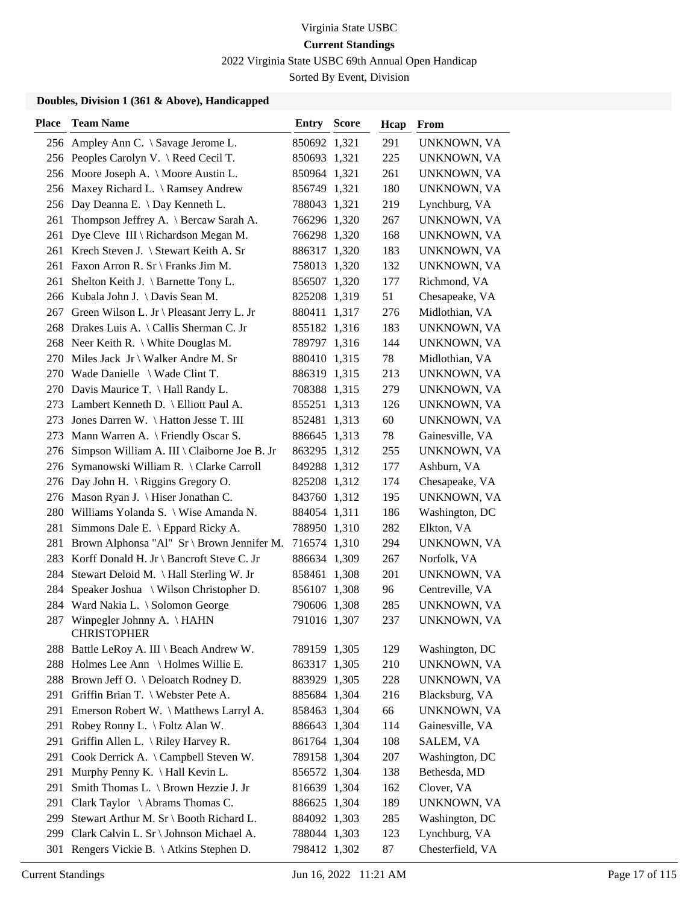2022 Virginia State USBC 69th Annual Open Handicap

Sorted By Event, Division

| <b>Place</b> | <b>Team Name</b>                                    | <b>Entry Score</b> | Hcap | From             |
|--------------|-----------------------------------------------------|--------------------|------|------------------|
|              | 256 Ampley Ann C. \ Savage Jerome L.                | 850692 1,321       | 291  | UNKNOWN, VA      |
|              | 256 Peoples Carolyn V. \ Reed Cecil T.              | 850693 1,321       | 225  | UNKNOWN, VA      |
|              | 256 Moore Joseph A. \ Moore Austin L.               | 850964 1,321       | 261  | UNKNOWN, VA      |
| 256          | Maxey Richard L. \ Ramsey Andrew                    | 856749 1,321       | 180  | UNKNOWN, VA      |
| 256          | Day Deanna E. \ Day Kenneth L.                      | 788043 1,321       | 219  | Lynchburg, VA    |
| 261          | Thompson Jeffrey A. \ Bercaw Sarah A.               | 766296 1,320       | 267  | UNKNOWN, VA      |
| 261          | Dye Cleve III \ Richardson Megan M.                 | 766298 1,320       | 168  | UNKNOWN, VA      |
|              | 261 Krech Steven J. \ Stewart Keith A. Sr           | 886317 1,320       | 183  | UNKNOWN, VA      |
|              | 261 Faxon Arron R. Sr \ Franks Jim M.               | 758013 1,320       | 132  | UNKNOWN, VA      |
| 261          | Shelton Keith J. \ Barnette Tony L.                 | 856507 1,320       | 177  | Richmond, VA     |
| 266          | Kubala John J. \ Davis Sean M.                      | 825208 1,319       | 51   | Chesapeake, VA   |
| 267          | Green Wilson L. Jr \ Pleasant Jerry L. Jr           | 880411 1,317       | 276  | Midlothian, VA   |
| 268          | Drakes Luis A. \ Callis Sherman C. Jr               | 855182 1,316       | 183  | UNKNOWN, VA      |
| 268          | Neer Keith R. $\setminus$ White Douglas M.          | 789797 1,316       | 144  | UNKNOWN, VA      |
| 270          | Miles Jack Jr \ Walker Andre M. Sr                  | 880410 1,315       | 78   | Midlothian, VA   |
|              | 270 Wade Danielle \ Wade Clint T.                   | 886319 1,315       | 213  | UNKNOWN, VA      |
|              | 270 Davis Maurice T. \ Hall Randy L.                | 708388 1,315       | 279  | UNKNOWN, VA      |
|              | 273 Lambert Kenneth D. \ Elliott Paul A.            | 855251 1,313       | 126  | UNKNOWN, VA      |
| 273          | Jones Darren W. \ Hatton Jesse T. III               | 852481 1,313       | 60   | UNKNOWN, VA      |
| 273          | Mann Warren A. \ Friendly Oscar S.                  | 886645 1,313       | 78   | Gainesville, VA  |
| 276          | Simpson William A. III \ Claiborne Joe B. Jr        | 863295 1,312       | 255  | UNKNOWN, VA      |
| 276          | Symanowski William R. \ Clarke Carroll              | 849288 1,312       | 177  | Ashburn, VA      |
| 276          | Day John H. $\langle$ Riggins Gregory O.            | 825208 1,312       | 174  | Chesapeake, VA   |
| 276          | Mason Ryan J.   Hiser Jonathan C.                   | 843760 1,312       | 195  | UNKNOWN, VA      |
| 280          | Williams Yolanda S. \ Wise Amanda N.                | 884054 1,311       | 186  | Washington, DC   |
| 281          | Simmons Dale E. \ Eppard Ricky A.                   | 788950 1,310       | 282  | Elkton, VA       |
| 281          | Brown Alphonsa "Al" Sr \ Brown Jennifer M.          | 716574 1,310       | 294  | UNKNOWN, VA      |
| 283          | Korff Donald H. Jr \ Bancroft Steve C. Jr           | 886634 1,309       | 267  | Norfolk, VA      |
| 284          | Stewart Deloid M. \ Hall Sterling W. Jr             | 858461 1,308       | 201  | UNKNOWN, VA      |
| 284          | Speaker Joshua \ Wilson Christopher D.              | 856107 1,308       | 96   | Centreville, VA  |
|              | 284 Ward Nakia L. \ Solomon George                  | 790606 1,308       | 285  | UNKNOWN, VA      |
|              | 287 Winpegler Johnny A. \HAHN<br><b>CHRISTOPHER</b> | 791016 1,307       | 237  | UNKNOWN, VA      |
|              | 288 Battle LeRoy A. III \ Beach Andrew W.           | 789159 1,305       | 129  | Washington, DC   |
| 288          | Holmes Lee Ann \ Holmes Willie E.                   | 863317 1,305       | 210  | UNKNOWN, VA      |
|              | 288 Brown Jeff O. \ Deloatch Rodney D.              | 883929 1,305       | 228  | UNKNOWN, VA      |
|              | 291 Griffin Brian T. \ Webster Pete A.              | 885684 1,304       | 216  | Blacksburg, VA   |
| 291          | Emerson Robert W. \ Matthews Larryl A.              | 858463 1,304       | 66   | UNKNOWN, VA      |
| 291          | Robey Ronny L. \ Foltz Alan W.                      | 886643 1,304       | 114  | Gainesville, VA  |
| 291          | Griffin Allen L. $\langle$ Riley Harvey R.          | 861764 1,304       | 108  | SALEM, VA        |
| 291          | Cook Derrick A. \ Campbell Steven W.                | 789158 1,304       | 207  | Washington, DC   |
| 291          | Murphy Penny K. \ Hall Kevin L.                     | 856572 1,304       | 138  | Bethesda, MD     |
| 291          | Smith Thomas L. \ Brown Hezzie J. Jr                | 816639 1,304       | 162  | Clover, VA       |
| 291          | Clark Taylor $\setminus$ Abrams Thomas C.           | 886625 1,304       | 189  | UNKNOWN, VA      |
| 299          | Stewart Arthur M. Sr \ Booth Richard L.             | 884092 1,303       | 285  | Washington, DC   |
| 299          | Clark Calvin L. Sr \ Johnson Michael A.             | 788044 1,303       | 123  | Lynchburg, VA    |
| 301          | Rengers Vickie B. \ Atkins Stephen D.               | 798412 1,302       | 87   | Chesterfield, VA |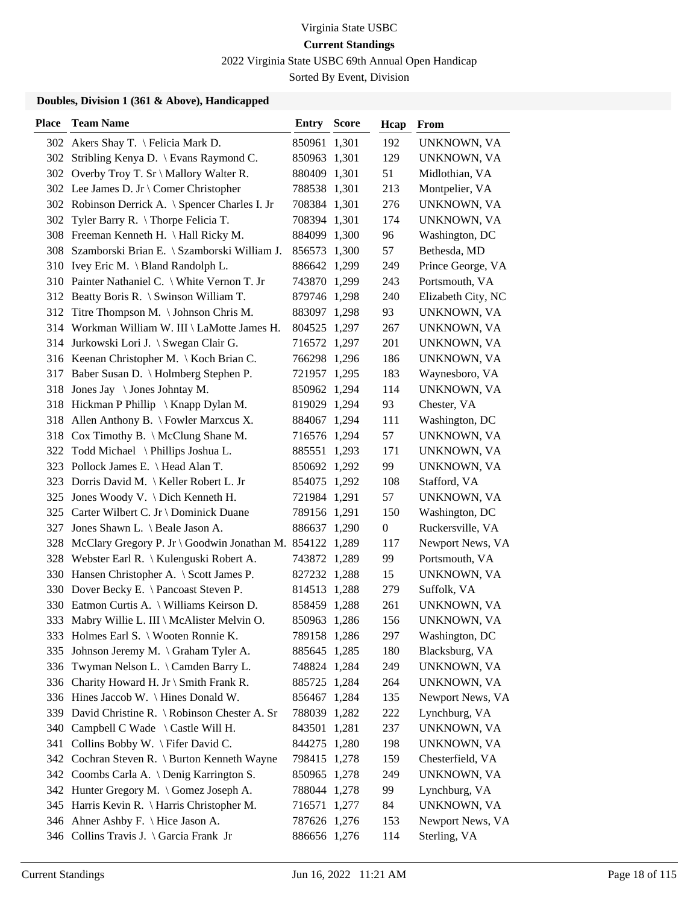2022 Virginia State USBC 69th Annual Open Handicap

Sorted By Event, Division

| <b>Place</b> | <b>Team Name</b>                                         | <b>Entry Score</b> | Hcap             | From               |
|--------------|----------------------------------------------------------|--------------------|------------------|--------------------|
|              | 302 Akers Shay T. \ Felicia Mark D.                      | 850961 1,301       | 192              | UNKNOWN, VA        |
| 302          | Stribling Kenya D. \ Evans Raymond C.                    | 850963 1,301       | 129              | UNKNOWN, VA        |
|              | 302 Overby Troy T. Sr \ Mallory Walter R.                | 880409 1,301       | 51               | Midlothian, VA     |
|              | 302 Lee James D. Jr \ Comer Christopher                  | 788538 1,301       | 213              | Montpelier, VA     |
|              | 302 Robinson Derrick A. \ Spencer Charles I. Jr          | 708384 1,301       | 276              | UNKNOWN, VA        |
| 302          | Tyler Barry R. $\langle$ Thorpe Felicia T.               | 708394 1,301       | 174              | UNKNOWN, VA        |
|              | 308 Freeman Kenneth H. \ Hall Ricky M.                   | 884099 1,300       | 96               | Washington, DC     |
|              | 308 Szamborski Brian E. \ Szamborski William J.          | 856573 1,300       | 57               | Bethesda, MD       |
|              | 310 Ivey Eric M. \ Bland Randolph L.                     | 886642 1,299       | 249              | Prince George, VA  |
|              | 310 Painter Nathaniel C. \ White Vernon T. Jr            | 743870 1,299       | 243              | Portsmouth, VA     |
|              | 312 Beatty Boris R. \ Swinson William T.                 | 879746 1,298       | 240              | Elizabeth City, NC |
|              | 312 Titre Thompson M. \Johnson Chris M.                  | 883097 1,298       | 93               | UNKNOWN, VA        |
|              | 314 Workman William W. III \ LaMotte James H.            | 804525 1,297       | 267              | UNKNOWN, VA        |
|              | 314 Jurkowski Lori J. \ Swegan Clair G.                  | 716572 1,297       | 201              | UNKNOWN, VA        |
|              | 316 Keenan Christopher M. \ Koch Brian C.                | 766298 1,296       | 186              | UNKNOWN, VA        |
|              | 317 Baber Susan D. \ Holmberg Stephen P.                 | 721957 1,295       | 183              | Waynesboro, VA     |
| 318          | Jones Jay $\setminus$ Jones Johntay M.                   | 850962 1,294       | 114              | UNKNOWN, VA        |
|              | 318 Hickman P Phillip \ Knapp Dylan M.                   | 819029 1,294       | 93               | Chester, VA        |
| 318          | Allen Anthony B. $\backslash$ Fowler Marxcus X.          | 884067 1,294       | 111              | Washington, DC     |
|              | 318 Cox Timothy B. \ McClung Shane M.                    | 716576 1,294       | 57               | UNKNOWN, VA        |
| 322          | Todd Michael \ Phillips Joshua L.                        | 885551 1,293       | 171              | UNKNOWN, VA        |
|              | 323 Pollock James E. \ Head Alan T.                      | 850692 1,292       | 99               | UNKNOWN, VA        |
|              | 323 Dorris David M.   Keller Robert L. Jr                | 854075 1,292       | 108              | Stafford, VA       |
|              | 325 Jones Woody V. \ Dich Kenneth H.                     | 721984 1,291       | 57               | UNKNOWN, VA        |
|              | 325 Carter Wilbert C. Jr \ Dominick Duane                | 789156 1,291       | 150              | Washington, DC     |
| 327          | Jones Shawn L. \ Beale Jason A.                          | 886637 1,290       | $\boldsymbol{0}$ | Ruckersville, VA   |
| 328          | McClary Gregory P. Jr \ Goodwin Jonathan M. 854122 1,289 |                    | 117              | Newport News, VA   |
|              | 328 Webster Earl R. \ Kulenguski Robert A.               | 743872 1,289       | 99               | Portsmouth, VA     |
| 330          | Hansen Christopher A. \ Scott James P.                   | 827232 1,288       | 15               | UNKNOWN, VA        |
|              | 330 Dover Becky E. \ Pancoast Steven P.                  | 814513 1,288       | 279              | Suffolk, VA        |
|              | 330 Eatmon Curtis A. \ Williams Keirson D.               | 858459 1,288       | 261              | UNKNOWN, VA        |
|              | 333 Mabry Willie L. III \ McAlister Melvin O.            | 850963 1,286       | 156              | UNKNOWN, VA        |
|              | 333 Holmes Earl S. \ Wooten Ronnie K.                    | 789158 1,286       | 297              | Washington, DC     |
| 335          | Johnson Jeremy M. \ Graham Tyler A.                      | 885645 1,285       | 180              | Blacksburg, VA     |
| 336          | Twyman Nelson L. \ Camden Barry L.                       | 748824 1,284       | 249              | UNKNOWN, VA        |
| 336          | Charity Howard H. Jr \ Smith Frank R.                    | 885725 1,284       | 264              | UNKNOWN, VA        |
| 336          | Hines Jaccob W. $\langle$ Hines Donald W.                | 856467 1,284       | 135              | Newport News, VA   |
| 339          | David Christine R. \ Robinson Chester A. Sr              | 788039 1,282       | 222              | Lynchburg, VA      |
| 340          | Campbell C Wade \ Castle Will H.                         | 843501 1,281       | 237              | UNKNOWN, VA        |
| 341          | Collins Bobby W. \ Fifer David C.                        | 844275 1,280       | 198              | UNKNOWN, VA        |
|              | 342 Cochran Steven R. \ Burton Kenneth Wayne             | 798415 1,278       | 159              | Chesterfield, VA   |
|              | 342 Coombs Carla A. \ Denig Karrington S.                | 850965 1,278       | 249              | UNKNOWN, VA        |
|              | 342 Hunter Gregory M. \ Gomez Joseph A.                  | 788044 1,278       | 99               | Lynchburg, VA      |
|              | 345 Harris Kevin R. \ Harris Christopher M.              | 716571 1,277       | 84               | UNKNOWN, VA        |
|              | 346 Ahner Ashby F. \ Hice Jason A.                       | 787626 1,276       | 153              | Newport News, VA   |
|              | 346 Collins Travis J. \ Garcia Frank Jr                  | 886656 1,276       | 114              | Sterling, VA       |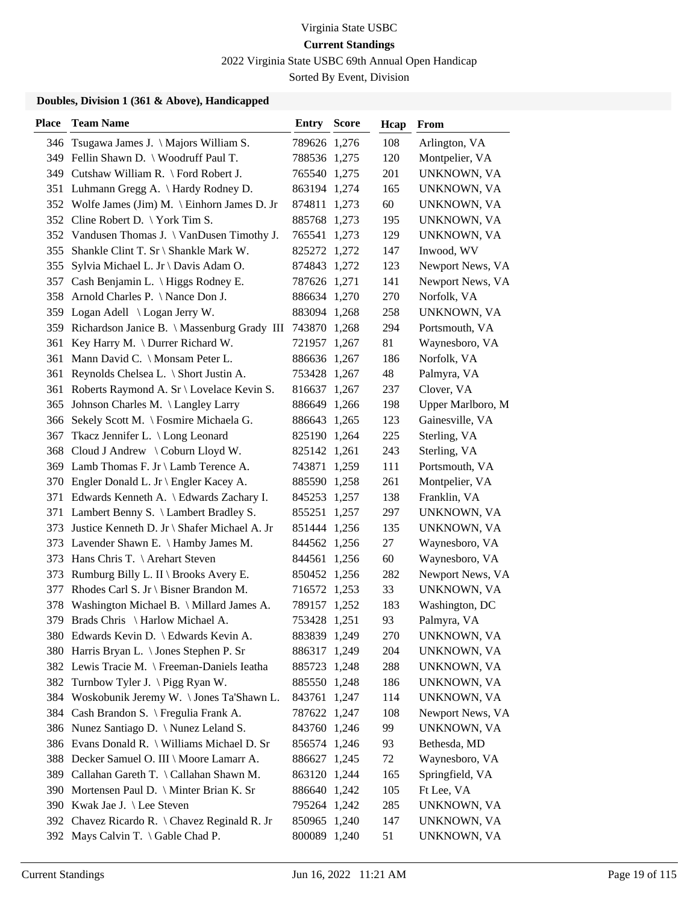2022 Virginia State USBC 69th Annual Open Handicap

Sorted By Event, Division

| <b>Place</b> | <b>Team Name</b>                               | <b>Entry Score</b> | Hcap   | <b>From</b>       |
|--------------|------------------------------------------------|--------------------|--------|-------------------|
|              | 346 Tsugawa James J. \ Majors William S.       | 789626 1,276       | 108    | Arlington, VA     |
|              | 349 Fellin Shawn D. \ Woodruff Paul T.         | 788536 1,275       | 120    | Montpelier, VA    |
|              | 349 Cutshaw William R. \ Ford Robert J.        | 765540 1,275       | 201    | UNKNOWN, VA       |
|              | 351 Luhmann Gregg A. \Hardy Rodney D.          | 863194 1,274       | 165    | UNKNOWN, VA       |
|              | 352 Wolfe James (Jim) M. \ Einhorn James D. Jr | 874811 1,273       | 60     | UNKNOWN, VA       |
|              | 352 Cline Robert D. \York Tim S.               | 885768 1,273       | 195    | UNKNOWN, VA       |
|              | 352 Vandusen Thomas J. \ VanDusen Timothy J.   | 765541 1,273       | 129    | UNKNOWN, VA       |
|              | 355 Shankle Clint T. Sr \ Shankle Mark W.      | 825272 1,272       | 147    | Inwood, WV        |
|              | 355 Sylvia Michael L. Jr \ Davis Adam O.       | 874843 1,272       | 123    | Newport News, VA  |
| 357          | Cash Benjamin L. \ Higgs Rodney E.             | 787626 1,271       | 141    | Newport News, VA  |
| 358          | Arnold Charles P. \ Nance Don J.               | 886634 1,270       | 270    | Norfolk, VA       |
|              | 359 Logan Adell \ Logan Jerry W.               | 883094 1,268       | 258    | UNKNOWN, VA       |
| 359          | Richardson Janice B. \ Massenburg Grady III    | 743870 1,268       | 294    | Portsmouth, VA    |
| 361          | Key Harry M. \ Durrer Richard W.               | 721957 1,267       | 81     | Waynesboro, VA    |
|              | 361 Mann David C. \ Monsam Peter L.            | 886636 1,267       | 186    | Norfolk, VA       |
|              | 361 Reynolds Chelsea L. \ Short Justin A.      | 753428 1,267       | 48     | Palmyra, VA       |
| 361          | Roberts Raymond A. Sr \ Lovelace Kevin S.      | 816637 1,267       | 237    | Clover, VA        |
| 365          | Johnson Charles M. \ Langley Larry             | 886649 1,266       | 198    | Upper Marlboro, M |
|              | 366 Sekely Scott M. \ Fosmire Michaela G.      | 886643 1,265       | 123    | Gainesville, VA   |
| 367          | Tkacz Jennifer L. \ Long Leonard               | 825190 1,264       | 225    | Sterling, VA      |
| 368          | Cloud J Andrew \ Coburn Lloyd W.               | 825142 1,261       | 243    | Sterling, VA      |
|              | 369 Lamb Thomas F. Jr \ Lamb Terence A.        | 743871 1,259       | 111    | Portsmouth, VA    |
|              | 370 Engler Donald L. Jr \ Engler Kacey A.      | 885590 1,258       | 261    | Montpelier, VA    |
|              | 371 Edwards Kenneth A. \ Edwards Zachary I.    | 845253 1,257       | 138    | Franklin, VA      |
|              | 371 Lambert Benny S. \ Lambert Bradley S.      | 855251 1,257       | 297    | UNKNOWN, VA       |
| 373          | Justice Kenneth D. Jr \ Shafer Michael A. Jr   | 851444 1,256       | 135    | UNKNOWN, VA       |
|              | 373 Lavender Shawn E. \ Hamby James M.         | 844562 1,256       | 27     | Waynesboro, VA    |
|              | 373 Hans Chris T. \ Arehart Steven             | 844561 1,256       | $60\,$ | Waynesboro, VA    |
| 373          | Rumburg Billy L. II \ Brooks Avery E.          | 850452 1,256       | 282    | Newport News, VA  |
| 377          | Rhodes Carl S. Jr \ Bisner Brandon M.          | 716572 1,253       | 33     | UNKNOWN, VA       |
| 378          | Washington Michael B. \ Millard James A.       | 789157 1,252       | 183    | Washington, DC    |
|              | 379 Brads Chris \ Harlow Michael A.            | 753428 1,251       | 93     | Palmyra, VA       |
|              | 380 Edwards Kevin D. \ Edwards Kevin A.        | 883839 1,249       | 270    | UNKNOWN, VA       |
|              | 380 Harris Bryan L. \ Jones Stephen P. Sr      | 886317 1,249       | 204    | UNKNOWN, VA       |
|              | 382 Lewis Tracie M. \ Freeman-Daniels Ieatha   | 885723 1,248       | 288    | UNKNOWN, VA       |
|              | 382 Turnbow Tyler J. \Pigg Ryan W.             | 885550 1,248       | 186    | UNKNOWN, VA       |
|              | 384 Woskobunik Jeremy W. \Jones Ta'Shawn L.    | 843761 1,247       | 114    | UNKNOWN, VA       |
|              | 384 Cash Brandon S. \ Fregulia Frank A.        | 787622 1,247       | 108    | Newport News, VA  |
|              | 386 Nunez Santiago D. \ Nunez Leland S.        | 843760 1,246       | 99     | UNKNOWN, VA       |
|              | 386 Evans Donald R. \ Williams Michael D. Sr   | 856574 1,246       | 93     | Bethesda, MD      |
| 388          | Decker Samuel O. III \ Moore Lamarr A.         | 886627 1,245       | 72     | Waynesboro, VA    |
| 389          | Callahan Gareth T. \ Callahan Shawn M.         | 863120 1,244       | 165    | Springfield, VA   |
|              | 390 Mortensen Paul D. \ Minter Brian K. Sr     | 886640 1,242       | 105    | Ft Lee, VA        |
|              | 390 Kwak Jae J. \ Lee Steven                   | 795264 1,242       | 285    | UNKNOWN, VA       |
|              | 392 Chavez Ricardo R. \ Chavez Reginald R. Jr  | 850965 1,240       | 147    | UNKNOWN, VA       |
|              | 392 Mays Calvin T. \ Gable Chad P.             | 800089 1,240       | 51     | UNKNOWN, VA       |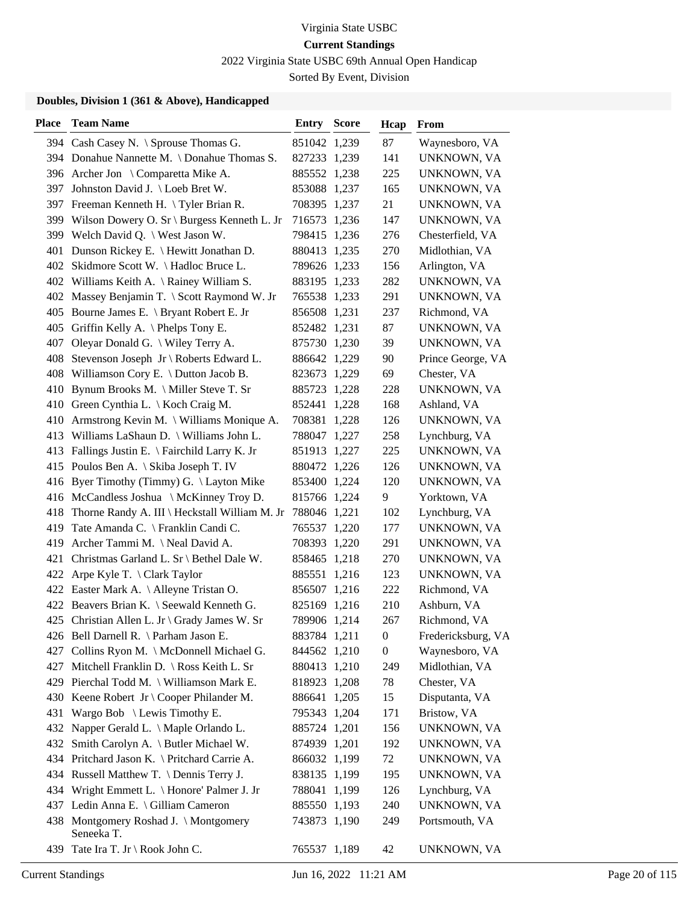2022 Virginia State USBC 69th Annual Open Handicap

Sorted By Event, Division

| <b>Place</b> | <b>Team Name</b>                                   | <b>Entry Score</b>           | Hcap           | From                       |
|--------------|----------------------------------------------------|------------------------------|----------------|----------------------------|
|              | 394 Cash Casey N. \ Sprouse Thomas G.              | 851042 1,239                 | 87             | Waynesboro, VA             |
|              | 394 Donahue Nannette M. \ Donahue Thomas S.        | 827233 1,239                 | 141            | UNKNOWN, VA                |
|              | 396 Archer Jon \ Comparetta Mike A.                | 885552 1,238                 | 225            | UNKNOWN, VA                |
| 397          | Johnston David J. \ Loeb Bret W.                   | 853088 1,237                 | 165            | UNKNOWN, VA                |
|              | 397 Freeman Kenneth H. \Tyler Brian R.             | 708395 1,237                 | 21             | UNKNOWN, VA                |
|              | 399 Wilson Dowery O. Sr \ Burgess Kenneth L. Jr    | 716573 1,236                 | 147            | UNKNOWN, VA                |
|              | 399 Welch David Q. \ West Jason W.                 | 798415 1,236                 | 276            | Chesterfield, VA           |
|              | 401 Dunson Rickey E. \ Hewitt Jonathan D.          | 880413 1,235                 | 270            | Midlothian, VA             |
|              | 402 Skidmore Scott W. \ Hadloc Bruce L.            | 789626 1,233                 | 156            | Arlington, VA              |
|              | 402 Williams Keith A. \ Rainey William S.          | 883195 1,233                 | 282            | UNKNOWN, VA                |
|              | 402 Massey Benjamin T. \ Scott Raymond W. Jr       | 765538 1,233                 | 291            | UNKNOWN, VA                |
|              | 405 Bourne James E. \ Bryant Robert E. Jr          | 856508 1,231                 | 237            | Richmond, VA               |
|              | 405 Griffin Kelly A. \Phelps Tony E.               | 852482 1,231                 | 87             | UNKNOWN, VA                |
| 407          | Oleyar Donald G. \ Wiley Terry A.                  | 875730 1,230                 | 39             | UNKNOWN, VA                |
|              | 408 Stevenson Joseph Jr \ Roberts Edward L.        | 886642 1,229                 | 90             | Prince George, VA          |
|              | 408 Williamson Cory E. \ Dutton Jacob B.           | 823673 1,229                 | 69             | Chester, VA                |
|              | 410 Bynum Brooks M. \ Miller Steve T. Sr           | 885723 1,228                 | 228            | UNKNOWN, VA                |
|              | 410 Green Cynthia L. \ Koch Craig M.               | 852441 1,228                 | 168            | Ashland, VA                |
|              | 410 Armstrong Kevin M. \ Williams Monique A.       | 708381 1,228                 | 126            | UNKNOWN, VA                |
|              | 413 Williams LaShaun D. \ Williams John L.         | 788047 1,227                 | 258            | Lynchburg, VA              |
|              | 413 Fallings Justin E. \ Fairchild Larry K. Jr     | 851913 1,227                 | 225            | UNKNOWN, VA                |
|              | 415 Poulos Ben A. \ Skiba Joseph T. IV             | 880472 1,226                 | 126            | UNKNOWN, VA                |
|              | 416 Byer Timothy (Timmy) G. \Layton Mike           | 853400 1,224                 | 120            | UNKNOWN, VA                |
|              | 416 McCandless Joshua \ McKinney Troy D.           | 815766 1,224                 | 9              | Yorktown, VA               |
|              | 418 Thorne Randy A. III \ Heckstall William M. Jr  | 788046 1,221                 | 102            | Lynchburg, VA              |
|              | 419 Tate Amanda C. \ Franklin Candi C.             | 765537 1,220                 | 177            | UNKNOWN, VA                |
|              | 419 Archer Tammi M. \ Neal David A.                |                              | 291            | UNKNOWN, VA                |
|              |                                                    | 708393 1,220<br>858465 1,218 |                |                            |
|              | 421 Christmas Garland L. Sr \ Bethel Dale W.       |                              | 270            | UNKNOWN, VA<br>UNKNOWN, VA |
|              | 422 Arpe Kyle T. \ Clark Taylor                    | 885551 1,216                 | 123            |                            |
|              | 422 Easter Mark A. \ Alleyne Tristan O.            | 856507 1,216                 | 222            | Richmond, VA               |
|              | 422 Beavers Brian K. \ Seewald Kenneth G.          | 825169 1,216                 | 210            | Ashburn, VA                |
|              | 425 Christian Allen L. Jr \ Grady James W. Sr      | 789906 1,214                 | 267            | Richmond, VA               |
|              | 426 Bell Darnell R. \ Parham Jason E.              | 883784 1,211                 | $\overline{0}$ | Fredericksburg, VA         |
|              | 427 Collins Ryon M. \ McDonnell Michael G.         | 844562 1,210                 | $\overline{0}$ | Waynesboro, VA             |
| 427          | Mitchell Franklin D. \ Ross Keith L. Sr            | 880413 1,210                 | 249            | Midlothian, VA             |
|              | 429 Pierchal Todd M. \ Williamson Mark E.          | 818923 1,208                 | 78             | Chester, VA                |
|              | 430 Keene Robert Jr \ Cooper Philander M.          | 886641 1,205                 | 15             | Disputanta, VA             |
|              | 431 Wargo Bob \ Lewis Timothy E.                   | 795343 1,204                 | 171            | Bristow, VA                |
|              | 432 Napper Gerald L. \ Maple Orlando L.            | 885724 1,201                 | 156            | UNKNOWN, VA                |
|              | 432 Smith Carolyn A. \ Butler Michael W.           | 874939 1,201                 | 192            | UNKNOWN, VA                |
|              | 434 Pritchard Jason K. \ Pritchard Carrie A.       | 866032 1,199                 | 72             | UNKNOWN, VA                |
|              | 434 Russell Matthew T. \ Dennis Terry J.           | 838135 1,199                 | 195            | UNKNOWN, VA                |
|              | 434 Wright Emmett L. \ Honore' Palmer J. Jr        | 788041 1,199                 | 126            | Lynchburg, VA              |
|              | 437 Ledin Anna E. \ Gilliam Cameron                | 885550 1,193                 | 240            | UNKNOWN, VA                |
|              | 438 Montgomery Roshad J. \Montgomery<br>Seneeka T. | 743873 1,190                 | 249            | Portsmouth, VA             |
| 439          | Tate Ira T. Jr \ Rook John C.                      | 765537 1,189                 | 42             | UNKNOWN, VA                |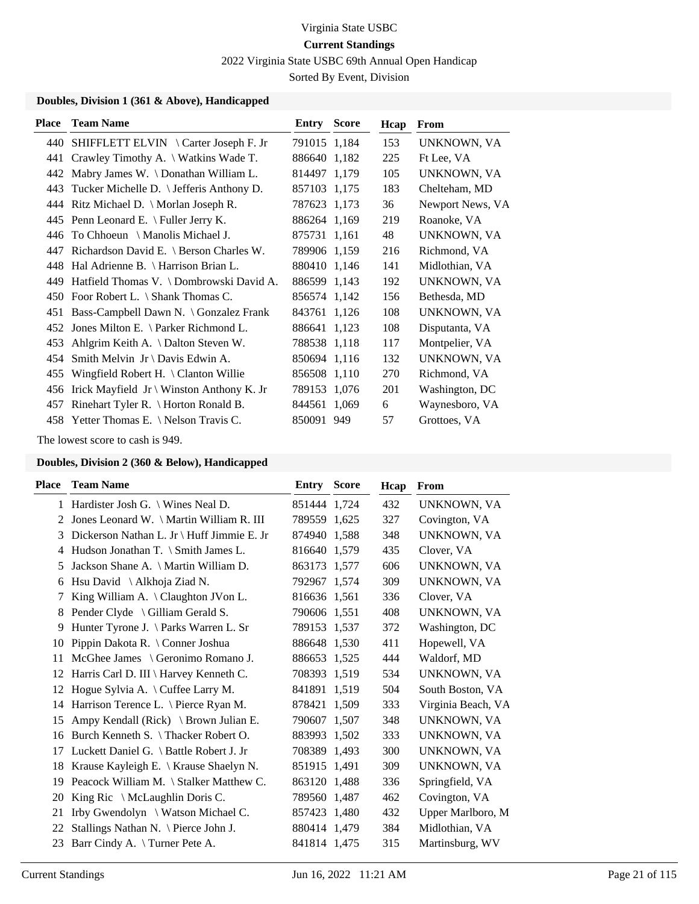2022 Virginia State USBC 69th Annual Open Handicap

Sorted By Event, Division

### **Doubles, Division 1 (361 & Above), Handicapped**

| <b>Place</b> | <b>Team Name</b>                                    | Entry        | <b>Score</b> | Hcap | From             |
|--------------|-----------------------------------------------------|--------------|--------------|------|------------------|
|              | 440 SHIFFLETT ELVIN \ Carter Joseph F. Jr           | 791015 1,184 |              | 153  | UNKNOWN, VA      |
| 441          | Crawley Timothy A. \ Watkins Wade T.                | 886640 1,182 |              | 225  | Ft Lee, VA       |
| 442          | Mabry James W. \ Donathan William L.                | 814497 1,179 |              | 105  | UNKNOWN, VA      |
| 443          | Tucker Michelle D.   Jefferis Anthony D.            | 857103 1,175 |              | 183  | Chelteham, MD    |
|              | 444 Ritz Michael D. \ Morlan Joseph R.              | 787623 1,173 |              | 36   | Newport News, VA |
|              | 445 Penn Leonard E. $\lvert$ Fuller Jerry K.        | 886264 1,169 |              | 219  | Roanoke, VA      |
| 446          | To Chhoeun $\setminus$ Manolis Michael J.           | 875731 1,161 |              | 48   | UNKNOWN, VA      |
| 447          | Richardson David E. \ Berson Charles W.             | 789906 1,159 |              | 216  | Richmond, VA     |
|              | 448 Hal Adrienne B. \ Harrison Brian L.             | 880410 1,146 |              | 141  | Midlothian, VA   |
| 449.         | Hatfield Thomas V. \ Dombrowski David A.            | 886599 1,143 |              | 192  | UNKNOWN, VA      |
| 450          | Foor Robert L. $\setminus$ Shank Thomas C.          | 856574 1,142 |              | 156  | Bethesda, MD     |
| 451          | Bass-Campbell Dawn N. \ Gonzalez Frank              | 843761 1,126 |              | 108  | UNKNOWN, VA      |
| 452          | Jones Milton E. \ Parker Richmond L.                | 886641 1,123 |              | 108  | Disputanta, VA   |
| 453          | Ahlgrim Keith A. \ Dalton Steven W.                 | 788538 1,118 |              | 117  | Montpelier, VA   |
| 454          | Smith Melvin Jr \ Davis Edwin A.                    | 850694 1,116 |              | 132  | UNKNOWN, VA      |
| 455          | Wingfield Robert H. $\setminus$ Clanton Willie      | 856508 1,110 |              | 270  | Richmond, VA     |
| 456          | Irick Mayfield $Jr \setminus$ Winston Anthony K. Jr | 789153 1,076 |              | 201  | Washington, DC   |
| 457          | Rinehart Tyler R. \ Horton Ronald B.                | 844561 1,069 |              | 6    | Waynesboro, VA   |
|              | 458 Yetter Thomas E. \ Nelson Travis C.             | 850091       | 949          | 57   | Grottoes, VA     |

The lowest score to cash is 949.

| Place | <b>Team Name</b>                                      | <b>Entry Score</b> | Hcap | <b>From</b>        |
|-------|-------------------------------------------------------|--------------------|------|--------------------|
|       | 1 Hardister Josh G. \ Wines Neal D.                   | 851444 1,724       | 432  | UNKNOWN, VA        |
| 2     | Jones Leonard W. \ Martin William R. III              | 789559 1.625       | 327  | Covington, VA      |
| 3     | Dickerson Nathan L. Jr \ Huff Jimmie E. Jr            | 874940 1,588       | 348  | <b>UNKNOWN, VA</b> |
| 4     | Hudson Jonathan T. \ Smith James L.                   | 816640 1,579       | 435  | Clover, VA         |
| 5     | Jackson Shane A. \ Martin William D.                  | 863173 1.577       | 606  | UNKNOWN, VA        |
| 6     | Hsu David \ Alkhoja Ziad N.                           | 792967 1,574       | 309  | UNKNOWN, VA        |
| 7     | King William A. $\text{Claughton } J \text{Von } L$ . | 816636 1,561       | 336  | Clover, VA         |
| 8     | Pender Clyde \ Gilliam Gerald S.                      | 790606 1,551       | 408  | UNKNOWN, VA        |
| 9     | Hunter Tyrone J. \Parks Warren L. Sr                  | 789153 1,537       | 372  | Washington, DC     |
| 10    | Pippin Dakota R. \ Conner Joshua                      | 886648 1,530       | 411  | Hopewell, VA       |
| 11    | McGhee James \ Geronimo Romano J.                     | 886653 1,525       | 444  | Waldorf, MD        |
| 12    | Harris Carl D. III \ Harvey Kenneth C.                | 708393 1,519       | 534  | UNKNOWN, VA        |
| 12    | Hogue Sylvia A. \ Cuffee Larry M.                     | 841891 1,519       | 504  | South Boston, VA   |
| 14    | Harrison Terence L. \ Pierce Ryan M.                  | 878421 1,509       | 333  | Virginia Beach, VA |
| 15    | Ampy Kendall (Rick) $\setminus$ Brown Julian E.       | 790607 1,507       | 348  | UNKNOWN, VA        |
| 16    | Burch Kenneth S. \Thacker Robert O.                   | 883993 1,502       | 333  | UNKNOWN, VA        |
| 17    | Luckett Daniel G. \ Battle Robert J. Jr               | 708389 1,493       | 300  | UNKNOWN, VA        |
| 18    | Krause Kayleigh E. \ Krause Shaelyn N.                | 851915 1,491       | 309  | UNKNOWN, VA        |
| 19    | Peacock William M. \ Stalker Matthew C.               | 863120 1,488       | 336  | Springfield, VA    |
| 20    | King Ric $\setminus$ McLaughlin Doris C.              | 789560 1,487       | 462  | Covington, VA      |
| 21    | Irby Gwendolyn \ Watson Michael C.                    | 857423 1,480       | 432  | Upper Marlboro, M  |
| 22    | Stallings Nathan N. \ Pierce John J.                  | 880414 1,479       | 384  | Midlothian, VA     |
| 23    | Barr Cindy A. \Turner Pete A.                         | 841814 1,475       | 315  | Martinsburg, WV    |
|       |                                                       |                    |      |                    |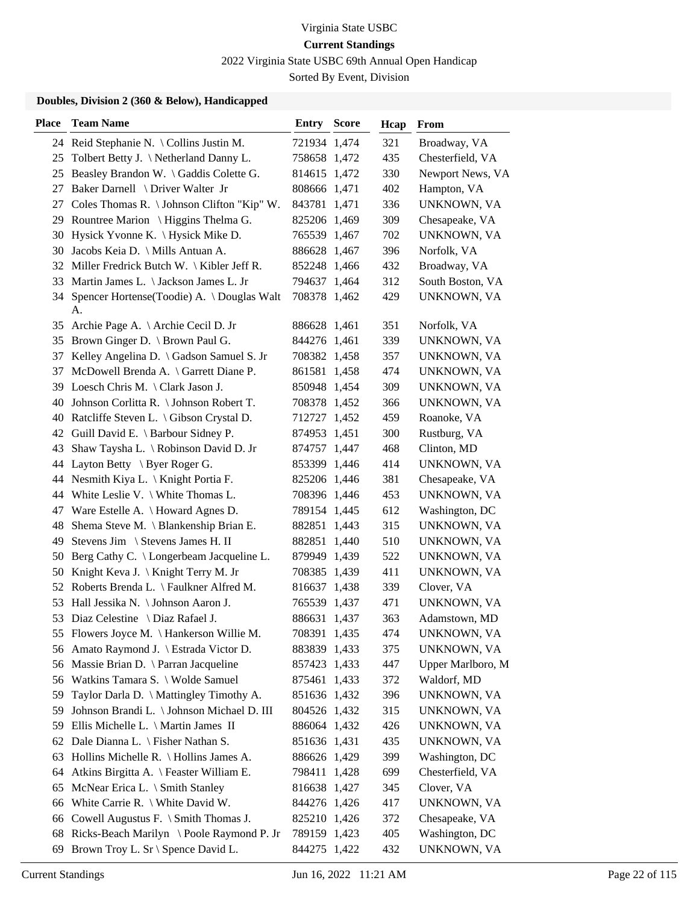2022 Virginia State USBC 69th Annual Open Handicap

Sorted By Event, Division

| <b>Place</b> | <b>Team Name</b>                                   | <b>Entry Score</b> | Hcap | From              |
|--------------|----------------------------------------------------|--------------------|------|-------------------|
|              | 24 Reid Stephanie N. \ Collins Justin M.           | 721934 1,474       | 321  | Broadway, VA      |
|              | 25 Tolbert Betty J. \Netherland Danny L.           | 758658 1,472       | 435  | Chesterfield, VA  |
|              | 25 Beasley Brandon W. \ Gaddis Colette G.          | 814615 1,472       | 330  | Newport News, VA  |
| 27           | Baker Darnell \ Driver Walter Jr                   | 808666 1,471       | 402  | Hampton, VA       |
| 27           | Coles Thomas R. \ Johnson Clifton "Kip" W.         | 843781 1,471       | 336  | UNKNOWN, VA       |
|              | 29 Rountree Marion \ Higgins Thelma G.             | 825206 1,469       | 309  | Chesapeake, VA    |
|              | 30 Hysick Yvonne K. \ Hysick Mike D.               | 765539 1,467       | 702  | UNKNOWN, VA       |
|              | 30 Jacobs Keia D. \ Mills Antuan A.                | 886628 1,467       | 396  | Norfolk, VA       |
|              | 32 Miller Fredrick Butch W. \ Kibler Jeff R.       | 852248 1,466       | 432  | Broadway, VA      |
|              | 33 Martin James L. \ Jackson James L. Jr           | 794637 1,464       | 312  | South Boston, VA  |
|              | 34 Spencer Hortense(Toodie) A. \Douglas Walt<br>А. | 708378 1,462       | 429  | UNKNOWN, VA       |
| 35           | Archie Page A. \ Archie Cecil D. Jr                | 886628 1,461       | 351  | Norfolk, VA       |
|              | 35 Brown Ginger D. \ Brown Paul G.                 | 844276 1,461       | 339  | UNKNOWN, VA       |
| 37           | Kelley Angelina D. \ Gadson Samuel S. Jr           | 708382 1,458       | 357  | UNKNOWN, VA       |
|              | 37 McDowell Brenda A. \ Garrett Diane P.           | 861581 1,458       | 474  | UNKNOWN, VA       |
|              | 39 Loesch Chris M. \ Clark Jason J.                | 850948 1,454       | 309  | UNKNOWN, VA       |
|              | 40 Johnson Corlitta R. \ Johnson Robert T.         | 708378 1,452       | 366  | UNKNOWN, VA       |
|              | 40 Ratcliffe Steven L. \ Gibson Crystal D.         | 712727 1,452       | 459  | Roanoke, VA       |
|              | 42 Guill David E. \ Barbour Sidney P.              | 874953 1,451       | 300  | Rustburg, VA      |
|              | 43 Shaw Taysha L. \ Robinson David D. Jr           | 874757 1,447       | 468  | Clinton, MD       |
|              | 44 Layton Betty \ Byer Roger G.                    | 853399 1,446       | 414  | UNKNOWN, VA       |
|              | 44 Nesmith Kiya L. \ Knight Portia F.              | 825206 1,446       | 381  | Chesapeake, VA    |
|              | 44 White Leslie V. \ White Thomas L.               | 708396 1,446       | 453  | UNKNOWN, VA       |
| 47           | Ware Estelle A. \ Howard Agnes D.                  | 789154 1,445       | 612  | Washington, DC    |
| 48           | Shema Steve M. \ Blankenship Brian E.              | 882851 1,443       | 315  | UNKNOWN, VA       |
| 49           | Stevens Jim \ Stevens James H. II                  | 882851 1,440       | 510  | UNKNOWN, VA       |
| 50           | Berg Cathy C. \ Longerbeam Jacqueline L.           | 879949 1,439       | 522  | UNKNOWN, VA       |
| 50           | Knight Keva J. \ Knight Terry M. Jr                | 708385 1,439       | 411  | UNKNOWN, VA       |
|              | 52 Roberts Brenda L. \ Faulkner Alfred M.          | 816637 1,438       | 339  | Clover, VA        |
|              | 53 Hall Jessika N. \ Johnson Aaron J.              | 765539 1,437       | 471  | UNKNOWN, VA       |
|              | 53 Diaz Celestine \ Diaz Rafael J.                 | 886631 1,437       | 363  | Adamstown, MD     |
|              | 55 Flowers Joyce M. \ Hankerson Willie M.          | 708391 1,435       | 474  | UNKNOWN, VA       |
|              | 56 Amato Raymond J. \ Estrada Victor D.            | 883839 1,433       | 375  | UNKNOWN, VA       |
|              | 56 Massie Brian D. \ Parran Jacqueline             | 857423 1,433       | 447  | Upper Marlboro, M |
|              | 56 Watkins Tamara S. \ Wolde Samuel                | 875461 1,433       | 372  | Waldorf, MD       |
| 59           | Taylor Darla D. \ Mattingley Timothy A.            | 851636 1,432       | 396  | UNKNOWN, VA       |
| 59           | Johnson Brandi L. \ Johnson Michael D. III         | 804526 1,432       | 315  | UNKNOWN, VA       |
| 59           | Ellis Michelle L. \ Martin James II                | 886064 1,432       | 426  | UNKNOWN, VA       |
|              | 62 Dale Dianna L. \ Fisher Nathan S.               | 851636 1,431       | 435  | UNKNOWN, VA       |
| 63           | Hollins Michelle R. \ Hollins James A.             | 886626 1,429       | 399  | Washington, DC    |
| 64           | Atkins Birgitta A. \ Feaster William E.            | 798411 1,428       | 699  | Chesterfield, VA  |
| 65           | McNear Erica L. \ Smith Stanley                    | 816638 1,427       | 345  | Clover, VA        |
|              | 66 White Carrie R. \ White David W.                | 844276 1,426       | 417  | UNKNOWN, VA       |
| 66           | Cowell Augustus F. $\Im$ Smith Thomas J.           | 825210 1,426       | 372  | Chesapeake, VA    |
| 68           | Ricks-Beach Marilyn \ Poole Raymond P. Jr          | 789159 1,423       | 405  | Washington, DC    |
| 69           | Brown Troy L. Sr \ Spence David L.                 | 844275 1,422       | 432  | UNKNOWN, VA       |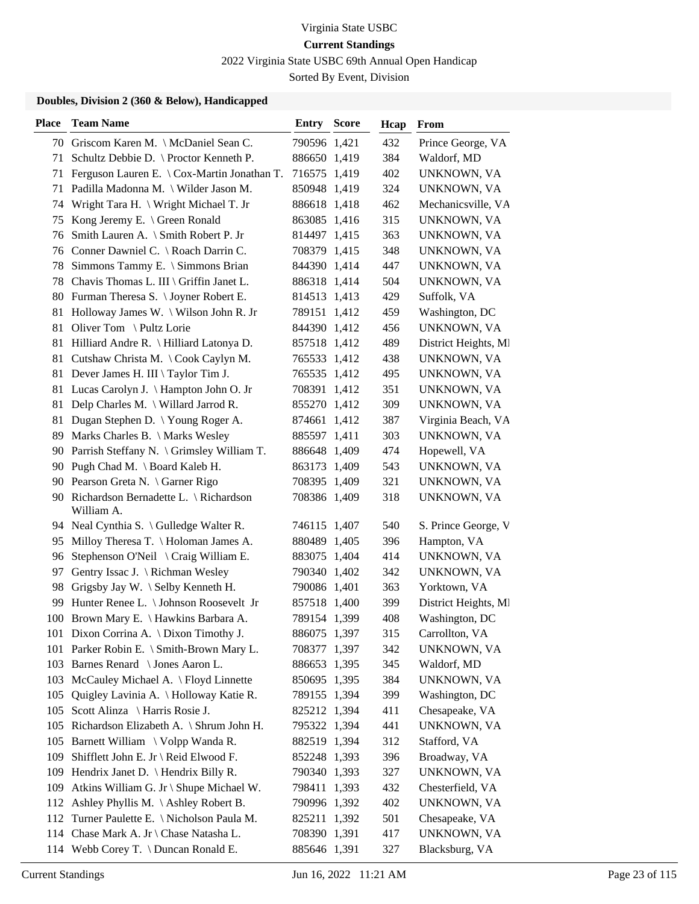2022 Virginia State USBC 69th Annual Open Handicap

Sorted By Event, Division

| <b>Place</b> | <b>Team Name</b>                                       | <b>Entry Score</b> | Hcap | From                 |
|--------------|--------------------------------------------------------|--------------------|------|----------------------|
|              | 70 Griscom Karen M. \ McDaniel Sean C.                 | 790596 1,421       | 432  | Prince George, VA    |
| 71           | Schultz Debbie D. \ Proctor Kenneth P.                 | 886650 1,419       | 384  | Waldorf, MD          |
|              | 71 Ferguson Lauren E. \ Cox-Martin Jonathan T.         | 716575 1,419       | 402  | UNKNOWN, VA          |
| 71           | Padilla Madonna M. \ Wilder Jason M.                   | 850948 1,419       | 324  | UNKNOWN, VA          |
| 74           | Wright Tara H. \ Wright Michael T. Jr                  | 886618 1,418       | 462  | Mechanicsville, VA   |
| 75           | Kong Jeremy E. \ Green Ronald                          | 863085 1,416       | 315  | UNKNOWN, VA          |
|              | 76 Smith Lauren A. \ Smith Robert P. Jr                | 814497 1,415       | 363  | UNKNOWN, VA          |
|              | 76 Conner Dawniel C. \ Roach Darrin C.                 | 708379 1,415       | 348  | UNKNOWN, VA          |
| 78           | Simmons Tammy E. \ Simmons Brian                       | 844390 1,414       | 447  | UNKNOWN, VA          |
| 78           | Chavis Thomas L. III \ Griffin Janet L.                | 886318 1,414       | 504  | UNKNOWN, VA          |
|              | 80 Furman Theresa S. \Joyner Robert E.                 | 814513 1,413       | 429  | Suffolk, VA          |
| 81           | Holloway James W. \ Wilson John R. Jr                  | 789151 1,412       | 459  | Washington, DC       |
| 81           | Oliver Tom \ Pultz Lorie                               | 844390 1,412       | 456  | UNKNOWN, VA          |
| 81           | Hilliard Andre R. \ Hilliard Latonya D.                | 857518 1,412       | 489  | District Heights, MI |
|              | 81 Cutshaw Christa M. \Cook Caylyn M.                  | 765533 1,412       | 438  | UNKNOWN, VA          |
|              | 81 Dever James H. III \ Taylor Tim J.                  | 765535 1,412       | 495  | UNKNOWN, VA          |
| 81           | Lucas Carolyn J. \ Hampton John O. Jr                  | 708391 1,412       | 351  | UNKNOWN, VA          |
| 81           | Delp Charles M. \ Willard Jarrod R.                    | 855270 1,412       | 309  | UNKNOWN, VA          |
| 81           | Dugan Stephen D. \ Young Roger A.                      | 874661 1,412       | 387  | Virginia Beach, VA   |
| 89           | Marks Charles B. \ Marks Wesley                        | 885597 1,411       | 303  | UNKNOWN, VA          |
|              | 90 Parrish Steffany N. \ Grimsley William T.           | 886648 1,409       | 474  | Hopewell, VA         |
|              | 90 Pugh Chad M. \ Board Kaleb H.                       | 863173 1,409       | 543  | UNKNOWN, VA          |
|              | 90 Pearson Greta N. \ Garner Rigo                      | 708395 1,409       | 321  | UNKNOWN, VA          |
|              | 90 Richardson Bernadette L. \ Richardson<br>William A. | 708386 1,409       | 318  | UNKNOWN, VA          |
|              | 94 Neal Cynthia S. \ Gulledge Walter R.                | 746115 1,407       | 540  | S. Prince George, V  |
| 95           | Milloy Theresa T. \ Holoman James A.                   | 880489 1,405       | 396  | Hampton, VA          |
| 96           | Stephenson O'Neil \ Craig William E.                   | 883075 1,404       | 414  | UNKNOWN, VA          |
| 97           | Gentry Issac J. \ Richman Wesley                       | 790340 1,402       | 342  | UNKNOWN, VA          |
| 98           | Grigsby Jay W. \ Selby Kenneth H.                      | 790086 1,401       | 363  | Yorktown, VA         |
| 99           | Hunter Renee L. \ Johnson Roosevelt Jr                 | 857518 1,400       | 399  | District Heights, MI |
|              | 100 Brown Mary E. \ Hawkins Barbara A.                 | 789154 1,399       | 408  | Washington, DC       |
|              | 101 Dixon Corrina A. \ Dixon Timothy J.                | 886075 1,397       | 315  | Carrollton, VA       |
|              | 101 Parker Robin E. \ Smith-Brown Mary L.              | 708377 1,397       | 342  | UNKNOWN, VA          |
| 103          | Barnes Renard \ Jones Aaron L.                         | 886653 1,395       | 345  | Waldorf, MD          |
|              | 103 McCauley Michael A. \ Floyd Linnette               | 850695 1,395       | 384  | UNKNOWN, VA          |
| 105          | Quigley Lavinia A. \ Holloway Katie R.                 | 789155 1,394       | 399  | Washington, DC       |
| 105          | Scott Alinza \ Harris Rosie J.                         | 825212 1,394       | 411  | Chesapeake, VA       |
| 105          | Richardson Elizabeth A. \ Shrum John H.                | 795322 1,394       | 441  | UNKNOWN, VA          |
|              | 105 Barnett William \ Volpp Wanda R.                   | 882519 1,394       | 312  | Stafford, VA         |
| 109          | Shifflett John E. Jr \ Reid Elwood F.                  | 852248 1,393       | 396  | Broadway, VA         |
| 109          | Hendrix Janet D. $\{$ Hendrix Billy R.                 | 790340 1,393       | 327  | UNKNOWN, VA          |
| 109          | Atkins William G. Jr \ Shupe Michael W.                | 798411 1,393       | 432  | Chesterfield, VA     |
|              | 112 Ashley Phyllis M. \Ashley Robert B.                | 790996 1,392       | 402  | UNKNOWN, VA          |
|              | 112 Turner Paulette E. \ Nicholson Paula M.            | 825211 1,392       | 501  | Chesapeake, VA       |
|              | 114 Chase Mark A. Jr \ Chase Natasha L.                | 708390 1,391       | 417  | UNKNOWN, VA          |
|              | 114 Webb Corey T. \ Duncan Ronald E.                   | 885646 1,391       | 327  | Blacksburg, VA       |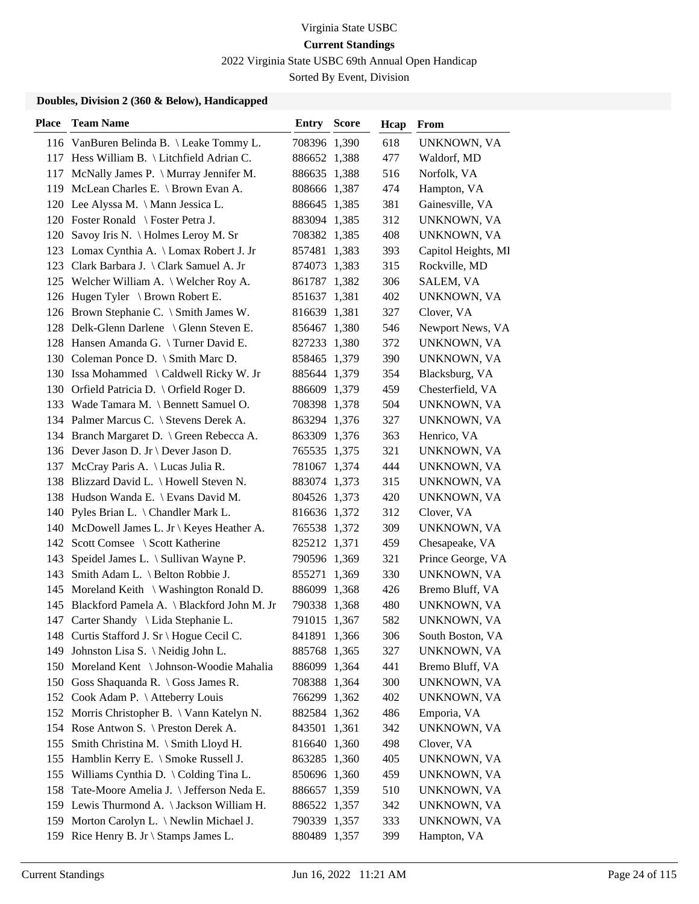2022 Virginia State USBC 69th Annual Open Handicap

Sorted By Event, Division

| <b>Place</b> | <b>Team Name</b>                               | <b>Entry Score</b> | Hcap | From                |
|--------------|------------------------------------------------|--------------------|------|---------------------|
|              | 116 VanBuren Belinda B. \Leake Tommy L.        | 708396 1,390       | 618  | UNKNOWN, VA         |
|              | 117 Hess William B. \ Litchfield Adrian C.     | 886652 1,388       | 477  | Waldorf, MD         |
|              | 117 McNally James P. \ Murray Jennifer M.      | 886635 1,388       | 516  | Norfolk, VA         |
| 119          | McLean Charles E. \ Brown Evan A.              | 808666 1,387       | 474  | Hampton, VA         |
|              | 120 Lee Alyssa M. \ Mann Jessica L.            | 886645 1,385       | 381  | Gainesville, VA     |
|              | 120 Foster Ronald \ Foster Petra J.            | 883094 1,385       | 312  | UNKNOWN, VA         |
|              | 120 Savoy Iris N. \ Holmes Leroy M. Sr         | 708382 1,385       | 408  | UNKNOWN, VA         |
|              | 123 Lomax Cynthia A. \ Lomax Robert J. Jr      | 857481 1,383       | 393  | Capitol Heights, MI |
|              | 123 Clark Barbara J. \ Clark Samuel A. Jr      | 874073 1,383       | 315  | Rockville, MD       |
|              | 125 Welcher William A. \ Welcher Roy A.        | 861787 1,382       | 306  | SALEM, VA           |
|              | 126 Hugen Tyler \ Brown Robert E.              | 851637 1,381       | 402  | UNKNOWN, VA         |
|              | 126 Brown Stephanie C. \ Smith James W.        | 816639 1,381       | 327  | Clover, VA          |
|              | 128 Delk-Glenn Darlene \ Glenn Steven E.       | 856467 1,380       | 546  | Newport News, VA    |
|              | 128 Hansen Amanda G. \Turner David E.          | 827233 1,380       | 372  | UNKNOWN, VA         |
|              | 130 Coleman Ponce D. \ Smith Marc D.           | 858465 1,379       | 390  | UNKNOWN, VA         |
|              | 130 Issa Mohammed \ Caldwell Ricky W. Jr       | 885644 1,379       | 354  | Blacksburg, VA      |
|              | 130 Orfield Patricia D. \ Orfield Roger D.     | 886609 1,379       | 459  | Chesterfield, VA    |
|              | 133 Wade Tamara M. \ Bennett Samuel O.         | 708398 1,378       | 504  | UNKNOWN, VA         |
|              | 134 Palmer Marcus C. \ Stevens Derek A.        | 863294 1,376       | 327  | UNKNOWN, VA         |
|              | 134 Branch Margaret D. \ Green Rebecca A.      | 863309 1,376       | 363  | Henrico, VA         |
|              | 136 Dever Jason D. Jr \ Dever Jason D.         | 765535 1,375       | 321  | UNKNOWN, VA         |
| 137          | McCray Paris A. \ Lucas Julia R.               | 781067 1,374       | 444  | UNKNOWN, VA         |
|              | 138 Blizzard David L. \ Howell Steven N.       | 883074 1,373       | 315  | UNKNOWN, VA         |
|              | 138 Hudson Wanda E. \ Evans David M.           | 804526 1,373       | 420  | UNKNOWN, VA         |
| 140          | Pyles Brian L. \ Chandler Mark L.              | 816636 1,372       | 312  | Clover, VA          |
|              | 140 McDowell James L. Jr \ Keyes Heather A.    | 765538 1,372       | 309  | UNKNOWN, VA         |
|              | 142 Scott Comsee \ Scott Katherine             | 825212 1,371       | 459  | Chesapeake, VA      |
| 143          | Speidel James L. \ Sullivan Wayne P.           | 790596 1,369       | 321  | Prince George, VA   |
| 143          | Smith Adam L. \ Belton Robbie J.               | 855271 1,369       | 330  | UNKNOWN, VA         |
| 145          | Moreland Keith \ Washington Ronald D.          | 886099 1,368       | 426  | Bremo Bluff, VA     |
|              | 145 Blackford Pamela A. \ Blackford John M. Jr | 790338 1,368       | 480  | UNKNOWN, VA         |
|              | 147 Carter Shandy \ Lida Stephanie L.          | 791015 1,367       | 582  | UNKNOWN, VA         |
|              | 148 Curtis Stafford J. Sr \ Hogue Cecil C.     | 841891 1,366       | 306  | South Boston, VA    |
| 149          | Johnston Lisa S. \Neidig John L.               | 885768 1,365       | 327  | UNKNOWN, VA         |
|              | 150 Moreland Kent \ Johnson-Woodie Mahalia     | 886099 1,364       | 441  | Bremo Bluff, VA     |
|              | 150 Goss Shaquanda R. \ Goss James R.          | 708388 1,364       | 300  | UNKNOWN, VA         |
|              | 152 Cook Adam P. \ Atteberry Louis             | 766299 1,362       | 402  | UNKNOWN, VA         |
|              | 152 Morris Christopher B. \ Vann Katelyn N.    | 882584 1,362       | 486  | Emporia, VA         |
|              | 154 Rose Antwon S. \ Preston Derek A.          | 843501 1,361       | 342  | <b>UNKNOWN, VA</b>  |
| 155          | Smith Christina M. \ Smith Lloyd H.            | 816640 1,360       | 498  | Clover, VA          |
| 155          | Hamblin Kerry E. \ Smoke Russell J.            | 863285 1,360       | 405  | UNKNOWN, VA         |
| 155          | Williams Cynthia D. \ Colding Tina L.          | 850696 1,360       | 459  | UNKNOWN, VA         |
| 158          | Tate-Moore Amelia J. \ Jefferson Neda E.       | 886657 1,359       | 510  | UNKNOWN, VA         |
|              | 159 Lewis Thurmond A. \Jackson William H.      | 886522 1,357       | 342  | UNKNOWN, VA         |
| 159          | Morton Carolyn L. \ Newlin Michael J.          | 790339 1,357       | 333  | UNKNOWN, VA         |
| 159          | Rice Henry B. Jr \ Stamps James L.             | 880489 1,357       | 399  | Hampton, VA         |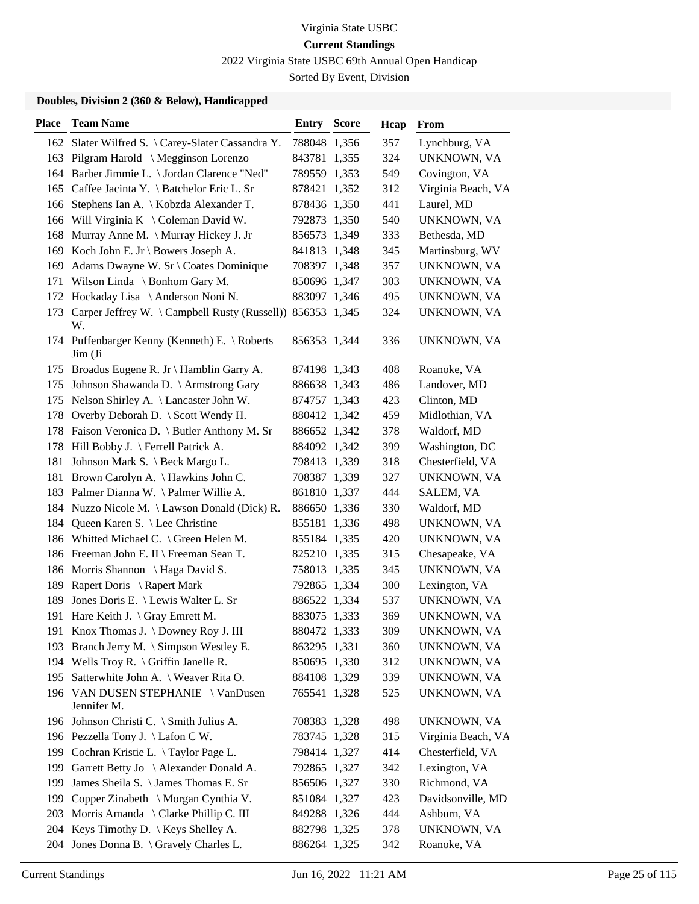2022 Virginia State USBC 69th Annual Open Handicap

Sorted By Event, Division

| <b>Place</b> | <b>Team Name</b>                                                | Entry        | <b>Score</b> | Hcap | From               |
|--------------|-----------------------------------------------------------------|--------------|--------------|------|--------------------|
|              | 162 Slater Wilfred S. \Carey-Slater Cassandra Y.                | 788048 1,356 |              | 357  | Lynchburg, VA      |
|              | 163 Pilgram Harold \ Megginson Lorenzo                          | 843781 1,355 |              | 324  | UNKNOWN, VA        |
|              | 164 Barber Jimmie L. \ Jordan Clarence "Ned"                    | 789559 1,353 |              | 549  | Covington, VA      |
|              | 165 Caffee Jacinta Y. \ Batchelor Eric L. Sr                    | 878421 1,352 |              | 312  | Virginia Beach, VA |
| 166          | Stephens Ian A. \ Kobzda Alexander T.                           | 878436 1,350 |              | 441  | Laurel, MD         |
|              | 166 Will Virginia K \ Coleman David W.                          | 792873 1,350 |              | 540  | UNKNOWN, VA        |
| 168          | Murray Anne M. \ Murray Hickey J. Jr                            | 856573 1,349 |              | 333  | Bethesda, MD       |
|              | 169 Koch John E. Jr \ Bowers Joseph A.                          | 841813 1,348 |              | 345  | Martinsburg, WV    |
| 169          | Adams Dwayne W. Sr \ Coates Dominique                           | 708397 1,348 |              | 357  | UNKNOWN, VA        |
| 171          | Wilson Linda $\setminus$ Bonhom Gary M.                         | 850696 1,347 |              | 303  | UNKNOWN, VA        |
|              | 172 Hockaday Lisa \ Anderson Noni N.                            | 883097 1,346 |              | 495  | UNKNOWN, VA        |
| 173          | Carper Jeffrey W. \Campbell Rusty (Russell)) 856353 1,345<br>W. |              |              | 324  | UNKNOWN, VA        |
|              | 174 Puffenbarger Kenny (Kenneth) E. \ Roberts<br>Jim (Ji        | 856353 1,344 |              | 336  | UNKNOWN, VA        |
|              | 175 Broadus Eugene R. Jr \ Hamblin Garry A.                     | 874198 1,343 |              | 408  | Roanoke, VA        |
|              | 175 Johnson Shawanda D. \ Armstrong Gary                        | 886638 1,343 |              | 486  | Landover, MD       |
|              | 175 Nelson Shirley A. \ Lancaster John W.                       | 874757 1,343 |              | 423  | Clinton, MD        |
|              | 178 Overby Deborah D. \ Scott Wendy H.                          | 880412 1,342 |              | 459  | Midlothian, VA     |
|              | 178 Faison Veronica D. \ Butler Anthony M. Sr                   | 886652 1,342 |              | 378  | Waldorf, MD        |
|              | 178 Hill Bobby J. \ Ferrell Patrick A.                          | 884092 1,342 |              | 399  | Washington, DC     |
|              | 181 Johnson Mark S. \ Beck Margo L.                             | 798413 1,339 |              | 318  | Chesterfield, VA   |
|              | 181 Brown Carolyn A. \Hawkins John C.                           | 708387 1,339 |              | 327  | UNKNOWN, VA        |
|              | 183 Palmer Dianna W. \Palmer Willie A.                          | 861810 1,337 |              | 444  | SALEM, VA          |
|              | 184 Nuzzo Nicole M. \ Lawson Donald (Dick) R.                   | 886650 1,336 |              | 330  | Waldorf, MD        |
| 184          | Queen Karen S. \ Lee Christine                                  | 855181 1,336 |              | 498  | UNKNOWN, VA        |
|              | 186 Whitted Michael C. \ Green Helen M.                         | 855184 1,335 |              | 420  | UNKNOWN, VA        |
|              | 186 Freeman John E. II \ Freeman Sean T.                        | 825210 1,335 |              | 315  | Chesapeake, VA     |
|              | 186 Morris Shannon \ Haga David S.                              | 758013 1,335 |              | 345  | UNKNOWN, VA        |
| 189          | Rapert Doris \ Rapert Mark                                      | 792865 1,334 |              | 300  | Lexington, VA      |
| 189          | Jones Doris E. \ Lewis Walter L. Sr                             | 886522 1,334 |              | 537  | UNKNOWN, VA        |
|              | 191 Hare Keith J. \ Gray Emrett M.                              | 883075 1,333 |              | 369  | UNKNOWN, VA        |
|              | 191 Knox Thomas J. \Downey Roy J. III                           | 880472 1,333 |              | 309  | UNKNOWN, VA        |
|              | 193 Branch Jerry M. \ Simpson Westley E.                        | 863295 1,331 |              | 360  | UNKNOWN, VA        |
|              | 194 Wells Troy R. \ Griffin Janelle R.                          | 850695 1,330 |              | 312  | UNKNOWN, VA        |
| 195          | Satterwhite John A. \ Weaver Rita O.                            | 884108 1,329 |              | 339  | UNKNOWN, VA        |
|              | 196 VAN DUSEN STEPHANIE \ VanDusen<br>Jennifer M.               | 765541 1,328 |              | 525  | UNKNOWN, VA        |
|              | 196 Johnson Christi C. \ Smith Julius A.                        | 708383 1,328 |              | 498  | UNKNOWN, VA        |
|              | 196 Pezzella Tony J. \ Lafon C W.                               | 783745 1,328 |              | 315  | Virginia Beach, VA |
|              | 199 Cochran Kristie L. \Taylor Page L.                          | 798414 1,327 |              | 414  | Chesterfield, VA   |
| 199          | Garrett Betty Jo \ Alexander Donald A.                          | 792865 1,327 |              | 342  | Lexington, VA      |
|              | 199 James Sheila S. \James Thomas E. Sr                         | 856506 1,327 |              | 330  | Richmond, VA       |
| 199          | Copper Zinabeth \ Morgan Cynthia V.                             | 851084 1,327 |              | 423  | Davidsonville, MD  |
| 203          | Morris Amanda \ Clarke Phillip C. III                           | 849288 1,326 |              | 444  | Ashburn, VA        |
|              | 204 Keys Timothy D. \ Keys Shelley A.                           | 882798 1,325 |              | 378  | UNKNOWN, VA        |
|              | 204 Jones Donna B. \ Gravely Charles L.                         | 886264 1,325 |              | 342  | Roanoke, VA        |
|              |                                                                 |              |              |      |                    |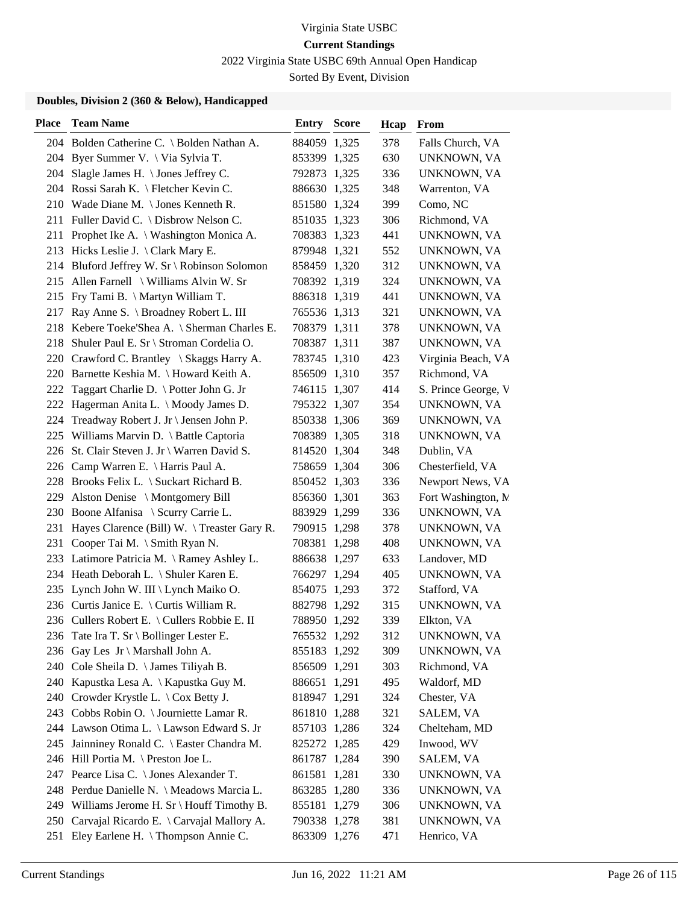2022 Virginia State USBC 69th Annual Open Handicap

Sorted By Event, Division

| <b>Place</b> | <b>Team Name</b>                             | Entry        | <b>Score</b> | Hcap | From                |
|--------------|----------------------------------------------|--------------|--------------|------|---------------------|
|              | 204 Bolden Catherine C. \ Bolden Nathan A.   | 884059 1,325 |              | 378  | Falls Church, VA    |
| 204          | Byer Summer V. \ Via Sylvia T.               | 853399 1,325 |              | 630  | UNKNOWN, VA         |
|              | 204 Slagle James H. \ Jones Jeffrey C.       | 792873 1,325 |              | 336  | UNKNOWN, VA         |
|              | 204 Rossi Sarah K. \ Fletcher Kevin C.       | 886630 1,325 |              | 348  | Warrenton, VA       |
|              | 210 Wade Diane M. \Jones Kenneth R.          | 851580 1,324 |              | 399  | Como, NC            |
|              | 211 Fuller David C. \ Disbrow Nelson C.      | 851035 1,323 |              | 306  | Richmond, VA        |
|              | 211 Prophet Ike A. \ Washington Monica A.    | 708383 1,323 |              | 441  | UNKNOWN, VA         |
|              | 213 Hicks Leslie J. \ Clark Mary E.          | 879948 1,321 |              | 552  | UNKNOWN, VA         |
|              | 214 Bluford Jeffrey W. Sr \ Robinson Solomon | 858459 1,320 |              | 312  | UNKNOWN, VA         |
| 215          | Allen Farnell \ Williams Alvin W. Sr         | 708392 1,319 |              | 324  | UNKNOWN, VA         |
| 215          | Fry Tami B. \ Martyn William T.              | 886318 1,319 |              | 441  | UNKNOWN, VA         |
| 217          | Ray Anne S. \ Broadney Robert L. III         | 765536 1,313 |              | 321  | UNKNOWN, VA         |
| 218          | Kebere Toeke'Shea A. \ Sherman Charles E.    | 708379 1,311 |              | 378  | UNKNOWN, VA         |
| 218          | Shuler Paul E. Sr \ Stroman Cordelia O.      | 708387 1,311 |              | 387  | UNKNOWN, VA         |
|              | 220 Crawford C. Brantley \ Skaggs Harry A.   | 783745 1,310 |              | 423  | Virginia Beach, VA  |
|              | 220 Barnette Keshia M. \ Howard Keith A.     | 856509 1,310 |              | 357  | Richmond, VA        |
| 222          | Taggart Charlie D. \ Potter John G. Jr       | 746115 1,307 |              | 414  | S. Prince George, V |
| 222          | Hagerman Anita L. \ Moody James D.           | 795322 1,307 |              | 354  | UNKNOWN, VA         |
|              | 224 Treadway Robert J. Jr \ Jensen John P.   | 850338 1,306 |              | 369  | UNKNOWN, VA         |
|              | 225 Williams Marvin D. \ Battle Captoria     | 708389 1,305 |              | 318  | UNKNOWN, VA         |
|              | 226 St. Clair Steven J. Jr \ Warren David S. | 814520 1,304 |              | 348  | Dublin, VA          |
|              | 226 Camp Warren E. \ Harris Paul A.          | 758659 1,304 |              | 306  | Chesterfield, VA    |
|              | 228 Brooks Felix L. \ Suckart Richard B.     | 850452 1,303 |              | 336  | Newport News, VA    |
| 229          | Alston Denise \ Montgomery Bill              | 856360 1,301 |              | 363  | Fort Washington, M. |
|              | 230 Boone Alfanisa \ Scurry Carrie L.        | 883929 1,299 |              | 336  | UNKNOWN, VA         |
| 231          | Hayes Clarence (Bill) W. \Treaster Gary R.   | 790915 1,298 |              | 378  | UNKNOWN, VA         |
|              | 231 Cooper Tai M. \ Smith Ryan N.            | 708381 1,298 |              | 408  | UNKNOWN, VA         |
|              | 233 Latimore Patricia M. \ Ramey Ashley L.   | 886638 1,297 |              | 633  | Landover, MD        |
|              | 234 Heath Deborah L. \ Shuler Karen E.       | 766297 1,294 |              | 405  | UNKNOWN, VA         |
| 235          | Lynch John W. III \ Lynch Maiko O.           | 854075 1,293 |              | 372  | Stafford, VA        |
|              | 236 Curtis Janice E. \ Curtis William R.     | 882798 1,292 |              | 315  | UNKNOWN, VA         |
|              | 236 Cullers Robert E. \ Cullers Robbie E. II | 788950 1,292 |              | 339  | Elkton, VA          |
|              | 236 Tate Ira T. Sr \ Bollinger Lester E.     | 765532 1,292 |              | 312  | UNKNOWN, VA         |
|              | 236 Gay Les Jr \ Marshall John A.            | 855183 1,292 |              | 309  | UNKNOWN, VA         |
|              | 240 Cole Sheila D. \ James Tiliyah B.        | 856509 1,291 |              | 303  | Richmond, VA        |
|              | 240 Kapustka Lesa A.   Kapustka Guy M.       | 886651 1,291 |              | 495  | Waldorf, MD         |
|              | 240 Crowder Krystle L. \ Cox Betty J.        | 818947 1,291 |              | 324  | Chester, VA         |
| 243          | Cobbs Robin O. \ Journiette Lamar R.         | 861810 1,288 |              | 321  | SALEM, VA           |
|              | 244 Lawson Otima L. \ Lawson Edward S. Jr    | 857103 1,286 |              | 324  | Chelteham, MD       |
| 245          | Jainniney Ronald C. \ Easter Chandra M.      | 825272 1,285 |              | 429  | Inwood, WV          |
|              | 246 Hill Portia M. \ Preston Joe L.          | 861787 1,284 |              | 390  | SALEM, VA           |
| 247          | Pearce Lisa C. \ Jones Alexander T.          | 861581 1,281 |              | 330  | UNKNOWN, VA         |
|              | 248 Perdue Danielle N. \ Meadows Marcia L.   | 863285 1,280 |              | 336  | UNKNOWN, VA         |
|              | 249 Williams Jerome H. Sr \ Houff Timothy B. | 855181 1,279 |              | 306  | UNKNOWN, VA         |
| 250          | Carvajal Ricardo E. \ Carvajal Mallory A.    | 790338 1,278 |              | 381  | UNKNOWN, VA         |
| 251          | Eley Earlene H. \Thompson Annie C.           | 863309 1,276 |              | 471  | Henrico, VA         |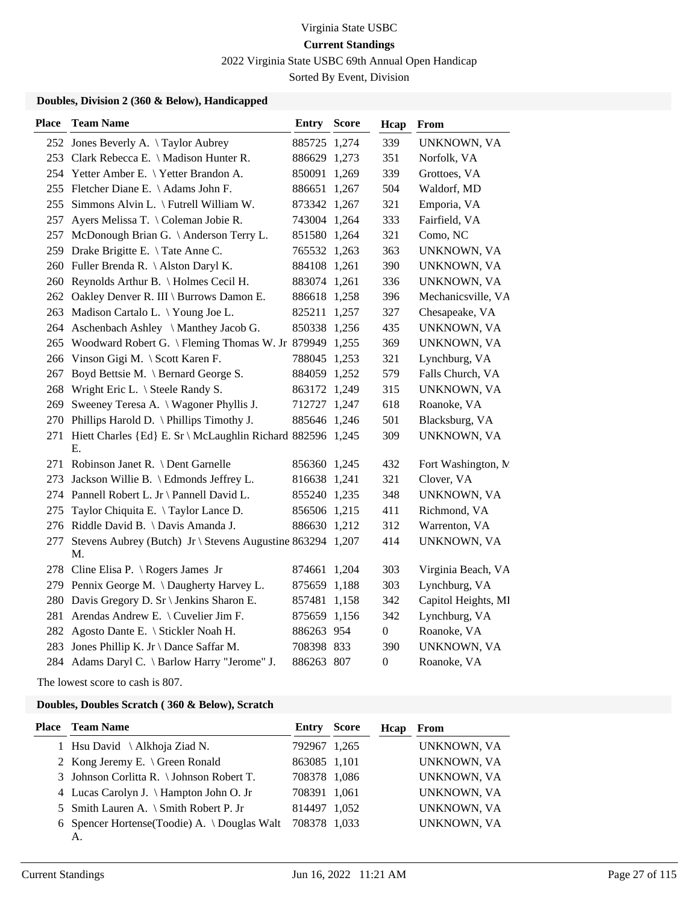2022 Virginia State USBC 69th Annual Open Handicap

Sorted By Event, Division

### **Doubles, Division 2 (360 & Below), Handicapped**

| <b>Place</b> | <b>Team Name</b>                                                 | Entry        | <b>Score</b> | Hcap             | From                |
|--------------|------------------------------------------------------------------|--------------|--------------|------------------|---------------------|
|              | 252 Jones Beverly A. \Taylor Aubrey                              | 885725 1,274 |              | 339              | UNKNOWN, VA         |
|              | 253 Clark Rebecca E. \ Madison Hunter R.                         | 886629 1,273 |              | 351              | Norfolk, VA         |
|              | 254 Yetter Amber E. \ Yetter Brandon A.                          | 850091 1,269 |              | 339              | Grottoes, VA        |
|              | 255 Fletcher Diane E. \ Adams John F.                            | 886651 1,267 |              | 504              | Waldorf, MD         |
| 255          | Simmons Alvin L. \ Futrell William W.                            | 873342 1,267 |              | 321              | Emporia, VA         |
| 257          | Ayers Melissa T. \ Coleman Jobie R.                              | 743004 1,264 |              | 333              | Fairfield, VA       |
| 257          | McDonough Brian G. \ Anderson Terry L.                           | 851580 1,264 |              | 321              | Como, NC            |
| 259          | Drake Brigitte E. \Tate Anne C.                                  | 765532 1,263 |              | 363              | UNKNOWN, VA         |
|              | 260 Fuller Brenda R. \Alston Daryl K.                            | 884108 1,261 |              | 390              | UNKNOWN, VA         |
|              | 260 Reynolds Arthur B. \ Holmes Cecil H.                         | 883074 1,261 |              | 336              | UNKNOWN, VA         |
|              | 262 Oakley Denver R. III \ Burrows Damon E.                      | 886618 1,258 |              | 396              | Mechanicsville, VA  |
|              | 263 Madison Cartalo L. \Young Joe L.                             | 825211 1,257 |              | 327              | Chesapeake, VA      |
|              | 264 Aschenbach Ashley \ Manthey Jacob G.                         | 850338 1,256 |              | 435              | UNKNOWN, VA         |
| 265          | Woodward Robert G.   Fleming Thomas W. Jr 879949 1,255           |              |              | 369              | UNKNOWN, VA         |
|              | 266 Vinson Gigi M. \ Scott Karen F.                              | 788045 1,253 |              | 321              | Lynchburg, VA       |
| 267          | Boyd Bettsie M. \ Bernard George S.                              | 884059 1,252 |              | 579              | Falls Church, VA    |
| 268          | Wright Eric L. \ Steele Randy S.                                 | 863172 1,249 |              | 315              | UNKNOWN, VA         |
| 269          | Sweeney Teresa A. \ Wagoner Phyllis J.                           | 712727 1,247 |              | 618              | Roanoke, VA         |
|              | 270 Phillips Harold D. \Phillips Timothy J.                      | 885646 1,246 |              | 501              | Blacksburg, VA      |
| 271          | Hiett Charles {Ed} E. Sr \ McLaughlin Richard 882596 1,245<br>Е. |              |              | 309              | UNKNOWN, VA         |
|              | 271 Robinson Janet R. \ Dent Garnelle                            | 856360 1,245 |              | 432              | Fort Washington, N. |
| 273          | Jackson Willie B. \ Edmonds Jeffrey L.                           | 816638 1,241 |              | 321              | Clover, VA          |
|              | 274 Pannell Robert L. Jr \ Pannell David L.                      | 855240 1,235 |              | 348              | UNKNOWN, VA         |
| 275          | Taylor Chiquita E. \Taylor Lance D.                              | 856506 1,215 |              | 411              | Richmond, VA        |
|              | 276 Riddle David B. \ Davis Amanda J.                            | 886630 1,212 |              | 312              | Warrenton, VA       |
| 277          | Stevens Aubrey (Butch) Jr \ Stevens Augustine 863294 1,207<br>М. |              |              | 414              | UNKNOWN, VA         |
|              | 278 Cline Elisa P. \ Rogers James Jr                             | 874661       | 1,204        | 303              | Virginia Beach, VA  |
|              | 279 Pennix George M. \Daugherty Harvey L.                        | 875659 1,188 |              | 303              | Lynchburg, VA       |
|              | 280 Davis Gregory D. Sr \ Jenkins Sharon E.                      | 857481       | 1,158        | 342              | Capitol Heights, MI |
|              | 281 Arendas Andrew E. \ Cuvelier Jim F.                          | 875659 1,156 |              | 342              | Lynchburg, VA       |
| 282          | Agosto Dante E. \ Stickler Noah H.                               | 886263 954   |              | $\boldsymbol{0}$ | Roanoke, VA         |
|              | 283 Jones Phillip K. Jr \ Dance Saffar M.                        | 708398 833   |              | 390              | UNKNOWN, VA         |
|              | 284 Adams Daryl C. \ Barlow Harry "Jerome" J.                    | 886263 807   |              | $\boldsymbol{0}$ | Roanoke, VA         |

The lowest score to cash is 807.

### **Doubles, Doubles Scratch ( 360 & Below), Scratch**

| <b>Place</b> Team Name                             | Entry        | Score | Hcap | From        |
|----------------------------------------------------|--------------|-------|------|-------------|
| 1 Hsu David $\Lambda$ khoja Ziad N.                | 792967 1,265 |       |      | UNKNOWN, VA |
| 2 Kong Jeremy E. \ Green Ronald                    | 863085 1,101 |       |      | UNKNOWN, VA |
| 3 Johnson Corlitta R. \ Johnson Robert T.          | 708378 1,086 |       |      | UNKNOWN, VA |
| 4 Lucas Carolyn J. \ Hampton John O. Jr            | 708391 1,061 |       |      | UNKNOWN, VA |
| 5 Smith Lauren A. \ Smith Robert P. Jr             | 814497 1,052 |       |      | UNKNOWN, VA |
| 6 Spencer Hortense (Toodie) A. \times Douglas Walt | 708378 1,033 |       |      | UNKNOWN, VA |
| A.                                                 |              |       |      |             |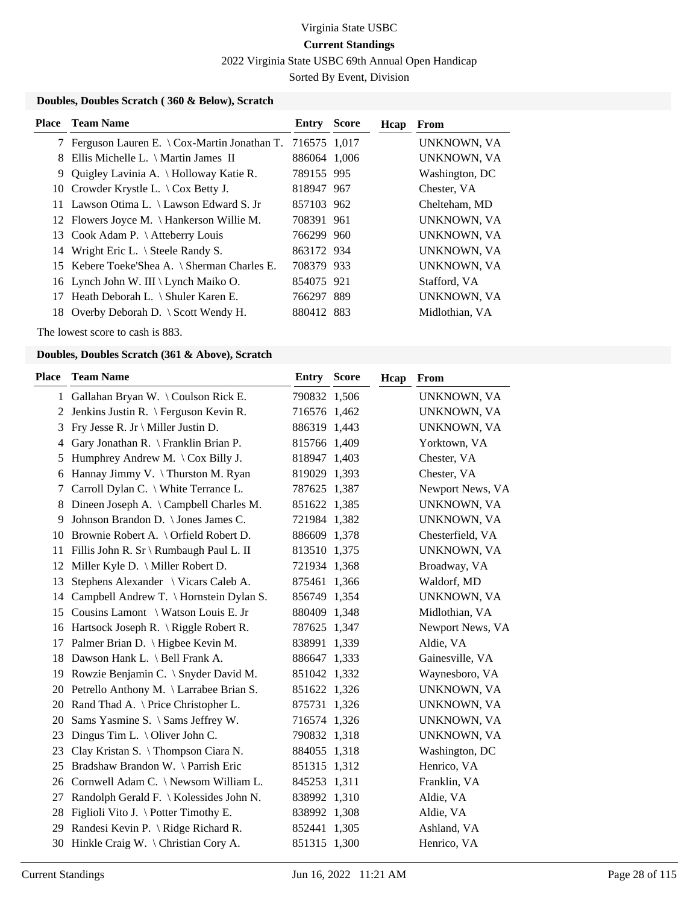2022 Virginia State USBC 69th Annual Open Handicap

Sorted By Event, Division

### **Doubles, Doubles Scratch ( 360 & Below), Scratch**

|   | <b>Place</b> Team Name                                       | Entry        | <b>Score</b> | Hcap | From           |
|---|--------------------------------------------------------------|--------------|--------------|------|----------------|
|   | 7 Ferguson Lauren E. \ Cox-Martin Jonathan T. $716575$ 1,017 |              |              |      | UNKNOWN, VA    |
| 8 | Ellis Michelle L. $\hat{M}$ Martin James II                  | 886064 1,006 |              |      | UNKNOWN, VA    |
| 9 | Quigley Lavinia A. \ Holloway Katie R.                       | 789155 995   |              |      | Washington, DC |
|   | 10 Crowder Krystle L. $\setminus$ Cox Betty J.               | 818947 967   |              |      | Chester, VA    |
|   | 11 Lawson Otima L. \ Lawson Edward S. Jr                     | 857103 962   |              |      | Chelteham, MD  |
|   | 12 Flowers Joyce M. \ Hankerson Willie M.                    | 708391 961   |              |      | UNKNOWN, VA    |
|   | 13 Cook Adam P. \ Atteberry Louis                            | 766299 960   |              |      | UNKNOWN, VA    |
|   | 14 Wright Eric L. \ Steele Randy S.                          | 863172 934   |              |      | UNKNOWN, VA    |
|   | 15 Kebere Toeke'Shea A. \ Sherman Charles E.                 | 708379 933   |              |      | UNKNOWN, VA    |
|   | 16 Lynch John W. III \ Lynch Maiko O.                        | 854075 921   |              |      | Stafford, VA   |
|   | 17 Heath Deborah L. \ Shuler Karen E.                        | 766297 889   |              |      | UNKNOWN, VA    |
|   | 18 Overby Deborah D. \ Scott Wendy H.                        | 880412 883   |              |      | Midlothian, VA |
|   |                                                              |              |              |      |                |

The lowest score to cash is 883.

| Place | <b>Team Name</b>                           | <b>Entry Score</b> |       | Hcap | <b>From</b>      |
|-------|--------------------------------------------|--------------------|-------|------|------------------|
|       | 1 Gallahan Bryan W. \Coulson Rick E.       | 790832 1,506       |       |      | UNKNOWN, VA      |
| 2     | Jenkins Justin R. \ Ferguson Kevin R.      | 716576 1,462       |       |      | UNKNOWN, VA      |
| 3     | Fry Jesse R. Jr \ Miller Justin D.         | 886319 1,443       |       |      | UNKNOWN, VA      |
| 4     | Gary Jonathan R. \ Franklin Brian P.       | 815766 1,409       |       |      | Yorktown, VA     |
| 5     | Humphrey Andrew M. \Cox Billy J.           | 818947 1,403       |       |      | Chester, VA      |
| 6     | Hannay Jimmy V. \Thurston M. Ryan          | 819029 1,393       |       |      | Chester, VA      |
| 7     | Carroll Dylan C. \ White Terrance L.       | 787625 1,387       |       |      | Newport News, VA |
| 8     | Dineen Joseph A. \ Campbell Charles M.     | 851622 1,385       |       |      | UNKNOWN, VA      |
| 9     | Johnson Brandon D. \ Jones James C.        | 721984 1,382       |       |      | UNKNOWN, VA      |
|       | 10 Brownie Robert A. \ Orfield Robert D.   | 886609 1,378       |       |      | Chesterfield, VA |
|       | 11 Fillis John R. Sr \ Rumbaugh Paul L. II | 813510 1,375       |       |      | UNKNOWN, VA      |
| 12    | Miller Kyle D. \ Miller Robert D.          | 721934 1,368       |       |      | Broadway, VA     |
| 13    | Stephens Alexander \ Vicars Caleb A.       | 875461 1,366       |       |      | Waldorf, MD      |
|       | 14 Campbell Andrew T. \ Hornstein Dylan S. | 856749 1,354       |       |      | UNKNOWN, VA      |
|       | 15 Cousins Lamont \ Watson Louis E. Jr     | 880409 1,348       |       |      | Midlothian, VA   |
|       | 16 Hartsock Joseph R. \ Riggle Robert R.   | 787625 1,347       |       |      | Newport News, VA |
| 17    | Palmer Brian D. \ Higbee Kevin M.          | 838991             | 1,339 |      | Aldie, VA        |
| 18    | Dawson Hank L. \ Bell Frank A.             | 886647 1,333       |       |      | Gainesville, VA  |
| 19    | Rowzie Benjamin C. \ Snyder David M.       | 851042 1,332       |       |      | Waynesboro, VA   |
| 20    | Petrello Anthony M. \ Larrabee Brian S.    | 851622 1,326       |       |      | UNKNOWN, VA      |
|       | 20 Rand Thad A. \ Price Christopher L.     | 875731 1,326       |       |      | UNKNOWN, VA      |
| 20    | Sams Yasmine S. \ Sams Jeffrey W.          | 716574 1,326       |       |      | UNKNOWN, VA      |
| 23    | Dingus Tim L. $\setminus$ Oliver John C.   | 790832 1,318       |       |      | UNKNOWN, VA      |
| 23    | Clay Kristan S. \Thompson Ciara N.         | 884055 1,318       |       |      | Washington, DC   |
| 25    | Bradshaw Brandon W. \ Parrish Eric         | 851315 1,312       |       |      | Henrico, VA      |
|       | 26 Cornwell Adam C. \ Newsom William L.    | 845253 1,311       |       |      | Franklin, VA     |
| 27    | Randolph Gerald F. \ Kolessides John N.    | 838992 1,310       |       |      | Aldie, VA        |
| 28    | Figlioli Vito J. \ Potter Timothy E.       | 838992 1,308       |       |      | Aldie, VA        |
| 29    | Randesi Kevin P. \ Ridge Richard R.        | 852441 1,305       |       |      | Ashland, VA      |
|       | 30 Hinkle Craig W. \ Christian Cory A.     | 851315 1,300       |       |      | Henrico, VA      |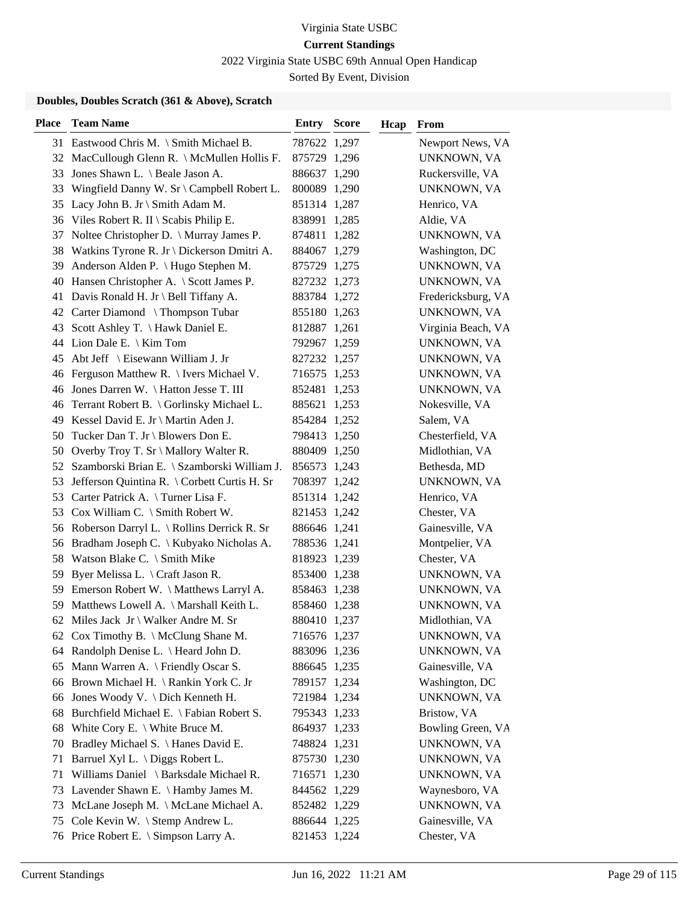2022 Virginia State USBC 69th Annual Open Handicap

Sorted By Event, Division

| <b>Place</b> | <b>Team Name</b>                                | <b>Entry Score</b> | Hcap | From               |
|--------------|-------------------------------------------------|--------------------|------|--------------------|
|              | 31 Eastwood Chris M. \ Smith Michael B.         | 787622 1,297       |      | Newport News, VA   |
|              | 32 MacCullough Glenn R. \ McMullen Hollis F.    | 875729 1,296       |      | UNKNOWN, VA        |
| 33           | Jones Shawn L. \ Beale Jason A.                 | 886637 1,290       |      | Ruckersville, VA   |
| 33           | Wingfield Danny W. Sr \ Campbell Robert L.      | 800089 1,290       |      | UNKNOWN, VA        |
| 35           | Lacy John B. Jr \ Smith Adam M.                 | 851314 1,287       |      | Henrico, VA        |
|              | 36 Viles Robert R. II \ Scabis Philip E.        | 838991 1,285       |      | Aldie, VA          |
|              | 37 Noltee Christopher D. \ Murray James P.      | 874811 1,282       |      | UNKNOWN, VA        |
|              | 38 Watkins Tyrone R. Jr \ Dickerson Dmitri A.   | 884067 1,279       |      | Washington, DC     |
| 39           | Anderson Alden P. \ Hugo Stephen M.             | 875729 1,275       |      | UNKNOWN, VA        |
|              | 40 Hansen Christopher A. \ Scott James P.       | 827232 1,273       |      | UNKNOWN, VA        |
|              | 41 Davis Ronald H. Jr \ Bell Tiffany A.         | 883784 1,272       |      | Fredericksburg, VA |
|              | 42 Carter Diamond \Thompson Tubar               | 855180 1,263       |      | UNKNOWN, VA        |
|              | 43 Scott Ashley T. \Hawk Daniel E.              | 812887 1,261       |      | Virginia Beach, VA |
|              | 44 Lion Dale E. \ Kim Tom                       | 792967 1,259       |      | UNKNOWN, VA        |
|              | 45 Abt Jeff \ Eisewann William J. Jr            | 827232 1,257       |      | UNKNOWN, VA        |
|              | 46 Ferguson Matthew R. \ Ivers Michael V.       | 716575 1,253       |      | UNKNOWN, VA        |
|              | 46 Jones Darren W. \ Hatton Jesse T. III        | 852481 1,253       |      | UNKNOWN, VA        |
|              | 46 Terrant Robert B. \ Gorlinsky Michael L.     | 885621 1,253       |      | Nokesville, VA     |
|              | 49 Kessel David E. Jr \ Martin Aden J.          | 854284 1,252       |      | Salem, VA          |
|              | 50 Tucker Dan T. Jr \ Blowers Don E.            | 798413 1,250       |      | Chesterfield, VA   |
|              | 50 Overby Troy T. Sr \ Mallory Walter R.        | 880409 1,250       |      | Midlothian, VA     |
|              | 52 Szamborski Brian E. \ Szamborski William J.  | 856573 1,243       |      | Bethesda, MD       |
|              | 53 Jefferson Quintina R. \ Corbett Curtis H. Sr | 708397 1,242       |      | UNKNOWN, VA        |
|              | 53 Carter Patrick A. \Turner Lisa F.            | 851314 1,242       |      | Henrico, VA        |
|              | 53 Cox William C. \ Smith Robert W.             | 821453 1,242       |      | Chester, VA        |
|              | 56 Roberson Darryl L. \ Rollins Derrick R. Sr   | 886646 1,241       |      | Gainesville, VA    |
|              | 56 Bradham Joseph C. \ Kubyako Nicholas A.      | 788536 1,241       |      | Montpelier, VA     |
| 58           | Watson Blake C. \ Smith Mike                    | 818923 1,239       |      | Chester, VA        |
| 59           | Byer Melissa L. \ Craft Jason R.                | 853400 1,238       |      | UNKNOWN, VA        |
|              | 59 Emerson Robert W. \ Matthews Larryl A.       | 858463 1,238       |      | UNKNOWN, VA        |
|              | 59 Matthews Lowell A. \ Marshall Keith L.       | 858460 1,238       |      | UNKNOWN, VA        |
|              | 62 Miles Jack Jr \ Walker Andre M. Sr           | 880410 1,237       |      | Midlothian, VA     |
|              | 62 Cox Timothy B. \ McClung Shane M.            | 716576 1,237       |      | <b>UNKNOWN, VA</b> |
|              | 64 Randolph Denise L. \ Heard John D.           | 883096 1,236       |      | UNKNOWN, VA        |
|              | 65 Mann Warren A. \ Friendly Oscar S.           | 886645 1,235       |      | Gainesville, VA    |
|              | 66 Brown Michael H. \Rankin York C. Jr          | 789157 1,234       |      | Washington, DC     |
|              | 66 Jones Woody V. \ Dich Kenneth H.             | 721984 1,234       |      | UNKNOWN, VA        |
| 68           | Burchfield Michael E. \ Fabian Robert S.        | 795343 1,233       |      | Bristow, VA        |
|              | 68 White Cory E. \ White Bruce M.               | 864937 1,233       |      | Bowling Green, VA  |
| 70           | Bradley Michael S. \ Hanes David E.             | 748824 1,231       |      | UNKNOWN, VA        |
| 71           | Barruel Xyl L. \ Diggs Robert L.                | 875730 1,230       |      | UNKNOWN, VA        |
| 71           | Williams Daniel \ Barksdale Michael R.          | 716571 1,230       |      | UNKNOWN, VA        |
|              | 73 Lavender Shawn E. \ Hamby James M.           | 844562 1,229       |      | Waynesboro, VA     |
| 73           | McLane Joseph M. \ McLane Michael A.            | 852482 1,229       |      | UNKNOWN, VA        |
| 75           | Cole Kevin W. \ Stemp Andrew L.                 | 886644 1,225       |      | Gainesville, VA    |
|              | 76 Price Robert E. \ Simpson Larry A.           | 821453 1,224       |      | Chester, VA        |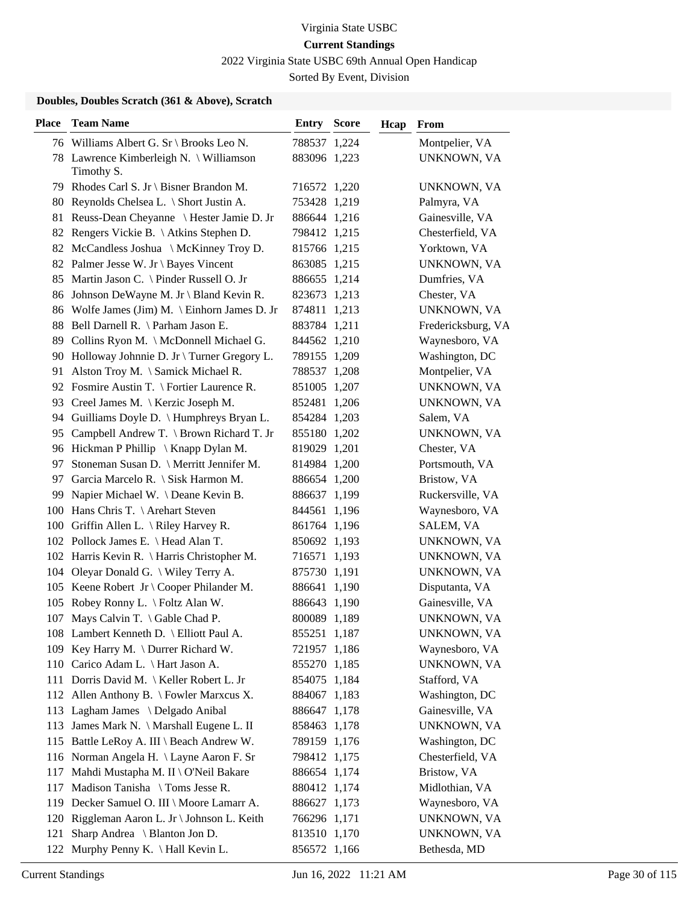2022 Virginia State USBC 69th Annual Open Handicap

Sorted By Event, Division

| <b>Place</b> | <b>Team Name</b>                                      | <b>Entry Score</b> | Hcap | From               |
|--------------|-------------------------------------------------------|--------------------|------|--------------------|
|              | 76 Williams Albert G. Sr \ Brooks Leo N.              | 788537 1,224       |      | Montpelier, VA     |
|              | 78 Lawrence Kimberleigh N. \ Williamson<br>Timothy S. | 883096 1,223       |      | UNKNOWN, VA        |
|              | 79 Rhodes Carl S. Jr \ Bisner Brandon M.              | 716572 1,220       |      | UNKNOWN, VA        |
|              | 80 Reynolds Chelsea L. \ Short Justin A.              | 753428 1,219       |      | Palmyra, VA        |
|              | 81 Reuss-Dean Cheyanne \ Hester Jamie D. Jr           | 886644 1,216       |      | Gainesville, VA    |
|              | 82 Rengers Vickie B. \Atkins Stephen D.               | 798412 1,215       |      | Chesterfield, VA   |
|              | 82 McCandless Joshua \ McKinney Troy D.               | 815766 1,215       |      | Yorktown, VA       |
|              | 82 Palmer Jesse W. Jr \ Bayes Vincent                 | 863085 1,215       |      | UNKNOWN, VA        |
|              | 85 Martin Jason C. \ Pinder Russell O. Jr             | 886655 1,214       |      | Dumfries, VA       |
|              | 86 Johnson DeWayne M. Jr \ Bland Kevin R.             | 823673 1,213       |      | Chester, VA        |
|              | 86 Wolfe James (Jim) M. \ Einhorn James D. Jr         | 874811 1,213       |      | UNKNOWN, VA        |
|              | 88 Bell Darnell R. \ Parham Jason E.                  | 883784 1,211       |      | Fredericksburg, VA |
|              | 89 Collins Ryon M. \ McDonnell Michael G.             | 844562 1,210       |      | Waynesboro, VA     |
|              | 90 Holloway Johnnie D. Jr \ Turner Gregory L.         | 789155 1,209       |      | Washington, DC     |
| 91           | Alston Troy M. \ Samick Michael R.                    | 788537 1,208       |      | Montpelier, VA     |
|              | 92 Fosmire Austin T. \ Fortier Laurence R.            | 851005 1,207       |      | UNKNOWN, VA        |
|              | 93 Creel James M. \ Kerzic Joseph M.                  | 852481 1,206       |      | UNKNOWN, VA        |
|              | 94 Guilliams Doyle D. \ Humphreys Bryan L.            | 854284 1,203       |      | Salem, VA          |
| 95           | Campbell Andrew T. \ Brown Richard T. Jr              | 855180 1,202       |      | UNKNOWN, VA        |
|              | 96 Hickman P Phillip \ Knapp Dylan M.                 | 819029 1,201       |      | Chester, VA        |
| 97           | Stoneman Susan D. \ Merritt Jennifer M.               | 814984 1,200       |      | Portsmouth, VA     |
| 97           | Garcia Marcelo R. \ Sisk Harmon M.                    | 886654 1,200       |      | Bristow, VA        |
|              | 99 Napier Michael W. \Deane Kevin B.                  | 886637 1,199       |      | Ruckersville, VA   |
|              | 100 Hans Chris T. \ Arehart Steven                    | 844561 1,196       |      | Waynesboro, VA     |
|              | 100 Griffin Allen L. \ Riley Harvey R.                | 861764 1,196       |      | SALEM, VA          |
|              | 102 Pollock James E. \ Head Alan T.                   | 850692 1,193       |      | UNKNOWN, VA        |
|              | 102 Harris Kevin R. \ Harris Christopher M.           | 716571 1,193       |      | UNKNOWN, VA        |
|              | 104 Oleyar Donald G. \ Wiley Terry A.                 | 875730 1,191       |      | UNKNOWN, VA        |
|              | 105 Keene Robert Jr \ Cooper Philander M.             | 886641 1,190       |      | Disputanta, VA     |
|              | 105 Robey Ronny L. \ Foltz Alan W.                    | 886643 1,190       |      | Gainesville, VA    |
| 107          | Mays Calvin T. $\setminus$ Gable Chad P.              | 800089 1,189       |      | UNKNOWN, VA        |
|              | 108 Lambert Kenneth D. \ Elliott Paul A.              | 855251 1,187       |      | UNKNOWN, VA        |
|              | 109 Key Harry M. \ Durrer Richard W.                  | 721957 1,186       |      | Waynesboro, VA     |
|              | 110 Carico Adam L. \ Hart Jason A.                    | 855270 1,185       |      | UNKNOWN, VA        |
|              | 111 Dorris David M.   Keller Robert L. Jr             | 854075 1,184       |      | Stafford, VA       |
|              | 112 Allen Anthony B. \ Fowler Marxcus X.              | 884067 1,183       |      | Washington, DC     |
|              | 113 Lagham James \ Delgado Anibal                     | 886647 1,178       |      | Gainesville, VA    |
|              | 113 James Mark N. \ Marshall Eugene L. II             | 858463 1,178       |      | UNKNOWN, VA        |
|              | 115 Battle LeRoy A. III \ Beach Andrew W.             | 789159 1,176       |      | Washington, DC     |
|              | 116 Norman Angela H. \ Layne Aaron F. Sr              | 798412 1,175       |      | Chesterfield, VA   |
|              | 117 Mahdi Mustapha M. II \ O'Neil Bakare              | 886654 1,174       |      | Bristow, VA        |
| 117          | Madison Tanisha \ Toms Jesse R.                       | 880412 1,174       |      | Midlothian, VA     |
|              | 119 Decker Samuel O. III \ Moore Lamarr A.            | 886627 1,173       |      | Waynesboro, VA     |
|              | 120 Riggleman Aaron L. Jr \ Johnson L. Keith          | 766296 1,171       |      | UNKNOWN, VA        |
| 121          | Sharp Andrea \ Blanton Jon D.                         | 813510 1,170       |      | UNKNOWN, VA        |
| 122          | Murphy Penny K. $\langle$ Hall Kevin L.               | 856572 1,166       |      | Bethesda, MD       |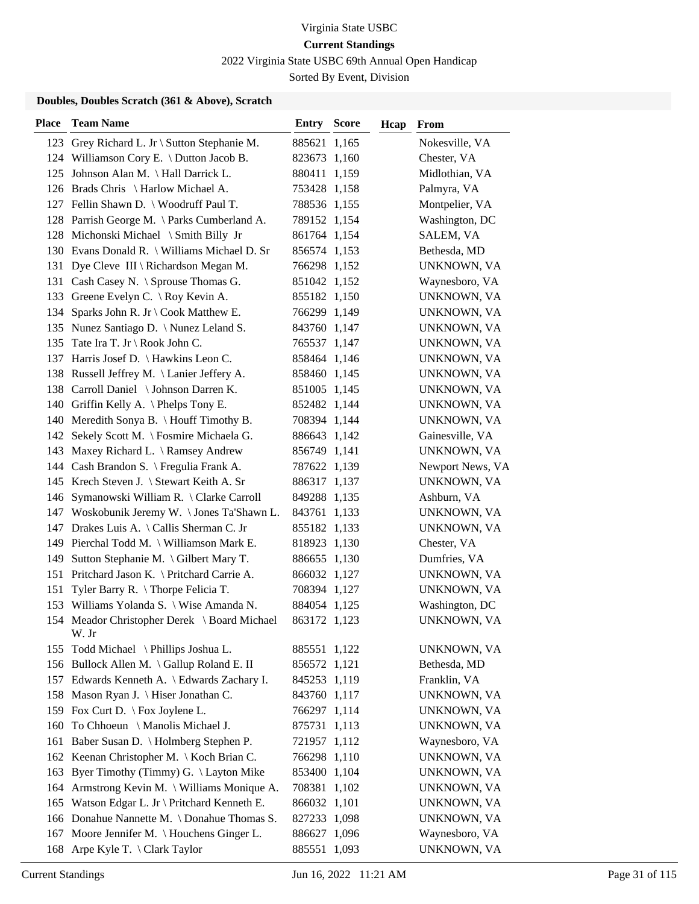2022 Virginia State USBC 69th Annual Open Handicap

Sorted By Event, Division

| 123 Grey Richard L. Jr \ Sutton Stephanie M.<br>885621 1,165<br>Nokesville, VA<br>124 Williamson Cory E. \ Dutton Jacob B.<br>Chester, VA<br>823673 1,160<br>Johnson Alan M. \ Hall Darrick L.<br>Midlothian, VA<br>880411 1,159<br>125<br>126 Brads Chris \ Harlow Michael A.<br>Palmyra, VA<br>753428 1,158<br>Montpelier, VA<br>127 Fellin Shawn D. \ Woodruff Paul T.<br>788536 1,155<br>128 Parrish George M. \ Parks Cumberland A.<br>Washington, DC<br>789152 1,154<br>128 Michonski Michael \ Smith Billy Jr<br>SALEM, VA<br>861764 1,154<br>130 Evans Donald R. \ Williams Michael D. Sr<br>856574 1,153<br>Bethesda, MD<br>Dye Cleve III \ Richardson Megan M.<br>766298 1,152<br>UNKNOWN, VA<br>131<br>131 Cash Casey N. \ Sprouse Thomas G.<br>Waynesboro, VA<br>851042 1,152<br>133 Greene Evelyn C. \ Roy Kevin A.<br>855182 1,150<br>UNKNOWN, VA<br>Sparks John R. Jr \ Cook Matthew E.<br>766299 1,149<br>UNKNOWN, VA<br>134<br>Nunez Santiago D. \ Nunez Leland S.<br>843760 1,147<br>135<br>UNKNOWN, VA<br>Tate Ira T. Jr \ Rook John C.<br>135<br>765537 1,147<br>UNKNOWN, VA<br>137 Harris Josef D. \ Hawkins Leon C.<br>858464 1,146<br>UNKNOWN, VA<br>138 Russell Jeffrey M. \Lanier Jeffery A.<br>858460 1,145<br>UNKNOWN, VA<br>138 Carroll Daniel \ Johnson Darren K.<br>851005 1,145<br>UNKNOWN, VA<br>140 Griffin Kelly A. \Phelps Tony E.<br>852482 1,144<br>UNKNOWN, VA<br>140 Meredith Sonya B. \ Houff Timothy B.<br>708394 1,144<br>UNKNOWN, VA<br>142 Sekely Scott M. \ Fosmire Michaela G.<br>886643 1,142<br>Gainesville, VA<br>Maxey Richard L. \ Ramsey Andrew<br>856749 1,141<br>UNKNOWN, VA<br>143<br>144 Cash Brandon S. \ Fregulia Frank A.<br>Newport News, VA<br>787622 1,139<br>145 Krech Steven J. \ Stewart Keith A. Sr<br>UNKNOWN, VA<br>886317 1,137<br>146 Symanowski William R. \ Clarke Carroll<br>849288 1,135<br>Ashburn, VA<br>147 Woskobunik Jeremy W. \Jones Ta'Shawn L.<br>843761 1,133<br>UNKNOWN, VA<br>147 Drakes Luis A. \ Callis Sherman C. Jr<br>855182 1,133<br>UNKNOWN, VA<br>149 Pierchal Todd M. \ Williamson Mark E.<br>Chester, VA<br>818923 1,130<br>Sutton Stephanie M. \ Gilbert Mary T.<br>886655 1,130<br>Dumfries, VA<br>149<br>151 Pritchard Jason K. \ Pritchard Carrie A.<br>866032 1,127<br>UNKNOWN, VA<br>Tyler Barry R. $\langle$ Thorpe Felicia T.<br>151<br>708394 1,127<br>UNKNOWN, VA<br>153 Williams Yolanda S. \ Wise Amanda N.<br>Washington, DC<br>884054 1,125<br>154 Meador Christopher Derek \ Board Michael<br>UNKNOWN, VA<br>863172 1,123<br>W. Jr<br>Todd Michael \ Phillips Joshua L.<br>885551 1,122<br>UNKNOWN, VA<br>155<br>156 Bullock Allen M. \Gallup Roland E. II<br>Bethesda, MD<br>856572 1,121<br>157 Edwards Kenneth A. \ Edwards Zachary I.<br>Franklin, VA<br>845253 1,119<br>158 Mason Ryan J. \ Hiser Jonathan C.<br>843760 1,117<br>UNKNOWN, VA<br>159 Fox Curt D. \ Fox Joylene L.<br>766297 1,114<br>UNKNOWN, VA<br>To Chhoeun \ Manolis Michael J.<br>160<br>875731 1,113<br>UNKNOWN, VA<br>Baber Susan D. \ Holmberg Stephen P.<br>721957 1,112<br>Waynesboro, VA<br>161<br>162 Keenan Christopher M. \ Koch Brian C.<br>766298 1,110<br>UNKNOWN, VA<br>Byer Timothy (Timmy) G. \ Layton Mike<br>853400 1,104<br>163<br>UNKNOWN, VA<br>Armstrong Kevin M. \ Williams Monique A.<br>708381 1,102<br>164<br>UNKNOWN, VA<br>Watson Edgar L. Jr \ Pritchard Kenneth E.<br>866032 1,101<br>165<br>UNKNOWN, VA<br>166 Donahue Nannette M. \Donahue Thomas S.<br>827233 1,098<br>UNKNOWN, VA<br>Moore Jennifer M. \ Houchens Ginger L.<br>886627<br>Waynesboro, VA<br>167<br>1,096<br>885551 1,093 | <b>Place</b> | <b>Team Name</b>            | Entry | <b>Score</b> | Hcap | From        |
|-----------------------------------------------------------------------------------------------------------------------------------------------------------------------------------------------------------------------------------------------------------------------------------------------------------------------------------------------------------------------------------------------------------------------------------------------------------------------------------------------------------------------------------------------------------------------------------------------------------------------------------------------------------------------------------------------------------------------------------------------------------------------------------------------------------------------------------------------------------------------------------------------------------------------------------------------------------------------------------------------------------------------------------------------------------------------------------------------------------------------------------------------------------------------------------------------------------------------------------------------------------------------------------------------------------------------------------------------------------------------------------------------------------------------------------------------------------------------------------------------------------------------------------------------------------------------------------------------------------------------------------------------------------------------------------------------------------------------------------------------------------------------------------------------------------------------------------------------------------------------------------------------------------------------------------------------------------------------------------------------------------------------------------------------------------------------------------------------------------------------------------------------------------------------------------------------------------------------------------------------------------------------------------------------------------------------------------------------------------------------------------------------------------------------------------------------------------------------------------------------------------------------------------------------------------------------------------------------------------------------------------------------------------------------------------------------------------------------------------------------------------------------------------------------------------------------------------------------------------------------------------------------------------------------------------------------------------------------------------------------------------------------------------------------------------------------------------------------------------------------------------------------------------------------------------------------------------------------------------------------------------------------------------------------------------------------------------------------------------------------------------------------------------------------------------------------------------------------------------------------------------------------------------------------------------------------------------------------------------------|--------------|-----------------------------|-------|--------------|------|-------------|
|                                                                                                                                                                                                                                                                                                                                                                                                                                                                                                                                                                                                                                                                                                                                                                                                                                                                                                                                                                                                                                                                                                                                                                                                                                                                                                                                                                                                                                                                                                                                                                                                                                                                                                                                                                                                                                                                                                                                                                                                                                                                                                                                                                                                                                                                                                                                                                                                                                                                                                                                                                                                                                                                                                                                                                                                                                                                                                                                                                                                                                                                                                                                                                                                                                                                                                                                                                                                                                                                                                                                                                                                                 |              |                             |       |              |      |             |
|                                                                                                                                                                                                                                                                                                                                                                                                                                                                                                                                                                                                                                                                                                                                                                                                                                                                                                                                                                                                                                                                                                                                                                                                                                                                                                                                                                                                                                                                                                                                                                                                                                                                                                                                                                                                                                                                                                                                                                                                                                                                                                                                                                                                                                                                                                                                                                                                                                                                                                                                                                                                                                                                                                                                                                                                                                                                                                                                                                                                                                                                                                                                                                                                                                                                                                                                                                                                                                                                                                                                                                                                                 |              |                             |       |              |      |             |
|                                                                                                                                                                                                                                                                                                                                                                                                                                                                                                                                                                                                                                                                                                                                                                                                                                                                                                                                                                                                                                                                                                                                                                                                                                                                                                                                                                                                                                                                                                                                                                                                                                                                                                                                                                                                                                                                                                                                                                                                                                                                                                                                                                                                                                                                                                                                                                                                                                                                                                                                                                                                                                                                                                                                                                                                                                                                                                                                                                                                                                                                                                                                                                                                                                                                                                                                                                                                                                                                                                                                                                                                                 |              |                             |       |              |      |             |
|                                                                                                                                                                                                                                                                                                                                                                                                                                                                                                                                                                                                                                                                                                                                                                                                                                                                                                                                                                                                                                                                                                                                                                                                                                                                                                                                                                                                                                                                                                                                                                                                                                                                                                                                                                                                                                                                                                                                                                                                                                                                                                                                                                                                                                                                                                                                                                                                                                                                                                                                                                                                                                                                                                                                                                                                                                                                                                                                                                                                                                                                                                                                                                                                                                                                                                                                                                                                                                                                                                                                                                                                                 |              |                             |       |              |      |             |
|                                                                                                                                                                                                                                                                                                                                                                                                                                                                                                                                                                                                                                                                                                                                                                                                                                                                                                                                                                                                                                                                                                                                                                                                                                                                                                                                                                                                                                                                                                                                                                                                                                                                                                                                                                                                                                                                                                                                                                                                                                                                                                                                                                                                                                                                                                                                                                                                                                                                                                                                                                                                                                                                                                                                                                                                                                                                                                                                                                                                                                                                                                                                                                                                                                                                                                                                                                                                                                                                                                                                                                                                                 |              |                             |       |              |      |             |
|                                                                                                                                                                                                                                                                                                                                                                                                                                                                                                                                                                                                                                                                                                                                                                                                                                                                                                                                                                                                                                                                                                                                                                                                                                                                                                                                                                                                                                                                                                                                                                                                                                                                                                                                                                                                                                                                                                                                                                                                                                                                                                                                                                                                                                                                                                                                                                                                                                                                                                                                                                                                                                                                                                                                                                                                                                                                                                                                                                                                                                                                                                                                                                                                                                                                                                                                                                                                                                                                                                                                                                                                                 |              |                             |       |              |      |             |
|                                                                                                                                                                                                                                                                                                                                                                                                                                                                                                                                                                                                                                                                                                                                                                                                                                                                                                                                                                                                                                                                                                                                                                                                                                                                                                                                                                                                                                                                                                                                                                                                                                                                                                                                                                                                                                                                                                                                                                                                                                                                                                                                                                                                                                                                                                                                                                                                                                                                                                                                                                                                                                                                                                                                                                                                                                                                                                                                                                                                                                                                                                                                                                                                                                                                                                                                                                                                                                                                                                                                                                                                                 |              |                             |       |              |      |             |
|                                                                                                                                                                                                                                                                                                                                                                                                                                                                                                                                                                                                                                                                                                                                                                                                                                                                                                                                                                                                                                                                                                                                                                                                                                                                                                                                                                                                                                                                                                                                                                                                                                                                                                                                                                                                                                                                                                                                                                                                                                                                                                                                                                                                                                                                                                                                                                                                                                                                                                                                                                                                                                                                                                                                                                                                                                                                                                                                                                                                                                                                                                                                                                                                                                                                                                                                                                                                                                                                                                                                                                                                                 |              |                             |       |              |      |             |
|                                                                                                                                                                                                                                                                                                                                                                                                                                                                                                                                                                                                                                                                                                                                                                                                                                                                                                                                                                                                                                                                                                                                                                                                                                                                                                                                                                                                                                                                                                                                                                                                                                                                                                                                                                                                                                                                                                                                                                                                                                                                                                                                                                                                                                                                                                                                                                                                                                                                                                                                                                                                                                                                                                                                                                                                                                                                                                                                                                                                                                                                                                                                                                                                                                                                                                                                                                                                                                                                                                                                                                                                                 |              |                             |       |              |      |             |
|                                                                                                                                                                                                                                                                                                                                                                                                                                                                                                                                                                                                                                                                                                                                                                                                                                                                                                                                                                                                                                                                                                                                                                                                                                                                                                                                                                                                                                                                                                                                                                                                                                                                                                                                                                                                                                                                                                                                                                                                                                                                                                                                                                                                                                                                                                                                                                                                                                                                                                                                                                                                                                                                                                                                                                                                                                                                                                                                                                                                                                                                                                                                                                                                                                                                                                                                                                                                                                                                                                                                                                                                                 |              |                             |       |              |      |             |
|                                                                                                                                                                                                                                                                                                                                                                                                                                                                                                                                                                                                                                                                                                                                                                                                                                                                                                                                                                                                                                                                                                                                                                                                                                                                                                                                                                                                                                                                                                                                                                                                                                                                                                                                                                                                                                                                                                                                                                                                                                                                                                                                                                                                                                                                                                                                                                                                                                                                                                                                                                                                                                                                                                                                                                                                                                                                                                                                                                                                                                                                                                                                                                                                                                                                                                                                                                                                                                                                                                                                                                                                                 |              |                             |       |              |      |             |
|                                                                                                                                                                                                                                                                                                                                                                                                                                                                                                                                                                                                                                                                                                                                                                                                                                                                                                                                                                                                                                                                                                                                                                                                                                                                                                                                                                                                                                                                                                                                                                                                                                                                                                                                                                                                                                                                                                                                                                                                                                                                                                                                                                                                                                                                                                                                                                                                                                                                                                                                                                                                                                                                                                                                                                                                                                                                                                                                                                                                                                                                                                                                                                                                                                                                                                                                                                                                                                                                                                                                                                                                                 |              |                             |       |              |      |             |
|                                                                                                                                                                                                                                                                                                                                                                                                                                                                                                                                                                                                                                                                                                                                                                                                                                                                                                                                                                                                                                                                                                                                                                                                                                                                                                                                                                                                                                                                                                                                                                                                                                                                                                                                                                                                                                                                                                                                                                                                                                                                                                                                                                                                                                                                                                                                                                                                                                                                                                                                                                                                                                                                                                                                                                                                                                                                                                                                                                                                                                                                                                                                                                                                                                                                                                                                                                                                                                                                                                                                                                                                                 |              |                             |       |              |      |             |
|                                                                                                                                                                                                                                                                                                                                                                                                                                                                                                                                                                                                                                                                                                                                                                                                                                                                                                                                                                                                                                                                                                                                                                                                                                                                                                                                                                                                                                                                                                                                                                                                                                                                                                                                                                                                                                                                                                                                                                                                                                                                                                                                                                                                                                                                                                                                                                                                                                                                                                                                                                                                                                                                                                                                                                                                                                                                                                                                                                                                                                                                                                                                                                                                                                                                                                                                                                                                                                                                                                                                                                                                                 |              |                             |       |              |      |             |
|                                                                                                                                                                                                                                                                                                                                                                                                                                                                                                                                                                                                                                                                                                                                                                                                                                                                                                                                                                                                                                                                                                                                                                                                                                                                                                                                                                                                                                                                                                                                                                                                                                                                                                                                                                                                                                                                                                                                                                                                                                                                                                                                                                                                                                                                                                                                                                                                                                                                                                                                                                                                                                                                                                                                                                                                                                                                                                                                                                                                                                                                                                                                                                                                                                                                                                                                                                                                                                                                                                                                                                                                                 |              |                             |       |              |      |             |
|                                                                                                                                                                                                                                                                                                                                                                                                                                                                                                                                                                                                                                                                                                                                                                                                                                                                                                                                                                                                                                                                                                                                                                                                                                                                                                                                                                                                                                                                                                                                                                                                                                                                                                                                                                                                                                                                                                                                                                                                                                                                                                                                                                                                                                                                                                                                                                                                                                                                                                                                                                                                                                                                                                                                                                                                                                                                                                                                                                                                                                                                                                                                                                                                                                                                                                                                                                                                                                                                                                                                                                                                                 |              |                             |       |              |      |             |
|                                                                                                                                                                                                                                                                                                                                                                                                                                                                                                                                                                                                                                                                                                                                                                                                                                                                                                                                                                                                                                                                                                                                                                                                                                                                                                                                                                                                                                                                                                                                                                                                                                                                                                                                                                                                                                                                                                                                                                                                                                                                                                                                                                                                                                                                                                                                                                                                                                                                                                                                                                                                                                                                                                                                                                                                                                                                                                                                                                                                                                                                                                                                                                                                                                                                                                                                                                                                                                                                                                                                                                                                                 |              |                             |       |              |      |             |
|                                                                                                                                                                                                                                                                                                                                                                                                                                                                                                                                                                                                                                                                                                                                                                                                                                                                                                                                                                                                                                                                                                                                                                                                                                                                                                                                                                                                                                                                                                                                                                                                                                                                                                                                                                                                                                                                                                                                                                                                                                                                                                                                                                                                                                                                                                                                                                                                                                                                                                                                                                                                                                                                                                                                                                                                                                                                                                                                                                                                                                                                                                                                                                                                                                                                                                                                                                                                                                                                                                                                                                                                                 |              |                             |       |              |      |             |
|                                                                                                                                                                                                                                                                                                                                                                                                                                                                                                                                                                                                                                                                                                                                                                                                                                                                                                                                                                                                                                                                                                                                                                                                                                                                                                                                                                                                                                                                                                                                                                                                                                                                                                                                                                                                                                                                                                                                                                                                                                                                                                                                                                                                                                                                                                                                                                                                                                                                                                                                                                                                                                                                                                                                                                                                                                                                                                                                                                                                                                                                                                                                                                                                                                                                                                                                                                                                                                                                                                                                                                                                                 |              |                             |       |              |      |             |
|                                                                                                                                                                                                                                                                                                                                                                                                                                                                                                                                                                                                                                                                                                                                                                                                                                                                                                                                                                                                                                                                                                                                                                                                                                                                                                                                                                                                                                                                                                                                                                                                                                                                                                                                                                                                                                                                                                                                                                                                                                                                                                                                                                                                                                                                                                                                                                                                                                                                                                                                                                                                                                                                                                                                                                                                                                                                                                                                                                                                                                                                                                                                                                                                                                                                                                                                                                                                                                                                                                                                                                                                                 |              |                             |       |              |      |             |
|                                                                                                                                                                                                                                                                                                                                                                                                                                                                                                                                                                                                                                                                                                                                                                                                                                                                                                                                                                                                                                                                                                                                                                                                                                                                                                                                                                                                                                                                                                                                                                                                                                                                                                                                                                                                                                                                                                                                                                                                                                                                                                                                                                                                                                                                                                                                                                                                                                                                                                                                                                                                                                                                                                                                                                                                                                                                                                                                                                                                                                                                                                                                                                                                                                                                                                                                                                                                                                                                                                                                                                                                                 |              |                             |       |              |      |             |
|                                                                                                                                                                                                                                                                                                                                                                                                                                                                                                                                                                                                                                                                                                                                                                                                                                                                                                                                                                                                                                                                                                                                                                                                                                                                                                                                                                                                                                                                                                                                                                                                                                                                                                                                                                                                                                                                                                                                                                                                                                                                                                                                                                                                                                                                                                                                                                                                                                                                                                                                                                                                                                                                                                                                                                                                                                                                                                                                                                                                                                                                                                                                                                                                                                                                                                                                                                                                                                                                                                                                                                                                                 |              |                             |       |              |      |             |
|                                                                                                                                                                                                                                                                                                                                                                                                                                                                                                                                                                                                                                                                                                                                                                                                                                                                                                                                                                                                                                                                                                                                                                                                                                                                                                                                                                                                                                                                                                                                                                                                                                                                                                                                                                                                                                                                                                                                                                                                                                                                                                                                                                                                                                                                                                                                                                                                                                                                                                                                                                                                                                                                                                                                                                                                                                                                                                                                                                                                                                                                                                                                                                                                                                                                                                                                                                                                                                                                                                                                                                                                                 |              |                             |       |              |      |             |
|                                                                                                                                                                                                                                                                                                                                                                                                                                                                                                                                                                                                                                                                                                                                                                                                                                                                                                                                                                                                                                                                                                                                                                                                                                                                                                                                                                                                                                                                                                                                                                                                                                                                                                                                                                                                                                                                                                                                                                                                                                                                                                                                                                                                                                                                                                                                                                                                                                                                                                                                                                                                                                                                                                                                                                                                                                                                                                                                                                                                                                                                                                                                                                                                                                                                                                                                                                                                                                                                                                                                                                                                                 |              |                             |       |              |      |             |
|                                                                                                                                                                                                                                                                                                                                                                                                                                                                                                                                                                                                                                                                                                                                                                                                                                                                                                                                                                                                                                                                                                                                                                                                                                                                                                                                                                                                                                                                                                                                                                                                                                                                                                                                                                                                                                                                                                                                                                                                                                                                                                                                                                                                                                                                                                                                                                                                                                                                                                                                                                                                                                                                                                                                                                                                                                                                                                                                                                                                                                                                                                                                                                                                                                                                                                                                                                                                                                                                                                                                                                                                                 |              |                             |       |              |      |             |
|                                                                                                                                                                                                                                                                                                                                                                                                                                                                                                                                                                                                                                                                                                                                                                                                                                                                                                                                                                                                                                                                                                                                                                                                                                                                                                                                                                                                                                                                                                                                                                                                                                                                                                                                                                                                                                                                                                                                                                                                                                                                                                                                                                                                                                                                                                                                                                                                                                                                                                                                                                                                                                                                                                                                                                                                                                                                                                                                                                                                                                                                                                                                                                                                                                                                                                                                                                                                                                                                                                                                                                                                                 |              |                             |       |              |      |             |
|                                                                                                                                                                                                                                                                                                                                                                                                                                                                                                                                                                                                                                                                                                                                                                                                                                                                                                                                                                                                                                                                                                                                                                                                                                                                                                                                                                                                                                                                                                                                                                                                                                                                                                                                                                                                                                                                                                                                                                                                                                                                                                                                                                                                                                                                                                                                                                                                                                                                                                                                                                                                                                                                                                                                                                                                                                                                                                                                                                                                                                                                                                                                                                                                                                                                                                                                                                                                                                                                                                                                                                                                                 |              |                             |       |              |      |             |
|                                                                                                                                                                                                                                                                                                                                                                                                                                                                                                                                                                                                                                                                                                                                                                                                                                                                                                                                                                                                                                                                                                                                                                                                                                                                                                                                                                                                                                                                                                                                                                                                                                                                                                                                                                                                                                                                                                                                                                                                                                                                                                                                                                                                                                                                                                                                                                                                                                                                                                                                                                                                                                                                                                                                                                                                                                                                                                                                                                                                                                                                                                                                                                                                                                                                                                                                                                                                                                                                                                                                                                                                                 |              |                             |       |              |      |             |
|                                                                                                                                                                                                                                                                                                                                                                                                                                                                                                                                                                                                                                                                                                                                                                                                                                                                                                                                                                                                                                                                                                                                                                                                                                                                                                                                                                                                                                                                                                                                                                                                                                                                                                                                                                                                                                                                                                                                                                                                                                                                                                                                                                                                                                                                                                                                                                                                                                                                                                                                                                                                                                                                                                                                                                                                                                                                                                                                                                                                                                                                                                                                                                                                                                                                                                                                                                                                                                                                                                                                                                                                                 |              |                             |       |              |      |             |
|                                                                                                                                                                                                                                                                                                                                                                                                                                                                                                                                                                                                                                                                                                                                                                                                                                                                                                                                                                                                                                                                                                                                                                                                                                                                                                                                                                                                                                                                                                                                                                                                                                                                                                                                                                                                                                                                                                                                                                                                                                                                                                                                                                                                                                                                                                                                                                                                                                                                                                                                                                                                                                                                                                                                                                                                                                                                                                                                                                                                                                                                                                                                                                                                                                                                                                                                                                                                                                                                                                                                                                                                                 |              |                             |       |              |      |             |
|                                                                                                                                                                                                                                                                                                                                                                                                                                                                                                                                                                                                                                                                                                                                                                                                                                                                                                                                                                                                                                                                                                                                                                                                                                                                                                                                                                                                                                                                                                                                                                                                                                                                                                                                                                                                                                                                                                                                                                                                                                                                                                                                                                                                                                                                                                                                                                                                                                                                                                                                                                                                                                                                                                                                                                                                                                                                                                                                                                                                                                                                                                                                                                                                                                                                                                                                                                                                                                                                                                                                                                                                                 |              |                             |       |              |      |             |
|                                                                                                                                                                                                                                                                                                                                                                                                                                                                                                                                                                                                                                                                                                                                                                                                                                                                                                                                                                                                                                                                                                                                                                                                                                                                                                                                                                                                                                                                                                                                                                                                                                                                                                                                                                                                                                                                                                                                                                                                                                                                                                                                                                                                                                                                                                                                                                                                                                                                                                                                                                                                                                                                                                                                                                                                                                                                                                                                                                                                                                                                                                                                                                                                                                                                                                                                                                                                                                                                                                                                                                                                                 |              |                             |       |              |      |             |
|                                                                                                                                                                                                                                                                                                                                                                                                                                                                                                                                                                                                                                                                                                                                                                                                                                                                                                                                                                                                                                                                                                                                                                                                                                                                                                                                                                                                                                                                                                                                                                                                                                                                                                                                                                                                                                                                                                                                                                                                                                                                                                                                                                                                                                                                                                                                                                                                                                                                                                                                                                                                                                                                                                                                                                                                                                                                                                                                                                                                                                                                                                                                                                                                                                                                                                                                                                                                                                                                                                                                                                                                                 |              |                             |       |              |      |             |
|                                                                                                                                                                                                                                                                                                                                                                                                                                                                                                                                                                                                                                                                                                                                                                                                                                                                                                                                                                                                                                                                                                                                                                                                                                                                                                                                                                                                                                                                                                                                                                                                                                                                                                                                                                                                                                                                                                                                                                                                                                                                                                                                                                                                                                                                                                                                                                                                                                                                                                                                                                                                                                                                                                                                                                                                                                                                                                                                                                                                                                                                                                                                                                                                                                                                                                                                                                                                                                                                                                                                                                                                                 |              |                             |       |              |      |             |
|                                                                                                                                                                                                                                                                                                                                                                                                                                                                                                                                                                                                                                                                                                                                                                                                                                                                                                                                                                                                                                                                                                                                                                                                                                                                                                                                                                                                                                                                                                                                                                                                                                                                                                                                                                                                                                                                                                                                                                                                                                                                                                                                                                                                                                                                                                                                                                                                                                                                                                                                                                                                                                                                                                                                                                                                                                                                                                                                                                                                                                                                                                                                                                                                                                                                                                                                                                                                                                                                                                                                                                                                                 |              |                             |       |              |      |             |
|                                                                                                                                                                                                                                                                                                                                                                                                                                                                                                                                                                                                                                                                                                                                                                                                                                                                                                                                                                                                                                                                                                                                                                                                                                                                                                                                                                                                                                                                                                                                                                                                                                                                                                                                                                                                                                                                                                                                                                                                                                                                                                                                                                                                                                                                                                                                                                                                                                                                                                                                                                                                                                                                                                                                                                                                                                                                                                                                                                                                                                                                                                                                                                                                                                                                                                                                                                                                                                                                                                                                                                                                                 |              |                             |       |              |      |             |
|                                                                                                                                                                                                                                                                                                                                                                                                                                                                                                                                                                                                                                                                                                                                                                                                                                                                                                                                                                                                                                                                                                                                                                                                                                                                                                                                                                                                                                                                                                                                                                                                                                                                                                                                                                                                                                                                                                                                                                                                                                                                                                                                                                                                                                                                                                                                                                                                                                                                                                                                                                                                                                                                                                                                                                                                                                                                                                                                                                                                                                                                                                                                                                                                                                                                                                                                                                                                                                                                                                                                                                                                                 |              |                             |       |              |      |             |
|                                                                                                                                                                                                                                                                                                                                                                                                                                                                                                                                                                                                                                                                                                                                                                                                                                                                                                                                                                                                                                                                                                                                                                                                                                                                                                                                                                                                                                                                                                                                                                                                                                                                                                                                                                                                                                                                                                                                                                                                                                                                                                                                                                                                                                                                                                                                                                                                                                                                                                                                                                                                                                                                                                                                                                                                                                                                                                                                                                                                                                                                                                                                                                                                                                                                                                                                                                                                                                                                                                                                                                                                                 |              |                             |       |              |      |             |
|                                                                                                                                                                                                                                                                                                                                                                                                                                                                                                                                                                                                                                                                                                                                                                                                                                                                                                                                                                                                                                                                                                                                                                                                                                                                                                                                                                                                                                                                                                                                                                                                                                                                                                                                                                                                                                                                                                                                                                                                                                                                                                                                                                                                                                                                                                                                                                                                                                                                                                                                                                                                                                                                                                                                                                                                                                                                                                                                                                                                                                                                                                                                                                                                                                                                                                                                                                                                                                                                                                                                                                                                                 |              |                             |       |              |      |             |
|                                                                                                                                                                                                                                                                                                                                                                                                                                                                                                                                                                                                                                                                                                                                                                                                                                                                                                                                                                                                                                                                                                                                                                                                                                                                                                                                                                                                                                                                                                                                                                                                                                                                                                                                                                                                                                                                                                                                                                                                                                                                                                                                                                                                                                                                                                                                                                                                                                                                                                                                                                                                                                                                                                                                                                                                                                                                                                                                                                                                                                                                                                                                                                                                                                                                                                                                                                                                                                                                                                                                                                                                                 |              |                             |       |              |      |             |
|                                                                                                                                                                                                                                                                                                                                                                                                                                                                                                                                                                                                                                                                                                                                                                                                                                                                                                                                                                                                                                                                                                                                                                                                                                                                                                                                                                                                                                                                                                                                                                                                                                                                                                                                                                                                                                                                                                                                                                                                                                                                                                                                                                                                                                                                                                                                                                                                                                                                                                                                                                                                                                                                                                                                                                                                                                                                                                                                                                                                                                                                                                                                                                                                                                                                                                                                                                                                                                                                                                                                                                                                                 |              |                             |       |              |      |             |
|                                                                                                                                                                                                                                                                                                                                                                                                                                                                                                                                                                                                                                                                                                                                                                                                                                                                                                                                                                                                                                                                                                                                                                                                                                                                                                                                                                                                                                                                                                                                                                                                                                                                                                                                                                                                                                                                                                                                                                                                                                                                                                                                                                                                                                                                                                                                                                                                                                                                                                                                                                                                                                                                                                                                                                                                                                                                                                                                                                                                                                                                                                                                                                                                                                                                                                                                                                                                                                                                                                                                                                                                                 |              |                             |       |              |      |             |
|                                                                                                                                                                                                                                                                                                                                                                                                                                                                                                                                                                                                                                                                                                                                                                                                                                                                                                                                                                                                                                                                                                                                                                                                                                                                                                                                                                                                                                                                                                                                                                                                                                                                                                                                                                                                                                                                                                                                                                                                                                                                                                                                                                                                                                                                                                                                                                                                                                                                                                                                                                                                                                                                                                                                                                                                                                                                                                                                                                                                                                                                                                                                                                                                                                                                                                                                                                                                                                                                                                                                                                                                                 |              |                             |       |              |      |             |
|                                                                                                                                                                                                                                                                                                                                                                                                                                                                                                                                                                                                                                                                                                                                                                                                                                                                                                                                                                                                                                                                                                                                                                                                                                                                                                                                                                                                                                                                                                                                                                                                                                                                                                                                                                                                                                                                                                                                                                                                                                                                                                                                                                                                                                                                                                                                                                                                                                                                                                                                                                                                                                                                                                                                                                                                                                                                                                                                                                                                                                                                                                                                                                                                                                                                                                                                                                                                                                                                                                                                                                                                                 |              |                             |       |              |      |             |
|                                                                                                                                                                                                                                                                                                                                                                                                                                                                                                                                                                                                                                                                                                                                                                                                                                                                                                                                                                                                                                                                                                                                                                                                                                                                                                                                                                                                                                                                                                                                                                                                                                                                                                                                                                                                                                                                                                                                                                                                                                                                                                                                                                                                                                                                                                                                                                                                                                                                                                                                                                                                                                                                                                                                                                                                                                                                                                                                                                                                                                                                                                                                                                                                                                                                                                                                                                                                                                                                                                                                                                                                                 |              |                             |       |              |      |             |
|                                                                                                                                                                                                                                                                                                                                                                                                                                                                                                                                                                                                                                                                                                                                                                                                                                                                                                                                                                                                                                                                                                                                                                                                                                                                                                                                                                                                                                                                                                                                                                                                                                                                                                                                                                                                                                                                                                                                                                                                                                                                                                                                                                                                                                                                                                                                                                                                                                                                                                                                                                                                                                                                                                                                                                                                                                                                                                                                                                                                                                                                                                                                                                                                                                                                                                                                                                                                                                                                                                                                                                                                                 | 168          | Arpe Kyle T. \ Clark Taylor |       |              |      | UNKNOWN, VA |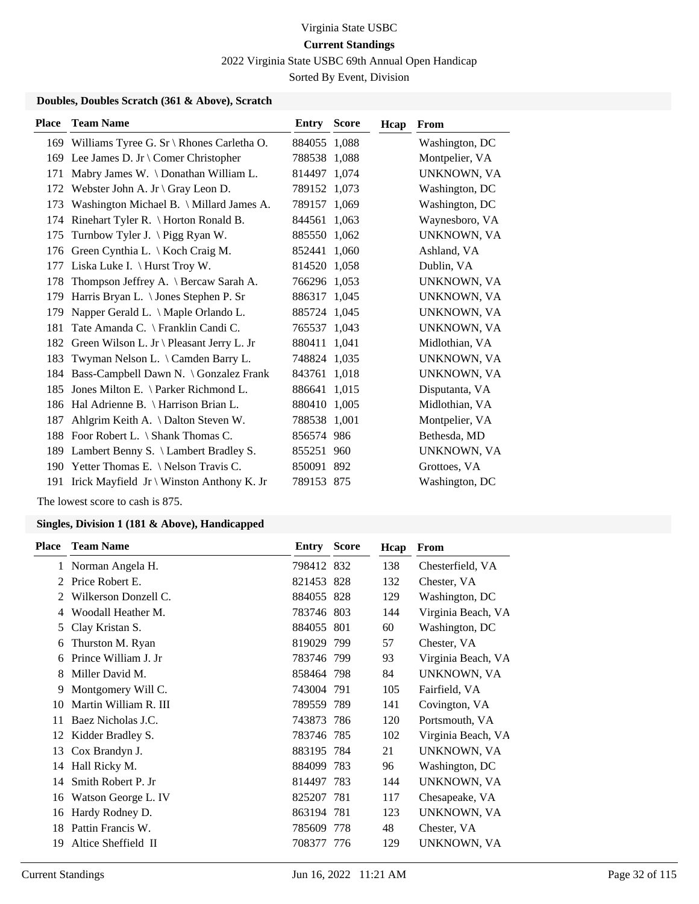2022 Virginia State USBC 69th Annual Open Handicap

Sorted By Event, Division

### **Doubles, Doubles Scratch (361 & Above), Scratch**

| <b>Place</b> | <b>Team Name</b>                                 | Entry        | <b>Score</b> | Hcap | From               |
|--------------|--------------------------------------------------|--------------|--------------|------|--------------------|
|              | 169 Williams Tyree G. Sr \ Rhones Carletha O.    | 884055 1,088 |              |      | Washington, DC     |
|              | 169 Lee James D. Jr \ Comer Christopher          | 788538 1,088 |              |      | Montpelier, VA     |
| 171          | Mabry James W. \Donathan William L.              | 814497 1.074 |              |      | UNKNOWN, VA        |
| 172          | Webster John A. Jr $\operatorname{Gray}$ Leon D. | 789152 1,073 |              |      | Washington, DC     |
| 173          | Washington Michael B. \ Millard James A.         | 789157 1,069 |              |      | Washington, DC     |
| 174          | Rinehart Tyler R. $\setminus$ Horton Ronald B.   | 844561       | 1,063        |      | Waynesboro, VA     |
| 175          | Turnbow Tyler J. \Pigg Ryan W.                   | 885550 1,062 |              |      | UNKNOWN, VA        |
| 176          | Green Cynthia L. \ Koch Craig M.                 | 852441 1,060 |              |      | Ashland, VA        |
| 177          | Liska Luke I. $\langle$ Hurst Troy W.            | 814520 1,058 |              |      | Dublin, VA         |
| 178          | Thompson Jeffrey A. \ Bercaw Sarah A.            | 766296 1,053 |              |      | UNKNOWN, VA        |
| 179          | Harris Bryan L. \ Jones Stephen P. Sr            | 886317 1,045 |              |      | UNKNOWN, VA        |
| 179          | Napper Gerald L. \ Maple Orlando L.              | 885724 1,045 |              |      | UNKNOWN, VA        |
| 181          | Tate Amanda C. \ Franklin Candi C.               | 765537 1,043 |              |      | <b>UNKNOWN, VA</b> |
| 182          | Green Wilson L. Jr \ Pleasant Jerry L. Jr        | 880411 1,041 |              |      | Midlothian, VA     |
| 183          | Twyman Nelson L. \ Camden Barry L.               | 748824 1,035 |              |      | UNKNOWN, VA        |
| 184          | Bass-Campbell Dawn N. \ Gonzalez Frank           | 843761 1,018 |              |      | UNKNOWN, VA        |
| 185          | Jones Milton E. \ Parker Richmond L.             | 886641 1,015 |              |      | Disputanta, VA     |
| 186          | Hal Adrienne B. \ Harrison Brian L.              | 880410 1,005 |              |      | Midlothian, VA     |
| 187          | Ahlgrim Keith A. \ Dalton Steven W.              | 788538 1,001 |              |      | Montpelier, VA     |
| 188          | Foor Robert L. \ Shank Thomas C.                 | 856574 986   |              |      | Bethesda, MD       |
| 189          | Lambert Benny S. \ Lambert Bradley S.            | 855251       | 960          |      | UNKNOWN, VA        |
| 190          | Yetter Thomas E. $\backslash$ Nelson Travis C.   | 850091 892   |              |      | Grottoes, VA       |
| 191          | Irick Mayfield Jr \ Winston Anthony K. Jr        | 789153 875   |              |      | Washington, DC     |

The lowest score to cash is 875.

| <b>Place</b>  | <b>Team Name</b>      | Entry      | <b>Score</b> | Hcap | From               |
|---------------|-----------------------|------------|--------------|------|--------------------|
| 1             | Norman Angela H.      | 798412 832 |              | 138  | Chesterfield, VA   |
| 2             | Price Robert E.       | 821453 828 |              | 132  | Chester, VA        |
| $\mathcal{L}$ | Wilkerson Donzell C.  | 884055 828 |              | 129  | Washington, DC     |
| 4             | Woodall Heather M.    | 783746 803 |              | 144  | Virginia Beach, VA |
| 5             | Clay Kristan S.       | 884055     | 801          | 60   | Washington, DC     |
| 6             | Thurston M. Ryan      | 819029 799 |              | 57   | Chester, VA        |
| 6             | Prince William J. Jr  | 783746 799 |              | 93   | Virginia Beach, VA |
| 8             | Miller David M.       | 858464 798 |              | 84   | UNKNOWN, VA        |
| 9             | Montgomery Will C.    | 743004 791 |              | 105  | Fairfield, VA      |
| 10            | Martin William R. III | 789559 789 |              | 141  | Covington, VA      |
| 11            | Baez Nicholas J.C.    | 743873 786 |              | 120  | Portsmouth, VA     |
| 12            | Kidder Bradley S.     | 783746 785 |              | 102  | Virginia Beach, VA |
| 13            | Cox Brandyn J.        | 883195 784 |              | 21   | UNKNOWN, VA        |
| 14            | Hall Ricky M.         | 884099 783 |              | 96   | Washington, DC     |
| 14            | Smith Robert P. Jr    | 814497 783 |              | 144  | UNKNOWN, VA        |
| 16            | Watson George L. IV   | 825207     | 781          | 117  | Chesapeake, VA     |
| 16            | Hardy Rodney D.       | 863194     | 781          | 123  | UNKNOWN, VA        |
| 18            | Pattin Francis W.     | 785609 778 |              | 48   | Chester, VA        |
| 19            | Altice Sheffield II   | 708377 776 |              | 129  | UNKNOWN, VA        |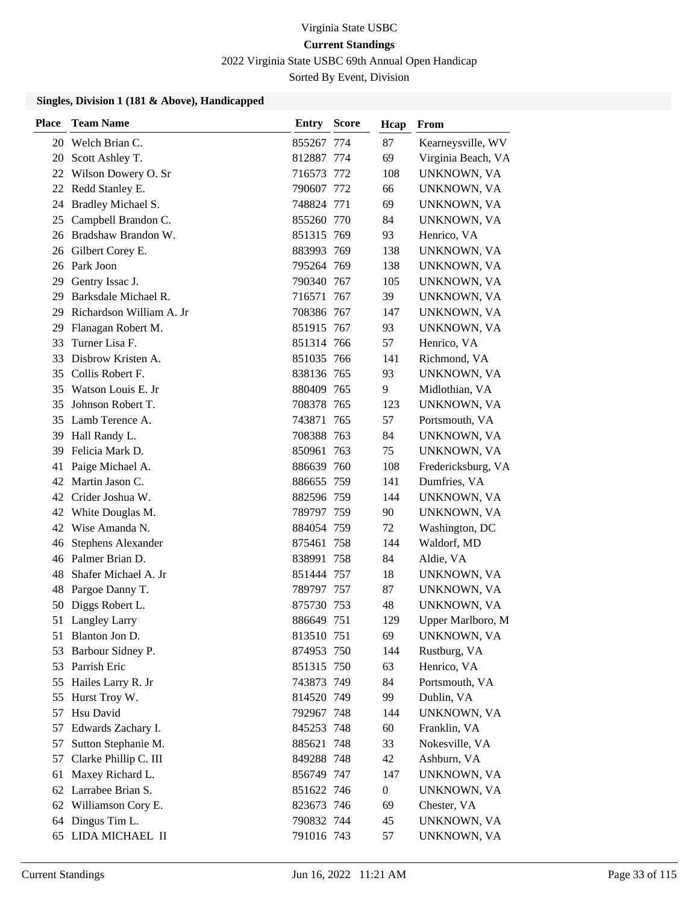2022 Virginia State USBC 69th Annual Open Handicap

Sorted By Event, Division

| <b>Place</b> | <b>Team Name</b>          | Entry      | <b>Score</b> | Hcap             | From               |
|--------------|---------------------------|------------|--------------|------------------|--------------------|
|              | 20 Welch Brian C.         | 855267     | 774          | 87               | Kearneysville, WV  |
| 20           | Scott Ashley T.           | 812887 774 |              | 69               | Virginia Beach, VA |
| 22           | Wilson Dowery O. Sr       | 716573     | 772          | 108              | UNKNOWN, VA        |
|              | 22 Redd Stanley E.        | 790607     | 772          | 66               | UNKNOWN, VA        |
| 24           | Bradley Michael S.        | 748824 771 |              | 69               | UNKNOWN, VA        |
| 25           | Campbell Brandon C.       | 855260 770 |              | 84               | UNKNOWN, VA        |
| 26           | Bradshaw Brandon W.       | 851315 769 |              | 93               | Henrico, VA        |
|              | 26 Gilbert Corey E.       | 883993 769 |              | 138              | UNKNOWN, VA        |
| 26           | Park Joon                 | 795264 769 |              | 138              | UNKNOWN, VA        |
| 29           | Gentry Issac J.           | 790340 767 |              | 105              | UNKNOWN, VA        |
| 29           | Barksdale Michael R.      | 716571     | 767          | 39               | UNKNOWN, VA        |
| 29           | Richardson William A. Jr  | 708386     | 767          | 147              | UNKNOWN, VA        |
| 29           | Flanagan Robert M.        | 851915 767 |              | 93               | UNKNOWN, VA        |
| 33           | Turner Lisa F.            | 851314 766 |              | 57               | Henrico, VA        |
| 33           | Disbrow Kristen A.        | 851035 766 |              | 141              | Richmond, VA       |
| 35           | Collis Robert F.          | 838136 765 |              | 93               | UNKNOWN, VA        |
| 35           | Watson Louis E. Jr        | 880409 765 |              | 9                | Midlothian, VA     |
| 35           | Johnson Robert T.         | 708378 765 |              | 123              | UNKNOWN, VA        |
| 35           | Lamb Terence A.           | 743871     | 765          | 57               | Portsmouth, VA     |
| 39           | Hall Randy L.             | 708388     | 763          | 84               | UNKNOWN, VA        |
| 39           | Felicia Mark D.           | 850961     | 763          | 75               | UNKNOWN, VA        |
| 41           | Paige Michael A.          | 886639 760 |              | 108              | Fredericksburg, VA |
| 42           | Martin Jason C.           | 886655     | 759          | 141              | Dumfries, VA       |
|              | 42 Crider Joshua W.       | 882596 759 |              | 144              | UNKNOWN, VA        |
| 42           | White Douglas M.          | 789797 759 |              | 90               | UNKNOWN, VA        |
| 42           | Wise Amanda N.            | 884054 759 |              | 72               | Washington, DC     |
| 46           | <b>Stephens Alexander</b> | 875461     | 758          | 144              | Waldorf, MD        |
|              | 46 Palmer Brian D.        | 838991     | 758          | 84               | Aldie, VA          |
| 48           | Shafer Michael A. Jr      | 851444 757 |              | 18               | UNKNOWN, VA        |
| 48           | Pargoe Danny T.           | 789797 757 |              | 87               | UNKNOWN, VA        |
| 50           | Diggs Robert L.           | 875730     | 753          | 48               | UNKNOWN, VA        |
|              | 51 Langley Larry          | 886649 751 |              | 129              | Upper Marlboro, M  |
|              | 51 Blanton Jon D.         | 813510 751 |              | 69               | UNKNOWN, VA        |
| 53           | Barbour Sidney P.         | 874953 750 |              | 144              | Rustburg, VA       |
| 53           | Parrish Eric              | 851315 750 |              | 63               | Henrico, VA        |
| 55           | Hailes Larry R. Jr        | 743873 749 |              | 84               | Portsmouth, VA     |
| 55           | Hurst Troy W.             | 814520 749 |              | 99               | Dublin, VA         |
| 57           | Hsu David                 | 792967 748 |              | 144              | UNKNOWN, VA        |
| 57           | Edwards Zachary I.        | 845253 748 |              | 60               | Franklin, VA       |
| 57           | Sutton Stephanie M.       | 885621 748 |              | 33               | Nokesville, VA     |
| 57           | Clarke Phillip C. III     | 849288 748 |              | 42               | Ashburn, VA        |
| 61           | Maxey Richard L.          | 856749 747 |              | 147              | UNKNOWN, VA        |
| 62           | Larrabee Brian S.         | 851622 746 |              | $\boldsymbol{0}$ | UNKNOWN, VA        |
| 62           | Williamson Cory E.        | 823673 746 |              | 69               | Chester, VA        |
| 64           | Dingus Tim L.             | 790832 744 |              | 45               | UNKNOWN, VA        |
|              | 65 LIDA MICHAEL II        | 791016 743 |              | 57               | UNKNOWN, VA        |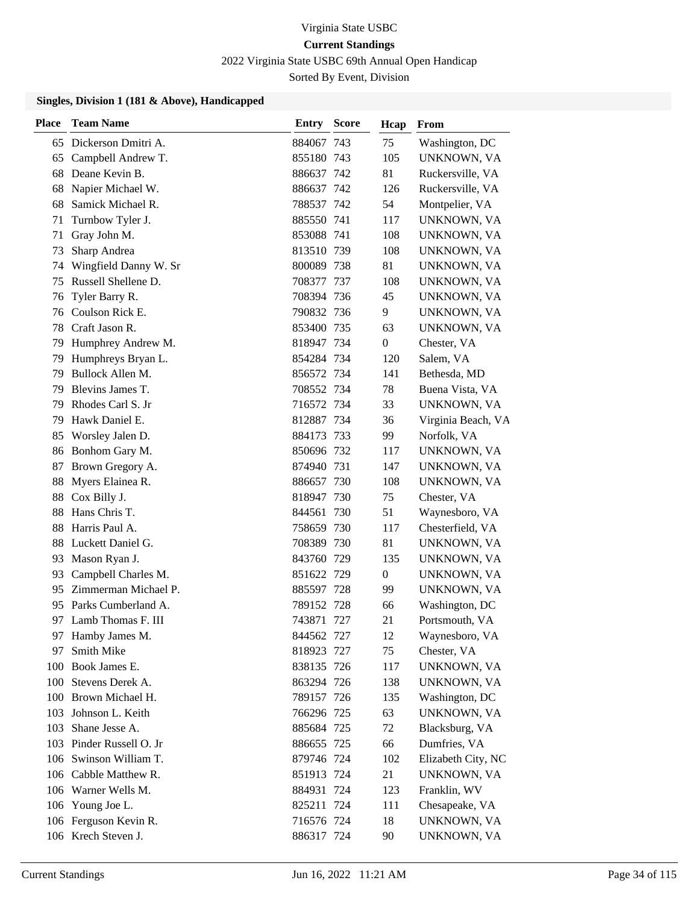2022 Virginia State USBC 69th Annual Open Handicap

Sorted By Event, Division

| <b>Place</b> | <b>Team Name</b>         | <b>Entry Score</b> |       | Hcap           | From               |
|--------------|--------------------------|--------------------|-------|----------------|--------------------|
|              | 65 Dickerson Dmitri A.   | 884067 743         |       | 75             | Washington, DC     |
| 65           | Campbell Andrew T.       | 855180 743         |       | 105            | UNKNOWN, VA        |
| 68           | Deane Kevin B.           | 886637 742         |       | 81             | Ruckersville, VA   |
| 68           | Napier Michael W.        | 886637 742         |       | 126            | Ruckersville, VA   |
| 68           | Samick Michael R.        | 788537 742         |       | 54             | Montpelier, VA     |
| 71           | Turnbow Tyler J.         | 885550 741         |       | 117            | UNKNOWN, VA        |
| 71           | Gray John M.             | 853088 741         |       | 108            | UNKNOWN, VA        |
| 73           | Sharp Andrea             | 813510 739         |       | 108            | UNKNOWN, VA        |
| 74           | Wingfield Danny W. Sr    | 800089 738         |       | 81             | UNKNOWN, VA        |
| 75           | Russell Shellene D.      | 708377 737         |       | 108            | UNKNOWN, VA        |
| 76           | Tyler Barry R.           | 708394 736         |       | 45             | UNKNOWN, VA        |
| 76           | Coulson Rick E.          | 790832 736         |       | 9              | UNKNOWN, VA        |
| 78           | Craft Jason R.           | 853400 735         |       | 63             | UNKNOWN, VA        |
| 79           | Humphrey Andrew M.       | 818947 734         |       | $\overline{0}$ | Chester, VA        |
| 79           | Humphreys Bryan L.       | 854284 734         |       | 120            | Salem, VA          |
| 79           | Bullock Allen M.         | 856572 734         |       | 141            | Bethesda, MD       |
| 79           | Blevins James T.         | 708552 734         |       | 78             | Buena Vista, VA    |
| 79           | Rhodes Carl S. Jr        | 716572 734         |       | 33             | UNKNOWN, VA        |
| 79           | Hawk Daniel E.           | 812887 734         |       | 36             | Virginia Beach, VA |
| 85           | Worsley Jalen D.         | 884173 733         |       | 99             | Norfolk, VA        |
| 86           | Bonhom Gary M.           | 850696 732         |       | 117            | UNKNOWN, VA        |
| 87           | Brown Gregory A.         | 874940 731         |       | 147            | UNKNOWN, VA        |
| 88           | Myers Elainea R.         | 886657 730         |       | 108            | UNKNOWN, VA        |
| 88           | Cox Billy J.             | 818947 730         |       | 75             | Chester, VA        |
| 88           | Hans Chris T.            | 844561 730         |       | 51             | Waynesboro, VA     |
| 88           | Harris Paul A.           | 758659 730         |       | 117            | Chesterfield, VA   |
| 88           | Luckett Daniel G.        | 708389 730         |       | 81             | UNKNOWN, VA        |
| 93           | Mason Ryan J.            | 843760 729         |       | 135            | UNKNOWN, VA        |
| 93           | Campbell Charles M.      | 851622 729         |       | 0              | UNKNOWN, VA        |
| 95           | Zimmerman Michael P.     | 885597 728         |       | 99             | UNKNOWN, VA        |
| 95           | Parks Cumberland A.      | 789152 728         |       | 66             | Washington, DC     |
| 97           | Lamb Thomas F. III       | 743871             | - 727 | 21             | Portsmouth, VA     |
| 97           | Hamby James M.           | 844562 727         |       | 12             | Waynesboro, VA     |
| 97           | Smith Mike               | 818923 727         |       | 75             | Chester, VA        |
| 100          | Book James E.            | 838135 726         |       | 117            | UNKNOWN, VA        |
|              | 100 Stevens Derek A.     | 863294 726         |       | 138            | UNKNOWN, VA        |
|              | 100 Brown Michael H.     | 789157 726         |       | 135            | Washington, DC     |
| 103          | Johnson L. Keith         | 766296 725         |       | 63             | UNKNOWN, VA        |
| 103          | Shane Jesse A.           | 885684 725         |       | 72             | Blacksburg, VA     |
|              | 103 Pinder Russell O. Jr | 886655 725         |       | 66             | Dumfries, VA       |
|              | 106 Swinson William T.   | 879746 724         |       | 102            | Elizabeth City, NC |
|              | 106 Cabble Matthew R.    | 851913 724         |       | 21             | UNKNOWN, VA        |
|              | 106 Warner Wells M.      | 884931 724         |       | 123            | Franklin, WV       |
|              | 106 Young Joe L.         | 825211 724         |       | 111            | Chesapeake, VA     |
|              | 106 Ferguson Kevin R.    | 716576 724         |       | 18             | UNKNOWN, VA        |
|              | 106 Krech Steven J.      | 886317 724         |       | 90             | UNKNOWN, VA        |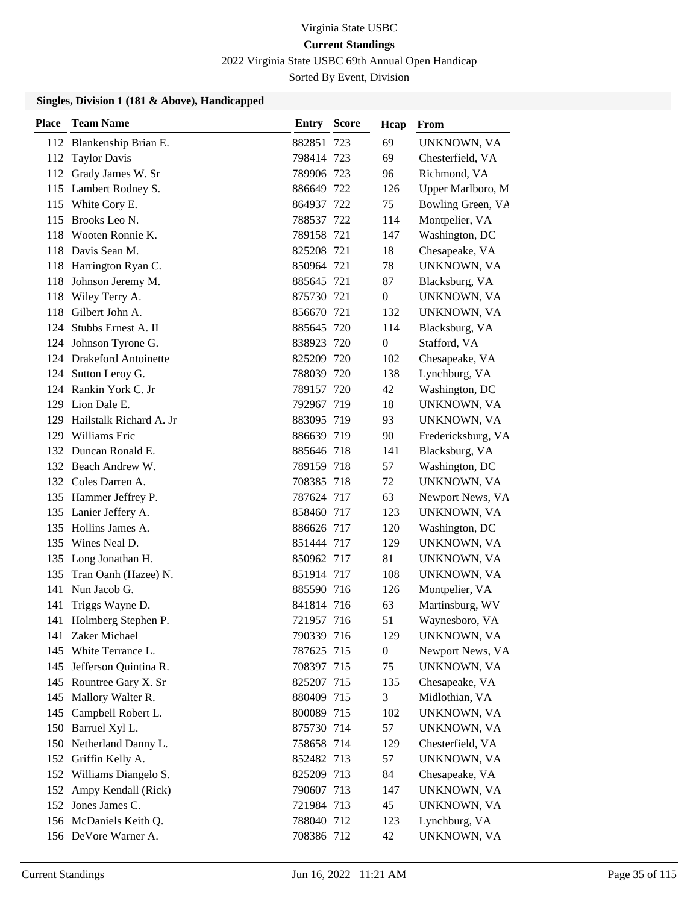2022 Virginia State USBC 69th Annual Open Handicap

Sorted By Event, Division

| <b>Place</b> | <b>Team Name</b>                                 | Entry                    | <b>Score</b> | Hcap             | From                             |
|--------------|--------------------------------------------------|--------------------------|--------------|------------------|----------------------------------|
|              | 112 Blankenship Brian E.                         | 882851 723               |              | 69               | UNKNOWN, VA                      |
| 112          | <b>Taylor Davis</b>                              | 798414 723               |              | 69               | Chesterfield, VA                 |
|              | 112 Grady James W. Sr                            | 789906 723               |              | 96               | Richmond, VA                     |
|              | 115 Lambert Rodney S.                            | 886649 722               |              | 126              | Upper Marlboro, M                |
|              | 115 White Cory E.                                | 864937 722               |              | 75               | Bowling Green, VA                |
| 115          | Brooks Leo N.                                    | 788537 722               |              | 114              | Montpelier, VA                   |
| 118          | Wooten Ronnie K.                                 | 789158 721               |              | 147              | Washington, DC                   |
|              | 118 Davis Sean M.                                | 825208 721               |              | 18               | Chesapeake, VA                   |
|              | 118 Harrington Ryan C.                           | 850964 721               |              | 78               | UNKNOWN, VA                      |
| 118          | Johnson Jeremy M.                                | 885645 721               |              | 87               | Blacksburg, VA                   |
| 118          | Wiley Terry A.                                   | 875730 721               |              | $\boldsymbol{0}$ | UNKNOWN, VA                      |
| 118          | Gilbert John A.                                  | 856670 721               |              | 132              | UNKNOWN, VA                      |
| 124          | Stubbs Ernest A. II                              | 885645 720               |              | 114              | Blacksburg, VA                   |
| 124          | Johnson Tyrone G.                                | 838923 720               |              | $\boldsymbol{0}$ | Stafford, VA                     |
|              | 124 Drakeford Antoinette                         | 825209 720               |              | 102              | Chesapeake, VA                   |
|              | 124 Sutton Leroy G.                              | 788039 720               |              | 138              | Lynchburg, VA                    |
|              | 124 Rankin York C. Jr                            | 789157 720               |              | 42               | Washington, DC                   |
| 129          | Lion Dale E.                                     | 792967 719               |              | 18               | UNKNOWN, VA                      |
| 129          | Hailstalk Richard A. Jr                          | 883095 719               |              | 93               | UNKNOWN, VA                      |
|              | 129 Williams Eric                                | 886639 719               |              | 90               | Fredericksburg, VA               |
|              | 132 Duncan Ronald E.                             | 885646 718               |              | 141              | Blacksburg, VA                   |
|              | 132 Beach Andrew W.                              | 789159 718               |              | 57               | Washington, DC                   |
|              | 132 Coles Darren A.                              | 708385 718               |              | 72               | UNKNOWN, VA                      |
|              | 135 Hammer Jeffrey P.                            | 787624 717               |              | 63               | Newport News, VA                 |
|              | 135 Lanier Jeffery A.                            | 858460 717               |              | 123              | UNKNOWN, VA                      |
|              | 135 Hollins James A.                             | 886626 717               |              | 120              | Washington, DC                   |
| 135          | Wines Neal D.                                    | 851444 717               |              | 129              | UNKNOWN, VA                      |
|              | 135 Long Jonathan H.                             | 850962 717               |              | 81               | UNKNOWN, VA                      |
|              | 135 Tran Oanh (Hazee) N.                         | 851914 717               |              | 108              | UNKNOWN, VA                      |
| 141          | Nun Jacob G.                                     | 885590 716               |              | 126              | Montpelier, VA                   |
| 141          | Triggs Wayne D.                                  | 841814 716               |              | 63               | Martinsburg, WV                  |
|              | 141 Holmberg Stephen P.                          | 721957 716               |              | 51               | Waynesboro, VA                   |
|              | 141 Zaker Michael                                | 790339 716               |              | 129              | UNKNOWN, VA                      |
|              | 145 White Terrance L.                            | 787625 715               |              | $\boldsymbol{0}$ | Newport News, VA                 |
|              | 145 Jefferson Quintina R.                        | 708397 715               |              | 75<br>135        | UNKNOWN, VA                      |
|              | 145 Rountree Gary X. Sr<br>145 Mallory Walter R. | 825207 715<br>880409 715 |              | 3                | Chesapeake, VA<br>Midlothian, VA |
| 145          | Campbell Robert L.                               | 800089 715               |              | 102              | UNKNOWN, VA                      |
|              | 150 Barruel Xyl L.                               | 875730 714               |              | 57               | UNKNOWN, VA                      |
|              | 150 Netherland Danny L.                          | 758658 714               |              | 129              | Chesterfield, VA                 |
|              | 152 Griffin Kelly A.                             | 852482 713               |              | 57               | UNKNOWN, VA                      |
|              | 152 Williams Diangelo S.                         | 825209 713               |              | 84               | Chesapeake, VA                   |
|              | 152 Ampy Kendall (Rick)                          | 790607 713               |              | 147              | UNKNOWN, VA                      |
|              | 152 Jones James C.                               | 721984 713               |              | 45               | UNKNOWN, VA                      |
|              | 156 McDaniels Keith Q.                           | 788040 712               |              | 123              | Lynchburg, VA                    |
|              | 156 DeVore Warner A.                             | 708386 712               |              | 42               | UNKNOWN, VA                      |
|              |                                                  |                          |              |                  |                                  |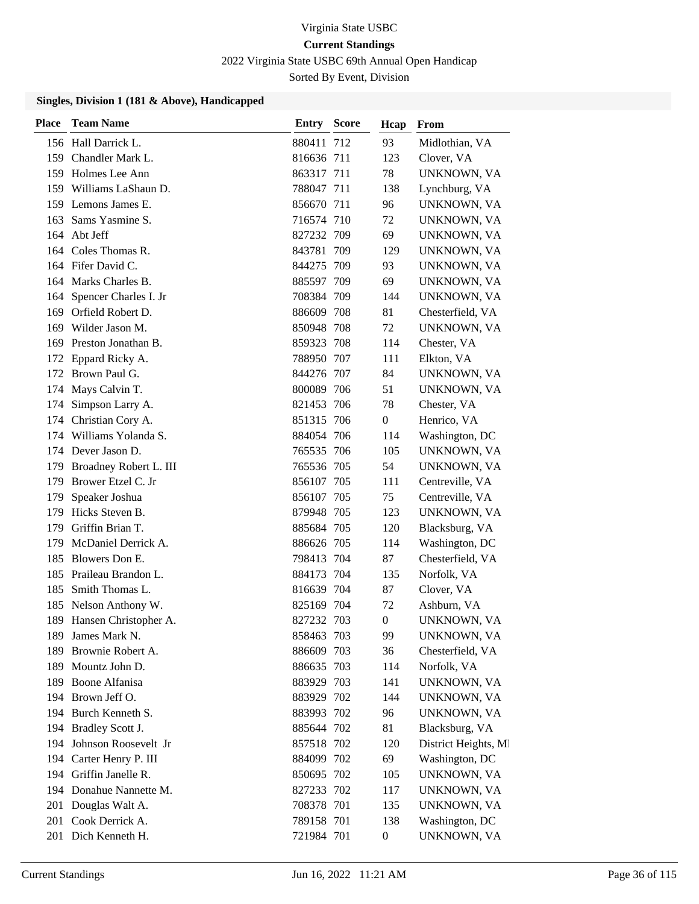2022 Virginia State USBC 69th Annual Open Handicap

Sorted By Event, Division

| <b>Place</b> | <b>Team Name</b>          | Entry      | <b>Score</b> | Hcap             | From                 |
|--------------|---------------------------|------------|--------------|------------------|----------------------|
|              | 156 Hall Darrick L.       | 880411 712 |              | 93               | Midlothian, VA       |
|              | 159 Chandler Mark L.      | 816636 711 |              | 123              | Clover, VA           |
|              | 159 Holmes Lee Ann        | 863317 711 |              | 78               | UNKNOWN, VA          |
|              | 159 Williams LaShaun D.   | 788047 711 |              | 138              | Lynchburg, VA        |
|              | 159 Lemons James E.       | 856670 711 |              | 96               | UNKNOWN, VA          |
| 163          | Sams Yasmine S.           | 716574 710 |              | 72               | UNKNOWN, VA          |
|              | 164 Abt Jeff              | 827232 709 |              | 69               | UNKNOWN, VA          |
|              | 164 Coles Thomas R.       | 843781 709 |              | 129              | UNKNOWN, VA          |
|              | 164 Fifer David C.        | 844275 709 |              | 93               | UNKNOWN, VA          |
|              | 164 Marks Charles B.      | 885597 709 |              | 69               | UNKNOWN, VA          |
| 164          | Spencer Charles I. Jr     | 708384 709 |              | 144              | UNKNOWN, VA          |
|              | 169 Orfield Robert D.     | 886609 708 |              | 81               | Chesterfield, VA     |
|              | 169 Wilder Jason M.       | 850948 708 |              | 72               | UNKNOWN, VA          |
| 169          | Preston Jonathan B.       | 859323 708 |              | 114              | Chester, VA          |
| 172          | Eppard Ricky A.           | 788950 707 |              | 111              | Elkton, VA           |
|              | 172 Brown Paul G.         | 844276 707 |              | 84               | UNKNOWN, VA          |
| 174          | Mays Calvin T.            | 800089 706 |              | 51               | UNKNOWN, VA          |
| 174          | Simpson Larry A.          | 821453 706 |              | 78               | Chester, VA          |
|              | 174 Christian Cory A.     | 851315 706 |              | $\overline{0}$   | Henrico, VA          |
| 174          | Williams Yolanda S.       | 884054 706 |              | 114              | Washington, DC       |
| 174          | Dever Jason D.            | 765535 706 |              | 105              | UNKNOWN, VA          |
| 179          | Broadney Robert L. III    | 765536 705 |              | 54               | UNKNOWN, VA          |
| 179          | Brower Etzel C. Jr        | 856107 705 |              | 111              | Centreville, VA      |
| 179          | Speaker Joshua            | 856107 705 |              | 75               | Centreville, VA      |
| 179          | Hicks Steven B.           | 879948 705 |              | 123              | UNKNOWN, VA          |
| 179          | Griffin Brian T.          | 885684 705 |              | 120              | Blacksburg, VA       |
| 179          | McDaniel Derrick A.       | 886626 705 |              | 114              | Washington, DC       |
| 185          | Blowers Don E.            | 798413 704 |              | 87               | Chesterfield, VA     |
| 185          | Praileau Brandon L.       | 884173 704 |              | 135              | Norfolk, VA          |
| 185          | Smith Thomas L.           | 816639 704 |              | 87               | Clover, VA           |
| 185          | Nelson Anthony W.         | 825169 704 |              | 72               | Ashburn, VA          |
|              | 189 Hansen Christopher A. | 827232 703 |              | $\theta$         | UNKNOWN, VA          |
| 189          | James Mark N.             | 858463 703 |              | 99               | UNKNOWN, VA          |
| 189          | Brownie Robert A.         | 886609 703 |              | 36               | Chesterfield, VA     |
| 189          | Mountz John D.            | 886635 703 |              | 114              | Norfolk, VA          |
|              | 189 Boone Alfanisa        | 883929 703 |              | 141              | UNKNOWN, VA          |
|              | 194 Brown Jeff O.         | 883929 702 |              | 144              | UNKNOWN, VA          |
|              | 194 Burch Kenneth S.      | 883993 702 |              | 96               | UNKNOWN, VA          |
|              | 194 Bradley Scott J.      | 885644 702 |              | 81               | Blacksburg, VA       |
|              | 194 Johnson Roosevelt Jr  | 857518 702 |              | 120              | District Heights, MI |
|              | 194 Carter Henry P. III   | 884099 702 |              | 69               | Washington, DC       |
|              | 194 Griffin Janelle R.    | 850695 702 |              | 105              | UNKNOWN, VA          |
|              | 194 Donahue Nannette M.   | 827233 702 |              | 117              | UNKNOWN, VA          |
| 201          | Douglas Walt A.           | 708378 701 |              | 135              | UNKNOWN, VA          |
|              | 201 Cook Derrick A.       | 789158 701 |              | 138              | Washington, DC       |
|              | 201 Dich Kenneth H.       | 721984 701 |              | $\boldsymbol{0}$ | UNKNOWN, VA          |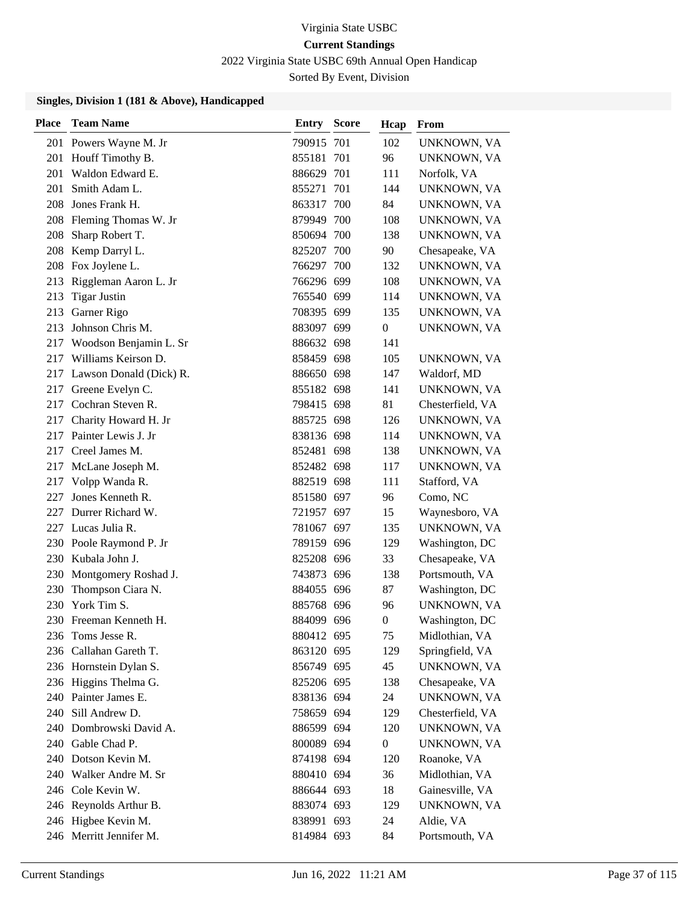2022 Virginia State USBC 69th Annual Open Handicap

Sorted By Event, Division

| <b>Place</b> | <b>Team Name</b>            | <b>Entry Score</b> | Hcap             | From             |
|--------------|-----------------------------|--------------------|------------------|------------------|
| 201          | Powers Wayne M. Jr          | 790915 701         | 102              | UNKNOWN, VA      |
| 201          | Houff Timothy B.            | 855181 701         | 96               | UNKNOWN, VA      |
| 201          | Waldon Edward E.            | 886629 701         | 111              | Norfolk, VA      |
| 201          | Smith Adam L.               | 855271 701         | 144              | UNKNOWN, VA      |
| 208          | Jones Frank H.              | 863317 700         | 84               | UNKNOWN, VA      |
|              | 208 Fleming Thomas W. Jr    | 879949 700         | 108              | UNKNOWN, VA      |
| 208          | Sharp Robert T.             | 850694 700         | 138              | UNKNOWN, VA      |
| 208          | Kemp Darryl L.              | 825207 700         | 90               | Chesapeake, VA   |
|              | 208 Fox Joylene L.          | 766297 700         | 132              | UNKNOWN, VA      |
| 213          | Riggleman Aaron L. Jr       | 766296 699         | 108              | UNKNOWN, VA      |
| 213          | <b>Tigar Justin</b>         | 765540 699         | 114              | UNKNOWN, VA      |
| 213          | Garner Rigo                 | 708395 699         | 135              | UNKNOWN, VA      |
| 213          | Johnson Chris M.            | 883097 699         | 0                | UNKNOWN, VA      |
|              | 217 Woodson Benjamin L. Sr  | 886632 698         | 141              |                  |
|              | 217 Williams Keirson D.     | 858459 698         | 105              | UNKNOWN, VA      |
|              | 217 Lawson Donald (Dick) R. | 886650 698         | 147              | Waldorf, MD      |
| 217          | Greene Evelyn C.            | 855182 698         | 141              | UNKNOWN, VA      |
| 217          | Cochran Steven R.           | 798415 698         | 81               | Chesterfield, VA |
|              | 217 Charity Howard H. Jr    | 885725 698         | 126              | UNKNOWN, VA      |
| 217          | Painter Lewis J. Jr         | 838136 698         | 114              | UNKNOWN, VA      |
|              | 217 Creel James M.          | 852481 698         | 138              | UNKNOWN, VA      |
| 217          | McLane Joseph M.            | 852482 698         | 117              | UNKNOWN, VA      |
|              | 217 Volpp Wanda R.          | 882519 698         | 111              | Stafford, VA     |
| 227          | Jones Kenneth R.            | 851580 697         | 96               | Como, NC         |
| 227          | Durrer Richard W.           | 721957 697         | 15               | Waynesboro, VA   |
| 227          | Lucas Julia R.              | 781067 697         | 135              | UNKNOWN, VA      |
|              | 230 Poole Raymond P. Jr     | 789159 696         | 129              | Washington, DC   |
|              | 230 Kubala John J.          | 825208 696         | 33               | Chesapeake, VA   |
| 230          | Montgomery Roshad J.        | 743873 696         | 138              | Portsmouth, VA   |
| 230          | Thompson Ciara N.           | 884055 696         | 87               | Washington, DC   |
|              | 230 York Tim S.             | 885768 696         | 96               | UNKNOWN, VA      |
|              | 230 Freeman Kenneth H.      | 884099 696         | $\boldsymbol{0}$ | Washington, DC   |
|              | 236 Toms Jesse R.           | 880412 695         | 75               | Midlothian, VA   |
|              | 236 Callahan Gareth T.      | 863120 695         | 129              | Springfield, VA  |
|              | 236 Hornstein Dylan S.      | 856749 695         | 45               | UNKNOWN, VA      |
|              | 236 Higgins Thelma G.       | 825206 695         | 138              | Chesapeake, VA   |
|              | 240 Painter James E.        | 838136 694         | 24               | UNKNOWN, VA      |
| 240          | Sill Andrew D.              | 758659 694         | 129              | Chesterfield, VA |
|              | 240 Dombrowski David A.     | 886599 694         | 120              | UNKNOWN, VA      |
|              | 240 Gable Chad P.           | 800089 694         | $\boldsymbol{0}$ | UNKNOWN, VA      |
|              | 240 Dotson Kevin M.         | 874198 694         | 120              | Roanoke, VA      |
|              | 240 Walker Andre M. Sr      | 880410 694         | 36               | Midlothian, VA   |
|              | 246 Cole Kevin W.           | 886644 693         | 18               | Gainesville, VA  |
|              | 246 Reynolds Arthur B.      | 883074 693         | 129              | UNKNOWN, VA      |
|              | 246 Higbee Kevin M.         | 838991 693         | 24               | Aldie, VA        |
|              | 246 Merritt Jennifer M.     | 814984 693         | 84               | Portsmouth, VA   |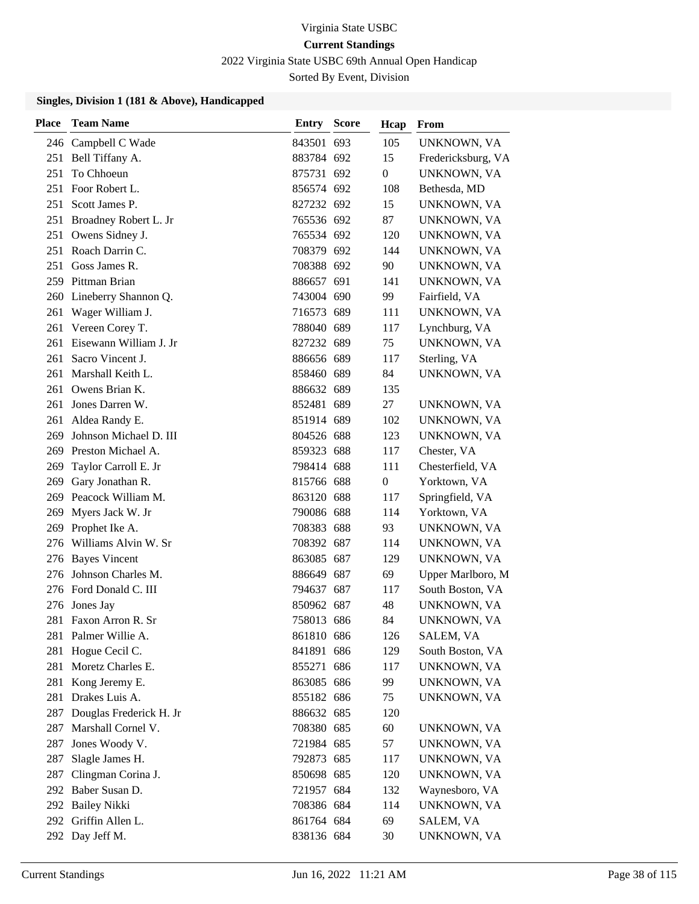2022 Virginia State USBC 69th Annual Open Handicap

Sorted By Event, Division

| <b>Place</b> | <b>Team Name</b>         | Entry      | <b>Score</b> | Hcap             | From               |
|--------------|--------------------------|------------|--------------|------------------|--------------------|
|              | 246 Campbell C Wade      | 843501 693 |              | 105              | UNKNOWN, VA        |
|              | 251 Bell Tiffany A.      | 883784 692 |              | 15               | Fredericksburg, VA |
| 251          | To Chhoeun               | 875731 692 |              | $\boldsymbol{0}$ | UNKNOWN, VA        |
|              | 251 Foor Robert L.       | 856574 692 |              | 108              | Bethesda, MD       |
| 251          | Scott James P.           | 827232 692 |              | 15               | UNKNOWN, VA        |
| 251          | Broadney Robert L. Jr    | 765536 692 |              | 87               | UNKNOWN, VA        |
|              | 251 Owens Sidney J.      | 765534 692 |              | 120              | UNKNOWN, VA        |
|              | 251 Roach Darrin C.      | 708379 692 |              | 144              | UNKNOWN, VA        |
| 251          | Goss James R.            | 708388 692 |              | 90               | UNKNOWN, VA        |
|              | 259 Pittman Brian        | 886657 691 |              | 141              | UNKNOWN, VA        |
|              | 260 Lineberry Shannon Q. | 743004 690 |              | 99               | Fairfield, VA      |
| 261          | Wager William J.         | 716573 689 |              | 111              | UNKNOWN, VA        |
| 261          | Vereen Corey T.          | 788040 689 |              | 117              | Lynchburg, VA      |
| 261          | Eisewann William J. Jr   | 827232 689 |              | 75               | UNKNOWN, VA        |
| 261          | Sacro Vincent J.         | 886656 689 |              | 117              | Sterling, VA       |
| 261          | Marshall Keith L.        | 858460 689 |              | 84               | UNKNOWN, VA        |
| 261          | Owens Brian K.           | 886632 689 |              | 135              |                    |
| 261          | Jones Darren W.          | 852481 689 |              | 27               | UNKNOWN, VA        |
| 261          | Aldea Randy E.           | 851914 689 |              | 102              | UNKNOWN, VA        |
| 269          | Johnson Michael D. III   | 804526 688 |              | 123              | UNKNOWN, VA        |
|              | 269 Preston Michael A.   | 859323 688 |              | 117              | Chester, VA        |
| 269          | Taylor Carroll E. Jr     | 798414 688 |              | 111              | Chesterfield, VA   |
|              | 269 Gary Jonathan R.     | 815766 688 |              | $\boldsymbol{0}$ | Yorktown, VA       |
|              | 269 Peacock William M.   | 863120 688 |              | 117              | Springfield, VA    |
| 269          | Myers Jack W. Jr         | 790086 688 |              | 114              | Yorktown, VA       |
| 269          | Prophet Ike A.           | 708383 688 |              | 93               | UNKNOWN, VA        |
| 276          | Williams Alvin W. Sr     | 708392 687 |              | 114              | UNKNOWN, VA        |
|              | 276 Bayes Vincent        | 863085 687 |              | 129              | UNKNOWN, VA        |
| 276          | Johnson Charles M.       | 886649 687 |              | 69               | Upper Marlboro, M  |
|              | 276 Ford Donald C. III   | 794637 687 |              | 117              | South Boston, VA   |
|              | 276 Jones Jay            | 850962 687 |              | 48               | UNKNOWN, VA        |
| 281          | Faxon Arron R. Sr        | 758013 686 |              | 84               | UNKNOWN, VA        |
| 281          | Palmer Willie A.         | 861810 686 |              | 126              | SALEM, VA          |
| 281          | Hogue Cecil C.           | 841891 686 |              | 129              | South Boston, VA   |
| 281          | Moretz Charles E.        | 855271 686 |              | 117              | UNKNOWN, VA        |
| 281          | Kong Jeremy E.           | 863085 686 |              | 99               | UNKNOWN, VA        |
| 281          | Drakes Luis A.           | 855182 686 |              | 75               | UNKNOWN, VA        |
| 287          | Douglas Frederick H. Jr  | 886632 685 |              | 120              |                    |
| 287          | Marshall Cornel V.       | 708380 685 |              | 60               | UNKNOWN, VA        |
| 287          | Jones Woody V.           | 721984 685 |              | 57               | UNKNOWN, VA        |
| 287          | Slagle James H.          | 792873 685 |              | 117              | UNKNOWN, VA        |
| 287          | Clingman Corina J.       | 850698 685 |              | 120              | UNKNOWN, VA        |
|              | 292 Baber Susan D.       | 721957 684 |              | 132              | Waynesboro, VA     |
|              | 292 Bailey Nikki         | 708386 684 |              | 114              | UNKNOWN, VA        |
|              | 292 Griffin Allen L.     | 861764 684 |              | 69               | SALEM, VA          |
|              | 292 Day Jeff M.          | 838136 684 |              | 30               | UNKNOWN, VA        |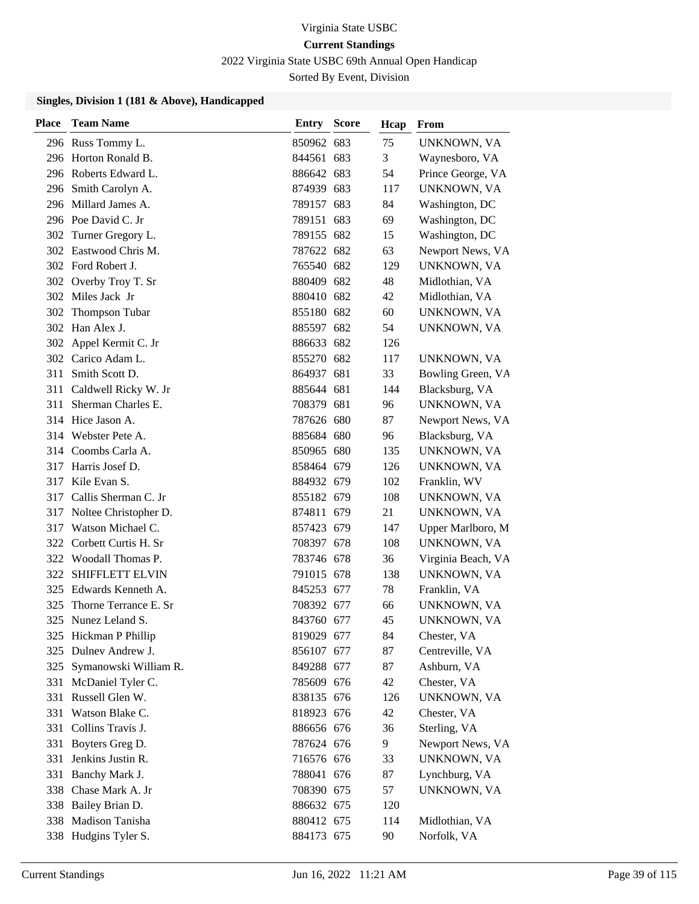2022 Virginia State USBC 69th Annual Open Handicap

Sorted By Event, Division

| <b>Place</b> | <b>Team Name</b>         | Entry      | <b>Score</b> | Hcap | From               |
|--------------|--------------------------|------------|--------------|------|--------------------|
|              | 296 Russ Tommy L.        | 850962 683 |              | 75   | UNKNOWN, VA        |
|              | 296 Horton Ronald B.     | 844561 683 |              | 3    | Waynesboro, VA     |
|              | 296 Roberts Edward L.    | 886642 683 |              | 54   | Prince George, VA  |
|              | 296 Smith Carolyn A.     | 874939     | 683          | 117  | UNKNOWN, VA        |
|              | 296 Millard James A.     | 789157 683 |              | 84   | Washington, DC     |
|              | 296 Poe David C. Jr      | 789151 683 |              | 69   | Washington, DC     |
|              | 302 Turner Gregory L.    | 789155 682 |              | 15   | Washington, DC     |
| 302          | Eastwood Chris M.        | 787622 682 |              | 63   | Newport News, VA   |
|              | 302 Ford Robert J.       | 765540 682 |              | 129  | UNKNOWN, VA        |
|              | 302 Overby Troy T. Sr    | 880409 682 |              | 48   | Midlothian, VA     |
|              | 302 Miles Jack Jr        | 880410 682 |              | 42   | Midlothian, VA     |
| 302          | Thompson Tubar           | 855180 682 |              | 60   | UNKNOWN, VA        |
| 302          | Han Alex J.              | 885597 682 |              | 54   | UNKNOWN, VA        |
| 302          | Appel Kermit C. Jr       | 886633 682 |              | 126  |                    |
|              | 302 Carico Adam L.       | 855270 682 |              | 117  | UNKNOWN, VA        |
| 311          | Smith Scott D.           | 864937 681 |              | 33   | Bowling Green, VA  |
| 311          | Caldwell Ricky W. Jr     | 885644 681 |              | 144  | Blacksburg, VA     |
| 311          | Sherman Charles E.       | 708379 681 |              | 96   | UNKNOWN, VA        |
|              | 314 Hice Jason A.        | 787626 680 |              | 87   | Newport News, VA   |
|              | 314 Webster Pete A.      | 885684 680 |              | 96   | Blacksburg, VA     |
| 314          | Coombs Carla A.          | 850965 680 |              | 135  | UNKNOWN, VA        |
| 317          | Harris Josef D.          | 858464 679 |              | 126  | UNKNOWN, VA        |
| 317          | Kile Evan S.             | 884932 679 |              | 102  | Franklin, WV       |
| 317          | Callis Sherman C. Jr     | 855182 679 |              | 108  | UNKNOWN, VA        |
| 317          | Noltee Christopher D.    | 874811 679 |              | 21   | UNKNOWN, VA        |
| 317          | Watson Michael C.        | 857423 679 |              | 147  | Upper Marlboro, M  |
|              | 322 Corbett Curtis H. Sr | 708397 678 |              | 108  | UNKNOWN, VA        |
|              | 322 Woodall Thomas P.    | 783746 678 |              | 36   | Virginia Beach, VA |
| 322          | SHIFFLETT ELVIN          | 791015 678 |              | 138  | UNKNOWN, VA        |
| 325          | Edwards Kenneth A.       | 845253 677 |              | 78   | Franklin, VA       |
| 325          | Thorne Terrance E. Sr    | 708392 677 |              | 66   | UNKNOWN, VA        |
| 325          | Nunez Leland S.          | 843760 677 |              | 45   | UNKNOWN, VA        |
|              | 325 Hickman P Phillip    | 819029 677 |              | 84   | Chester, VA        |
| 325          | Dulnev Andrew J.         | 856107 677 |              | 87   | Centreville, VA    |
| 325          | Symanowski William R.    | 849288 677 |              | 87   | Ashburn, VA        |
| 331          | McDaniel Tyler C.        | 785609 676 |              | 42   | Chester, VA        |
| 331          | Russell Glen W.          | 838135 676 |              | 126  | UNKNOWN, VA        |
| 331          | Watson Blake C.          | 818923 676 |              | 42   | Chester, VA        |
|              | 331 Collins Travis J.    | 886656 676 |              | 36   | Sterling, VA       |
| 331          | Boyters Greg D.          | 787624 676 |              | 9    | Newport News, VA   |
| 331          | Jenkins Justin R.        | 716576 676 |              | 33   | UNKNOWN, VA        |
| 331          | Banchy Mark J.           | 788041 676 |              | 87   | Lynchburg, VA      |
|              | 338 Chase Mark A. Jr     | 708390 675 |              | 57   | UNKNOWN, VA        |
| 338          | Bailey Brian D.          | 886632 675 |              | 120  |                    |
| 338          | Madison Tanisha          | 880412 675 |              | 114  | Midlothian, VA     |
|              | 338 Hudgins Tyler S.     | 884173 675 |              | 90   | Norfolk, VA        |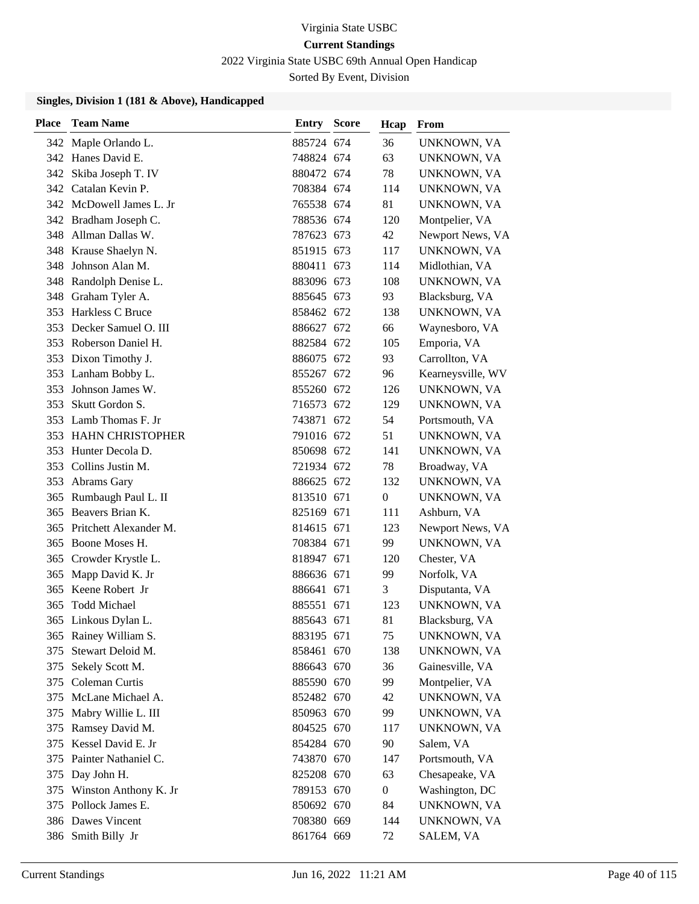2022 Virginia State USBC 69th Annual Open Handicap

Sorted By Event, Division

| Place | <b>Team Name</b>          | <b>Entry Score</b> | Hcap           | From              |
|-------|---------------------------|--------------------|----------------|-------------------|
|       | 342 Maple Orlando L.      | 885724 674         | 36             | UNKNOWN, VA       |
|       | 342 Hanes David E.        | 748824 674         | 63             | UNKNOWN, VA       |
|       | 342 Skiba Joseph T. IV    | 880472 674         | 78             | UNKNOWN, VA       |
|       | 342 Catalan Kevin P.      | 708384 674         | 114            | UNKNOWN, VA       |
|       | 342 McDowell James L. Jr  | 765538 674         | 81             | UNKNOWN, VA       |
|       | 342 Bradham Joseph C.     | 788536 674         | 120            | Montpelier, VA    |
|       | 348 Allman Dallas W.      | 787623 673         | 42             | Newport News, VA  |
|       | 348 Krause Shaelyn N.     | 851915 673         | 117            | UNKNOWN, VA       |
| 348   | Johnson Alan M.           | 880411 673         | 114            | Midlothian, VA    |
| 348   | Randolph Denise L.        | 883096 673         | 108            | UNKNOWN, VA       |
|       | 348 Graham Tyler A.       | 885645 673         | 93             | Blacksburg, VA    |
|       | 353 Harkless C Bruce      | 858462 672         | 138            | UNKNOWN, VA       |
|       | 353 Decker Samuel O. III  | 886627 672         | 66             | Waynesboro, VA    |
|       | 353 Roberson Daniel H.    | 882584 672         | 105            | Emporia, VA       |
|       | 353 Dixon Timothy J.      | 886075 672         | 93             | Carrollton, VA    |
|       | 353 Lanham Bobby L.       | 855267 672         | 96             | Kearneysville, WV |
| 353   | Johnson James W.          | 855260 672         | 126            | UNKNOWN, VA       |
| 353   | Skutt Gordon S.           | 716573 672         | 129            | UNKNOWN, VA       |
|       | 353 Lamb Thomas F. Jr     | 743871 672         | 54             | Portsmouth, VA    |
|       | 353 HAHN CHRISTOPHER      | 791016 672         | 51             | UNKNOWN, VA       |
|       | 353 Hunter Decola D.      | 850698 672         | 141            | UNKNOWN, VA       |
| 353   | Collins Justin M.         | 721934 672         | 78             | Broadway, VA      |
|       | 353 Abrams Gary           | 886625 672         | 132            | UNKNOWN, VA       |
| 365   | Rumbaugh Paul L. II       | 813510 671         | $\overline{0}$ | UNKNOWN, VA       |
| 365   | Beavers Brian K.          | 825169 671         | 111            | Ashburn, VA       |
| 365   | Pritchett Alexander M.    | 814615 671         | 123            | Newport News, VA  |
|       | 365 Boone Moses H.        | 708384 671         | 99             | UNKNOWN, VA       |
| 365   | Crowder Krystle L.        | 818947 671         | 120            | Chester, VA       |
| 365   | Mapp David K. Jr          | 886636 671         | 99             | Norfolk, VA       |
| 365   | Keene Robert Jr           | 886641 671         | 3              | Disputanta, VA    |
| 365   | <b>Todd Michael</b>       | 885551 671         | 123            | UNKNOWN, VA       |
|       | 365 Linkous Dylan L.      | 885643 671         | 81             | Blacksburg, VA    |
|       | 365 Rainey William S.     | 883195 671         | 75             | UNKNOWN, VA       |
| 375   | Stewart Deloid M.         | 858461 670         | 138            | UNKNOWN, VA       |
|       | 375 Sekely Scott M.       | 886643 670         | 36             | Gainesville, VA   |
|       | 375 Coleman Curtis        | 885590 670         | 99             | Montpelier, VA    |
|       | 375 McLane Michael A.     | 852482 670         | 42             | UNKNOWN, VA       |
| 375   | Mabry Willie L. III       | 850963 670         | 99             | UNKNOWN, VA       |
|       | 375 Ramsey David M.       | 804525 670         | 117            | UNKNOWN, VA       |
| 375   | Kessel David E. Jr        | 854284 670         | 90             | Salem, VA         |
| 375   | Painter Nathaniel C.      | 743870 670         | 147            | Portsmouth, VA    |
| 375   | Day John H.               | 825208 670         | 63             | Chesapeake, VA    |
|       | 375 Winston Anthony K. Jr | 789153 670         | $\overline{0}$ | Washington, DC    |
|       | 375 Pollock James E.      | 850692 670         | 84             | UNKNOWN, VA       |
|       | 386 Dawes Vincent         | 708380 669         | 144            | UNKNOWN, VA       |
|       | 386 Smith Billy Jr        | 861764 669         | 72             | SALEM, VA         |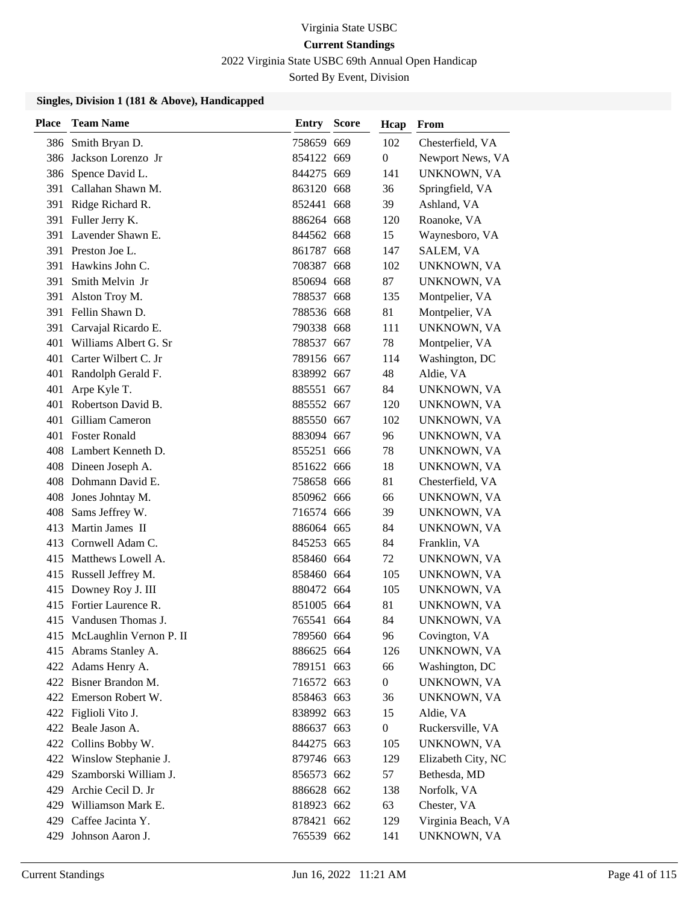2022 Virginia State USBC 69th Annual Open Handicap

Sorted By Event, Division

| <b>Place</b> | <b>Team Name</b>            | Entry      | <b>Score</b> | Hcap             | From               |
|--------------|-----------------------------|------------|--------------|------------------|--------------------|
|              | 386 Smith Bryan D.          | 758659 669 |              | 102              | Chesterfield, VA   |
| 386          | Jackson Lorenzo Jr          | 854122 669 |              | $\boldsymbol{0}$ | Newport News, VA   |
|              | 386 Spence David L.         | 844275 669 |              | 141              | UNKNOWN, VA        |
|              | 391 Callahan Shawn M.       | 863120 668 |              | 36               | Springfield, VA    |
| 391          | Ridge Richard R.            | 852441 668 |              | 39               | Ashland, VA        |
| 391          | Fuller Jerry K.             | 886264 668 |              | 120              | Roanoke, VA        |
|              | 391 Lavender Shawn E.       | 844562 668 |              | 15               | Waynesboro, VA     |
|              | 391 Preston Joe L.          | 861787 668 |              | 147              | SALEM, VA          |
| 391          | Hawkins John C.             | 708387 668 |              | 102              | UNKNOWN, VA        |
| 391          | Smith Melvin Jr             | 850694 668 |              | 87               | UNKNOWN, VA        |
| 391          | Alston Troy M.              | 788537 668 |              | 135              | Montpelier, VA     |
|              | 391 Fellin Shawn D.         | 788536 668 |              | 81               | Montpelier, VA     |
|              | 391 Carvajal Ricardo E.     | 790338 668 |              | 111              | UNKNOWN, VA        |
| 401          | Williams Albert G. Sr       | 788537 667 |              | 78               | Montpelier, VA     |
|              | 401 Carter Wilbert C. Jr    | 789156 667 |              | 114              | Washington, DC     |
| 401          | Randolph Gerald F.          | 838992 667 |              | 48               | Aldie, VA          |
| 401          | Arpe Kyle T.                | 885551 667 |              | 84               | UNKNOWN, VA        |
| 401          | Robertson David B.          | 885552 667 |              | 120              | UNKNOWN, VA        |
|              | 401 Gilliam Cameron         | 885550 667 |              | 102              | UNKNOWN, VA        |
|              | 401 Foster Ronald           | 883094 667 |              | 96               | UNKNOWN, VA        |
|              | 408 Lambert Kenneth D.      | 855251 666 |              | 78               | UNKNOWN, VA        |
|              | 408 Dineen Joseph A.        | 851622 666 |              | 18               | UNKNOWN, VA        |
|              | 408 Dohmann David E.        | 758658 666 |              | 81               | Chesterfield, VA   |
|              | 408 Jones Johntay M.        | 850962 666 |              | 66               | UNKNOWN, VA        |
|              | 408 Sams Jeffrey W.         | 716574 666 |              | 39               | UNKNOWN, VA        |
| 413          | Martin James II             | 886064 665 |              | 84               | UNKNOWN, VA        |
|              | 413 Cornwell Adam C.        | 845253 665 |              | 84               | Franklin, VA       |
|              | 415 Matthews Lowell A.      | 858460 664 |              | 72               | UNKNOWN, VA        |
|              | 415 Russell Jeffrey M.      | 858460 664 |              | 105              | UNKNOWN, VA        |
|              | 415 Downey Roy J. III       | 880472 664 |              | 105              | UNKNOWN, VA        |
|              | 415 Fortier Laurence R.     | 851005 664 |              | 81               | UNKNOWN, VA        |
|              | 415 Vandusen Thomas J.      | 765541 664 |              | 84               | UNKNOWN, VA        |
|              | 415 McLaughlin Vernon P. II | 789560 664 |              | 96               | Covington, VA      |
|              | 415 Abrams Stanley A.       | 886625 664 |              | 126              | UNKNOWN, VA        |
|              | 422 Adams Henry A.          | 789151 663 |              | 66               | Washington, DC     |
|              | 422 Bisner Brandon M.       | 716572 663 |              | $\boldsymbol{0}$ | UNKNOWN, VA        |
|              | 422 Emerson Robert W.       | 858463 663 |              | 36               | <b>UNKNOWN, VA</b> |
|              | 422 Figlioli Vito J.        | 838992 663 |              | 15               | Aldie, VA          |
|              | 422 Beale Jason A.          | 886637 663 |              | $\boldsymbol{0}$ | Ruckersville, VA   |
|              | 422 Collins Bobby W.        | 844275 663 |              | 105              | UNKNOWN, VA        |
|              | 422 Winslow Stephanie J.    | 879746 663 |              | 129              | Elizabeth City, NC |
| 429          | Szamborski William J.       | 856573 662 |              | 57               | Bethesda, MD       |
| 429          | Archie Cecil D. Jr          | 886628 662 |              | 138              | Norfolk, VA        |
|              | 429 Williamson Mark E.      | 818923 662 |              | 63               | Chester, VA        |
| 429          | Caffee Jacinta Y.           | 878421 662 |              | 129              | Virginia Beach, VA |
| 429          | Johnson Aaron J.            | 765539 662 |              | 141              | UNKNOWN, VA        |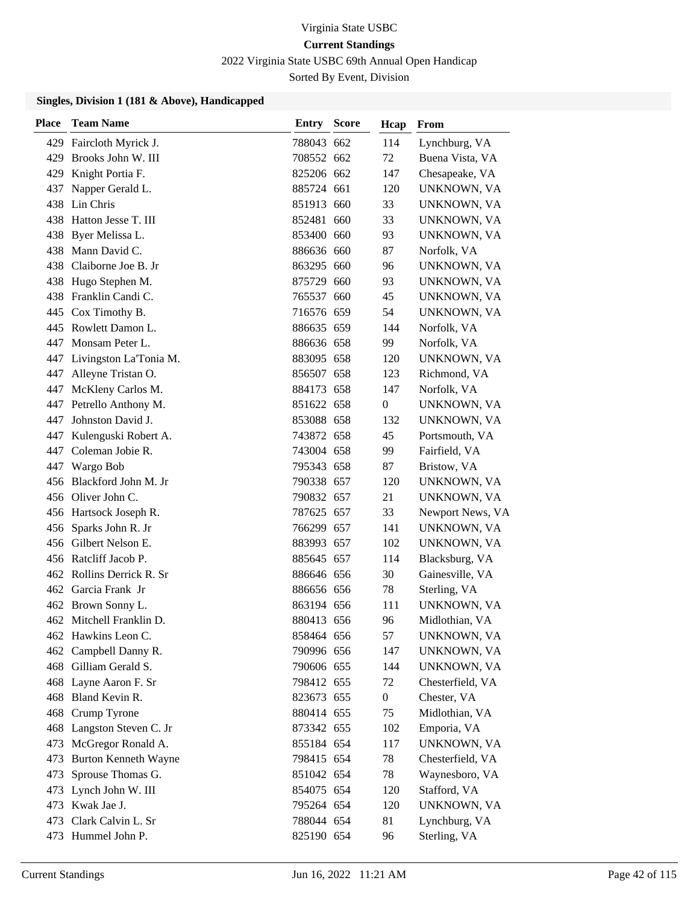2022 Virginia State USBC 69th Annual Open Handicap

Sorted By Event, Division

| <b>Place</b> | <b>Team Name</b>            | <b>Entry Score</b> | Hcap             | From             |
|--------------|-----------------------------|--------------------|------------------|------------------|
| 429          | Faircloth Myrick J.         | 788043 662         | 114              | Lynchburg, VA    |
| 429          | Brooks John W. III          | 708552 662         | 72               | Buena Vista, VA  |
| 429          | Knight Portia F.            | 825206 662         | 147              | Chesapeake, VA   |
| 437          | Napper Gerald L.            | 885724 661         | 120              | UNKNOWN, VA      |
| 438          | Lin Chris                   | 851913 660         | 33               | UNKNOWN, VA      |
|              | 438 Hatton Jesse T. III     | 852481 660         | 33               | UNKNOWN, VA      |
|              | 438 Byer Melissa L.         | 853400 660         | 93               | UNKNOWN, VA      |
|              | 438 Mann David C.           | 886636 660         | 87               | Norfolk, VA      |
| 438.         | Claiborne Joe B. Jr         | 863295 660         | 96               | UNKNOWN, VA      |
|              | 438 Hugo Stephen M.         | 875729 660         | 93               | UNKNOWN, VA      |
|              | 438 Franklin Candi C.       | 765537 660         | 45               | UNKNOWN, VA      |
|              | 445 Cox Timothy B.          | 716576 659         | 54               | UNKNOWN, VA      |
|              | 445 Rowlett Damon L.        | 886635 659         | 144              | Norfolk, VA      |
|              | 447 Monsam Peter L.         | 886636 658         | 99               | Norfolk, VA      |
|              | 447 Livingston La'Tonia M.  | 883095 658         | 120              | UNKNOWN, VA      |
|              | 447 Alleyne Tristan O.      | 856507 658         | 123              | Richmond, VA     |
|              | 447 McKleny Carlos M.       | 884173 658         | 147              | Norfolk, VA      |
|              | 447 Petrello Anthony M.     | 851622 658         | $\boldsymbol{0}$ | UNKNOWN, VA      |
|              | 447 Johnston David J.       | 853088 658         | 132              | UNKNOWN, VA      |
|              | 447 Kulenguski Robert A.    | 743872 658         | 45               | Portsmouth, VA   |
|              | 447 Coleman Jobie R.        | 743004 658         | 99               | Fairfield, VA    |
|              | 447 Wargo Bob               | 795343 658         | 87               | Bristow, VA      |
|              | 456 Blackford John M. Jr    | 790338 657         | 120              | UNKNOWN, VA      |
|              | 456 Oliver John C.          | 790832 657         | 21               | UNKNOWN, VA      |
|              | 456 Hartsock Joseph R.      | 787625 657         | 33               | Newport News, VA |
|              | 456 Sparks John R. Jr       | 766299 657         | 141              | UNKNOWN, VA      |
|              | 456 Gilbert Nelson E.       | 883993 657         | 102              | UNKNOWN, VA      |
|              | 456 Ratcliff Jacob P.       | 885645 657         | 114              | Blacksburg, VA   |
|              | 462 Rollins Derrick R. Sr   | 886646 656         | 30               | Gainesville, VA  |
|              | 462 Garcia Frank Jr         | 886656 656         | 78               | Sterling, VA     |
|              | 462 Brown Sonny L.          | 863194 656         | 111              | UNKNOWN, VA      |
|              | 462 Mitchell Franklin D.    | 880413 656         | 96               | Midlothian, VA   |
|              | 462 Hawkins Leon C.         | 858464 656         | 57               | UNKNOWN, VA      |
|              | 462 Campbell Danny R.       | 790996 656         | 147              | UNKNOWN, VA      |
|              | 468 Gilliam Gerald S.       | 790606 655         | 144              | UNKNOWN, VA      |
|              | 468 Layne Aaron F. Sr       | 798412 655         | 72               | Chesterfield, VA |
|              | 468 Bland Kevin R.          | 823673 655         | $\boldsymbol{0}$ | Chester, VA      |
| 468          | Crump Tyrone                | 880414 655         | 75               | Midlothian, VA   |
|              | 468 Langston Steven C. Jr   | 873342 655         | 102              | Emporia, VA      |
| 473          | McGregor Ronald A.          | 855184 654         | 117              | UNKNOWN, VA      |
| 473          | <b>Burton Kenneth Wayne</b> | 798415 654         | 78               | Chesterfield, VA |
| 473          | Sprouse Thomas G.           | 851042 654         | 78               | Waynesboro, VA   |
|              | 473 Lynch John W. III       | 854075 654         | 120              | Stafford, VA     |
|              | 473 Kwak Jae J.             | 795264 654         | 120              | UNKNOWN, VA      |
|              | 473 Clark Calvin L. Sr      | 788044 654         | 81               | Lynchburg, VA    |
|              | 473 Hummel John P.          | 825190 654         | 96               | Sterling, VA     |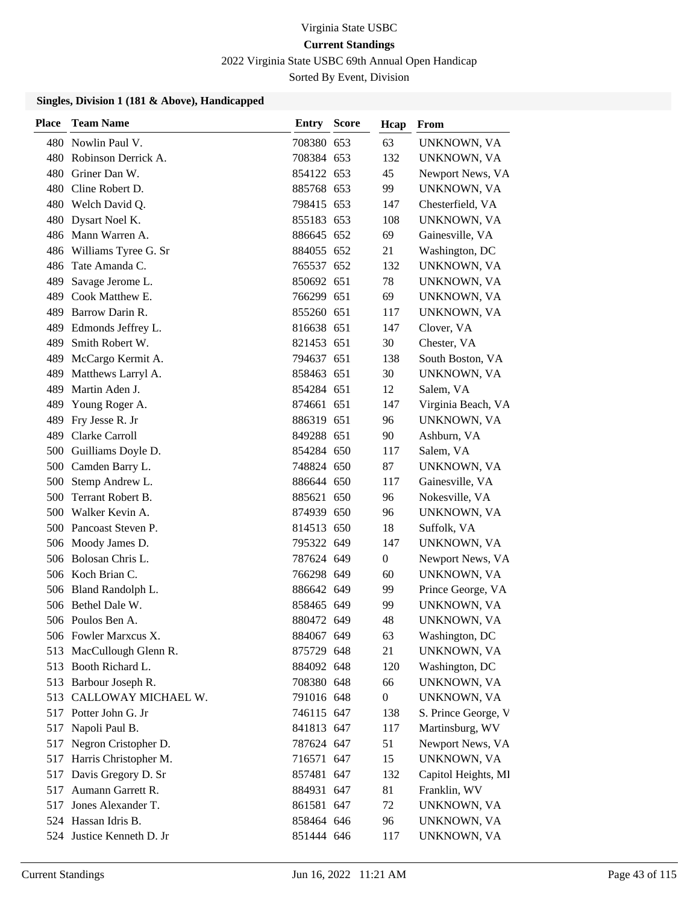2022 Virginia State USBC 69th Annual Open Handicap

Sorted By Event, Division

| <b>Place</b> | <b>Team Name</b>          | Entry      | <b>Score</b> | Hcap             | From                |
|--------------|---------------------------|------------|--------------|------------------|---------------------|
|              | 480 Nowlin Paul V.        | 708380 653 |              | 63               | UNKNOWN, VA         |
|              | 480 Robinson Derrick A.   | 708384 653 |              | 132              | UNKNOWN, VA         |
| 480          | Griner Dan W.             | 854122 653 |              | 45               | Newport News, VA    |
| 480          | Cline Robert D.           | 885768 653 |              | 99               | UNKNOWN, VA         |
|              | 480 Welch David Q.        | 798415 653 |              | 147              | Chesterfield, VA    |
| 480          | Dysart Noel K.            | 855183 653 |              | 108              | UNKNOWN, VA         |
|              | 486 Mann Warren A.        | 886645 652 |              | 69               | Gainesville, VA     |
|              | 486 Williams Tyree G. Sr  | 884055 652 |              | 21               | Washington, DC      |
| 486          | Tate Amanda C.            | 765537 652 |              | 132              | UNKNOWN, VA         |
| 489          | Savage Jerome L.          | 850692 651 |              | 78               | UNKNOWN, VA         |
|              | 489 Cook Matthew E.       | 766299 651 |              | 69               | UNKNOWN, VA         |
| 489          | Barrow Darin R.           | 855260 651 |              | 117              | UNKNOWN, VA         |
| 489          | Edmonds Jeffrey L.        | 816638 651 |              | 147              | Clover, VA          |
| 489          | Smith Robert W.           | 821453 651 |              | 30               | Chester, VA         |
| 489          | McCargo Kermit A.         | 794637 651 |              | 138              | South Boston, VA    |
| 489          | Matthews Larryl A.        | 858463 651 |              | 30               | UNKNOWN, VA         |
| 489          | Martin Aden J.            | 854284 651 |              | 12               | Salem, VA           |
| 489          | Young Roger A.            | 874661 651 |              | 147              | Virginia Beach, VA  |
|              | 489 Fry Jesse R. Jr       | 886319 651 |              | 96               | UNKNOWN, VA         |
| 489          | Clarke Carroll            | 849288 651 |              | 90               | Ashburn, VA         |
| 500          | Guilliams Doyle D.        | 854284 650 |              | 117              | Salem, VA           |
| 500          | Camden Barry L.           | 748824 650 |              | 87               | UNKNOWN, VA         |
| 500          | Stemp Andrew L.           | 886644 650 |              | 117              | Gainesville, VA     |
| 500          | Terrant Robert B.         | 885621 650 |              | 96               | Nokesville, VA      |
|              | 500 Walker Kevin A.       | 874939 650 |              | 96               | UNKNOWN, VA         |
|              | 500 Pancoast Steven P.    | 814513 650 |              | 18               | Suffolk, VA         |
|              | 506 Moody James D.        | 795322 649 |              | 147              | UNKNOWN, VA         |
|              | 506 Bolosan Chris L.      | 787624 649 |              | $\boldsymbol{0}$ | Newport News, VA    |
|              | 506 Koch Brian C.         | 766298 649 |              | 60               | UNKNOWN, VA         |
|              | 506 Bland Randolph L.     | 886642 649 |              | 99               | Prince George, VA   |
|              | 506 Bethel Dale W.        | 858465 649 |              | 99               | UNKNOWN, VA         |
|              | 506 Poulos Ben A.         | 880472 649 |              | 48               | UNKNOWN, VA         |
|              | 506 Fowler Marxcus X.     | 884067 649 |              | 63               | Washington, DC      |
| 513          | MacCullough Glenn R.      | 875729 648 |              | 21               | <b>UNKNOWN, VA</b>  |
|              | 513 Booth Richard L.      | 884092 648 |              | 120              | Washington, DC      |
|              | 513 Barbour Joseph R.     | 708380 648 |              | 66               | UNKNOWN, VA         |
|              | 513 CALLOWAY MICHAEL W.   | 791016 648 |              | $\overline{0}$   | UNKNOWN, VA         |
|              | 517 Potter John G. Jr     | 746115 647 |              | 138              | S. Prince George, V |
| 517          | Napoli Paul B.            | 841813 647 |              | 117              | Martinsburg, WV     |
| 517          | Negron Cristopher D.      | 787624 647 |              | 51               | Newport News, VA    |
|              | 517 Harris Christopher M. | 716571 647 |              | 15               | <b>UNKNOWN, VA</b>  |
| 517          | Davis Gregory D. Sr       | 857481 647 |              | 132              | Capitol Heights, MI |
|              | 517 Aumann Garrett R.     | 884931 647 |              | 81               | Franklin, WV        |
| 517          | Jones Alexander T.        | 861581 647 |              | 72               | UNKNOWN, VA         |
|              | 524 Hassan Idris B.       | 858464 646 |              | 96               | UNKNOWN, VA         |
|              | 524 Justice Kenneth D. Jr | 851444 646 |              | 117              | UNKNOWN, VA         |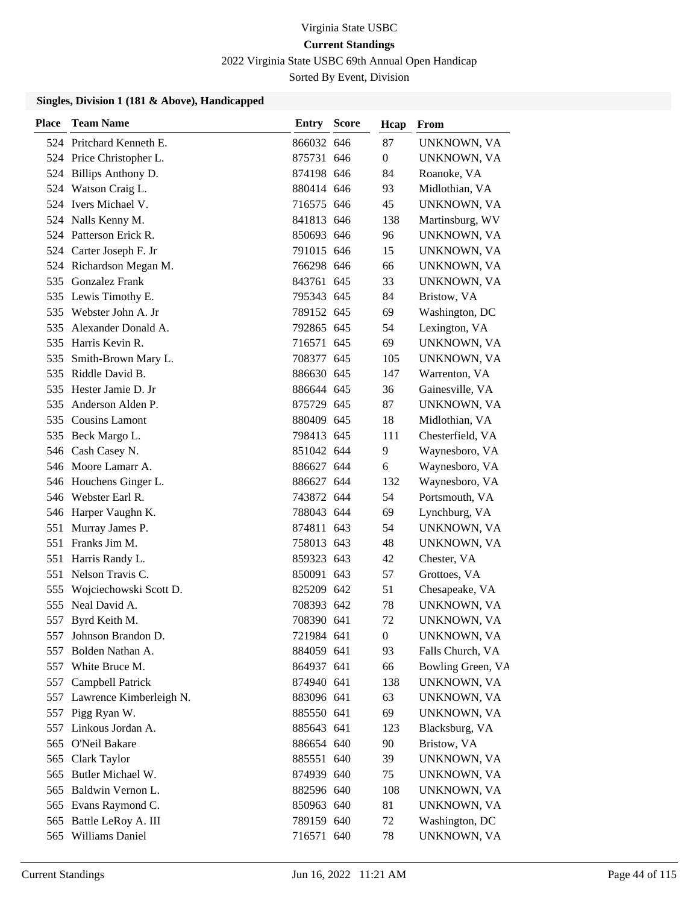2022 Virginia State USBC 69th Annual Open Handicap

Sorted By Event, Division

| Place | <b>Team Name</b>            | <b>Entry Score</b> | Hcap           | From              |
|-------|-----------------------------|--------------------|----------------|-------------------|
|       | 524 Pritchard Kenneth E.    | 866032 646         | 87             | UNKNOWN, VA       |
|       | 524 Price Christopher L.    | 875731 646         | $\overline{0}$ | UNKNOWN, VA       |
|       | 524 Billips Anthony D.      | 874198 646         | 84             | Roanoke, VA       |
|       | 524 Watson Craig L.         | 880414 646         | 93             | Midlothian, VA    |
|       | 524 Ivers Michael V.        | 716575 646         | 45             | UNKNOWN, VA       |
|       | 524 Nalls Kenny M.          | 841813 646         | 138            | Martinsburg, WV   |
|       | 524 Patterson Erick R.      | 850693 646         | 96             | UNKNOWN, VA       |
|       | 524 Carter Joseph F. Jr     | 791015 646         | 15             | UNKNOWN, VA       |
|       | 524 Richardson Megan M.     | 766298 646         | 66             | UNKNOWN, VA       |
| 535   | <b>Gonzalez Frank</b>       | 843761 645         | 33             | UNKNOWN, VA       |
|       | 535 Lewis Timothy E.        | 795343 645         | 84             | Bristow, VA       |
|       | 535 Webster John A. Jr      | 789152 645         | 69             | Washington, DC    |
| 535   | Alexander Donald A.         | 792865 645         | 54             | Lexington, VA     |
| 535   | Harris Kevin R.             | 716571 645         | 69             | UNKNOWN, VA       |
|       | 535 Smith-Brown Mary L.     | 708377 645         | 105            | UNKNOWN, VA       |
|       | 535 Riddle David B.         | 886630 645         | 147            | Warrenton, VA     |
|       | 535 Hester Jamie D. Jr      | 886644 645         | 36             | Gainesville, VA   |
| 535   | Anderson Alden P.           | 875729 645         | 87             | UNKNOWN, VA       |
|       | 535 Cousins Lamont          | 880409 645         | 18             | Midlothian, VA    |
|       | 535 Beck Margo L.           | 798413 645         | 111            | Chesterfield, VA  |
|       | 546 Cash Casey N.           | 851042 644         | 9              | Waynesboro, VA    |
|       | 546 Moore Lamarr A.         | 886627 644         | 6              | Waynesboro, VA    |
|       | 546 Houchens Ginger L.      | 886627 644         | 132            | Waynesboro, VA    |
|       | 546 Webster Earl R.         | 743872 644         | 54             | Portsmouth, VA    |
|       | 546 Harper Vaughn K.        | 788043 644         | 69             | Lynchburg, VA     |
| 551   | Murray James P.             | 874811 643         | 54             | UNKNOWN, VA       |
| 551   | Franks Jim M.               | 758013 643         | 48             | UNKNOWN, VA       |
| 551   | Harris Randy L.             | 859323 643         | 42             | Chester, VA       |
| 551   | Nelson Travis C.            | 850091 643         | 57             | Grottoes, VA      |
| 555   | Wojciechowski Scott D.      | 825209 642         | 51             | Chesapeake, VA    |
|       | 555 Neal David A.           | 708393 642         | 78             | UNKNOWN, VA       |
| 557   | Byrd Keith M.               | 708390 641         | 72             | UNKNOWN, VA       |
|       | 557 Johnson Brandon D.      | 721984 641         | $\overline{0}$ | UNKNOWN, VA       |
| 557   | Bolden Nathan A.            | 884059 641         | 93             | Falls Church, VA  |
|       | 557 White Bruce M.          | 864937 641         | 66             | Bowling Green, VA |
| 557   | Campbell Patrick            | 874940 641         | 138            | UNKNOWN, VA       |
|       | 557 Lawrence Kimberleigh N. | 883096 641         | 63             | UNKNOWN, VA       |
| 557   | Pigg Ryan W.                | 885550 641         | 69             | UNKNOWN, VA       |
|       | 557 Linkous Jordan A.       | 885643 641         | 123            | Blacksburg, VA    |
|       | 565 O'Neil Bakare           | 886654 640         | 90             | Bristow, VA       |
|       | 565 Clark Taylor            | 885551 640         | 39             | UNKNOWN, VA       |
|       | 565 Butler Michael W.       | 874939 640         | 75             | UNKNOWN, VA       |
|       | 565 Baldwin Vernon L.       | 882596 640         | 108            | UNKNOWN, VA       |
|       | 565 Evans Raymond C.        | 850963 640         | 81             | UNKNOWN, VA       |
|       | 565 Battle LeRoy A. III     | 789159 640         | 72             | Washington, DC    |
| 565   | Williams Daniel             | 716571 640         | 78             | UNKNOWN, VA       |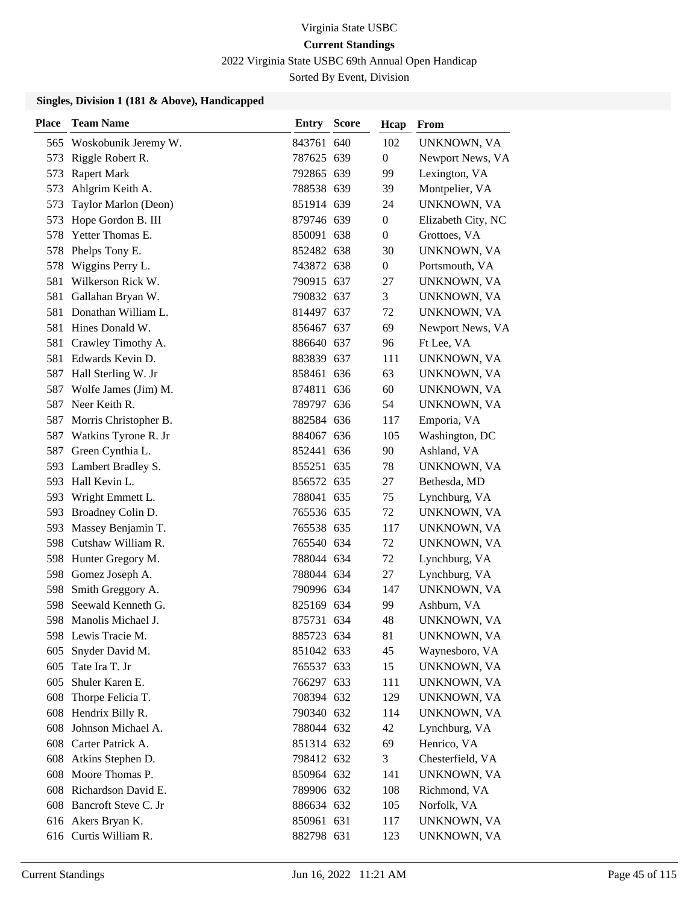2022 Virginia State USBC 69th Annual Open Handicap

Sorted By Event, Division

| <b>Place</b> | <b>Team Name</b>         | Entry      | <b>Score</b> | Hcap             | From               |
|--------------|--------------------------|------------|--------------|------------------|--------------------|
| 565          | Woskobunik Jeremy W.     | 843761 640 |              | 102              | UNKNOWN, VA        |
| 573          | Riggle Robert R.         | 787625 639 |              | $\boldsymbol{0}$ | Newport News, VA   |
| 573          | <b>Rapert Mark</b>       | 792865 639 |              | 99               | Lexington, VA      |
| 573          | Ahlgrim Keith A.         | 788538 639 |              | 39               | Montpelier, VA     |
| 573          | Taylor Marlon (Deon)     | 851914 639 |              | 24               | UNKNOWN, VA        |
| 573          | Hope Gordon B. III       | 879746 639 |              | $\boldsymbol{0}$ | Elizabeth City, NC |
| 578          | Yetter Thomas E.         | 850091 638 |              | $\boldsymbol{0}$ | Grottoes, VA       |
| 578          | Phelps Tony E.           | 852482 638 |              | 30               | UNKNOWN, VA        |
| 578          | Wiggins Perry L.         | 743872 638 |              | $\boldsymbol{0}$ | Portsmouth, VA     |
| 581          | Wilkerson Rick W.        | 790915 637 |              | 27               | UNKNOWN, VA        |
| 581          | Gallahan Bryan W.        | 790832 637 |              | 3                | UNKNOWN, VA        |
| 581          | Donathan William L.      | 814497 637 |              | 72               | UNKNOWN, VA        |
| 581          | Hines Donald W.          | 856467 637 |              | 69               | Newport News, VA   |
| 581          | Crawley Timothy A.       | 886640 637 |              | 96               | Ft Lee, VA         |
| 581          | Edwards Kevin D.         | 883839 637 |              | 111              | UNKNOWN, VA        |
| 587          | Hall Sterling W. Jr      | 858461 636 |              | 63               | UNKNOWN, VA        |
| 587          | Wolfe James (Jim) M.     | 874811 636 |              | 60               | UNKNOWN, VA        |
| 587          | Neer Keith R.            | 789797 636 |              | 54               | UNKNOWN, VA        |
| 587          | Morris Christopher B.    | 882584 636 |              | 117              | Emporia, VA        |
| 587          | Watkins Tyrone R. Jr     | 884067 636 |              | 105              | Washington, DC     |
| 587          | Green Cynthia L.         | 852441 636 |              | 90               | Ashland, VA        |
| 593          | Lambert Bradley S.       | 855251 635 |              | 78               | UNKNOWN, VA        |
| 593          | Hall Kevin L.            | 856572 635 |              | 27               | Bethesda, MD       |
| 593          | Wright Emmett L.         | 788041 635 |              | 75               | Lynchburg, VA      |
| 593          | Broadney Colin D.        | 765536 635 |              | 72               | UNKNOWN, VA        |
| 593          | Massey Benjamin T.       | 765538 635 |              | 117              | UNKNOWN, VA        |
|              | 598 Cutshaw William R.   | 765540 634 |              | 72               | UNKNOWN, VA        |
|              | 598 Hunter Gregory M.    | 788044 634 |              | 72               | Lynchburg, VA      |
| 598          | Gomez Joseph A.          | 788044 634 |              | 27               | Lynchburg, VA      |
| 598          | Smith Greggory A.        | 790996 634 |              | 147              | UNKNOWN, VA        |
| 598          | Seewald Kenneth G.       | 825169 634 |              | 99               | Ashburn, VA        |
| 598          | Manolis Michael J.       | 875731 634 |              | 48               | UNKNOWN, VA        |
|              | 598 Lewis Tracie M.      | 885723 634 |              | 81               | UNKNOWN, VA        |
| 605          | Snyder David M.          | 851042 633 |              | 45               | Waynesboro, VA     |
| 605          | Tate Ira T. Jr           | 765537 633 |              | 15               | UNKNOWN, VA        |
| 605          | Shuler Karen E.          | 766297 633 |              | 111              | UNKNOWN, VA        |
| 608          | Thorpe Felicia T.        | 708394 632 |              | 129              | UNKNOWN, VA        |
| 608          | Hendrix Billy R.         | 790340 632 |              | 114              | UNKNOWN, VA        |
| 608          | Johnson Michael A.       | 788044 632 |              | 42               | Lynchburg, VA      |
|              | 608 Carter Patrick A.    | 851314 632 |              | 69               | Henrico, VA        |
| 608          | Atkins Stephen D.        | 798412 632 |              | 3                | Chesterfield, VA   |
| 608          | Moore Thomas P.          | 850964 632 |              | 141              | UNKNOWN, VA        |
|              | 608 Richardson David E.  | 789906 632 |              | 108              | Richmond, VA       |
|              | 608 Bancroft Steve C. Jr | 886634 632 |              | 105              | Norfolk, VA        |
|              | 616 Akers Bryan K.       | 850961 631 |              | 117              | UNKNOWN, VA        |
|              | 616 Curtis William R.    | 882798 631 |              | 123              | UNKNOWN, VA        |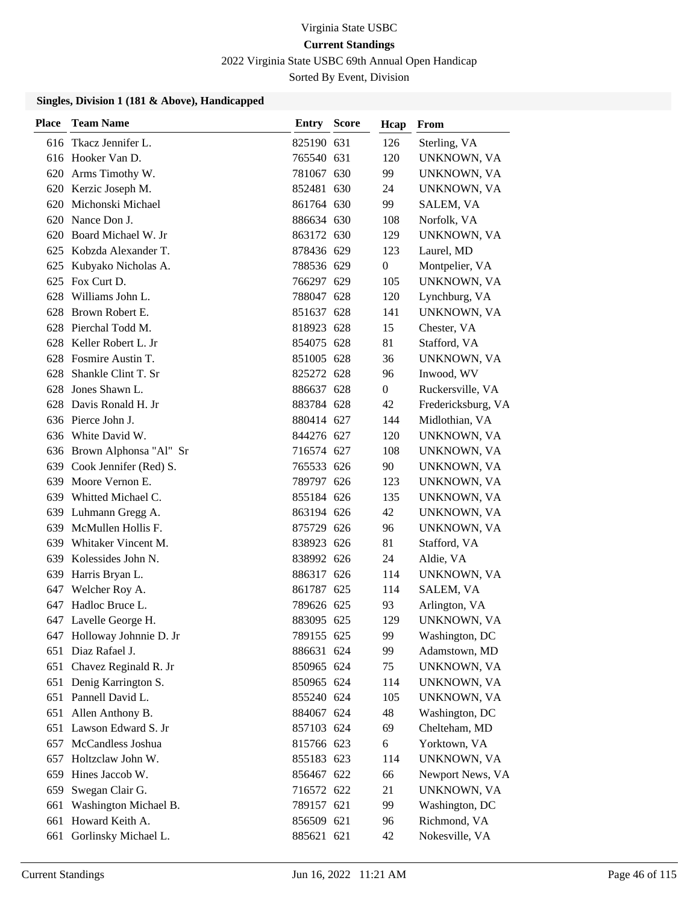2022 Virginia State USBC 69th Annual Open Handicap

Sorted By Event, Division

| <b>Place</b> | <b>Team Name</b>           | <b>Entry Score</b> | Hcap             | From               |
|--------------|----------------------------|--------------------|------------------|--------------------|
|              | 616 Tkacz Jennifer L.      | 825190 631         | 126              | Sterling, VA       |
|              | 616 Hooker Van D.          | 765540 631         | 120              | UNKNOWN, VA        |
|              | 620 Arms Timothy W.        | 781067 630         | 99               | UNKNOWN, VA        |
|              | 620 Kerzic Joseph M.       | 852481 630         | 24               | UNKNOWN, VA        |
| 620          | Michonski Michael          | 861764 630         | 99.              | SALEM, VA          |
| 620          | Nance Don J.               | 886634 630         | 108              | Norfolk, VA        |
|              | 620 Board Michael W. Jr    | 863172 630         | 129              | UNKNOWN, VA        |
|              | 625 Kobzda Alexander T.    | 878436 629         | 123              | Laurel, MD         |
| 625          | Kubyako Nicholas A.        | 788536 629         | $\boldsymbol{0}$ | Montpelier, VA     |
| 625          | Fox Curt D.                | 766297 629         | 105              | UNKNOWN, VA        |
| 628          | Williams John L.           | 788047 628         | 120              | Lynchburg, VA      |
| 628          | Brown Robert E.            | 851637 628         | 141              | UNKNOWN, VA        |
| 628          | Pierchal Todd M.           | 818923 628         | 15               | Chester, VA        |
|              | 628 Keller Robert L. Jr    | 854075 628         | 81               | Stafford, VA       |
|              | 628 Fosmire Austin T.      | 851005 628         | 36               | UNKNOWN, VA        |
| 628          | Shankle Clint T. Sr        | 825272 628         | 96               | Inwood, WV         |
| 628          | Jones Shawn L.             | 886637 628         | $\overline{0}$   | Ruckersville, VA   |
| 628          | Davis Ronald H. Jr         | 883784 628         | 42               | Fredericksburg, VA |
|              | 636 Pierce John J.         | 880414 627         | 144              | Midlothian, VA     |
|              | 636 White David W.         | 844276 627         | 120              | UNKNOWN, VA        |
|              | 636 Brown Alphonsa "Al" Sr | 716574 627         | 108              | UNKNOWN, VA        |
| 639          | Cook Jennifer (Red) S.     | 765533 626         | 90               | UNKNOWN, VA        |
| 639          | Moore Vernon E.            | 789797 626         | 123              | UNKNOWN, VA        |
|              | 639 Whitted Michael C.     | 855184 626         | 135              | UNKNOWN, VA        |
| 639          | Luhmann Gregg A.           | 863194 626         | 42               | UNKNOWN, VA        |
| 639          | McMullen Hollis F.         | 875729 626         | 96               | UNKNOWN, VA        |
| 639          | Whitaker Vincent M.        | 838923 626         | 81               | Stafford, VA       |
| 639          | Kolessides John N.         | 838992 626         | 24               | Aldie, VA          |
| 639          | Harris Bryan L.            | 886317 626         | 114              | UNKNOWN, VA        |
| 647          | Welcher Roy A.             | 861787 625         | 114              | SALEM, VA          |
| 647          | Hadloc Bruce L.            | 789626 625         | 93               | Arlington, VA      |
|              | 647 Lavelle George H.      | 883095 625         | 129              | UNKNOWN, VA        |
|              | 647 Holloway Johnnie D. Jr | 789155 625         | 99               | Washington, DC     |
| 651          | Diaz Rafael J.             | 886631 624         | 99               | Adamstown, MD      |
|              | 651 Chavez Reginald R. Jr  | 850965 624         | 75               | UNKNOWN, VA        |
| 651          | Denig Karrington S.        | 850965 624         | 114              | UNKNOWN, VA        |
|              | 651 Pannell David L.       | 855240 624         | 105              | UNKNOWN, VA        |
| 651          | Allen Anthony B.           | 884067 624         | 48               | Washington, DC     |
| 651          | Lawson Edward S. Jr        | 857103 624         | 69               | Chelteham, MD      |
| 657          | McCandless Joshua          | 815766 623         | 6                | Yorktown, VA       |
| 657          | Holtzclaw John W.          | 855183 623         | 114              | UNKNOWN, VA        |
| 659          | Hines Jaccob W.            | 856467 622         | 66               | Newport News, VA   |
| 659          | Swegan Clair G.            | 716572 622         | 21               | UNKNOWN, VA        |
| 661          | Washington Michael B.      | 789157 621         | 99               | Washington, DC     |
| 661          | Howard Keith A.            | 856509 621         | 96               | Richmond, VA       |
| 661          | Gorlinsky Michael L.       | 885621 621         | 42               | Nokesville, VA     |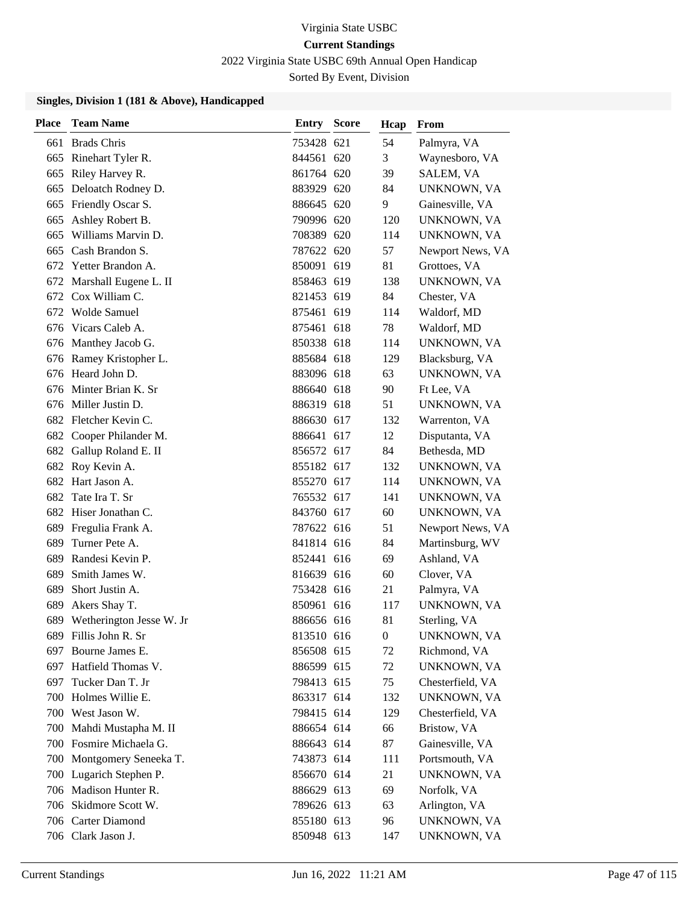### 2022 Virginia State USBC 69th Annual Open Handicap

Sorted By Event, Division

| Place | <b>Team Name</b>          | <b>Entry Score</b> | Hcap             | From               |
|-------|---------------------------|--------------------|------------------|--------------------|
| 661   | <b>Brads Chris</b>        | 753428 621         | 54               | Palmyra, VA        |
|       | 665 Rinehart Tyler R.     | 844561 620         | 3                | Waynesboro, VA     |
|       | 665 Riley Harvey R.       | 861764 620         | 39               | SALEM, VA          |
| 665   | Deloatch Rodney D.        | 883929 620         | 84               | UNKNOWN, VA        |
|       | 665 Friendly Oscar S.     | 886645 620         | 9                | Gainesville, VA    |
| 665   | Ashley Robert B.          | 790996 620         | 120              | UNKNOWN, VA        |
| 665   | Williams Marvin D.        | 708389 620         | 114              | UNKNOWN, VA        |
| 665   | Cash Brandon S.           | 787622 620         | 57               | Newport News, VA   |
|       | 672 Yetter Brandon A.     | 850091 619         | 81               | Grottoes, VA       |
|       | 672 Marshall Eugene L. II | 858463 619         | 138              | UNKNOWN, VA        |
|       | 672 Cox William C.        | 821453 619         | 84               | Chester, VA        |
|       | 672 Wolde Samuel          | 875461 619         | 114              | Waldorf, MD        |
|       | 676 Vicars Caleb A.       | 875461 618         | 78               | Waldorf, MD        |
|       | 676 Manthey Jacob G.      | 850338 618         | 114              | UNKNOWN, VA        |
|       | 676 Ramey Kristopher L.   | 885684 618         | 129              | Blacksburg, VA     |
|       | 676 Heard John D.         | 883096 618         | 63               | UNKNOWN, VA        |
|       | 676 Minter Brian K. Sr    | 886640 618         | 90               | Ft Lee, VA         |
|       | 676 Miller Justin D.      | 886319 618         | 51               | UNKNOWN, VA        |
|       | 682 Fletcher Kevin C.     | 886630 617         | 132              | Warrenton, VA      |
|       | 682 Cooper Philander M.   | 886641 617         | 12               | Disputanta, VA     |
| 682   | Gallup Roland E. II       | 856572 617         | 84               | Bethesda, MD       |
|       | 682 Roy Kevin A.          | 855182 617         | 132              | UNKNOWN, VA        |
|       | 682 Hart Jason A.         | 855270 617         | 114              | UNKNOWN, VA        |
|       | 682 Tate Ira T. Sr        | 765532 617         | 141              | UNKNOWN, VA        |
|       | 682 Hiser Jonathan C.     | 843760 617         | 60               | UNKNOWN, VA        |
| 689   | Fregulia Frank A.         | 787622 616         | 51               | Newport News, VA   |
| 689   | Turner Pete A.            | 841814 616         | 84               | Martinsburg, WV    |
| 689   | Randesi Kevin P.          | 852441 616         | 69               | Ashland, VA        |
| 689   | Smith James W.            | 816639 616         | 60               | Clover, VA         |
| 689   | Short Justin A.           | 753428 616         | 21               | Palmyra, VA        |
| 689   | Akers Shay T.             | 850961 616         | 117              | UNKNOWN, VA        |
| 689   | Wetherington Jesse W. Jr  | 886656 616         | 81               | Sterling, VA       |
|       | 689 Fillis John R. Sr     | 813510 616         | $\boldsymbol{0}$ | UNKNOWN, VA        |
|       | 697 Bourne James E.       | 856508 615         | 72               | Richmond, VA       |
|       | 697 Hatfield Thomas V.    | 886599 615         | 72               | UNKNOWN, VA        |
|       | 697 Tucker Dan T. Jr      | 798413 615         | 75               | Chesterfield, VA   |
| 700   | Holmes Willie E.          | 863317 614         | 132              | <b>UNKNOWN, VA</b> |
| 700   | West Jason W.             | 798415 614         | 129              | Chesterfield, VA   |
|       | 700 Mahdi Mustapha M. II  | 886654 614         | 66               | Bristow, VA        |
|       | 700 Fosmire Michaela G.   | 886643 614         | 87               | Gainesville, VA    |
|       | 700 Montgomery Seneeka T. | 743873 614         | 111              | Portsmouth, VA     |
|       | 700 Lugarich Stephen P.   | 856670 614         | 21               | UNKNOWN, VA        |
|       | 706 Madison Hunter R.     | 886629 613         | 69               | Norfolk, VA        |
|       | 706 Skidmore Scott W.     | 789626 613         | 63               | Arlington, VA      |
|       | 706 Carter Diamond        | 855180 613         | 96               | UNKNOWN, VA        |
|       | 706 Clark Jason J.        | 850948 613         | 147              | UNKNOWN, VA        |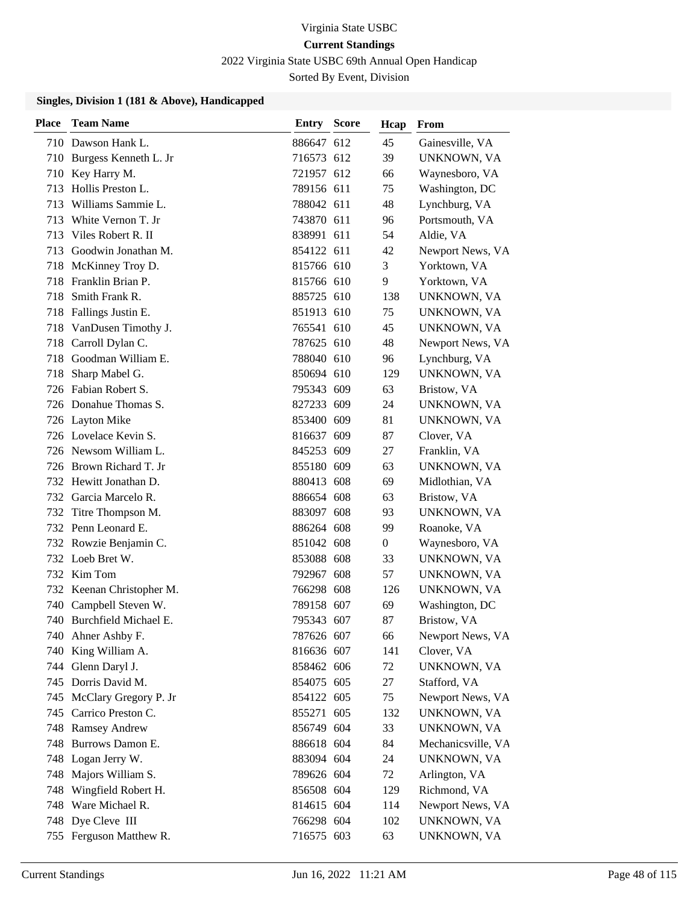2022 Virginia State USBC 69th Annual Open Handicap

Sorted By Event, Division

| Place | <b>Team Name</b>          | <b>Entry Score</b> | Hcap           | From               |
|-------|---------------------------|--------------------|----------------|--------------------|
|       | 710 Dawson Hank L.        | 886647 612         | 45             | Gainesville, VA    |
|       | 710 Burgess Kenneth L. Jr | 716573 612         | 39             | <b>UNKNOWN, VA</b> |
|       | 710 Key Harry M.          | 721957 612         | 66             | Waynesboro, VA     |
| 713   | Hollis Preston L.         | 789156 611         | 75             | Washington, DC     |
| 713   | Williams Sammie L.        | 788042 611         | 48             | Lynchburg, VA      |
| 713   | White Vernon T. Jr        | 743870 611         | 96             | Portsmouth, VA     |
| 713   | Viles Robert R. II        | 838991 611         | 54             | Aldie, VA          |
| 713   | Goodwin Jonathan M.       | 854122 611         | 42             | Newport News, VA   |
|       | 718 McKinney Troy D.      | 815766 610         | 3              | Yorktown, VA       |
| 718   | Franklin Brian P.         | 815766 610         | 9              | Yorktown, VA       |
| 718   | Smith Frank R.            | 885725 610         | 138            | UNKNOWN, VA        |
|       | 718 Fallings Justin E.    | 851913 610         | 75             | UNKNOWN, VA        |
|       | 718 VanDusen Timothy J.   | 765541 610         | 45             | UNKNOWN, VA        |
|       | 718 Carroll Dylan C.      | 787625 610         | 48             | Newport News, VA   |
|       | 718 Goodman William E.    | 788040 610         | 96             | Lynchburg, VA      |
| 718   | Sharp Mabel G.            | 850694 610         | 129            | UNKNOWN, VA        |
|       | 726 Fabian Robert S.      | 795343 609         | 63             | Bristow, VA        |
|       | 726 Donahue Thomas S.     | 827233 609         | 24             | UNKNOWN, VA        |
|       | 726 Layton Mike           | 853400 609         | 81             | UNKNOWN, VA        |
|       | 726 Lovelace Kevin S.     | 816637 609         | 87             | Clover, VA         |
|       | 726 Newsom William L.     | 845253 609         | 27             | Franklin, VA       |
|       | 726 Brown Richard T. Jr   | 855180 609         | 63             | UNKNOWN, VA        |
|       | 732 Hewitt Jonathan D.    | 880413 608         | 69             | Midlothian, VA     |
|       | 732 Garcia Marcelo R.     | 886654 608         | 63             | Bristow, VA        |
| 732   | Titre Thompson M.         | 883097 608         | 93             | UNKNOWN, VA        |
|       | 732 Penn Leonard E.       | 886264 608         | 99             | Roanoke, VA        |
|       | 732 Rowzie Benjamin C.    | 851042 608         | $\overline{0}$ | Waynesboro, VA     |
|       | 732 Loeb Bret W.          | 853088 608         | 33             | UNKNOWN, VA        |
|       | 732 Kim Tom               | 792967 608         | 57             | UNKNOWN, VA        |
|       | 732 Keenan Christopher M. | 766298 608         | 126            | UNKNOWN, VA        |
|       | 740 Campbell Steven W.    | 789158 607         | 69             | Washington, DC     |
|       | 740 Burchfield Michael E. | 795343 607         | 87             | Bristow, VA        |
|       | 740 Ahner Ashby F.        | 787626 607         | 66             | Newport News, VA   |
|       | 740 King William A.       | 816636 607         | 141            | Clover, VA         |
|       | 744 Glenn Daryl J.        | 858462 606         | 72             | UNKNOWN, VA        |
|       | 745 Dorris David M.       | 854075 605         | 27             | Stafford, VA       |
|       | 745 McClary Gregory P. Jr | 854122 605         | 75             | Newport News, VA   |
| 745   | Carrico Preston C.        | 855271 605         | 132            | UNKNOWN, VA        |
|       | 748 Ramsey Andrew         | 856749 604         | 33             | UNKNOWN, VA        |
| 748   | Burrows Damon E.          | 886618 604         | 84             | Mechanicsville, VA |
|       | 748 Logan Jerry W.        | 883094 604         | 24             | UNKNOWN, VA        |
| 748   | Majors William S.         | 789626 604         | 72             | Arlington, VA      |
|       | 748 Wingfield Robert H.   | 856508 604         | 129            | Richmond, VA       |
|       | 748 Ware Michael R.       | 814615 604         | 114            | Newport News, VA   |
|       | 748 Dye Cleve III         | 766298 604         | 102            | UNKNOWN, VA        |
|       | 755 Ferguson Matthew R.   | 716575 603         | 63             | UNKNOWN, VA        |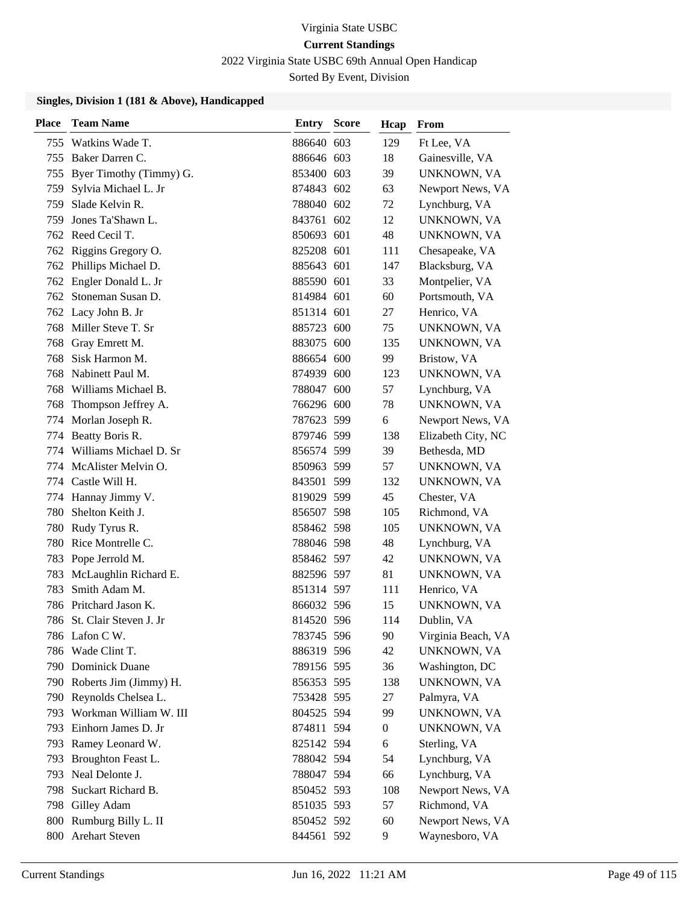2022 Virginia State USBC 69th Annual Open Handicap

Sorted By Event, Division

| <b>Place</b> | <b>Team Name</b>           | Entry      | <b>Score</b> | Hcap           | From               |
|--------------|----------------------------|------------|--------------|----------------|--------------------|
| 755          | Watkins Wade T.            | 886640 603 |              | 129            | Ft Lee, VA         |
|              | 755 Baker Darren C.        | 886646 603 |              | 18             | Gainesville, VA    |
| 755          | Byer Timothy (Timmy) G.    | 853400 603 |              | 39             | UNKNOWN, VA        |
| 759          | Sylvia Michael L. Jr       | 874843 602 |              | 63             | Newport News, VA   |
| 759          | Slade Kelvin R.            | 788040 602 |              | 72             | Lynchburg, VA      |
| 759          | Jones Ta'Shawn L.          | 843761 602 |              | 12             | UNKNOWN, VA        |
|              | 762 Reed Cecil T.          | 850693 601 |              | 48             | UNKNOWN, VA        |
|              | 762 Riggins Gregory O.     | 825208 601 |              | 111            | Chesapeake, VA     |
| 762          | Phillips Michael D.        | 885643 601 |              | 147            | Blacksburg, VA     |
| 762          | Engler Donald L. Jr        | 885590 601 |              | 33             | Montpelier, VA     |
|              | 762 Stoneman Susan D.      | 814984 601 |              | 60             | Portsmouth, VA     |
|              | 762 Lacy John B. Jr        | 851314 601 |              | 27             | Henrico, VA        |
| 768          | Miller Steve T. Sr         | 885723 600 |              | 75             | UNKNOWN, VA        |
| 768          | Gray Emrett M.             | 883075 600 |              | 135            | UNKNOWN, VA        |
| 768          | Sisk Harmon M.             | 886654 600 |              | 99             | Bristow, VA        |
| 768          | Nabinett Paul M.           | 874939 600 |              | 123            | <b>UNKNOWN, VA</b> |
| 768          | Williams Michael B.        | 788047 600 |              | 57             | Lynchburg, VA      |
| 768          | Thompson Jeffrey A.        | 766296 600 |              | 78             | <b>UNKNOWN, VA</b> |
|              | 774 Morlan Joseph R.       | 787623 599 |              | 6              | Newport News, VA   |
|              | 774 Beatty Boris R.        | 879746 599 |              | 138            | Elizabeth City, NC |
|              | 774 Williams Michael D. Sr | 856574 599 |              | 39             | Bethesda, MD       |
|              | 774 McAlister Melvin O.    | 850963 599 |              | 57             | UNKNOWN, VA        |
|              | 774 Castle Will H.         | 843501 599 |              | 132            | UNKNOWN, VA        |
| 774          | Hannay Jimmy V.            | 819029 599 |              | 45             | Chester, VA        |
| 780          | Shelton Keith J.           | 856507 598 |              | 105            | Richmond, VA       |
| 780          | Rudy Tyrus R.              | 858462 598 |              | 105            | UNKNOWN, VA        |
|              | 780 Rice Montrelle C.      | 788046 598 |              | 48             | Lynchburg, VA      |
| 783          | Pope Jerrold M.            | 858462 597 |              | 42             | UNKNOWN, VA        |
| 783          | McLaughlin Richard E.      | 882596 597 |              | 81             | UNKNOWN, VA        |
| 783          | Smith Adam M.              | 851314 597 |              | 111            | Henrico, VA        |
|              | 786 Pritchard Jason K.     | 866032 596 |              | 15             | <b>UNKNOWN, VA</b> |
|              | 786 St. Clair Steven J. Jr | 814520 596 |              | 114            | Dublin, VA         |
|              | 786 Lafon C W.             | 783745 596 |              | 90             | Virginia Beach, VA |
|              | 786 Wade Clint T.          | 886319 596 |              | 42             | UNKNOWN, VA        |
|              | 790 Dominick Duane         | 789156 595 |              | 36             | Washington, DC     |
|              | 790 Roberts Jim (Jimmy) H. | 856353 595 |              | 138            | UNKNOWN, VA        |
|              | 790 Reynolds Chelsea L.    | 753428 595 |              | 27             | Palmyra, VA        |
| 793          | Workman William W. III     | 804525 594 |              | 99             | UNKNOWN, VA        |
|              | 793 Einhorn James D. Jr    | 874811 594 |              | $\overline{0}$ | UNKNOWN, VA        |
| 793          | Ramey Leonard W.           | 825142 594 |              | 6              | Sterling, VA       |
| 793          | Broughton Feast L.         | 788042 594 |              | 54             | Lynchburg, VA      |
| 793          | Neal Delonte J.            | 788047 594 |              | 66             | Lynchburg, VA      |
|              | 798 Suckart Richard B.     | 850452 593 |              | 108            | Newport News, VA   |
|              | 798 Gilley Adam            | 851035 593 |              | 57             | Richmond, VA       |
|              | 800 Rumburg Billy L. II    | 850452 592 |              | 60             | Newport News, VA   |
|              | 800 Arehart Steven         | 844561 592 |              | 9              | Waynesboro, VA     |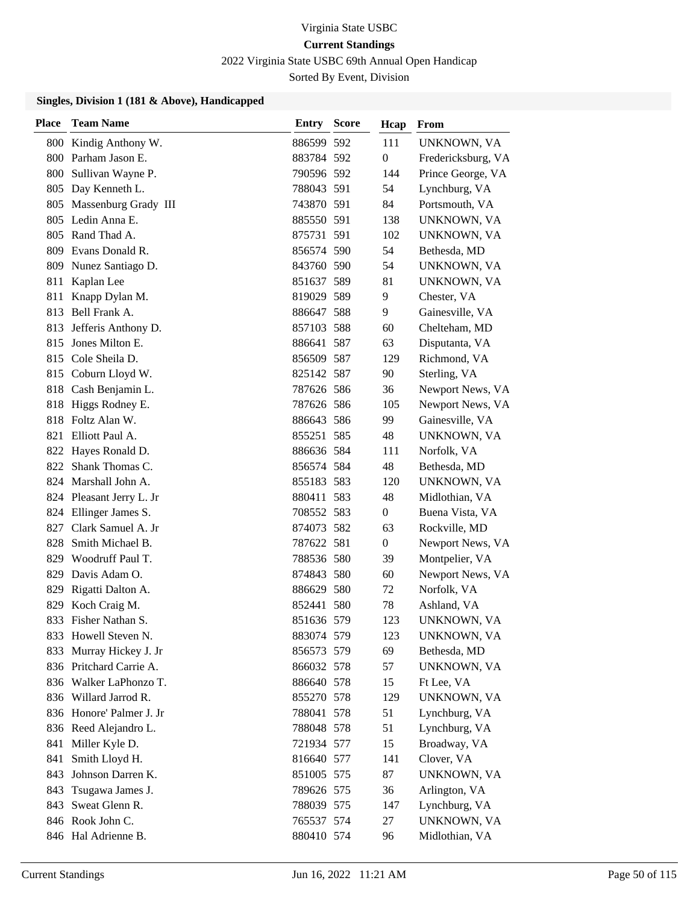2022 Virginia State USBC 69th Annual Open Handicap

Sorted By Event, Division

| <b>Place</b> | <b>Team Name</b>         | <b>Entry Score</b> | Hcap           | From               |
|--------------|--------------------------|--------------------|----------------|--------------------|
| 800          | Kindig Anthony W.        | 886599 592         | 111            | UNKNOWN, VA        |
|              | 800 Parham Jason E.      | 883784 592         | 0              | Fredericksburg, VA |
| 800          | Sullivan Wayne P.        | 790596 592         | 144            | Prince George, VA  |
| 805          | Day Kenneth L.           | 788043 591         | 54             | Lynchburg, VA      |
|              | 805 Massenburg Grady III | 743870 591         | 84             | Portsmouth, VA     |
| 805          | Ledin Anna E.            | 885550 591         | 138            | UNKNOWN, VA        |
|              | 805 Rand Thad A.         | 875731 591         | 102            | UNKNOWN, VA        |
|              | 809 Evans Donald R.      | 856574 590         | 54             | Bethesda, MD       |
|              | 809 Nunez Santiago D.    | 843760 590         | 54             | UNKNOWN, VA        |
| 811          | Kaplan Lee               | 851637 589         | 81             | UNKNOWN, VA        |
|              | 811 Knapp Dylan M.       | 819029 589         | 9              | Chester, VA        |
| 813          | Bell Frank A.            | 886647 588         | 9              | Gainesville, VA    |
| 813          | Jefferis Anthony D.      | 857103 588         | 60             | Chelteham, MD      |
| 815          | Jones Milton E.          | 886641 587         | 63             | Disputanta, VA     |
|              | 815 Cole Sheila D.       | 856509 587         | 129            | Richmond, VA       |
|              | 815 Coburn Lloyd W.      | 825142 587         | 90             | Sterling, VA       |
|              | 818 Cash Benjamin L.     | 787626 586         | 36             | Newport News, VA   |
|              | 818 Higgs Rodney E.      | 787626 586         | 105            | Newport News, VA   |
|              | 818 Foltz Alan W.        | 886643 586         | 99             | Gainesville, VA    |
| 821          | Elliott Paul A.          | 855251 585         | 48             | UNKNOWN, VA        |
| 822          | Hayes Ronald D.          | 886636 584         | 111            | Norfolk, VA        |
|              | 822 Shank Thomas C.      | 856574 584         | 48             | Bethesda, MD       |
|              | 824 Marshall John A.     | 855183 583         | 120            | UNKNOWN, VA        |
|              | 824 Pleasant Jerry L. Jr | 880411 583         | 48             | Midlothian, VA     |
| 824          | Ellinger James S.        | 708552 583         | 0              | Buena Vista, VA    |
| 827          | Clark Samuel A. Jr       | 874073 582         | 63             | Rockville, MD      |
| 828          | Smith Michael B.         | 787622 581         | $\overline{0}$ | Newport News, VA   |
| 829          | Woodruff Paul T.         | 788536 580         | 39             | Montpelier, VA     |
| 829          | Davis Adam O.            | 874843 580         | 60             | Newport News, VA   |
| 829          | Rigatti Dalton A.        | 886629 580         | 72             | Norfolk, VA        |
|              | 829 Koch Craig M.        | 852441 580         | 78             | Ashland, VA        |
| 833          | Fisher Nathan S.         | 851636 579         | 123            | UNKNOWN, VA        |
|              | 833 Howell Steven N.     | 883074 579         | 123            | UNKNOWN, VA        |
| 833          | Murray Hickey J. Jr      | 856573 579         | 69             | Bethesda, MD       |
|              | 836 Pritchard Carrie A.  | 866032 578         | 57             | UNKNOWN, VA        |
|              | 836 Walker LaPhonzo T.   | 886640 578         | 15             | Ft Lee, VA         |
|              | 836 Willard Jarrod R.    | 855270 578         | 129            | UNKNOWN, VA        |
|              | 836 Honore' Palmer J. Jr | 788041 578         | 51             | Lynchburg, VA      |
|              | 836 Reed Alejandro L.    | 788048 578         | 51             | Lynchburg, VA      |
| 841          | Miller Kyle D.           | 721934 577         | 15             | Broadway, VA       |
| 841          | Smith Lloyd H.           | 816640 577         | 141            | Clover, VA         |
| 843          | Johnson Darren K.        | 851005 575         | 87             | UNKNOWN, VA        |
|              | 843 Tsugawa James J.     | 789626 575         | 36             | Arlington, VA      |
|              | 843 Sweat Glenn R.       | 788039 575         | 147            | Lynchburg, VA      |
|              | 846 Rook John C.         | 765537 574         | 27             | UNKNOWN, VA        |
|              | 846 Hal Adrienne B.      | 880410 574         | 96             | Midlothian, VA     |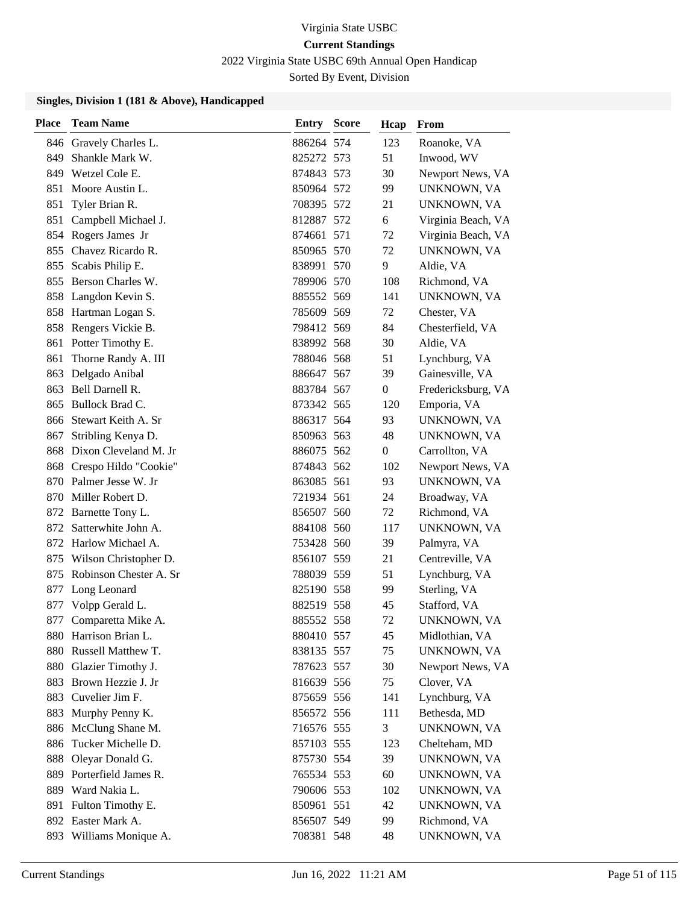2022 Virginia State USBC 69th Annual Open Handicap

Sorted By Event, Division

| <b>Place</b> | <b>Team Name</b>           | <b>Entry Score</b> | Hcap             | From               |
|--------------|----------------------------|--------------------|------------------|--------------------|
| 846          | Gravely Charles L.         | 886264 574         | 123              | Roanoke, VA        |
| 849          | Shankle Mark W.            | 825272 573         | 51               | Inwood, WV         |
|              | 849 Wetzel Cole E.         | 874843 573         | 30               | Newport News, VA   |
| 851          | Moore Austin L.            | 850964 572         | 99               | UNKNOWN, VA        |
| 851          | Tyler Brian R.             | 708395 572         | 21               | UNKNOWN, VA        |
| 851          | Campbell Michael J.        | 812887 572         | 6                | Virginia Beach, VA |
|              | 854 Rogers James Jr        | 874661 571         | 72               | Virginia Beach, VA |
|              | 855 Chavez Ricardo R.      | 850965 570         | 72               | UNKNOWN, VA        |
| 855          | Scabis Philip E.           | 838991 570         | 9                | Aldie, VA          |
| 855          | Berson Charles W.          | 789906 570         | 108              | Richmond, VA       |
|              | 858 Langdon Kevin S.       | 885552 569         | 141              | UNKNOWN, VA        |
|              | 858 Hartman Logan S.       | 785609 569         | 72               | Chester, VA        |
|              | 858 Rengers Vickie B.      | 798412 569         | 84               | Chesterfield, VA   |
|              | 861 Potter Timothy E.      | 838992 568         | 30               | Aldie, VA          |
| 861          | Thorne Randy A. III        | 788046 568         | 51               | Lynchburg, VA      |
| 863          | Delgado Anibal             | 886647 567         | 39               | Gainesville, VA    |
| 863          | Bell Darnell R.            | 883784 567         | $\boldsymbol{0}$ | Fredericksburg, VA |
| 865          | Bullock Brad C.            | 873342 565         | 120              | Emporia, VA        |
|              | 866 Stewart Keith A. Sr    | 886317 564         | 93               | UNKNOWN, VA        |
| 867          | Stribling Kenya D.         | 850963 563         | 48               | UNKNOWN, VA        |
|              | 868 Dixon Cleveland M. Jr  | 886075 562         | $\theta$         | Carrollton, VA     |
|              | 868 Crespo Hildo "Cookie"  | 874843 562         | 102              | Newport News, VA   |
|              | 870 Palmer Jesse W. Jr     | 863085 561         | 93               | UNKNOWN, VA        |
|              | 870 Miller Robert D.       | 721934 561         | 24               | Broadway, VA       |
|              | 872 Barnette Tony L.       | 856507 560         | 72               | Richmond, VA       |
| 872          | Satterwhite John A.        | 884108 560         | 117              | UNKNOWN, VA        |
|              | 872 Harlow Michael A.      | 753428 560         | 39               | Palmyra, VA        |
|              | 875 Wilson Christopher D.  | 856107 559         | 21               | Centreville, VA    |
|              | 875 Robinson Chester A. Sr | 788039 559         | 51               | Lynchburg, VA      |
| 877          | Long Leonard               | 825190 558         | 99               | Sterling, VA       |
|              | 877 Volpp Gerald L.        | 882519 558         | 45               | Stafford, VA       |
| 877          | Comparetta Mike A.         | 885552 558         | 72               | UNKNOWN, VA        |
|              | 880 Harrison Brian L.      | 880410 557         | 45               | Midlothian, VA     |
| 880          | Russell Matthew T.         | 838135 557         | 75               | UNKNOWN, VA        |
|              | 880 Glazier Timothy J.     | 787623 557         | 30               | Newport News, VA   |
| 883          | Brown Hezzie J. Jr         | 816639 556         | 75               | Clover, VA         |
| 883          | Cuvelier Jim F.            | 875659 556         | 141              | Lynchburg, VA      |
| 883          | Murphy Penny K.            | 856572 556         | 111              | Bethesda, MD       |
| 886          | McClung Shane M.           | 716576 555         | 3                | UNKNOWN, VA        |
| 886          | Tucker Michelle D.         | 857103 555         | 123              | Chelteham, MD      |
| 888          | Oleyar Donald G.           | 875730 554         | 39               | UNKNOWN, VA        |
| 889          | Porterfield James R.       | 765534 553         | 60               | UNKNOWN, VA        |
|              | 889 Ward Nakia L.          | 790606 553         | 102              | UNKNOWN, VA        |
| 891          | Fulton Timothy E.          | 850961 551         | 42               | UNKNOWN, VA        |
|              | 892 Easter Mark A.         | 856507 549         | 99               | Richmond, VA       |
|              | 893 Williams Monique A.    | 708381 548         | 48               | UNKNOWN, VA        |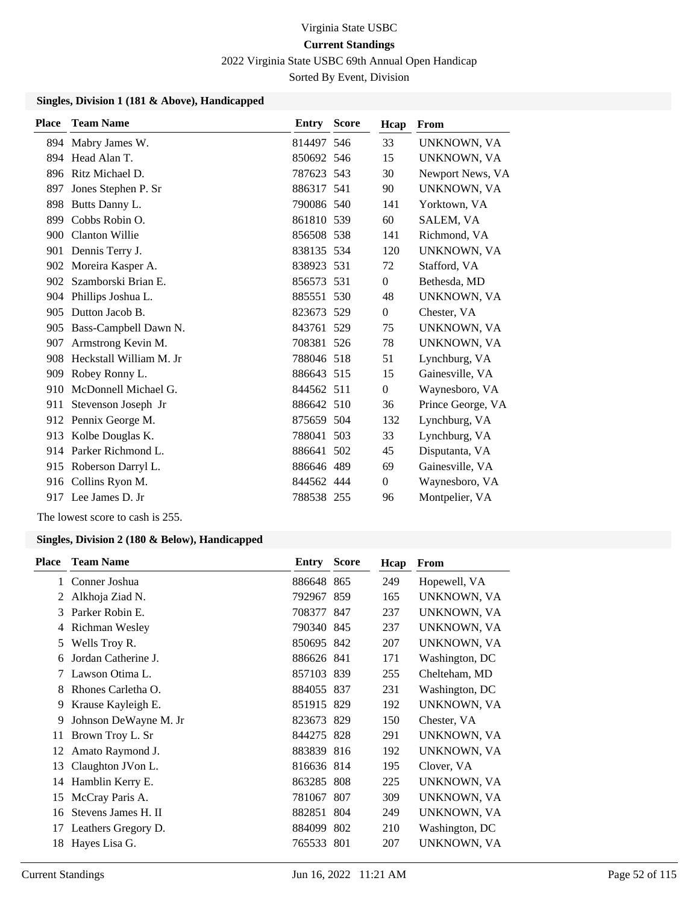2022 Virginia State USBC 69th Annual Open Handicap

Sorted By Event, Division

#### **Singles, Division 1 (181 & Above), Handicapped**

| <b>Place</b> | <b>Team Name</b>        | Entry      | <b>Score</b> | Hcap           | From               |
|--------------|-------------------------|------------|--------------|----------------|--------------------|
|              | 894 Mabry James W.      | 814497 546 |              | 33             | UNKNOWN, VA        |
| 894          | Head Alan T.            | 850692 546 |              | 15             | <b>UNKNOWN, VA</b> |
| 896          | Ritz Michael D.         | 787623 543 |              | 30             | Newport News, VA   |
| 897          | Jones Stephen P. Sr     | 886317 541 |              | 90             | UNKNOWN, VA        |
| 898          | Butts Danny L.          | 790086 540 |              | 141            | Yorktown, VA       |
| 899          | Cobbs Robin O.          | 861810 539 |              | 60             | SALEM, VA          |
| 900          | Clanton Willie          | 856508 538 |              | 141            | Richmond, VA       |
| 901          | Dennis Terry J.         | 838135 534 |              | 120            | UNKNOWN, VA        |
| 902          | Moreira Kasper A.       | 838923 531 |              | 72             | Stafford, VA       |
|              | 902 Szamborski Brian E. | 856573 531 |              | $\overline{0}$ | Bethesda, MD       |
| 904          | Phillips Joshua L.      | 885551 530 |              | 48             | UNKNOWN, VA        |
| 905          | Dutton Jacob B.         | 823673 529 |              | $\overline{0}$ | Chester, VA        |
| 905          | Bass-Campbell Dawn N.   | 843761 529 |              | 75             | UNKNOWN, VA        |
| 907          | Armstrong Kevin M.      | 708381 526 |              | 78             | UNKNOWN, VA        |
| 908          | Heckstall William M. Jr | 788046 518 |              | 51             | Lynchburg, VA      |
| 909          | Robey Ronny L.          | 886643 515 |              | 15             | Gainesville, VA    |
| 910          | McDonnell Michael G.    | 844562 511 |              | $\theta$       | Waynesboro, VA     |
| 911          | Stevenson Joseph Jr     | 886642 510 |              | 36             | Prince George, VA  |
|              | 912 Pennix George M.    | 875659 504 |              | 132            | Lynchburg, VA      |
| 913          | Kolbe Douglas K.        | 788041 503 |              | 33             | Lynchburg, VA      |
|              | 914 Parker Richmond L.  | 886641 502 |              | 45             | Disputanta, VA     |
|              | 915 Roberson Darryl L.  | 886646 489 |              | 69             | Gainesville, VA    |
|              | 916 Collins Ryon M.     | 844562 444 |              | $\overline{0}$ | Waynesboro, VA     |
|              | 917 Lee James D. Jr     | 788538 255 |              | 96             | Montpelier, VA     |
|              |                         |            |              |                |                    |

The lowest score to cash is 255.

| <b>Place</b> | <b>Team Name</b>      | Entry      | <b>Score</b> | Hcap | From           |
|--------------|-----------------------|------------|--------------|------|----------------|
| 1            | Conner Joshua         | 886648 865 |              | 249  | Hopewell, VA   |
| 2            | Alkhoja Ziad N.       | 792967 859 |              | 165  | UNKNOWN, VA    |
| 3            | Parker Robin E.       | 708377 847 |              | 237  | UNKNOWN, VA    |
| 4            | Richman Wesley        | 790340 845 |              | 237  | UNKNOWN, VA    |
| 5            | Wells Troy R.         | 850695 842 |              | 207  | UNKNOWN, VA    |
| 6            | Jordan Catherine J.   | 886626 841 |              | 171  | Washington, DC |
| 7            | Lawson Otima L.       | 857103 839 |              | 255  | Chelteham, MD  |
| 8            | Rhones Carletha O.    | 884055 837 |              | 231  | Washington, DC |
| 9            | Krause Kayleigh E.    | 851915 829 |              | 192  | UNKNOWN, VA    |
| 9            | Johnson DeWayne M. Jr | 823673 829 |              | 150  | Chester, VA    |
| 11           | Brown Troy L. Sr      | 844275 828 |              | 291  | UNKNOWN, VA    |
| 12           | Amato Raymond J.      | 883839 816 |              | 192  | UNKNOWN, VA    |
| 13           | Claughton JVon L.     | 816636 814 |              | 195  | Clover, VA     |
| 14           | Hamblin Kerry E.      | 863285 808 |              | 225  | UNKNOWN, VA    |
| 15           | McCray Paris A.       | 781067     | 807          | 309  | UNKNOWN, VA    |
| 16           | Stevens James H. II   | 882851 804 |              | 249  | UNKNOWN, VA    |
| 17           | Leathers Gregory D.   | 884099 802 |              | 210  | Washington, DC |
| 18           | Hayes Lisa G.         | 765533 801 |              | 207  | UNKNOWN, VA    |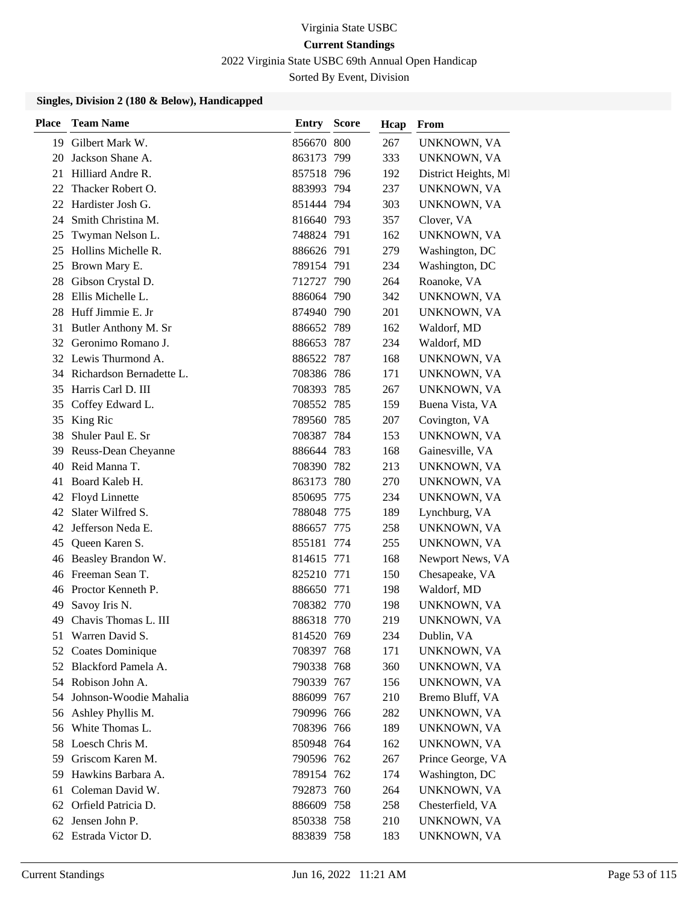2022 Virginia State USBC 69th Annual Open Handicap

Sorted By Event, Division

| <b>Place</b> | <b>Team Name</b>            | Entry      | <b>Score</b> | Hcap | From                 |
|--------------|-----------------------------|------------|--------------|------|----------------------|
|              | 19 Gilbert Mark W.          | 856670 800 |              | 267  | UNKNOWN, VA          |
| 20           | Jackson Shane A.            | 863173 799 |              | 333  | UNKNOWN, VA          |
| 21           | Hilliard Andre R.           | 857518 796 |              | 192  | District Heights, MI |
| 22           | Thacker Robert O.           | 883993 794 |              | 237  | UNKNOWN, VA          |
| 22           | Hardister Josh G.           | 851444 794 |              | 303  | UNKNOWN, VA          |
| 24           | Smith Christina M.          | 816640 793 |              | 357  | Clover, VA           |
| 25           | Twyman Nelson L.            | 748824 791 |              | 162  | UNKNOWN, VA          |
| 25           | Hollins Michelle R.         | 886626 791 |              | 279  | Washington, DC       |
| 25           | Brown Mary E.               | 789154 791 |              | 234  | Washington, DC       |
| 28           | Gibson Crystal D.           | 712727 790 |              | 264  | Roanoke, VA          |
| 28           | Ellis Michelle L.           | 886064 790 |              | 342  | UNKNOWN, VA          |
| 28           | Huff Jimmie E. Jr           | 874940 790 |              | 201  | UNKNOWN, VA          |
| 31           | Butler Anthony M. Sr        | 886652 789 |              | 162  | Waldorf, MD          |
| 32           | Geronimo Romano J.          | 886653 787 |              | 234  | Waldorf, MD          |
|              | 32 Lewis Thurmond A.        | 886522 787 |              | 168  | UNKNOWN, VA          |
|              | 34 Richardson Bernadette L. | 708386 786 |              | 171  | UNKNOWN, VA          |
| 35           | Harris Carl D. III          | 708393 785 |              | 267  | UNKNOWN, VA          |
| 35           | Coffey Edward L.            | 708552 785 |              | 159  | Buena Vista, VA      |
| 35           | King Ric                    | 789560 785 |              | 207  | Covington, VA        |
| 38           | Shuler Paul E. Sr           | 708387 784 |              | 153  | UNKNOWN, VA          |
| 39           | Reuss-Dean Cheyanne         | 886644 783 |              | 168  | Gainesville, VA      |
| 40           | Reid Manna T.               | 708390 782 |              | 213  | UNKNOWN, VA          |
| 41           | Board Kaleb H.              | 863173 780 |              | 270  | UNKNOWN, VA          |
| 42           | Floyd Linnette              | 850695 775 |              | 234  | UNKNOWN, VA          |
| 42           | Slater Wilfred S.           | 788048 775 |              | 189  | Lynchburg, VA        |
| 42           | Jefferson Neda E.           | 886657 775 |              | 258  | UNKNOWN, VA          |
| 45           | Queen Karen S.              | 855181 774 |              | 255  | UNKNOWN, VA          |
| 46           | Beasley Brandon W.          | 814615 771 |              | 168  | Newport News, VA     |
|              | 46 Freeman Sean T.          | 825210 771 |              | 150  | Chesapeake, VA       |
|              | 46 Proctor Kenneth P.       | 886650 771 |              | 198  | Waldorf, MD          |
| 49           | Savoy Iris N.               | 708382 770 |              | 198  | UNKNOWN, VA          |
|              | 49 Chavis Thomas L. III     | 886318 770 |              | 219  | UNKNOWN, VA          |
|              | 51 Warren David S.          | 814520 769 |              | 234  | Dublin, VA           |
| 52           | Coates Dominique            | 708397 768 |              | 171  | UNKNOWN, VA          |
|              | 52 Blackford Pamela A.      | 790338 768 |              | 360  | UNKNOWN, VA          |
|              | 54 Robison John A.          | 790339 767 |              | 156  | UNKNOWN, VA          |
| 54           | Johnson-Woodie Mahalia      | 886099 767 |              | 210  | Bremo Bluff, VA      |
| 56           | Ashley Phyllis M.           | 790996 766 |              | 282  | UNKNOWN, VA          |
| 56           | White Thomas L.             | 708396 766 |              | 189  | UNKNOWN, VA          |
|              | 58 Loesch Chris M.          | 850948 764 |              | 162  | UNKNOWN, VA          |
| 59           | Griscom Karen M.            | 790596 762 |              | 267  | Prince George, VA    |
|              | 59 Hawkins Barbara A.       | 789154 762 |              | 174  | Washington, DC       |
|              | 61 Coleman David W.         | 792873 760 |              | 264  | UNKNOWN, VA          |
|              | 62 Orfield Patricia D.      | 886609 758 |              | 258  | Chesterfield, VA     |
| 62           | Jensen John P.              | 850338 758 |              | 210  | UNKNOWN, VA          |
|              | 62 Estrada Victor D.        | 883839 758 |              | 183  | UNKNOWN, VA          |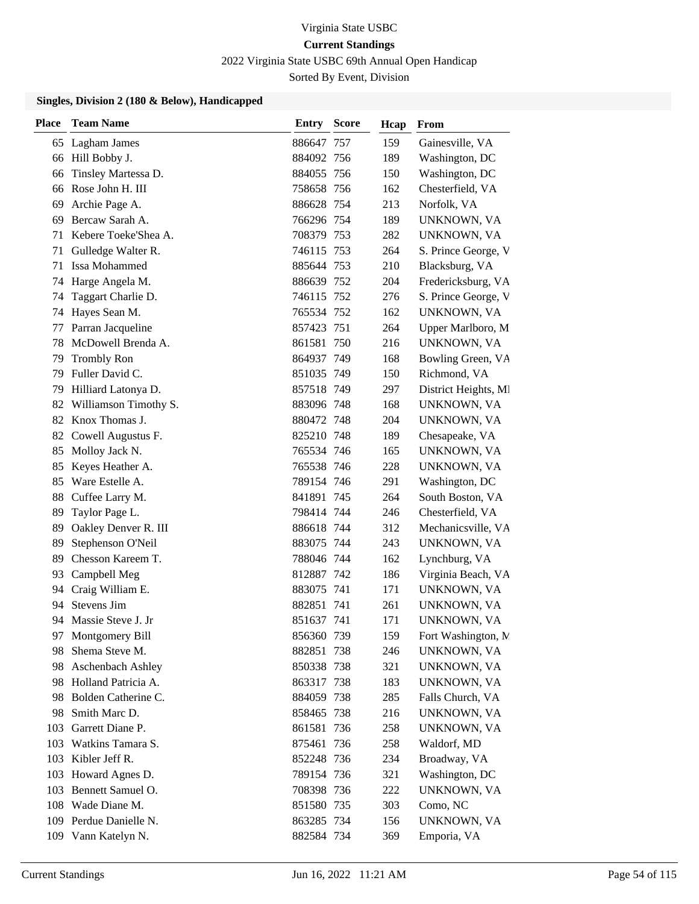2022 Virginia State USBC 69th Annual Open Handicap

Sorted By Event, Division

| <b>Place</b> | <b>Team Name</b>       | Entry      | <b>Score</b> | Hcap | From                 |
|--------------|------------------------|------------|--------------|------|----------------------|
|              | 65 Lagham James        | 886647 757 |              | 159  | Gainesville, VA      |
|              | 66 Hill Bobby J.       | 884092 756 |              | 189  | Washington, DC       |
| 66           | Tinsley Martessa D.    | 884055 756 |              | 150  | Washington, DC       |
| 66           | Rose John H. III       | 758658 756 |              | 162  | Chesterfield, VA     |
| 69           | Archie Page A.         | 886628 754 |              | 213  | Norfolk, VA          |
| 69           | Bercaw Sarah A.        | 766296 754 |              | 189  | UNKNOWN, VA          |
| 71           | Kebere Toeke'Shea A.   | 708379 753 |              | 282  | UNKNOWN, VA          |
| 71           | Gulledge Walter R.     | 746115 753 |              | 264  | S. Prince George, V  |
| 71           | Issa Mohammed          | 885644 753 |              | 210  | Blacksburg, VA       |
| 74           | Harge Angela M.        | 886639 752 |              | 204  | Fredericksburg, VA   |
| 74           | Taggart Charlie D.     | 746115 752 |              | 276  | S. Prince George, V  |
| 74           | Hayes Sean M.          | 765534 752 |              | 162  | <b>UNKNOWN, VA</b>   |
| 77           | Parran Jacqueline      | 857423 751 |              | 264  | Upper Marlboro, M    |
| 78           | McDowell Brenda A.     | 861581 750 |              | 216  | <b>UNKNOWN, VA</b>   |
| 79           | Trombly Ron            | 864937 749 |              | 168  | Bowling Green, VA    |
| 79           | Fuller David C.        | 851035 749 |              | 150  | Richmond, VA         |
| 79           | Hilliard Latonya D.    | 857518 749 |              | 297  | District Heights, MI |
| 82           | Williamson Timothy S.  | 883096 748 |              | 168  | UNKNOWN, VA          |
| 82           | Knox Thomas J.         | 880472 748 |              | 204  | UNKNOWN, VA          |
| 82           | Cowell Augustus F.     | 825210 748 |              | 189  | Chesapeake, VA       |
| 85           | Molloy Jack N.         | 765534 746 |              | 165  | UNKNOWN, VA          |
| 85           | Keyes Heather A.       | 765538 746 |              | 228  | UNKNOWN, VA          |
| 85           | Ware Estelle A.        | 789154 746 |              | 291  | Washington, DC       |
| 88           | Cuffee Larry M.        | 841891 745 |              | 264  | South Boston, VA     |
| 89           | Taylor Page L.         | 798414 744 |              | 246  | Chesterfield, VA     |
| 89           | Oakley Denver R. III   | 886618 744 |              | 312  | Mechanicsville, VA   |
| 89           | Stephenson O'Neil      | 883075 744 |              | 243  | UNKNOWN, VA          |
| 89           | Chesson Kareem T.      | 788046 744 |              | 162  | Lynchburg, VA        |
| 93           | Campbell Meg           | 812887 742 |              | 186  | Virginia Beach, VA   |
| 94           | Craig William E.       | 883075 741 |              | 171  | UNKNOWN, VA          |
| 94           | Stevens Jim            | 882851 741 |              | 261  | UNKNOWN, VA          |
|              | 94 Massie Steve J. Jr  | 851637 741 |              | 171  | UNKNOWN, VA          |
| 97           | Montgomery Bill        | 856360 739 |              | 159  | Fort Washington, N.  |
| 98           | Shema Steve M.         | 882851 738 |              | 246  | UNKNOWN, VA          |
| 98           | Aschenbach Ashley      | 850338 738 |              | 321  | UNKNOWN, VA          |
| 98           | Holland Patricia A.    | 863317 738 |              | 183  | UNKNOWN, VA          |
| 98           | Bolden Catherine C.    | 884059 738 |              | 285  | Falls Church, VA     |
| 98           | Smith Marc D.          | 858465 738 |              | 216  | UNKNOWN, VA          |
| 103          | Garrett Diane P.       | 861581 736 |              | 258  | UNKNOWN, VA          |
| 103          | Watkins Tamara S.      | 875461 736 |              | 258  | Waldorf, MD          |
| 103          | Kibler Jeff R.         | 852248 736 |              | 234  | Broadway, VA         |
| 103          | Howard Agnes D.        | 789154 736 |              | 321  | Washington, DC       |
| 103          | Bennett Samuel O.      | 708398 736 |              | 222  | UNKNOWN, VA          |
|              | 108 Wade Diane M.      | 851580 735 |              | 303  | Como, NC             |
|              | 109 Perdue Danielle N. | 863285 734 |              | 156  | UNKNOWN, VA          |
| 109          | Vann Katelyn N.        | 882584 734 |              | 369  | Emporia, VA          |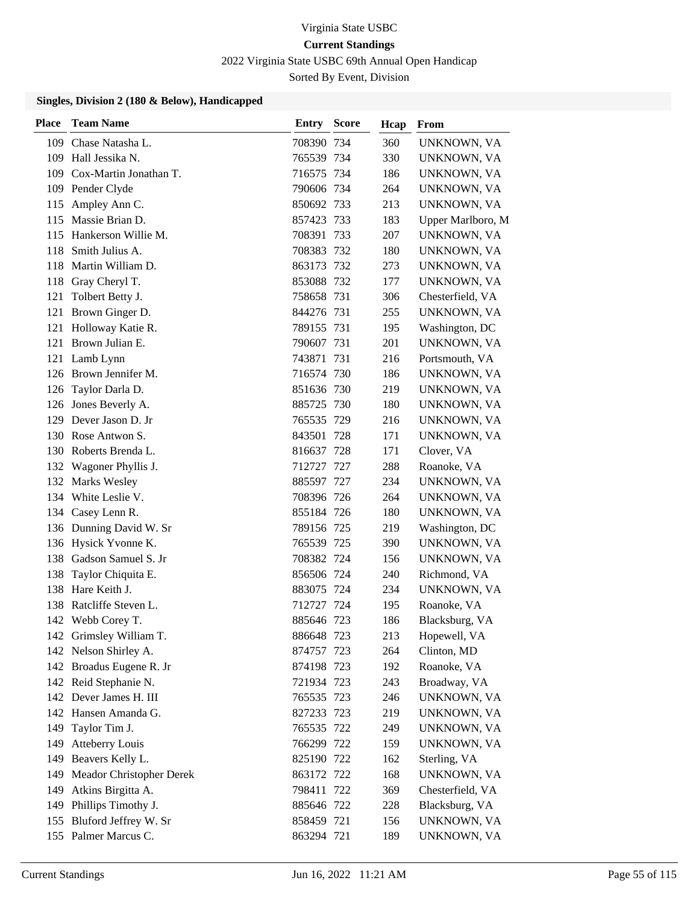2022 Virginia State USBC 69th Annual Open Handicap

Sorted By Event, Division

| Place | <b>Team Name</b>             | Entry      | <b>Score</b> | Hcap | From              |
|-------|------------------------------|------------|--------------|------|-------------------|
| 109   | Chase Natasha L.             | 708390 734 |              | 360  | UNKNOWN, VA       |
|       | 109 Hall Jessika N.          | 765539 734 |              | 330  | UNKNOWN, VA       |
|       | 109 Cox-Martin Jonathan T.   | 716575 734 |              | 186  | UNKNOWN, VA       |
|       | 109 Pender Clyde             | 790606 734 |              | 264  | UNKNOWN, VA       |
| 115   | Ampley Ann C.                | 850692 733 |              | 213  | UNKNOWN, VA       |
| 115   | Massie Brian D.              | 857423 733 |              | 183  | Upper Marlboro, M |
| 115   | Hankerson Willie M.          | 708391 733 |              | 207  | UNKNOWN, VA       |
| 118   | Smith Julius A.              | 708383 732 |              | 180  | UNKNOWN, VA       |
| 118   | Martin William D.            | 863173 732 |              | 273  | UNKNOWN, VA       |
| 118   | Gray Cheryl T.               | 853088 732 |              | 177  | UNKNOWN, VA       |
| 121   | Tolbert Betty J.             | 758658 731 |              | 306  | Chesterfield, VA  |
|       | 121 Brown Ginger D.          | 844276 731 |              | 255  | UNKNOWN, VA       |
| 121   | Holloway Katie R.            | 789155 731 |              | 195  | Washington, DC    |
| 121   | Brown Julian E.              | 790607 731 |              | 201  | UNKNOWN, VA       |
| 121   | Lamb Lynn                    | 743871 731 |              | 216  | Portsmouth, VA    |
|       | 126 Brown Jennifer M.        | 716574 730 |              | 186  | UNKNOWN, VA       |
|       | 126 Taylor Darla D.          | 851636 730 |              | 219  | UNKNOWN, VA       |
|       | 126 Jones Beverly A.         | 885725 730 |              | 180  | UNKNOWN, VA       |
|       | 129 Dever Jason D. Jr        | 765535 729 |              | 216  | UNKNOWN, VA       |
|       | 130 Rose Antwon S.           | 843501 728 |              | 171  | UNKNOWN, VA       |
|       | 130 Roberts Brenda L.        | 816637 728 |              | 171  | Clover, VA        |
|       | 132 Wagoner Phyllis J.       | 712727 727 |              | 288  | Roanoke, VA       |
|       | 132 Marks Wesley             | 885597 727 |              | 234  | UNKNOWN, VA       |
|       | 134 White Leslie V.          | 708396 726 |              | 264  | UNKNOWN, VA       |
|       | 134 Casey Lenn R.            | 855184 726 |              | 180  | UNKNOWN, VA       |
|       | 136 Dunning David W. Sr      | 789156 725 |              | 219  | Washington, DC    |
|       | 136 Hysick Yvonne K.         | 765539 725 |              | 390  | UNKNOWN, VA       |
|       | 138 Gadson Samuel S. Jr      | 708382 724 |              | 156  | UNKNOWN, VA       |
| 138   | Taylor Chiquita E.           | 856506 724 |              | 240  | Richmond, VA      |
|       | 138 Hare Keith J.            | 883075 724 |              | 234  | UNKNOWN, VA       |
|       | 138 Ratcliffe Steven L.      | 712727 724 |              | 195  | Roanoke, VA       |
|       | 142 Webb Corey T.            | 885646 723 |              | 186  | Blacksburg, VA    |
|       | 142 Grimsley William T.      | 886648 723 |              | 213  | Hopewell, VA      |
|       | 142 Nelson Shirley A.        | 874757 723 |              | 264  | Clinton, MD       |
|       | 142 Broadus Eugene R. Jr     | 874198 723 |              | 192  | Roanoke, VA       |
|       | 142 Reid Stephanie N.        | 721934 723 |              | 243  | Broadway, VA      |
|       | 142 Dever James H. III       | 765535 723 |              | 246  | UNKNOWN, VA       |
|       | 142 Hansen Amanda G.         | 827233 723 |              | 219  | UNKNOWN, VA       |
|       | 149 Taylor Tim J.            | 765535 722 |              | 249  | UNKNOWN, VA       |
| 149   | Atteberry Louis              | 766299 722 |              | 159  | UNKNOWN, VA       |
|       | 149 Beavers Kelly L.         | 825190 722 |              | 162  | Sterling, VA      |
|       | 149 Meador Christopher Derek | 863172 722 |              | 168  | UNKNOWN, VA       |
|       | 149 Atkins Birgitta A.       | 798411 722 |              | 369  | Chesterfield, VA  |
|       | 149 Phillips Timothy J.      | 885646 722 |              | 228  | Blacksburg, VA    |
|       | 155 Bluford Jeffrey W. Sr    | 858459 721 |              | 156  | UNKNOWN, VA       |
|       | 155 Palmer Marcus C.         | 863294 721 |              | 189  | UNKNOWN, VA       |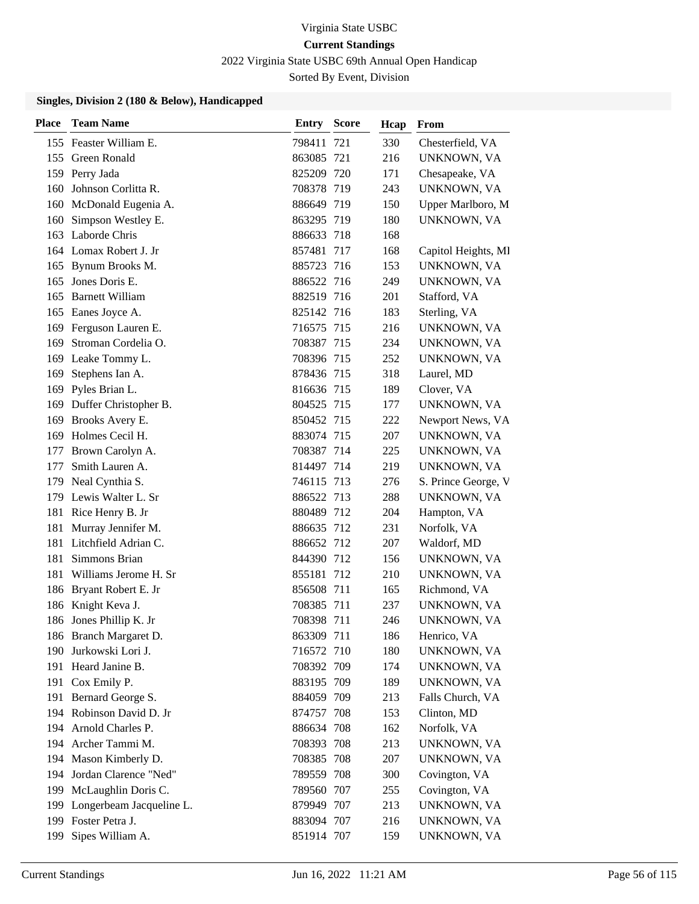2022 Virginia State USBC 69th Annual Open Handicap

Sorted By Event, Division

| <b>Place</b> | <b>Team Name</b>         | <b>Entry Score</b> |     | Hcap | From                |
|--------------|--------------------------|--------------------|-----|------|---------------------|
|              | 155 Feaster William E.   | 798411             | 721 | 330  | Chesterfield, VA    |
|              | 155 Green Ronald         | 863085 721         |     | 216  | UNKNOWN, VA         |
|              | 159 Perry Jada           | 825209 720         |     | 171  | Chesapeake, VA      |
| 160          | Johnson Corlitta R.      | 708378 719         |     | 243  | UNKNOWN, VA         |
| 160          | McDonald Eugenia A.      | 886649 719         |     | 150  | Upper Marlboro, M   |
| 160          | Simpson Westley E.       | 863295 719         |     | 180  | UNKNOWN, VA         |
|              | 163 Laborde Chris        | 886633 718         |     | 168  |                     |
|              | 164 Lomax Robert J. Jr   | 857481 717         |     | 168  | Capitol Heights, MI |
| 165          | Bynum Brooks M.          | 885723 716         |     | 153  | UNKNOWN, VA         |
| 165          | Jones Doris E.           | 886522 716         |     | 249  | UNKNOWN, VA         |
| 165          | <b>Barnett William</b>   | 882519 716         |     | 201  | Stafford, VA        |
| 165          | Eanes Joyce A.           | 825142 716         |     | 183  | Sterling, VA        |
| 169          | Ferguson Lauren E.       | 716575 715         |     | 216  | UNKNOWN, VA         |
| 169          | Stroman Cordelia O.      | 708387 715         |     | 234  | UNKNOWN, VA         |
|              | 169 Leake Tommy L.       | 708396 715         |     | 252  | UNKNOWN, VA         |
| 169          | Stephens Ian A.          | 878436 715         |     | 318  | Laurel, MD          |
| 169          | Pyles Brian L.           | 816636 715         |     | 189  | Clover, VA          |
| 169          | Duffer Christopher B.    | 804525 715         |     | 177  | UNKNOWN, VA         |
| 169          | Brooks Avery E.          | 850452 715         |     | 222  | Newport News, VA    |
| 169          | Holmes Cecil H.          | 883074 715         |     | 207  | UNKNOWN, VA         |
| 177          | Brown Carolyn A.         | 708387 714         |     | 225  | UNKNOWN, VA         |
| 177          | Smith Lauren A.          | 814497 714         |     | 219  | UNKNOWN, VA         |
| 179          | Neal Cynthia S.          | 746115 713         |     | 276  | S. Prince George, V |
| 179          | Lewis Walter L. Sr       | 886522 713         |     | 288  | UNKNOWN, VA         |
| 181          | Rice Henry B. Jr         | 880489 712         |     | 204  | Hampton, VA         |
| 181          | Murray Jennifer M.       | 886635 712         |     | 231  | Norfolk, VA         |
| 181          | Litchfield Adrian C.     | 886652 712         |     | 207  | Waldorf, MD         |
| 181          | Simmons Brian            | 844390 712         |     | 156  | UNKNOWN, VA         |
| 181          | Williams Jerome H. Sr    | 855181 712         |     | 210  | UNKNOWN, VA         |
| 186          | Bryant Robert E. Jr      | 856508 711         |     | 165  | Richmond, VA        |
|              | 186 Knight Keva J.       | 708385 711         |     | 237  | UNKNOWN, VA         |
|              | 186 Jones Phillip K. Jr  | 708398 711         |     | 246  | UNKNOWN, VA         |
|              | 186 Branch Margaret D.   | 863309 711         |     | 186  | Henrico, VA         |
| 190          | Jurkowski Lori J.        | 716572 710         |     | 180  | UNKNOWN, VA         |
| 191          | Heard Janine B.          | 708392 709         |     | 174  | UNKNOWN, VA         |
|              | 191 Cox Emily P.         | 883195 709         |     | 189  | UNKNOWN, VA         |
|              | 191 Bernard George S.    | 884059 709         |     | 213  | Falls Church, VA    |
|              | 194 Robinson David D. Jr | 874757 708         |     | 153  | Clinton, MD         |
|              | 194 Arnold Charles P.    | 886634 708         |     | 162  | Norfolk, VA         |
|              | 194 Archer Tammi M.      | 708393 708         |     | 213  | UNKNOWN, VA         |
| 194          | Mason Kimberly D.        | 708385 708         |     | 207  | UNKNOWN, VA         |
| 194          | Jordan Clarence "Ned"    | 789559 708         |     | 300  | Covington, VA       |
| 199          | McLaughlin Doris C.      | 789560 707         |     | 255  | Covington, VA       |
| 199          | Longerbeam Jacqueline L. | 879949 707         |     | 213  | UNKNOWN, VA         |
|              | 199 Foster Petra J.      | 883094 707         |     | 216  | UNKNOWN, VA         |
| 199          | Sipes William A.         | 851914 707         |     | 159  | UNKNOWN, VA         |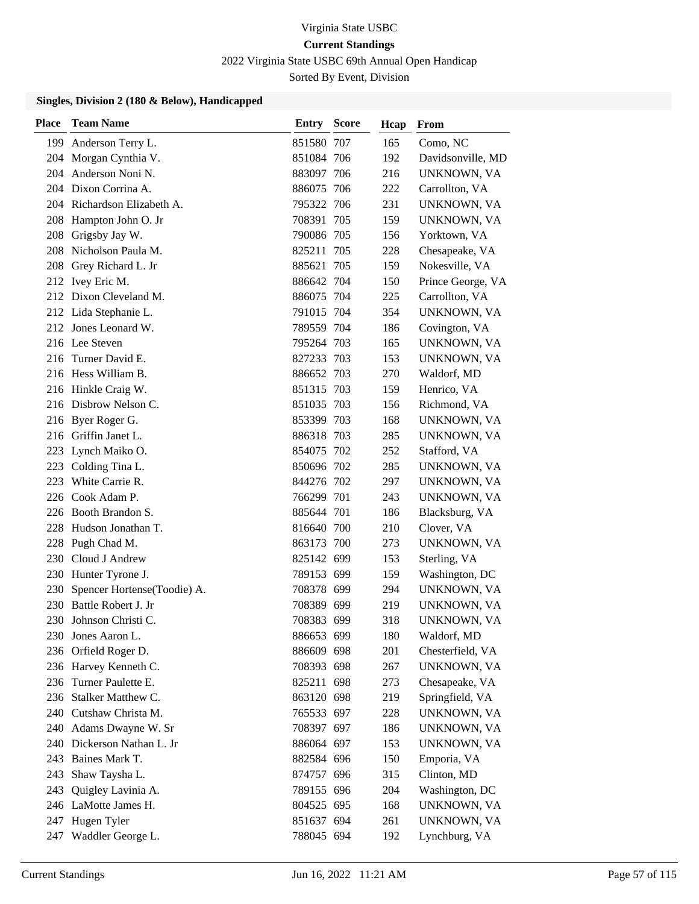2022 Virginia State USBC 69th Annual Open Handicap

Sorted By Event, Division

| <b>Place</b> | <b>Team Name</b>            | <b>Entry Score</b> | Hcap | From              |
|--------------|-----------------------------|--------------------|------|-------------------|
|              | 199 Anderson Terry L.       | 851580 707         | 165  | Como, NC          |
|              | 204 Morgan Cynthia V.       | 851084 706         | 192  | Davidsonville, MD |
|              | 204 Anderson Noni N.        | 883097 706         | 216  | UNKNOWN, VA       |
|              | 204 Dixon Corrina A.        | 886075 706         | 222  | Carrollton, VA    |
|              | 204 Richardson Elizabeth A. | 795322 706         | 231  | UNKNOWN, VA       |
| 208          | Hampton John O. Jr          | 708391 705         | 159  | UNKNOWN, VA       |
| 208          | Grigsby Jay W.              | 790086 705         | 156  | Yorktown, VA      |
| 208          | Nicholson Paula M.          | 825211 705         | 228  | Chesapeake, VA    |
| 208          | Grey Richard L. Jr          | 885621 705         | 159  | Nokesville, VA    |
| 212          | Ivey Eric M.                | 886642 704         | 150  | Prince George, VA |
|              | 212 Dixon Cleveland M.      | 886075 704         | 225  | Carrollton, VA    |
|              | 212 Lida Stephanie L.       | 791015 704         | 354  | UNKNOWN, VA       |
|              | 212 Jones Leonard W.        | 789559 704         | 186  | Covington, VA     |
|              | 216 Lee Steven              | 795264 703         | 165  | UNKNOWN, VA       |
| 216          | Turner David E.             | 827233 703         | 153  | UNKNOWN, VA       |
|              | 216 Hess William B.         | 886652 703         | 270  | Waldorf, MD       |
|              | 216 Hinkle Craig W.         | 851315 703         | 159  | Henrico, VA       |
|              | 216 Disbrow Nelson C.       | 851035 703         | 156  | Richmond, VA      |
| 216          | Byer Roger G.               | 853399 703         | 168  | UNKNOWN, VA       |
| 216          | Griffin Janet L.            | 886318 703         | 285  | UNKNOWN, VA       |
| 223          | Lynch Maiko O.              | 854075 702         | 252  | Stafford, VA      |
| 223          | Colding Tina L.             | 850696 702         | 285  | UNKNOWN, VA       |
| 223          | White Carrie R.             | 844276 702         | 297  | UNKNOWN, VA       |
| 226          | Cook Adam P.                | 766299 701         | 243  | UNKNOWN, VA       |
| 226          | Booth Brandon S.            | 885644 701         | 186  | Blacksburg, VA    |
| 228          | Hudson Jonathan T.          | 816640 700         | 210  | Clover, VA        |
|              | 228 Pugh Chad M.            | 863173 700         | 273  | UNKNOWN, VA       |
| 230          | Cloud J Andrew              | 825142 699         | 153  | Sterling, VA      |
|              | 230 Hunter Tyrone J.        | 789153 699         | 159  | Washington, DC    |
| 230          | Spencer Hortense(Toodie) A. | 708378 699         | 294  | UNKNOWN, VA       |
| 230          | Battle Robert J. Jr         | 708389 699         | 219  | UNKNOWN, VA       |
| 230          | Johnson Christi C.          | 708383 699         | 318  | UNKNOWN, VA       |
|              | 230 Jones Aaron L.          | 886653 699         | 180  | Waldorf, MD       |
| 236          | Orfield Roger D.            | 886609 698         | 201  | Chesterfield, VA  |
| 236          | Harvey Kenneth C.           | 708393 698         | 267  | UNKNOWN, VA       |
| 236          | Turner Paulette E.          | 825211 698         | 273  | Chesapeake, VA    |
| 236          | Stalker Matthew C.          | 863120 698         | 219  | Springfield, VA   |
| 240          | Cutshaw Christa M.          | 765533 697         | 228  | UNKNOWN, VA       |
| 240          | Adams Dwayne W. Sr          | 708397 697         | 186  | UNKNOWN, VA       |
| 240          | Dickerson Nathan L. Jr      | 886064 697         | 153  | UNKNOWN, VA       |
| 243          | Baines Mark T.              | 882584 696         | 150  | Emporia, VA       |
| 243          | Shaw Taysha L.              | 874757 696         | 315  | Clinton, MD       |
| 243          | Quigley Lavinia A.          | 789155 696         | 204  | Washington, DC    |
|              | 246 LaMotte James H.        | 804525 695         | 168  | UNKNOWN, VA       |
| 247          | Hugen Tyler                 | 851637 694         | 261  | UNKNOWN, VA       |
|              | 247 Waddler George L.       | 788045 694         | 192  | Lynchburg, VA     |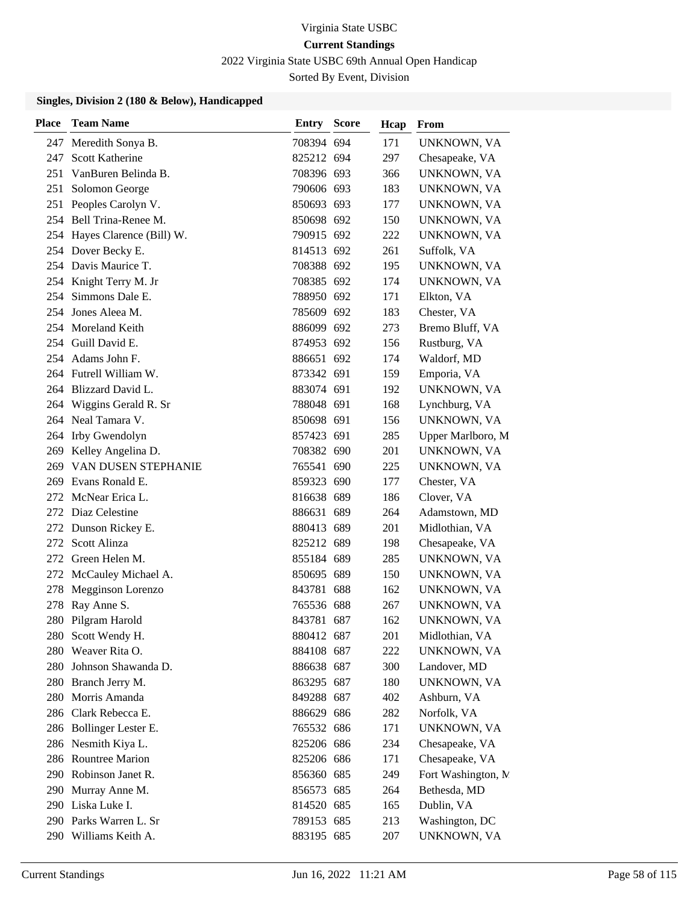2022 Virginia State USBC 69th Annual Open Handicap

Sorted By Event, Division

| <b>Place</b> | <b>Team Name</b>             | <b>Entry Score</b> | Hcap | From                |
|--------------|------------------------------|--------------------|------|---------------------|
| 247          | Meredith Sonya B.            | 708394 694         | 171  | UNKNOWN, VA         |
| 247          | Scott Katherine              | 825212 694         | 297  | Chesapeake, VA      |
| 251          | VanBuren Belinda B.          | 708396 693         | 366  | UNKNOWN, VA         |
| 251          | Solomon George               | 790606 693         | 183  | UNKNOWN, VA         |
| 251          | Peoples Carolyn V.           | 850693 693         | 177  | UNKNOWN, VA         |
|              | 254 Bell Trina-Renee M.      | 850698 692         | 150  | UNKNOWN, VA         |
|              | 254 Hayes Clarence (Bill) W. | 790915 692         | 222  | UNKNOWN, VA         |
|              | 254 Dover Becky E.           | 814513 692         | 261  | Suffolk, VA         |
|              | 254 Davis Maurice T.         | 708388 692         | 195  | UNKNOWN, VA         |
|              | 254 Knight Terry M. Jr       | 708385 692         | 174  | UNKNOWN, VA         |
|              | 254 Simmons Dale E.          | 788950 692         | 171  | Elkton, VA          |
|              | 254 Jones Aleea M.           | 785609 692         | 183  | Chester, VA         |
| 254          | Moreland Keith               | 886099 692         | 273  | Bremo Bluff, VA     |
|              | 254 Guill David E.           | 874953 692         | 156  | Rustburg, VA        |
|              | 254 Adams John F.            | 886651 692         | 174  | Waldorf, MD         |
|              | 264 Futrell William W.       | 873342 691         | 159  | Emporia, VA         |
|              | 264 Blizzard David L.        | 883074 691         | 192  | UNKNOWN, VA         |
| 264          | Wiggins Gerald R. Sr         | 788048 691         | 168  | Lynchburg, VA       |
|              | 264 Neal Tamara V.           | 850698 691         | 156  | <b>UNKNOWN, VA</b>  |
| 264          | Irby Gwendolyn               | 857423 691         | 285  | Upper Marlboro, M   |
| 269          | Kelley Angelina D.           | 708382 690         | 201  | UNKNOWN, VA         |
| 269          | VAN DUSEN STEPHANIE          | 765541 690         | 225  | UNKNOWN, VA         |
|              | 269 Evans Ronald E.          | 859323 690         | 177  | Chester, VA         |
| 272          | McNear Erica L.              | 816638 689         | 186  | Clover, VA          |
| 272          | Diaz Celestine               | 886631 689         | 264  | Adamstown, MD       |
| 272          | Dunson Rickey E.             | 880413 689         | 201  | Midlothian, VA      |
| 272          | Scott Alinza                 | 825212 689         | 198  | Chesapeake, VA      |
|              | 272 Green Helen M.           | 855184 689         | 285  | UNKNOWN, VA         |
| 272          | McCauley Michael A.          | 850695 689         | 150  | UNKNOWN, VA         |
| 278          | Megginson Lorenzo            | 843781 688         | 162  | UNKNOWN, VA         |
| 278          | Ray Anne S.                  | 765536 688         | 267  | UNKNOWN, VA         |
|              | 280 Pilgram Harold           | 843781 687         | 162  | UNKNOWN, VA         |
|              | 280 Scott Wendy H.           | 880412 687         | 201  | Midlothian, VA      |
|              | 280 Weaver Rita O.           | 884108 687         | 222  | UNKNOWN, VA         |
| 280          | Johnson Shawanda D.          | 886638 687         | 300  | Landover, MD        |
|              | 280 Branch Jerry M.          | 863295 687         | 180  | UNKNOWN, VA         |
| 280          | Morris Amanda                | 849288 687         | 402  | Ashburn, VA         |
| 286          | Clark Rebecca E.             | 886629 686         | 282  | Norfolk, VA         |
|              | 286 Bollinger Lester E.      | 765532 686         | 171  | <b>UNKNOWN, VA</b>  |
| 286          | Nesmith Kiya L.              | 825206 686         | 234  | Chesapeake, VA      |
|              | 286 Rountree Marion          | 825206 686         | 171  | Chesapeake, VA      |
|              | 290 Robinson Janet R.        | 856360 685         | 249  | Fort Washington, M. |
|              | 290 Murray Anne M.           | 856573 685         | 264  | Bethesda, MD        |
|              | 290 Liska Luke I.            | 814520 685         | 165  | Dublin, VA          |
|              | 290 Parks Warren L. Sr       | 789153 685         | 213  | Washington, DC      |
|              | 290 Williams Keith A.        | 883195 685         | 207  | UNKNOWN, VA         |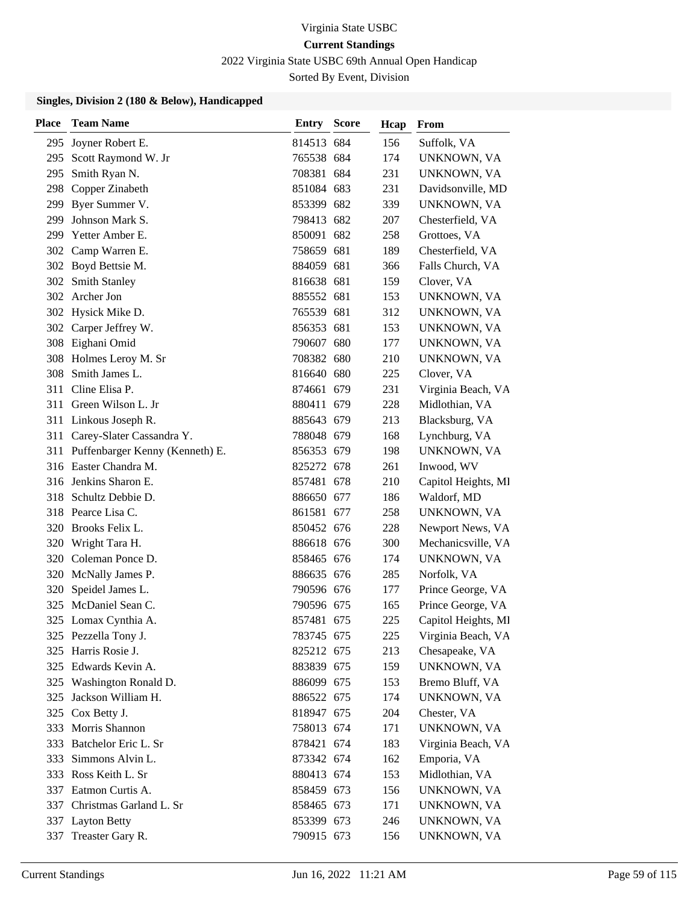2022 Virginia State USBC 69th Annual Open Handicap

Sorted By Event, Division

| <b>Place</b> | <b>Team Name</b>                    | <b>Entry Score</b> | Hcap | From                |
|--------------|-------------------------------------|--------------------|------|---------------------|
| 295          | Joyner Robert E.                    | 814513 684         | 156  | Suffolk, VA         |
|              | 295 Scott Raymond W. Jr             | 765538 684         | 174  | UNKNOWN, VA         |
| 295          | Smith Ryan N.                       | 708381 684         | 231  | UNKNOWN, VA         |
|              | 298 Copper Zinabeth                 | 851084 683         | 231  | Davidsonville, MD   |
| 299          | Byer Summer V.                      | 853399 682         | 339  | UNKNOWN, VA         |
| 299          | Johnson Mark S.                     | 798413 682         | 207  | Chesterfield, VA    |
|              | 299 Yetter Amber E.                 | 850091 682         | 258  | Grottoes, VA        |
|              | 302 Camp Warren E.                  | 758659 681         | 189  | Chesterfield, VA    |
|              | 302 Boyd Bettsie M.                 | 884059 681         | 366  | Falls Church, VA    |
|              | 302 Smith Stanley                   | 816638 681         | 159  | Clover, VA          |
|              | 302 Archer Jon                      | 885552 681         | 153  | UNKNOWN, VA         |
|              | 302 Hysick Mike D.                  | 765539 681         | 312  | UNKNOWN, VA         |
|              | 302 Carper Jeffrey W.               | 856353 681         | 153  | UNKNOWN, VA         |
|              | 308 Eighani Omid                    | 790607 680         | 177  | UNKNOWN, VA         |
|              | 308 Holmes Leroy M. Sr              | 708382 680         | 210  | UNKNOWN, VA         |
| 308          | Smith James L.                      | 816640 680         | 225  | Clover, VA          |
| 311          | Cline Elisa P.                      | 874661 679         | 231  | Virginia Beach, VA  |
|              | 311 Green Wilson L. Jr              | 880411 679         | 228  | Midlothian, VA      |
|              | 311 Linkous Joseph R.               | 885643 679         | 213  | Blacksburg, VA      |
|              | 311 Carey-Slater Cassandra Y.       | 788048 679         | 168  | Lynchburg, VA       |
|              | 311 Puffenbarger Kenny (Kenneth) E. | 856353 679         | 198  | UNKNOWN, VA         |
|              | 316 Easter Chandra M.               | 825272 678         | 261  | Inwood, WV          |
| 316          | Jenkins Sharon E.                   | 857481 678         | 210  | Capitol Heights, MI |
|              | 318 Schultz Debbie D.               | 886650 677         | 186  | Waldorf, MD         |
|              | 318 Pearce Lisa C.                  | 861581 677         | 258  | UNKNOWN, VA         |
| 320          | Brooks Felix L.                     | 850452 676         | 228  | Newport News, VA    |
|              | 320 Wright Tara H.                  | 886618 676         | 300  | Mechanicsville, VA  |
|              | 320 Coleman Ponce D.                | 858465 676         | 174  | UNKNOWN, VA         |
| 320          | McNally James P.                    | 886635 676         | 285  | Norfolk, VA         |
| 320          | Speidel James L.                    | 790596 676         | 177  | Prince George, VA   |
|              | 325 McDaniel Sean C.                | 790596 675         | 165  | Prince George, VA   |
|              | 325 Lomax Cynthia A.                | 857481 675         | 225  | Capitol Heights, MI |
|              | 325 Pezzella Tony J.                | 783745 675         | 225  | Virginia Beach, VA  |
|              | 325 Harris Rosie J.                 | 825212 675         | 213  | Chesapeake, VA      |
|              | 325 Edwards Kevin A.                | 883839 675         | 159  | UNKNOWN, VA         |
|              | 325 Washington Ronald D.            | 886099 675         | 153  | Bremo Bluff, VA     |
| 325          | Jackson William H.                  | 886522 675         | 174  | UNKNOWN, VA         |
|              | 325 Cox Betty J.                    | 818947 675         | 204  | Chester, VA         |
|              | 333 Morris Shannon                  | 758013 674         | 171  | UNKNOWN, VA         |
|              | 333 Batchelor Eric L. Sr            | 878421 674         | 183  | Virginia Beach, VA  |
|              | 333 Simmons Alvin L.                | 873342 674         | 162  | Emporia, VA         |
|              | 333 Ross Keith L. Sr                | 880413 674         | 153  | Midlothian, VA      |
|              | 337 Eatmon Curtis A.                | 858459 673         | 156  | UNKNOWN, VA         |
|              | 337 Christmas Garland L. Sr         | 858465 673         | 171  | UNKNOWN, VA         |
| 337          | <b>Layton Betty</b>                 | 853399 673         | 246  | UNKNOWN, VA         |
| 337          | Treaster Gary R.                    | 790915 673         | 156  | UNKNOWN, VA         |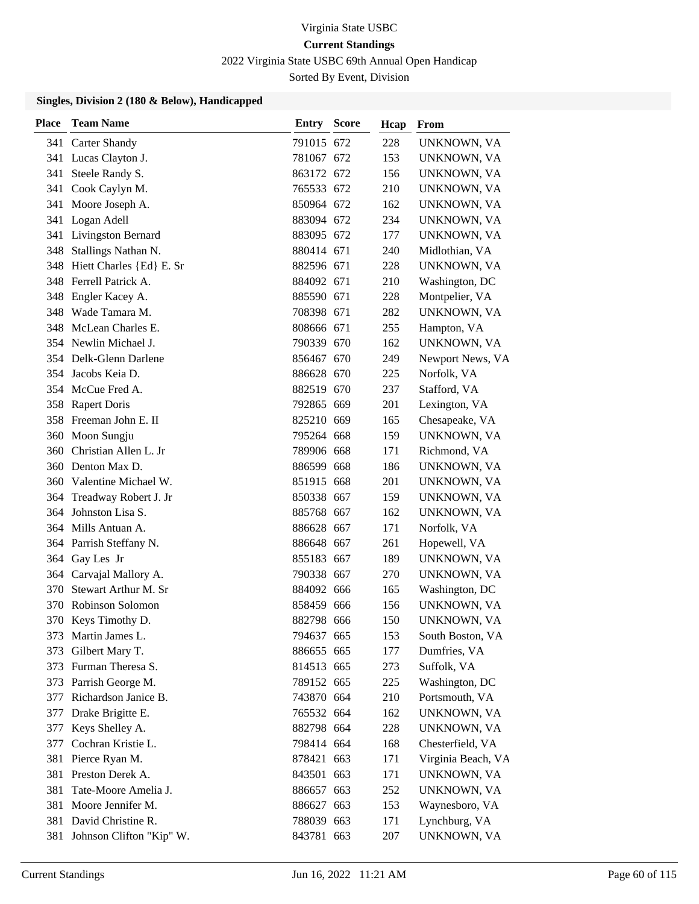2022 Virginia State USBC 69th Annual Open Handicap

Sorted By Event, Division

| Place | <b>Team Name</b>          | <b>Entry Score</b> | Hcap | From               |
|-------|---------------------------|--------------------|------|--------------------|
|       | 341 Carter Shandy         | 791015 672         | 228  | UNKNOWN, VA        |
|       | 341 Lucas Clayton J.      | 781067 672         | 153  | UNKNOWN, VA        |
| 341   | Steele Randy S.           | 863172 672         | 156  | UNKNOWN, VA        |
| 341   | Cook Caylyn M.            | 765533 672         | 210  | UNKNOWN, VA        |
| 341   | Moore Joseph A.           | 850964 672         | 162  | UNKNOWN, VA        |
| 341   | Logan Adell               | 883094 672         | 234  | UNKNOWN, VA        |
| 341   | Livingston Bernard        | 883095 672         | 177  | UNKNOWN, VA        |
| 348   | Stallings Nathan N.       | 880414 671         | 240  | Midlothian, VA     |
| 348   | Hiett Charles {Ed} E. Sr  | 882596 671         | 228  | UNKNOWN, VA        |
| 348   | Ferrell Patrick A.        | 884092 671         | 210  | Washington, DC     |
| 348   | Engler Kacey A.           | 885590 671         | 228  | Montpelier, VA     |
| 348   | Wade Tamara M.            | 708398 671         | 282  | UNKNOWN, VA        |
| 348   | McLean Charles E.         | 808666 671         | 255  | Hampton, VA        |
|       | 354 Newlin Michael J.     | 790339 670         | 162  | UNKNOWN, VA        |
|       | 354 Delk-Glenn Darlene    | 856467 670         | 249  | Newport News, VA   |
|       | 354 Jacobs Keia D.        | 886628 670         | 225  | Norfolk, VA        |
|       | 354 McCue Fred A.         | 882519 670         | 237  | Stafford, VA       |
| 358   | <b>Rapert Doris</b>       | 792865 669         | 201  | Lexington, VA      |
|       | 358 Freeman John E. II    | 825210 669         | 165  | Chesapeake, VA     |
| 360   | Moon Sungju               | 795264 668         | 159  | UNKNOWN, VA        |
| 360   | Christian Allen L. Jr     | 789906 668         | 171  | Richmond, VA       |
| 360   | Denton Max D.             | 886599 668         | 186  | UNKNOWN, VA        |
| 360   | Valentine Michael W.      | 851915 668         | 201  | UNKNOWN, VA        |
|       | 364 Treadway Robert J. Jr | 850338 667         | 159  | UNKNOWN, VA        |
| 364   | Johnston Lisa S.          | 885768 667         | 162  | UNKNOWN, VA        |
|       | 364 Mills Antuan A.       | 886628 667         | 171  | Norfolk, VA        |
|       | 364 Parrish Steffany N.   | 886648 667         | 261  | Hopewell, VA       |
| 364   | Gay Les Jr                | 855183 667         | 189  | UNKNOWN, VA        |
| 364   | Carvajal Mallory A.       | 790338 667         | 270  | UNKNOWN, VA        |
| 370   | Stewart Arthur M. Sr      | 884092 666         | 165  | Washington, DC     |
| 370   | Robinson Solomon          | 858459 666         | 156  | UNKNOWN, VA        |
|       | 370 Keys Timothy D.       | 882798 666         | 150  | UNKNOWN, VA        |
| 373   | Martin James L.           | 794637 665         | 153  | South Boston, VA   |
| 373   | Gilbert Mary T.           | 886655 665         | 177  | Dumfries, VA       |
|       | 373 Furman Theresa S.     | 814513 665         | 273  | Suffolk, VA        |
|       | 373 Parrish George M.     | 789152 665         | 225  | Washington, DC     |
| 377   | Richardson Janice B.      | 743870 664         | 210  | Portsmouth, VA     |
| 377   | Drake Brigitte E.         | 765532 664         | 162  | UNKNOWN, VA        |
| 377   | Keys Shelley A.           | 882798 664         | 228  | UNKNOWN, VA        |
| 377   | Cochran Kristie L.        | 798414 664         | 168  | Chesterfield, VA   |
| 381   | Pierce Ryan M.            | 878421 663         | 171  | Virginia Beach, VA |
| 381   | Preston Derek A.          | 843501 663         | 171  | UNKNOWN, VA        |
| 381   | Tate-Moore Amelia J.      | 886657 663         | 252  | UNKNOWN, VA        |
| 381   | Moore Jennifer M.         | 886627 663         | 153  | Waynesboro, VA     |
| 381   | David Christine R.        | 788039 663         | 171  | Lynchburg, VA      |
| 381   | Johnson Clifton "Kip" W.  | 843781 663         | 207  | UNKNOWN, VA        |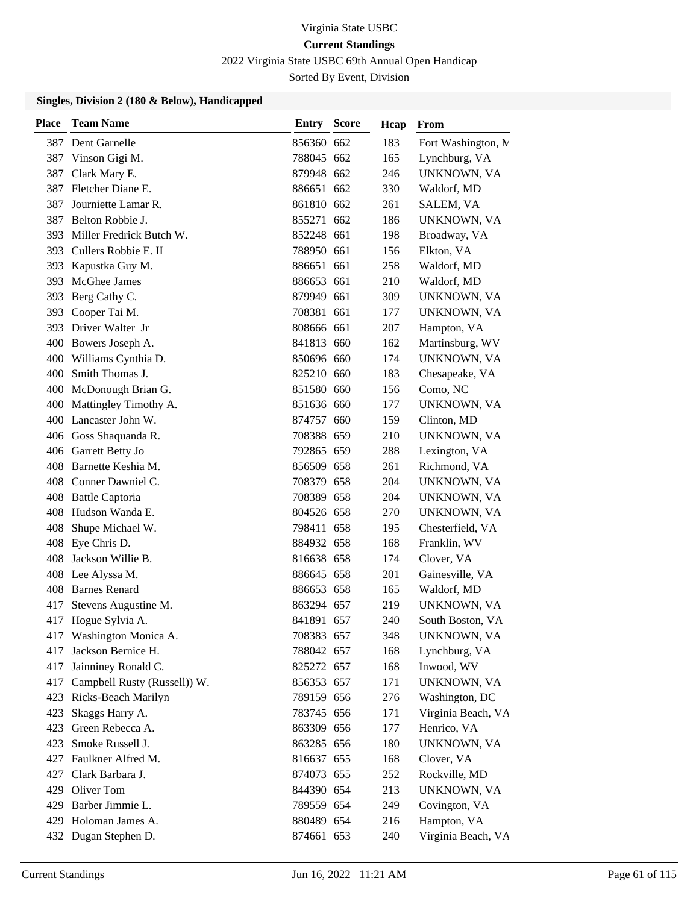2022 Virginia State USBC 69th Annual Open Handicap

Sorted By Event, Division

| <b>Place</b> | <b>Team Name</b>             | Entry      | <b>Score</b> | Hcap | From                |
|--------------|------------------------------|------------|--------------|------|---------------------|
|              | 387 Dent Garnelle            | 856360 662 |              | 183  | Fort Washington, N. |
| 387          | Vinson Gigi M.               | 788045 662 |              | 165  | Lynchburg, VA       |
|              | 387 Clark Mary E.            | 879948 662 |              | 246  | UNKNOWN, VA         |
| 387          | Fletcher Diane E.            | 886651 662 |              | 330  | Waldorf, MD         |
| 387          | Journiette Lamar R.          | 861810 662 |              | 261  | SALEM, VA           |
| 387          | Belton Robbie J.             | 855271 662 |              | 186  | UNKNOWN, VA         |
|              | 393 Miller Fredrick Butch W. | 852248 661 |              | 198  | Broadway, VA        |
|              | 393 Cullers Robbie E. II     | 788950 661 |              | 156  | Elkton, VA          |
| 393          | Kapustka Guy M.              | 886651 661 |              | 258  | Waldorf, MD         |
| 393          | McGhee James                 | 886653 661 |              | 210  | Waldorf, MD         |
|              | 393 Berg Cathy C.            | 879949 661 |              | 309  | UNKNOWN, VA         |
|              | 393 Cooper Tai M.            | 708381 661 |              | 177  | UNKNOWN, VA         |
|              | 393 Driver Walter Jr         | 808666 661 |              | 207  | Hampton, VA         |
|              | 400 Bowers Joseph A.         | 841813 660 |              | 162  | Martinsburg, WV     |
|              | 400 Williams Cynthia D.      | 850696 660 |              | 174  | UNKNOWN, VA         |
|              | 400 Smith Thomas J.          | 825210 660 |              | 183  | Chesapeake, VA      |
|              | 400 McDonough Brian G.       | 851580 660 |              | 156  | Como, NC            |
| 400          | Mattingley Timothy A.        | 851636 660 |              | 177  | UNKNOWN, VA         |
|              | 400 Lancaster John W.        | 874757 660 |              | 159  | Clinton, MD         |
|              | 406 Goss Shaquanda R.        | 708388 659 |              | 210  | UNKNOWN, VA         |
|              | 406 Garrett Betty Jo         | 792865 659 |              | 288  | Lexington, VA       |
|              | 408 Barnette Keshia M.       | 856509 658 |              | 261  | Richmond, VA        |
|              | 408 Conner Dawniel C.        | 708379 658 |              | 204  | UNKNOWN, VA         |
|              | 408 Battle Captoria          | 708389 658 |              | 204  | UNKNOWN, VA         |
|              | 408 Hudson Wanda E.          | 804526 658 |              | 270  | UNKNOWN, VA         |
| 408          | Shupe Michael W.             | 798411 658 |              | 195  | Chesterfield, VA    |
|              | 408 Eye Chris D.             | 884932 658 |              | 168  | Franklin, WV        |
| 408          | Jackson Willie B.            | 816638 658 |              | 174  | Clover, VA          |
| 408          | Lee Alyssa M.                | 886645 658 |              | 201  | Gainesville, VA     |
|              | 408 Barnes Renard            | 886653 658 |              | 165  | Waldorf, MD         |
|              | 417 Stevens Augustine M.     | 863294 657 |              | 219  | UNKNOWN, VA         |
|              | 417 Hogue Sylvia A.          | 841891 657 |              | 240  | South Boston, VA    |
|              | 417 Washington Monica A.     | 708383 657 |              | 348  | UNKNOWN, VA         |
| 417          | Jackson Bernice H.           | 788042 657 |              | 168  | Lynchburg, VA       |
| 417          | Jainniney Ronald C.          | 825272 657 |              | 168  | Inwood, WV          |
| 417          | Campbell Rusty (Russell)) W. | 856353 657 |              | 171  | UNKNOWN, VA         |
|              | 423 Ricks-Beach Marilyn      | 789159 656 |              | 276  | Washington, DC      |
| 423          | Skaggs Harry A.              | 783745 656 |              | 171  | Virginia Beach, VA  |
|              | 423 Green Rebecca A.         | 863309 656 |              | 177  | Henrico, VA         |
| 423          | Smoke Russell J.             | 863285 656 |              | 180  | UNKNOWN, VA         |
|              | 427 Faulkner Alfred M.       | 816637 655 |              | 168  | Clover, VA          |
|              | 427 Clark Barbara J.         | 874073 655 |              | 252  | Rockville, MD       |
|              | 429 Oliver Tom               | 844390 654 |              | 213  | UNKNOWN, VA         |
|              | 429 Barber Jimmie L.         | 789559 654 |              | 249  | Covington, VA       |
| 429          | Holoman James A.             | 880489 654 |              | 216  | Hampton, VA         |
|              | 432 Dugan Stephen D.         | 874661 653 |              | 240  | Virginia Beach, VA  |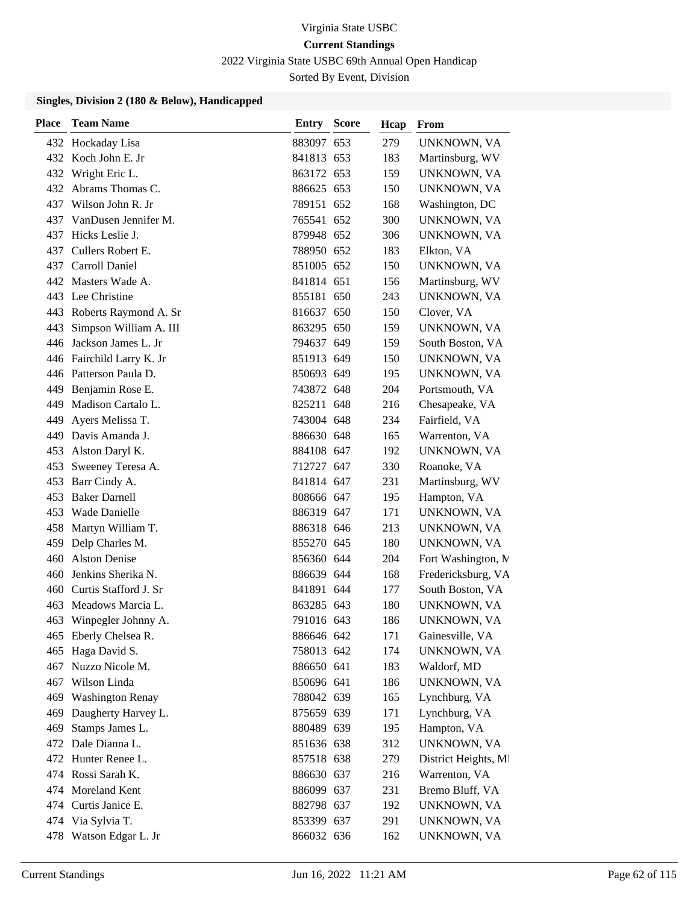2022 Virginia State USBC 69th Annual Open Handicap

Sorted By Event, Division

| <b>Place</b> | <b>Team Name</b>          | Entry      | <b>Score</b> | Hcap | From                 |
|--------------|---------------------------|------------|--------------|------|----------------------|
|              | 432 Hockaday Lisa         | 883097 653 |              | 279  | UNKNOWN, VA          |
|              | 432 Koch John E. Jr       | 841813 653 |              | 183  | Martinsburg, WV      |
|              | 432 Wright Eric L.        | 863172 653 |              | 159  | UNKNOWN, VA          |
|              | 432 Abrams Thomas C.      | 886625 653 |              | 150  | UNKNOWN, VA          |
| 437          | Wilson John R. Jr         | 789151 652 |              | 168  | Washington, DC       |
| 437          | VanDusen Jennifer M.      | 765541 652 |              | 300  | UNKNOWN, VA          |
| 437          | Hicks Leslie J.           | 879948 652 |              | 306  | UNKNOWN, VA          |
| 437          | Cullers Robert E.         | 788950 652 |              | 183  | Elkton, VA           |
|              | 437 Carroll Daniel        | 851005 652 |              | 150  | UNKNOWN, VA          |
|              | 442 Masters Wade A.       | 841814 651 |              | 156  | Martinsburg, WV      |
|              | 443 Lee Christine         | 855181 650 |              | 243  | UNKNOWN, VA          |
|              | 443 Roberts Raymond A. Sr | 816637 650 |              | 150  | Clover, VA           |
| 443          | Simpson William A. III    | 863295 650 |              | 159  | UNKNOWN, VA          |
| 446          | Jackson James L. Jr       | 794637 649 |              | 159  | South Boston, VA     |
|              | 446 Fairchild Larry K. Jr | 851913 649 |              | 150  | UNKNOWN, VA          |
|              | 446 Patterson Paula D.    | 850693 649 |              | 195  | UNKNOWN, VA          |
| 449          | Benjamin Rose E.          | 743872 648 |              | 204  | Portsmouth, VA       |
| 449          | Madison Cartalo L.        | 825211 648 |              | 216  | Chesapeake, VA       |
| 449          | Ayers Melissa T.          | 743004 648 |              | 234  | Fairfield, VA        |
|              | 449 Davis Amanda J.       | 886630 648 |              | 165  | Warrenton, VA        |
| 453          | Alston Daryl K.           | 884108 647 |              | 192  | UNKNOWN, VA          |
| 453          | Sweeney Teresa A.         | 712727 647 |              | 330  | Roanoke, VA          |
| 453          | Barr Cindy A.             | 841814 647 |              | 231  | Martinsburg, WV      |
| 453          | <b>Baker Darnell</b>      | 808666 647 |              | 195  | Hampton, VA          |
| 453          | Wade Danielle             | 886319 647 |              | 171  | UNKNOWN, VA          |
| 458          | Martyn William T.         | 886318 646 |              | 213  | UNKNOWN, VA          |
|              | 459 Delp Charles M.       | 855270 645 |              | 180  | UNKNOWN, VA          |
| 460          | <b>Alston Denise</b>      | 856360 644 |              | 204  | Fort Washington, N   |
| 460          | Jenkins Sherika N.        | 886639 644 |              | 168  | Fredericksburg, VA   |
| 460          | Curtis Stafford J. Sr     | 841891 644 |              | 177  | South Boston, VA     |
| 463          | Meadows Marcia L.         | 863285 643 |              | 180  | UNKNOWN, VA          |
| 463          | Winpegler Johnny A.       | 791016 643 |              | 186  | UNKNOWN, VA          |
|              | 465 Eberly Chelsea R.     | 886646 642 |              | 171  | Gainesville, VA      |
| 465          | Haga David S.             | 758013 642 |              | 174  | UNKNOWN, VA          |
| 467          | Nuzzo Nicole M.           | 886650 641 |              | 183  | Waldorf, MD          |
| 467          | Wilson Linda              | 850696 641 |              | 186  | UNKNOWN, VA          |
| 469          | <b>Washington Renay</b>   | 788042 639 |              | 165  | Lynchburg, VA        |
| 469          | Daugherty Harvey L.       | 875659 639 |              | 171  | Lynchburg, VA        |
| 469          | Stamps James L.           | 880489 639 |              | 195  | Hampton, VA          |
|              | 472 Dale Dianna L.        | 851636 638 |              | 312  | UNKNOWN, VA          |
| 472          | Hunter Renee L.           | 857518 638 |              | 279  | District Heights, MI |
|              | 474 Rossi Sarah K.        | 886630 637 |              | 216  | Warrenton, VA        |
| 474          | Moreland Kent             | 886099 637 |              | 231  | Bremo Bluff, VA      |
|              | 474 Curtis Janice E.      | 882798 637 |              | 192  | UNKNOWN, VA          |
| 474          | Via Sylvia T.             | 853399 637 |              | 291  | UNKNOWN, VA          |
|              | 478 Watson Edgar L. Jr    | 866032 636 |              | 162  | UNKNOWN, VA          |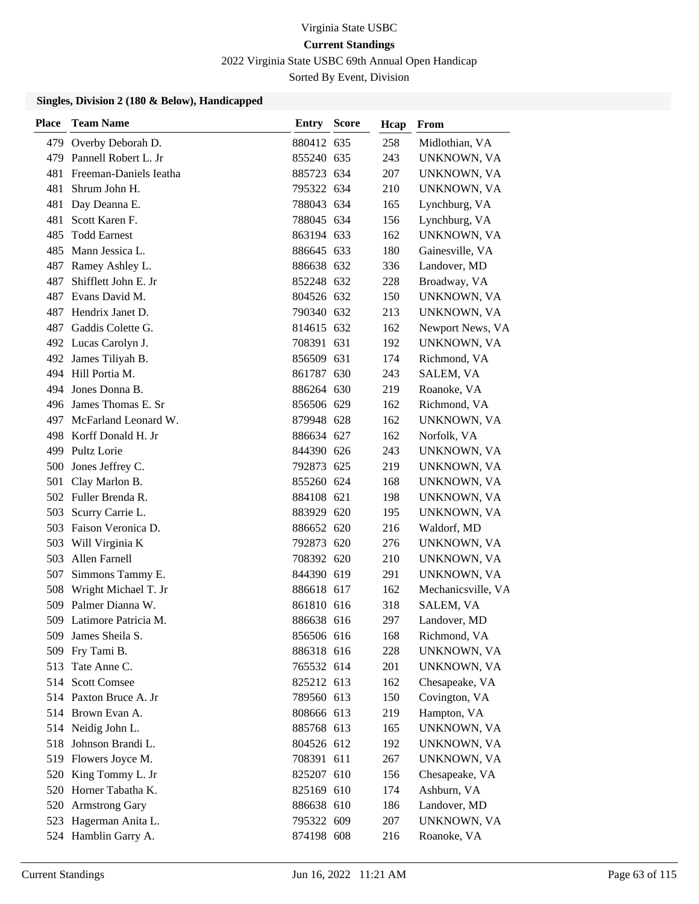2022 Virginia State USBC 69th Annual Open Handicap

Sorted By Event, Division

| Place | <b>Team Name</b>         | <b>Entry Score</b> | Hcap | From               |
|-------|--------------------------|--------------------|------|--------------------|
| 479   | Overby Deborah D.        | 880412 635         | 258  | Midlothian, VA     |
| 479   | Pannell Robert L. Jr     | 855240 635         | 243  | UNKNOWN, VA        |
| 481   | Freeman-Daniels Ieatha   | 885723 634         | 207  | UNKNOWN, VA        |
| 481   | Shrum John H.            | 795322 634         | 210  | UNKNOWN, VA        |
| 481   | Day Deanna E.            | 788043 634         | 165  | Lynchburg, VA      |
| 481   | Scott Karen F.           | 788045 634         | 156  | Lynchburg, VA      |
| 485   | <b>Todd Earnest</b>      | 863194 633         | 162  | UNKNOWN, VA        |
| 485   | Mann Jessica L.          | 886645 633         | 180  | Gainesville, VA    |
| 487   | Ramey Ashley L.          | 886638 632         | 336  | Landover, MD       |
| 487   | Shifflett John E. Jr     | 852248 632         | 228  | Broadway, VA       |
|       | 487 Evans David M.       | 804526 632         | 150  | UNKNOWN, VA        |
| 487   | Hendrix Janet D.         | 790340 632         | 213  | UNKNOWN, VA        |
| 487   | Gaddis Colette G.        | 814615 632         | 162  | Newport News, VA   |
|       | 492 Lucas Carolyn J.     | 708391 631         | 192  | UNKNOWN, VA        |
|       | 492 James Tiliyah B.     | 856509 631         | 174  | Richmond, VA       |
|       | 494 Hill Portia M.       | 861787 630         | 243  | SALEM, VA          |
| 494   | Jones Donna B.           | 886264 630         | 219  | Roanoke, VA        |
|       | 496 James Thomas E. Sr   | 856506 629         | 162  | Richmond, VA       |
|       | 497 McFarland Leonard W. | 879948 628         | 162  | UNKNOWN, VA        |
|       | 498 Korff Donald H. Jr   | 886634 627         | 162  | Norfolk, VA        |
|       | 499 Pultz Lorie          | 844390 626         | 243  | UNKNOWN, VA        |
|       | 500 Jones Jeffrey C.     | 792873 625         | 219  | UNKNOWN, VA        |
|       | 501 Clay Marlon B.       | 855260 624         | 168  | UNKNOWN, VA        |
|       | 502 Fuller Brenda R.     | 884108 621         | 198  | UNKNOWN, VA        |
| 503   | Scurry Carrie L.         | 883929 620         | 195  | UNKNOWN, VA        |
| 503   | Faison Veronica D.       | 886652 620         | 216  | Waldorf, MD        |
| 503   | Will Virginia K          | 792873 620         | 276  | UNKNOWN, VA        |
| 503   | Allen Farnell            | 708392 620         | 210  | UNKNOWN, VA        |
| 507   | Simmons Tammy E.         | 844390 619         | 291  | UNKNOWN, VA        |
| 508   | Wright Michael T. Jr     | 886618 617         | 162  | Mechanicsville, VA |
|       | 509 Palmer Dianna W.     | 861810 616         | 318  | SALEM, VA          |
|       | 509 Latimore Patricia M. | 886638 616         | 297  | Landover, MD       |
| 509   | James Sheila S.          | 856506 616         | 168  | Richmond, VA       |
| 509   | Fry Tami B.              | 886318 616         | 228  | UNKNOWN, VA        |
| 513   | Tate Anne C.             | 765532 614         | 201  | UNKNOWN, VA        |
| 514   | <b>Scott Comsee</b>      | 825212 613         | 162  | Chesapeake, VA     |
|       | 514 Paxton Bruce A. Jr   | 789560 613         | 150  | Covington, VA      |
|       | 514 Brown Evan A.        | 808666 613         | 219  | Hampton, VA        |
|       | 514 Neidig John L.       | 885768 613         | 165  | UNKNOWN, VA        |
| 518   | Johnson Brandi L.        | 804526 612         | 192  | UNKNOWN, VA        |
|       | 519 Flowers Joyce M.     | 708391 611         | 267  | UNKNOWN, VA        |
|       | 520 King Tommy L. Jr     | 825207 610         | 156  | Chesapeake, VA     |
|       | 520 Horner Tabatha K.    | 825169 610         | 174  | Ashburn, VA        |
|       | 520 Armstrong Gary       | 886638 610         | 186  | Landover, MD       |
| 523   | Hagerman Anita L.        | 795322 609         | 207  | UNKNOWN, VA        |
|       | 524 Hamblin Garry A.     | 874198 608         | 216  | Roanoke, VA        |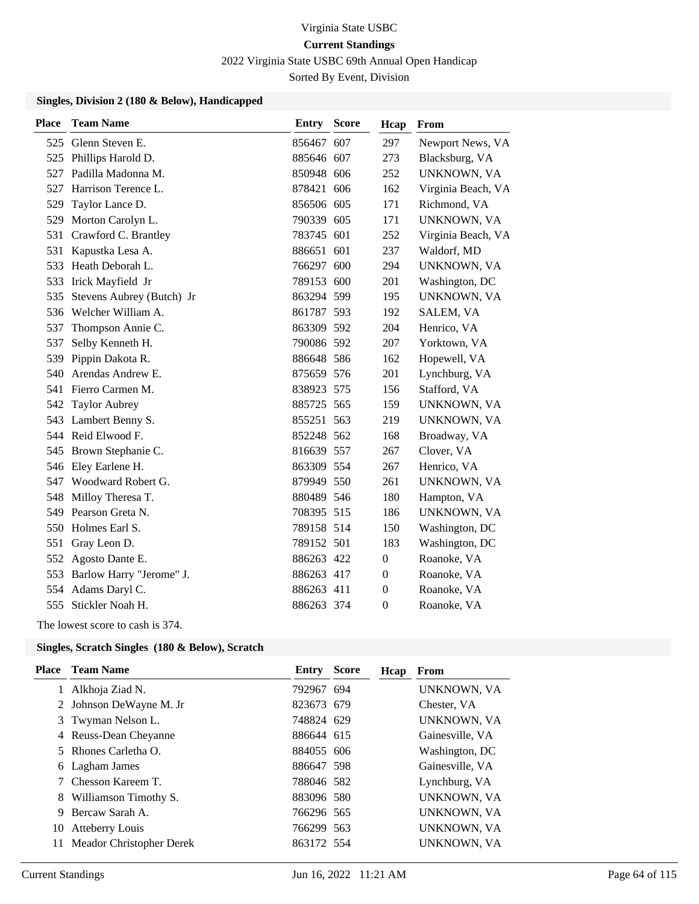2022 Virginia State USBC 69th Annual Open Handicap

Sorted By Event, Division

#### **Singles, Division 2 (180 & Below), Handicapped**

| <b>Place</b> | <b>Team Name</b>          | Entry      | <b>Score</b> | Hcap             | From               |
|--------------|---------------------------|------------|--------------|------------------|--------------------|
| 525          | Glenn Steven E.           | 856467 607 |              | 297              | Newport News, VA   |
|              | 525 Phillips Harold D.    | 885646 607 |              | 273              | Blacksburg, VA     |
| 527          | Padilla Madonna M.        | 850948 606 |              | 252              | UNKNOWN, VA        |
| 527          | Harrison Terence L.       | 878421 606 |              | 162              | Virginia Beach, VA |
| 529          | Taylor Lance D.           | 856506 605 |              | 171              | Richmond, VA       |
| 529          | Morton Carolyn L.         | 790339 605 |              | 171              | UNKNOWN, VA        |
| 531          | Crawford C. Brantley      | 783745 601 |              | 252              | Virginia Beach, VA |
| 531          | Kapustka Lesa A.          | 886651 601 |              | 237              | Waldorf, MD        |
| 533          | Heath Deborah L.          | 766297 600 |              | 294              | UNKNOWN, VA        |
| 533          | Irick Mayfield Jr         | 789153 600 |              | 201              | Washington, DC     |
| 535          | Stevens Aubrey (Butch) Jr | 863294 599 |              | 195              | UNKNOWN, VA        |
| 536          | Welcher William A.        | 861787 593 |              | 192              | SALEM, VA          |
| 537          | Thompson Annie C.         | 863309 592 |              | 204              | Henrico, VA        |
| 537          | Selby Kenneth H.          | 790086 592 |              | 207              | Yorktown, VA       |
| 539          | Pippin Dakota R.          | 886648 586 |              | 162              | Hopewell, VA       |
| 540          | Arendas Andrew E.         | 875659 576 |              | 201              | Lynchburg, VA      |
| 541          | Fierro Carmen M.          | 838923 575 |              | 156              | Stafford, VA       |
| 542          | <b>Taylor Aubrey</b>      | 885725 565 |              | 159              | UNKNOWN, VA        |
| 543          | Lambert Benny S.          | 855251 563 |              | 219              | UNKNOWN, VA        |
|              | 544 Reid Elwood F.        | 852248 562 |              | 168              | Broadway, VA       |
| 545          | Brown Stephanie C.        | 816639 557 |              | 267              | Clover, VA         |
| 546          | Eley Earlene H.           | 863309 554 |              | 267              | Henrico, VA        |
| 547          | Woodward Robert G.        | 879949 550 |              | 261              | UNKNOWN, VA        |
| 548          | Milloy Theresa T.         | 880489 546 |              | 180              | Hampton, VA        |
| 549          | Pearson Greta N.          | 708395 515 |              | 186              | UNKNOWN, VA        |
| 550          | Holmes Earl S.            | 789158 514 |              | 150              | Washington, DC     |
| 551          | Gray Leon D.              | 789152 501 |              | 183              | Washington, DC     |
| 552          | Agosto Dante E.           | 886263 422 |              | $\boldsymbol{0}$ | Roanoke, VA        |
| 553          | Barlow Harry "Jerome" J.  | 886263 417 |              | $\mathbf{0}$     | Roanoke, VA        |
| 554          | Adams Daryl C.            | 886263 411 |              | $\theta$         | Roanoke, VA        |
| 555          | Stickler Noah H.          | 886263 374 |              | $\mathbf{0}$     | Roanoke, VA        |

The lowest score to cash is 374.

### **Singles, Scratch Singles (180 & Below), Scratch**

| Place | <b>Team Name</b>         | Entry      | <b>Score</b> | Hcap | From            |
|-------|--------------------------|------------|--------------|------|-----------------|
|       | 1 Alkhoja Ziad N.        | 792967 694 |              |      | UNKNOWN, VA     |
|       | 2 Johnson DeWayne M. Jr  | 823673 679 |              |      | Chester, VA     |
|       | 3 Twyman Nelson L.       | 748824 629 |              |      | UNKNOWN, VA     |
|       | 4 Reuss-Dean Cheyanne    | 886644 615 |              |      | Gainesville, VA |
|       | 5 Rhones Carletha O.     | 884055 606 |              |      | Washington, DC  |
|       | 6 Lagham James           | 886647 598 |              |      | Gainesville, VA |
|       | 7 Chesson Kareem T.      | 788046 582 |              |      | Lynchburg, VA   |
|       | 8 Williamson Timothy S.  | 883096 580 |              |      | UNKNOWN, VA     |
| 9     | Bercaw Sarah A.          | 766296 565 |              |      | UNKNOWN, VA     |
| 10    | <b>Atteberry Louis</b>   | 766299 563 |              |      | UNKNOWN, VA     |
| 11    | Meador Christopher Derek | 863172 554 |              |      | UNKNOWN, VA     |
|       |                          |            |              |      |                 |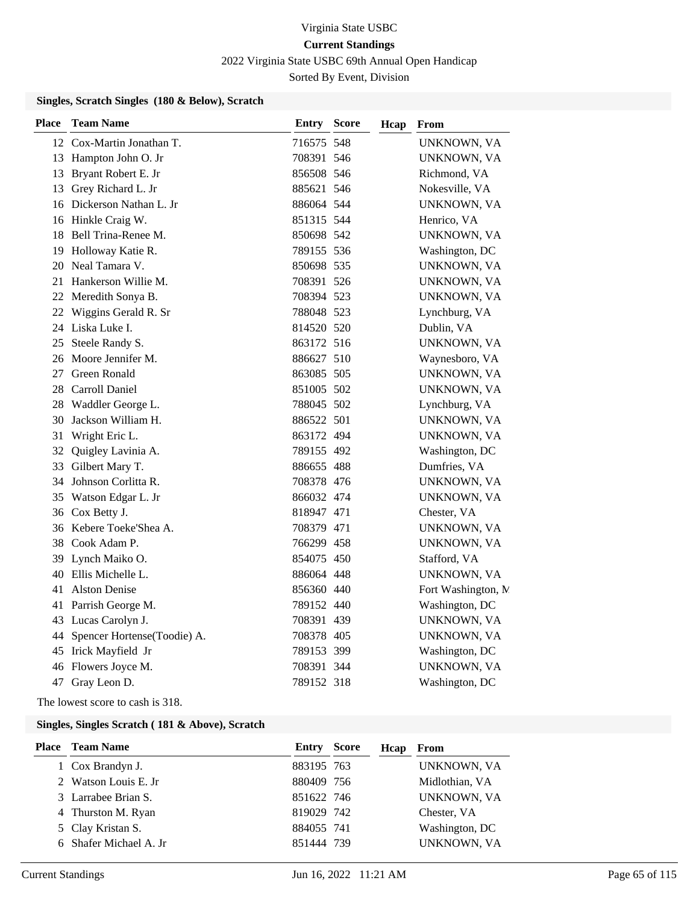2022 Virginia State USBC 69th Annual Open Handicap

Sorted By Event, Division

### **Singles, Scratch Singles (180 & Below), Scratch**

| <b>Place</b> | <b>Team Name</b>               | <b>Entry Score</b> | Hcap | From                |
|--------------|--------------------------------|--------------------|------|---------------------|
|              | 12 Cox-Martin Jonathan T.      | 716575 548         |      | UNKNOWN, VA         |
|              | 13 Hampton John O. Jr          | 708391 546         |      | UNKNOWN, VA         |
|              | 13 Bryant Robert E. Jr         | 856508 546         |      | Richmond, VA        |
|              | 13 Grey Richard L. Jr          | 885621 546         |      | Nokesville, VA      |
|              | 16 Dickerson Nathan L. Jr      | 886064 544         |      | UNKNOWN, VA         |
|              | 16 Hinkle Craig W.             | 851315 544         |      | Henrico, VA         |
| 18           | Bell Trina-Renee M.            | 850698 542         |      | UNKNOWN, VA         |
| 19           | Holloway Katie R.              | 789155 536         |      | Washington, DC      |
| 20           | Neal Tamara V.                 | 850698 535         |      | UNKNOWN, VA         |
| 21           | Hankerson Willie M.            | 708391 526         |      | UNKNOWN, VA         |
|              | 22 Meredith Sonya B.           | 708394 523         |      | UNKNOWN, VA         |
|              | 22 Wiggins Gerald R. Sr        | 788048 523         |      | Lynchburg, VA       |
|              | 24 Liska Luke I.               | 814520 520         |      | Dublin, VA          |
| 25           | Steele Randy S.                | 863172 516         |      | UNKNOWN, VA         |
|              | 26 Moore Jennifer M.           | 886627 510         |      | Waynesboro, VA      |
| 27           | Green Ronald                   | 863085 505         |      | UNKNOWN, VA         |
| 28           | Carroll Daniel                 | 851005 502         |      | UNKNOWN, VA         |
| 28           | Waddler George L.              | 788045 502         |      | Lynchburg, VA       |
| 30           | Jackson William H.             | 886522 501         |      | UNKNOWN, VA         |
| 31           | Wright Eric L.                 | 863172 494         |      | UNKNOWN, VA         |
| 32           | Quigley Lavinia A.             | 789155 492         |      | Washington, DC      |
| 33           | Gilbert Mary T.                | 886655 488         |      | Dumfries, VA        |
| 34           | Johnson Corlitta R.            | 708378 476         |      | UNKNOWN, VA         |
| 35           | Watson Edgar L. Jr             | 866032 474         |      | UNKNOWN, VA         |
| 36           | Cox Betty J.                   | 818947 471         |      | Chester, VA         |
|              | 36 Kebere Toeke'Shea A.        | 708379 471         |      | UNKNOWN, VA         |
| 38           | Cook Adam P.                   | 766299 458         |      | UNKNOWN, VA         |
|              | 39 Lynch Maiko O.              | 854075 450         |      | Stafford, VA        |
| 40           | Ellis Michelle L.              | 886064 448         |      | UNKNOWN, VA         |
| 41           | <b>Alston Denise</b>           | 856360 440         |      | Fort Washington, N. |
|              | 41 Parrish George M.           | 789152 440         |      | Washington, DC      |
|              | 43 Lucas Carolyn J.            | 708391 439         |      | UNKNOWN, VA         |
|              | 44 Spencer Hortense(Toodie) A. | 708378 405         |      | UNKNOWN, VA         |
|              | 45 Irick Mayfield Jr           | 789153 399         |      | Washington, DC      |
| 46           | Flowers Joyce M.               | 708391 344         |      | UNKNOWN, VA         |
|              | 47 Gray Leon D.                | 789152 318         |      | Washington, DC      |

The lowest score to cash is 318.

|                                                                                                                                                         | Hcap                                                                                                   | From           |
|---------------------------------------------------------------------------------------------------------------------------------------------------------|--------------------------------------------------------------------------------------------------------|----------------|
|                                                                                                                                                         |                                                                                                        | UNKNOWN, VA    |
|                                                                                                                                                         |                                                                                                        | Midlothian, VA |
|                                                                                                                                                         |                                                                                                        | UNKNOWN, VA    |
|                                                                                                                                                         |                                                                                                        | Chester, VA    |
|                                                                                                                                                         |                                                                                                        | Washington, DC |
|                                                                                                                                                         |                                                                                                        | UNKNOWN, VA    |
| Place Team Name<br>1 Cox Brandyn J.<br>2 Watson Louis E. Jr<br>3 Larrabee Brian S.<br>4 Thurston M. Ryan<br>5 Clay Kristan S.<br>6 Shafer Michael A. Jr | <b>Entry Score</b><br>883195 763<br>880409 756<br>851622 746<br>819029 742<br>884055 741<br>851444 739 |                |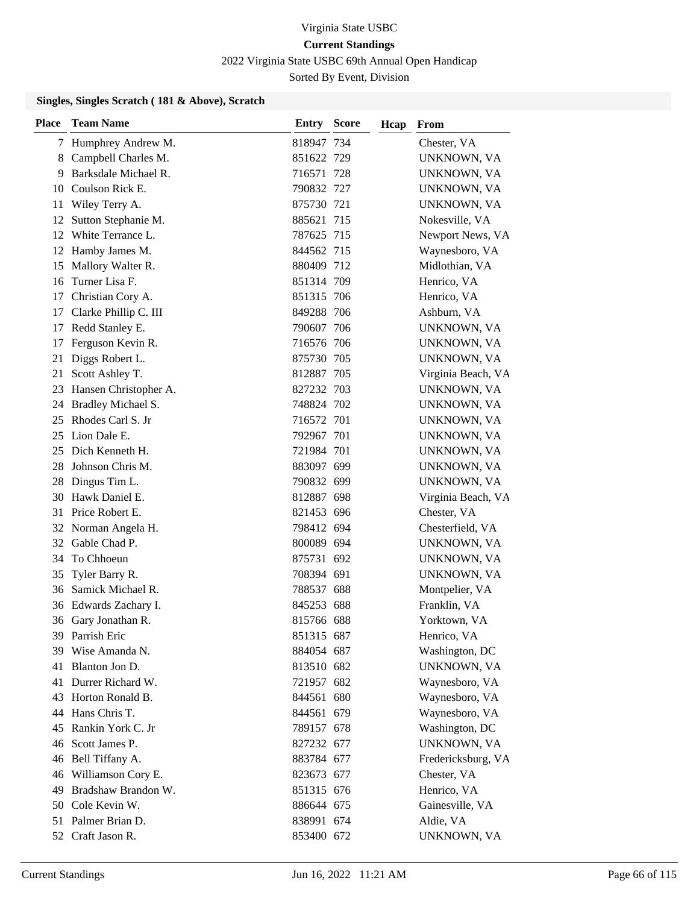2022 Virginia State USBC 69th Annual Open Handicap

Sorted By Event, Division

| <b>Place</b> | <b>Team Name</b>      | <b>Entry Score</b> | Hcap | From               |
|--------------|-----------------------|--------------------|------|--------------------|
|              | 7 Humphrey Andrew M.  | 818947 734         |      | Chester, VA        |
| 8            | Campbell Charles M.   | 851622 729         |      | UNKNOWN, VA        |
| 9            | Barksdale Michael R.  | 716571 728         |      | UNKNOWN, VA        |
| 10           | Coulson Rick E.       | 790832 727         |      | UNKNOWN, VA        |
| 11           | Wiley Terry A.        | 875730 721         |      | UNKNOWN, VA        |
| 12           | Sutton Stephanie M.   | 885621 715         |      | Nokesville, VA     |
| 12           | White Terrance L.     | 787625 715         |      | Newport News, VA   |
| 12           | Hamby James M.        | 844562 715         |      | Waynesboro, VA     |
| 15           | Mallory Walter R.     | 880409 712         |      | Midlothian, VA     |
| 16           | Turner Lisa F.        | 851314 709         |      | Henrico, VA        |
| 17           | Christian Cory A.     | 851315 706         |      | Henrico, VA        |
| 17           | Clarke Phillip C. III | 849288 706         |      | Ashburn, VA        |
| 17           | Redd Stanley E.       | 790607 706         |      | UNKNOWN, VA        |
| 17           | Ferguson Kevin R.     | 716576 706         |      | UNKNOWN, VA        |
| 21           | Diggs Robert L.       | 875730 705         |      | UNKNOWN, VA        |
| 21           | Scott Ashley T.       | 812887 705         |      | Virginia Beach, VA |
| 23           | Hansen Christopher A. | 827232 703         |      | UNKNOWN, VA        |
| 24           | Bradley Michael S.    | 748824 702         |      | UNKNOWN, VA        |
| 25           | Rhodes Carl S. Jr     | 716572 701         |      | UNKNOWN, VA        |
| 25           | Lion Dale E.          | 792967 701         |      | UNKNOWN, VA        |
| 25           | Dich Kenneth H.       | 721984 701         |      | UNKNOWN, VA        |
| 28           | Johnson Chris M.      | 883097 699         |      | UNKNOWN, VA        |
| 28           | Dingus Tim L.         | 790832 699         |      | UNKNOWN, VA        |
| 30           | Hawk Daniel E.        | 812887 698         |      | Virginia Beach, VA |
| 31           | Price Robert E.       | 821453 696         |      | Chester, VA        |
| 32           | Norman Angela H.      | 798412 694         |      | Chesterfield, VA   |
| 32           | Gable Chad P.         | 800089 694         |      | UNKNOWN, VA        |
|              | 34 To Chhoeun         | 875731 692         |      | UNKNOWN, VA        |
| 35           | Tyler Barry R.        | 708394 691         |      | UNKNOWN, VA        |
| 36           | Samick Michael R.     | 788537 688         |      | Montpelier, VA     |
| 36           | Edwards Zachary I.    | 845253 688         |      | Franklin, VA       |
|              | 36 Gary Jonathan R.   | 815766 688         |      | Yorktown, VA       |
| 39           | Parrish Eric          | 851315 687         |      | Henrico, VA        |
| 39           | Wise Amanda N.        | 884054 687         |      | Washington, DC     |
| 41           | Blanton Jon D.        | 813510 682         |      | UNKNOWN, VA        |
|              | 41 Durrer Richard W.  | 721957 682         |      | Waynesboro, VA     |
| 43           | Horton Ronald B.      | 844561 680         |      | Waynesboro, VA     |
| 44           | Hans Chris T.         | 844561 679         |      | Waynesboro, VA     |
| 45           | Rankin York C. Jr     | 789157 678         |      | Washington, DC     |
| 46           | Scott James P.        | 827232 677         |      | UNKNOWN, VA        |
| 46           | Bell Tiffany A.       | 883784 677         |      | Fredericksburg, VA |
| 46           | Williamson Cory E.    | 823673 677         |      | Chester, VA        |
| 49           | Bradshaw Brandon W.   | 851315 676         |      | Henrico, VA        |
|              | 50 Cole Kevin W.      | 886644 675         |      | Gainesville, VA    |
| 51           | Palmer Brian D.       | 838991 674         |      | Aldie, VA          |
| 52           | Craft Jason R.        | 853400 672         |      | UNKNOWN, VA        |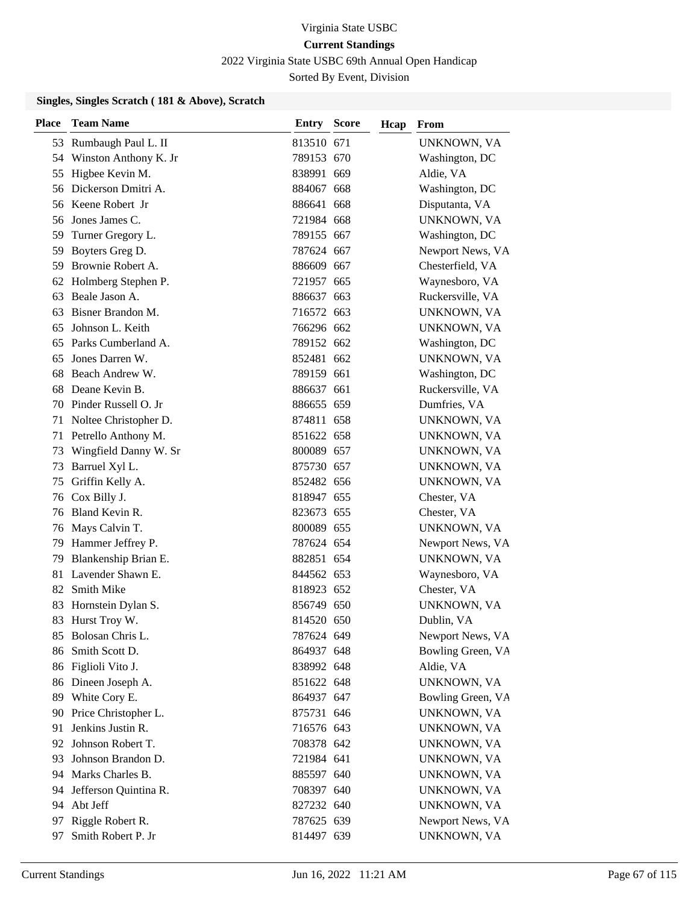2022 Virginia State USBC 69th Annual Open Handicap

Sorted By Event, Division

| <b>Place</b> | <b>Team Name</b>         | <b>Entry Score</b> | Hcap | From              |
|--------------|--------------------------|--------------------|------|-------------------|
|              | 53 Rumbaugh Paul L. II   | 813510 671         |      | UNKNOWN, VA       |
|              | 54 Winston Anthony K. Jr | 789153 670         |      | Washington, DC    |
|              | 55 Higbee Kevin M.       | 838991 669         |      | Aldie, VA         |
|              | 56 Dickerson Dmitri A.   | 884067 668         |      | Washington, DC    |
|              | 56 Keene Robert Jr       | 886641 668         |      | Disputanta, VA    |
| 56           | Jones James C.           | 721984 668         |      | UNKNOWN, VA       |
| 59           | Turner Gregory L.        | 789155 667         |      | Washington, DC    |
| 59           | Boyters Greg D.          | 787624 667         |      | Newport News, VA  |
| 59           | Brownie Robert A.        | 886609 667         |      | Chesterfield, VA  |
| 62           | Holmberg Stephen P.      | 721957 665         |      | Waynesboro, VA    |
| 63           | Beale Jason A.           | 886637 663         |      | Ruckersville, VA  |
|              | 63 Bisner Brandon M.     | 716572 663         |      | UNKNOWN, VA       |
| 65           | Johnson L. Keith         | 766296 662         |      | UNKNOWN, VA       |
| 65           | Parks Cumberland A.      | 789152 662         |      | Washington, DC    |
| 65           | Jones Darren W.          | 852481 662         |      | UNKNOWN, VA       |
|              | 68 Beach Andrew W.       | 789159 661         |      | Washington, DC    |
| 68           | Deane Kevin B.           | 886637 661         |      | Ruckersville, VA  |
| 70           | Pinder Russell O. Jr     | 886655 659         |      | Dumfries, VA      |
| 71           | Noltee Christopher D.    | 874811 658         |      | UNKNOWN, VA       |
| 71           | Petrello Anthony M.      | 851622 658         |      | UNKNOWN, VA       |
| 73           | Wingfield Danny W. Sr    | 800089 657         |      | UNKNOWN, VA       |
| 73           | Barruel Xyl L.           | 875730 657         |      | UNKNOWN, VA       |
| 75           | Griffin Kelly A.         | 852482 656         |      | UNKNOWN, VA       |
|              | 76 Cox Billy J.          | 818947 655         |      | Chester, VA       |
| 76           | Bland Kevin R.           | 823673 655         |      | Chester, VA       |
| 76           | Mays Calvin T.           | 800089 655         |      | UNKNOWN, VA       |
| 79           | Hammer Jeffrey P.        | 787624 654         |      | Newport News, VA  |
| 79           | Blankenship Brian E.     | 882851 654         |      | UNKNOWN, VA       |
| 81           | Lavender Shawn E.        | 844562 653         |      | Waynesboro, VA    |
| 82           | <b>Smith Mike</b>        | 818923 652         |      | Chester, VA       |
| 83           | Hornstein Dylan S.       | 856749 650         |      | UNKNOWN, VA       |
|              | 83 Hurst Troy W.         | 814520 650         |      | Dublin, VA        |
| 85           | Bolosan Chris L.         | 787624 649         |      | Newport News, VA  |
| 86           | Smith Scott D.           | 864937 648         |      | Bowling Green, VA |
| 86           | Figlioli Vito J.         | 838992 648         |      | Aldie, VA         |
|              | 86 Dineen Joseph A.      | 851622 648         |      | UNKNOWN, VA       |
|              | 89 White Cory E.         | 864937 647         |      | Bowling Green, VA |
| 90           | Price Christopher L.     | 875731 646         |      | UNKNOWN, VA       |
| 91           | Jenkins Justin R.        | 716576 643         |      | UNKNOWN, VA       |
| 92           | Johnson Robert T.        | 708378 642         |      | UNKNOWN, VA       |
| 93           | Johnson Brandon D.       | 721984 641         |      | UNKNOWN, VA       |
|              | 94 Marks Charles B.      | 885597 640         |      | UNKNOWN, VA       |
| 94           | Jefferson Quintina R.    | 708397 640         |      | UNKNOWN, VA       |
|              | 94 Abt Jeff              | 827232 640         |      | UNKNOWN, VA       |
| 97           | Riggle Robert R.         | 787625 639         |      | Newport News, VA  |
| 97           | Smith Robert P. Jr       | 814497 639         |      | UNKNOWN, VA       |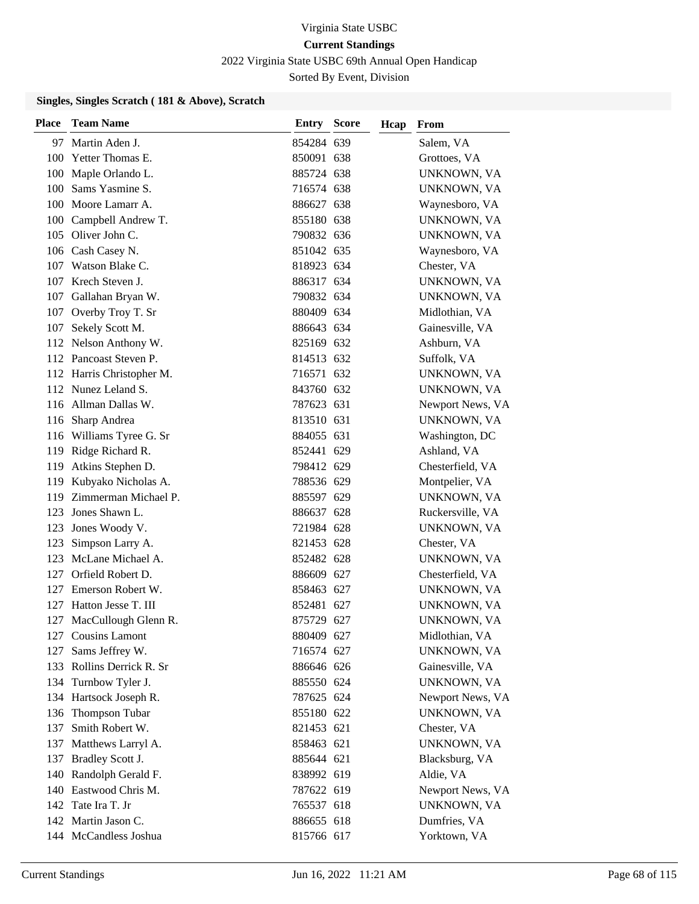2022 Virginia State USBC 69th Annual Open Handicap

Sorted By Event, Division

| <b>Place</b> | <b>Team Name</b>          | <b>Entry Score</b> | Hcap | From               |
|--------------|---------------------------|--------------------|------|--------------------|
| 97           | Martin Aden J.            | 854284 639         |      | Salem, VA          |
| 100          | Yetter Thomas E.          | 850091 638         |      | Grottoes, VA       |
| 100          | Maple Orlando L.          | 885724 638         |      | <b>UNKNOWN, VA</b> |
|              | 100 Sams Yasmine S.       | 716574 638         |      | UNKNOWN, VA        |
| 100          | Moore Lamarr A.           | 886627 638         |      | Waynesboro, VA     |
| 100          | Campbell Andrew T.        | 855180 638         |      | UNKNOWN, VA        |
|              | 105 Oliver John C.        | 790832 636         |      | UNKNOWN, VA        |
|              | 106 Cash Casey N.         | 851042 635         |      | Waynesboro, VA     |
| 107          | Watson Blake C.           | 818923 634         |      | Chester, VA        |
| 107          | Krech Steven J.           | 886317 634         |      | UNKNOWN, VA        |
| 107          | Gallahan Bryan W.         | 790832 634         |      | UNKNOWN, VA        |
|              | 107 Overby Troy T. Sr     | 880409 634         |      | Midlothian, VA     |
| 107          | Sekely Scott M.           | 886643 634         |      | Gainesville, VA    |
|              | 112 Nelson Anthony W.     | 825169 632         |      | Ashburn, VA        |
|              | 112 Pancoast Steven P.    | 814513 632         |      | Suffolk, VA        |
|              | 112 Harris Christopher M. | 716571 632         |      | UNKNOWN, VA        |
|              | 112 Nunez Leland S.       | 843760 632         |      | UNKNOWN, VA        |
|              | 116 Allman Dallas W.      | 787623 631         |      | Newport News, VA   |
|              | 116 Sharp Andrea          | 813510 631         |      | UNKNOWN, VA        |
|              | 116 Williams Tyree G. Sr  | 884055 631         |      | Washington, DC     |
|              | 119 Ridge Richard R.      | 852441 629         |      | Ashland, VA        |
| 119          | Atkins Stephen D.         | 798412 629         |      | Chesterfield, VA   |
| 119          | Kubyako Nicholas A.       | 788536 629         |      | Montpelier, VA     |
| 119          | Zimmerman Michael P.      | 885597 629         |      | UNKNOWN, VA        |
| 123          | Jones Shawn L.            | 886637 628         |      | Ruckersville, VA   |
| 123          | Jones Woody V.            | 721984 628         |      | UNKNOWN, VA        |
| 123          | Simpson Larry A.          | 821453 628         |      | Chester, VA        |
|              | 123 McLane Michael A.     | 852482 628         |      | UNKNOWN, VA        |
| 127          | Orfield Robert D.         | 886609 627         |      | Chesterfield, VA   |
| 127          | Emerson Robert W.         | 858463 627         |      | UNKNOWN, VA        |
| 127          | Hatton Jesse T. III       | 852481 627         |      | UNKNOWN, VA        |
| 127          | MacCullough Glenn R.      | 875729 627         |      | UNKNOWN, VA        |
|              | 127 Cousins Lamont        | 880409 627         |      | Midlothian, VA     |
| 127          | Sams Jeffrey W.           | 716574 627         |      | UNKNOWN, VA        |
|              | 133 Rollins Derrick R. Sr | 886646 626         |      | Gainesville, VA    |
|              | 134 Turnbow Tyler J.      | 885550 624         |      | UNKNOWN, VA        |
|              | 134 Hartsock Joseph R.    | 787625 624         |      | Newport News, VA   |
| 136          | <b>Thompson Tubar</b>     | 855180 622         |      | UNKNOWN, VA        |
| 137          | Smith Robert W.           | 821453 621         |      | Chester, VA        |
|              | 137 Matthews Larryl A.    | 858463 621         |      | UNKNOWN, VA        |
| 137          | Bradley Scott J.          | 885644 621         |      | Blacksburg, VA     |
|              | 140 Randolph Gerald F.    | 838992 619         |      | Aldie, VA          |
|              | 140 Eastwood Chris M.     | 787622 619         |      | Newport News, VA   |
|              | 142 Tate Ira T. Jr        | 765537 618         |      | UNKNOWN, VA        |
|              | 142 Martin Jason C.       | 886655 618         |      | Dumfries, VA       |
|              | 144 McCandless Joshua     | 815766 617         |      | Yorktown, VA       |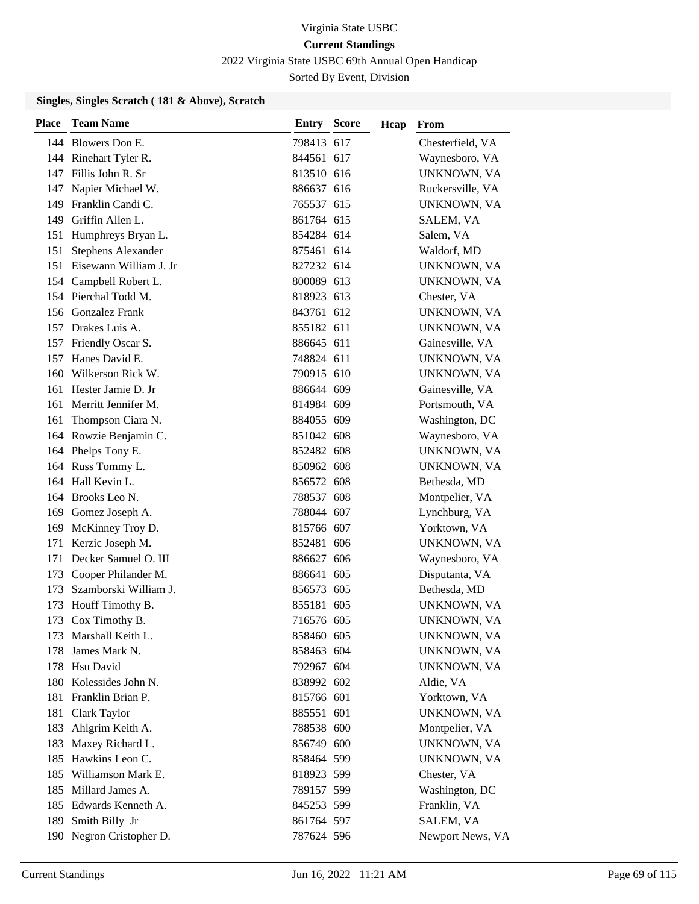2022 Virginia State USBC 69th Annual Open Handicap

Sorted By Event, Division

| <b>Place</b> | <b>Team Name</b>           | Entry      | <b>Score</b> | Hcap | From             |
|--------------|----------------------------|------------|--------------|------|------------------|
|              | 144 Blowers Don E.         | 798413 617 |              |      | Chesterfield, VA |
|              | 144 Rinehart Tyler R.      | 844561 617 |              |      | Waynesboro, VA   |
|              | 147 Fillis John R. Sr      | 813510 616 |              |      | UNKNOWN, VA      |
|              | 147 Napier Michael W.      | 886637 616 |              |      | Ruckersville, VA |
|              | 149 Franklin Candi C.      | 765537 615 |              |      | UNKNOWN, VA      |
| 149          | Griffin Allen L.           | 861764 615 |              |      | SALEM, VA        |
|              | 151 Humphreys Bryan L.     | 854284 614 |              |      | Salem, VA        |
| 151          | <b>Stephens Alexander</b>  | 875461 614 |              |      | Waldorf, MD      |
|              | 151 Eisewann William J. Jr | 827232 614 |              |      | UNKNOWN, VA      |
| 154          | Campbell Robert L.         | 800089 613 |              |      | UNKNOWN, VA      |
|              | 154 Pierchal Todd M.       | 818923 613 |              |      | Chester, VA      |
|              | 156 Gonzalez Frank         | 843761 612 |              |      | UNKNOWN, VA      |
|              | 157 Drakes Luis A.         | 855182 611 |              |      | UNKNOWN, VA      |
|              | 157 Friendly Oscar S.      | 886645 611 |              |      | Gainesville, VA  |
|              | 157 Hanes David E.         | 748824 611 |              |      | UNKNOWN, VA      |
|              | 160 Wilkerson Rick W.      | 790915 610 |              |      | UNKNOWN, VA      |
| 161          | Hester Jamie D. Jr         | 886644 609 |              |      | Gainesville, VA  |
| 161          | Merritt Jennifer M.        | 814984 609 |              |      | Portsmouth, VA   |
| 161          | Thompson Ciara N.          | 884055 609 |              |      | Washington, DC   |
|              | 164 Rowzie Benjamin C.     | 851042 608 |              |      | Waynesboro, VA   |
|              | 164 Phelps Tony E.         | 852482 608 |              |      | UNKNOWN, VA      |
|              | 164 Russ Tommy L.          | 850962 608 |              |      | UNKNOWN, VA      |
|              | 164 Hall Kevin L.          | 856572 608 |              |      | Bethesda, MD     |
|              | 164 Brooks Leo N.          | 788537 608 |              |      | Montpelier, VA   |
|              | 169 Gomez Joseph A.        | 788044 607 |              |      | Lynchburg, VA    |
| 169          | McKinney Troy D.           | 815766 607 |              |      | Yorktown, VA     |
| 171          | Kerzic Joseph M.           | 852481 606 |              |      | UNKNOWN, VA      |
| 171          | Decker Samuel O. III       | 886627 606 |              |      | Waynesboro, VA   |
| 173          | Cooper Philander M.        | 886641 605 |              |      | Disputanta, VA   |
| 173          | Szamborski William J.      | 856573 605 |              |      | Bethesda, MD     |
| 173          | Houff Timothy B.           | 855181 605 |              |      | UNKNOWN, VA      |
| 173          | Cox Timothy B.             | 716576 605 |              |      | UNKNOWN, VA      |
|              | 173 Marshall Keith L.      | 858460 605 |              |      | UNKNOWN, VA      |
| 178          | James Mark N.              | 858463 604 |              |      | UNKNOWN, VA      |
| 178          | Hsu David                  | 792967 604 |              |      | UNKNOWN, VA      |
|              | 180 Kolessides John N.     | 838992 602 |              |      | Aldie, VA        |
| 181          | Franklin Brian P.          | 815766 601 |              |      | Yorktown, VA     |
| 181          | Clark Taylor               | 885551 601 |              |      | UNKNOWN, VA      |
|              | 183 Ahlgrim Keith A.       | 788538 600 |              |      | Montpelier, VA   |
| 183          | Maxey Richard L.           | 856749 600 |              |      | UNKNOWN, VA      |
| 185          | Hawkins Leon C.            | 858464 599 |              |      | UNKNOWN, VA      |
| 185          | Williamson Mark E.         | 818923 599 |              |      | Chester, VA      |
|              | 185 Millard James A.       | 789157 599 |              |      | Washington, DC   |
|              | 185 Edwards Kenneth A.     | 845253 599 |              |      | Franklin, VA     |
| 189          | Smith Billy Jr             | 861764 597 |              |      | SALEM, VA        |
|              | 190 Negron Cristopher D.   | 787624 596 |              |      | Newport News, VA |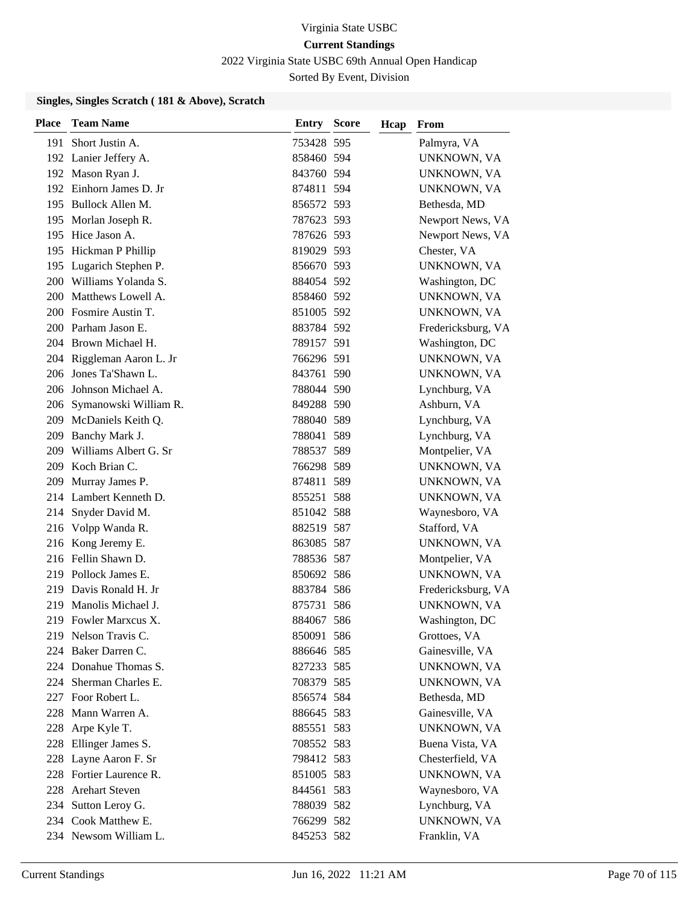2022 Virginia State USBC 69th Annual Open Handicap

Sorted By Event, Division

| <b>Place</b> | <b>Team Name</b>          | <b>Entry Score</b> | Hcap | From               |
|--------------|---------------------------|--------------------|------|--------------------|
|              | 191 Short Justin A.       | 753428 595         |      | Palmyra, VA        |
|              | 192 Lanier Jeffery A.     | 858460 594         |      | UNKNOWN, VA        |
|              | 192 Mason Ryan J.         | 843760 594         |      | UNKNOWN, VA        |
|              | 192 Einhorn James D. Jr   | 874811 594         |      | UNKNOWN, VA        |
|              | 195 Bullock Allen M.      | 856572 593         |      | Bethesda, MD       |
| 195          | Morlan Joseph R.          | 787623 593         |      | Newport News, VA   |
|              | 195 Hice Jason A.         | 787626 593         |      | Newport News, VA   |
|              | 195 Hickman P Phillip     | 819029 593         |      | Chester, VA        |
|              | 195 Lugarich Stephen P.   | 856670 593         |      | UNKNOWN, VA        |
|              | 200 Williams Yolanda S.   | 884054 592         |      | Washington, DC     |
| 200          | Matthews Lowell A.        | 858460 592         |      | UNKNOWN, VA        |
|              | 200 Fosmire Austin T.     | 851005 592         |      | UNKNOWN, VA        |
|              | 200 Parham Jason E.       | 883784 592         |      | Fredericksburg, VA |
|              | 204 Brown Michael H.      | 789157 591         |      | Washington, DC     |
|              | 204 Riggleman Aaron L. Jr | 766296 591         |      | UNKNOWN, VA        |
|              | 206 Jones Ta'Shawn L.     | 843761 590         |      | UNKNOWN, VA        |
|              | 206 Johnson Michael A.    | 788044 590         |      | Lynchburg, VA      |
| 206          | Symanowski William R.     | 849288 590         |      | Ashburn, VA        |
|              | 209 McDaniels Keith Q.    | 788040 589         |      | Lynchburg, VA      |
|              | 209 Banchy Mark J.        | 788041 589         |      | Lynchburg, VA      |
|              | 209 Williams Albert G. Sr | 788537 589         |      | Montpelier, VA     |
| 209          | Koch Brian C.             | 766298 589         |      | UNKNOWN, VA        |
| 209          | Murray James P.           | 874811 589         |      | UNKNOWN, VA        |
|              | 214 Lambert Kenneth D.    | 855251 588         |      | UNKNOWN, VA        |
| 214          | Snyder David M.           | 851042 588         |      | Waynesboro, VA     |
| 216          | Volpp Wanda R.            | 882519 587         |      | Stafford, VA       |
|              | 216 Kong Jeremy E.        | 863085 587         |      | UNKNOWN, VA        |
|              | 216 Fellin Shawn D.       | 788536 587         |      | Montpelier, VA     |
|              | 219 Pollock James E.      | 850692 586         |      | UNKNOWN, VA        |
| 219          | Davis Ronald H. Jr        | 883784 586         |      | Fredericksburg, VA |
| 219          | Manolis Michael J.        | 875731 586         |      | UNKNOWN, VA        |
|              | 219 Fowler Marxcus X.     | 884067 586         |      | Washington, DC     |
|              | 219 Nelson Travis C.      | 850091 586         |      | Grottoes, VA       |
|              | 224 Baker Darren C.       | 886646 585         |      | Gainesville, VA    |
|              | 224 Donahue Thomas S.     | 827233 585         |      | UNKNOWN, VA        |
|              | 224 Sherman Charles E.    | 708379 585         |      | UNKNOWN, VA        |
|              | 227 Foor Robert L.        | 856574 584         |      | Bethesda, MD       |
| 228          | Mann Warren A.            | 886645 583         |      | Gainesville, VA    |
| 228          | Arpe Kyle T.              | 885551 583         |      | UNKNOWN, VA        |
|              | 228 Ellinger James S.     | 708552 583         |      | Buena Vista, VA    |
| 228          | Layne Aaron F. Sr         | 798412 583         |      | Chesterfield, VA   |
|              | 228 Fortier Laurence R.   | 851005 583         |      | UNKNOWN, VA        |
|              | 228 Arehart Steven        | 844561 583         |      | Waynesboro, VA     |
|              | 234 Sutton Leroy G.       | 788039 582         |      | Lynchburg, VA      |
|              | 234 Cook Matthew E.       | 766299 582         |      | UNKNOWN, VA        |
|              | 234 Newsom William L.     | 845253 582         |      | Franklin, VA       |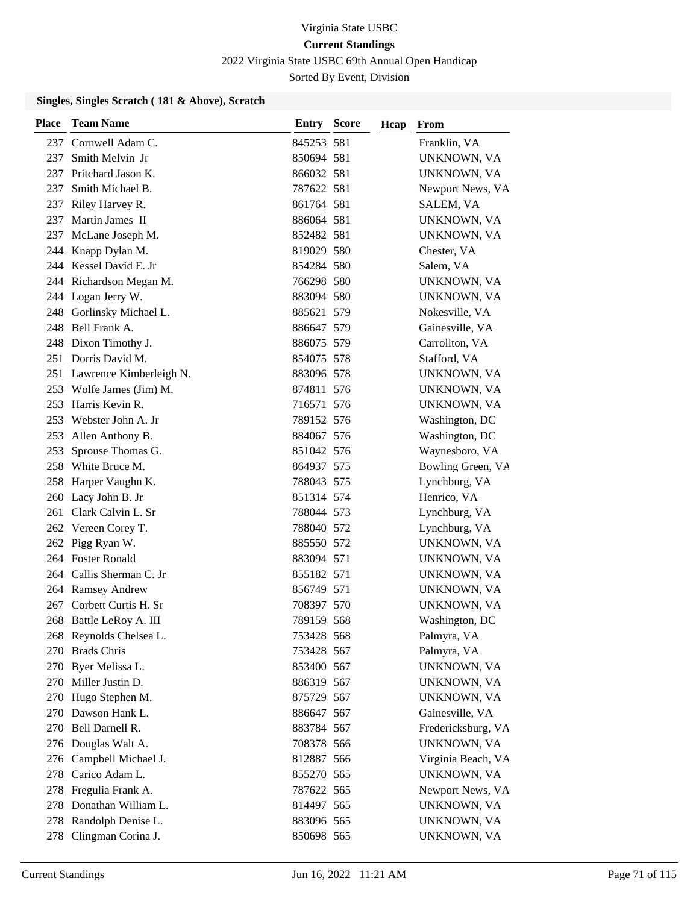2022 Virginia State USBC 69th Annual Open Handicap

Sorted By Event, Division

| <b>Place</b> | <b>Team Name</b>            | <b>Entry Score</b> | Hcap | From               |
|--------------|-----------------------------|--------------------|------|--------------------|
|              | 237 Cornwell Adam C.        | 845253 581         |      | Franklin, VA       |
| 237          | Smith Melvin Jr             | 850694 581         |      | UNKNOWN, VA        |
| 237          | Pritchard Jason K.          | 866032 581         |      | UNKNOWN, VA        |
| 237          | Smith Michael B.            | 787622 581         |      | Newport News, VA   |
|              | 237 Riley Harvey R.         | 861764 581         |      | SALEM, VA          |
| 237          | Martin James II             | 886064 581         |      | UNKNOWN, VA        |
| 237          | McLane Joseph M.            | 852482 581         |      | UNKNOWN, VA        |
|              | 244 Knapp Dylan M.          | 819029 580         |      | Chester, VA        |
|              | 244 Kessel David E. Jr      | 854284 580         |      | Salem, VA          |
|              | 244 Richardson Megan M.     | 766298 580         |      | UNKNOWN, VA        |
|              | 244 Logan Jerry W.          | 883094 580         |      | UNKNOWN, VA        |
|              | 248 Gorlinsky Michael L.    | 885621 579         |      | Nokesville, VA     |
|              | 248 Bell Frank A.           | 886647 579         |      | Gainesville, VA    |
|              | 248 Dixon Timothy J.        | 886075 579         |      | Carrollton, VA     |
|              | 251 Dorris David M.         | 854075 578         |      | Stafford, VA       |
|              | 251 Lawrence Kimberleigh N. | 883096 578         |      | UNKNOWN, VA        |
|              | 253 Wolfe James (Jim) M.    | 874811 576         |      | UNKNOWN, VA        |
| 253          | Harris Kevin R.             | 716571 576         |      | UNKNOWN, VA        |
| 253          | Webster John A. Jr          | 789152 576         |      | Washington, DC     |
|              | 253 Allen Anthony B.        | 884067 576         |      | Washington, DC     |
| 253          | Sprouse Thomas G.           | 851042 576         |      | Waynesboro, VA     |
|              | 258 White Bruce M.          | 864937 575         |      | Bowling Green, VA  |
|              | 258 Harper Vaughn K.        | 788043 575         |      | Lynchburg, VA      |
|              | 260 Lacy John B. Jr         | 851314 574         |      | Henrico, VA        |
|              | 261 Clark Calvin L. Sr      | 788044 573         |      | Lynchburg, VA      |
|              | 262 Vereen Corey T.         | 788040 572         |      | Lynchburg, VA      |
|              | 262 Pigg Ryan W.            | 885550 572         |      | UNKNOWN, VA        |
|              | 264 Foster Ronald           | 883094 571         |      | UNKNOWN, VA        |
|              | 264 Callis Sherman C. Jr    | 855182 571         |      | UNKNOWN, VA        |
|              | 264 Ramsey Andrew           | 856749 571         |      | UNKNOWN, VA        |
|              | 267 Corbett Curtis H. Sr    | 708397 570         |      | UNKNOWN, VA        |
|              | 268 Battle LeRoy A. III     | 789159 568         |      | Washington, DC     |
|              | 268 Reynolds Chelsea L.     | 753428 568         |      | Palmyra, VA        |
|              | 270 Brads Chris             | 753428 567         |      | Palmyra, VA        |
| 270          | Byer Melissa L.             | 853400 567         |      | UNKNOWN, VA        |
|              | 270 Miller Justin D.        | 886319 567         |      | UNKNOWN, VA        |
|              | 270 Hugo Stephen M.         | 875729 567         |      | UNKNOWN, VA        |
|              | 270 Dawson Hank L.          | 886647 567         |      | Gainesville, VA    |
|              | 270 Bell Darnell R.         | 883784 567         |      | Fredericksburg, VA |
|              | 276 Douglas Walt A.         | 708378 566         |      | UNKNOWN, VA        |
|              | 276 Campbell Michael J.     | 812887 566         |      | Virginia Beach, VA |
|              | 278 Carico Adam L.          | 855270 565         |      | UNKNOWN, VA        |
|              | 278 Fregulia Frank A.       | 787622 565         |      | Newport News, VA   |
|              | 278 Donathan William L.     | 814497 565         |      | UNKNOWN, VA        |
|              | 278 Randolph Denise L.      | 883096 565         |      | UNKNOWN, VA        |
|              | 278 Clingman Corina J.      | 850698 565         |      | UNKNOWN, VA        |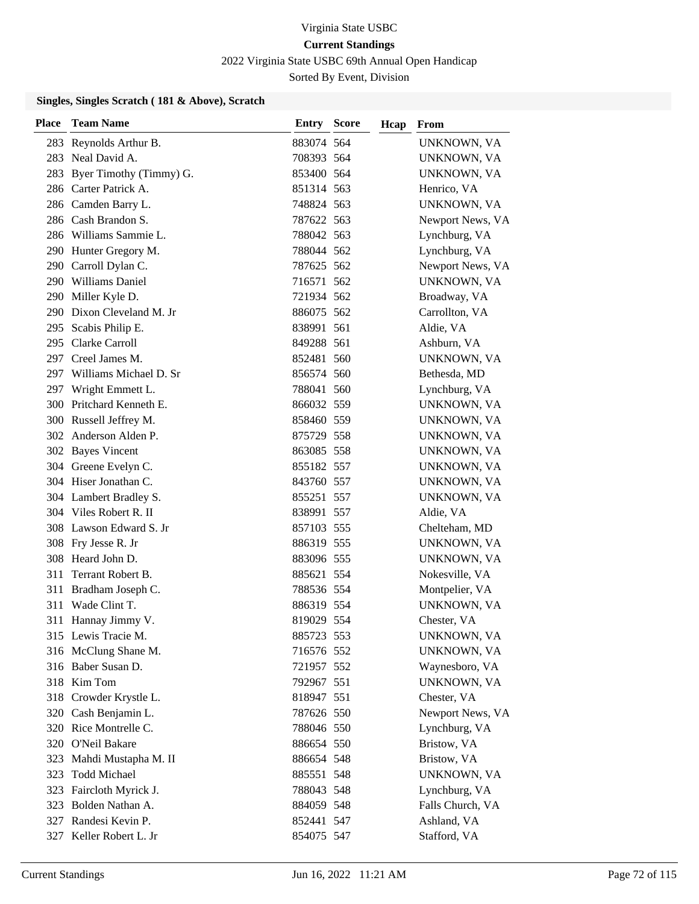2022 Virginia State USBC 69th Annual Open Handicap

Sorted By Event, Division

| <b>Place</b> | <b>Team Name</b>            | <b>Entry Score</b> | Hcap | From             |
|--------------|-----------------------------|--------------------|------|------------------|
|              | 283 Reynolds Arthur B.      | 883074 564         |      | UNKNOWN, VA      |
|              | 283 Neal David A.           | 708393 564         |      | UNKNOWN, VA      |
|              | 283 Byer Timothy (Timmy) G. | 853400 564         |      | UNKNOWN, VA      |
|              | 286 Carter Patrick A.       | 851314 563         |      | Henrico, VA      |
|              | 286 Camden Barry L.         | 748824 563         |      | UNKNOWN, VA      |
|              | 286 Cash Brandon S.         | 787622 563         |      | Newport News, VA |
|              | 286 Williams Sammie L.      | 788042 563         |      | Lynchburg, VA    |
|              | 290 Hunter Gregory M.       | 788044 562         |      | Lynchburg, VA    |
|              | 290 Carroll Dylan C.        | 787625 562         |      | Newport News, VA |
|              | 290 Williams Daniel         | 716571 562         |      | UNKNOWN, VA      |
|              | 290 Miller Kyle D.          | 721934 562         |      | Broadway, VA     |
|              | 290 Dixon Cleveland M. Jr   | 886075 562         |      | Carrollton, VA   |
|              | 295 Scabis Philip E.        | 838991 561         |      | Aldie, VA        |
|              | 295 Clarke Carroll          | 849288 561         |      | Ashburn, VA      |
|              | 297 Creel James M.          | 852481 560         |      | UNKNOWN, VA      |
|              | 297 Williams Michael D. Sr  | 856574 560         |      | Bethesda, MD     |
| 297          | Wright Emmett L.            | 788041 560         |      | Lynchburg, VA    |
|              | 300 Pritchard Kenneth E.    | 866032 559         |      | UNKNOWN, VA      |
|              | 300 Russell Jeffrey M.      | 858460 559         |      | UNKNOWN, VA      |
|              | 302 Anderson Alden P.       | 875729 558         |      | UNKNOWN, VA      |
|              | 302 Bayes Vincent           | 863085 558         |      | UNKNOWN, VA      |
|              | 304 Greene Evelyn C.        | 855182 557         |      | UNKNOWN, VA      |
|              | 304 Hiser Jonathan C.       | 843760 557         |      | UNKNOWN, VA      |
|              | 304 Lambert Bradley S.      | 855251 557         |      | UNKNOWN, VA      |
|              | 304 Viles Robert R. II      | 838991 557         |      | Aldie, VA        |
|              | 308 Lawson Edward S. Jr     | 857103 555         |      | Chelteham, MD    |
|              | 308 Fry Jesse R. Jr         | 886319 555         |      | UNKNOWN, VA      |
|              | 308 Heard John D.           | 883096 555         |      | UNKNOWN, VA      |
| 311          | Terrant Robert B.           | 885621 554         |      | Nokesville, VA   |
|              | 311 Bradham Joseph C.       | 788536 554         |      | Montpelier, VA   |
| 311          | Wade Clint T.               | 886319 554         |      | UNKNOWN, VA      |
|              | 311 Hannay Jimmy V.         | 819029 554         |      | Chester, VA      |
|              | 315 Lewis Tracie M.         | 885723 553         |      | UNKNOWN, VA      |
|              | 316 McClung Shane M.        | 716576 552         |      | UNKNOWN, VA      |
|              | 316 Baber Susan D.          | 721957 552         |      | Waynesboro, VA   |
|              | 318 Kim Tom                 | 792967 551         |      | UNKNOWN, VA      |
|              | 318 Crowder Krystle L.      | 818947 551         |      | Chester, VA      |
|              | 320 Cash Benjamin L.        | 787626 550         |      | Newport News, VA |
|              | 320 Rice Montrelle C.       | 788046 550         |      | Lynchburg, VA    |
|              | 320 O'Neil Bakare           | 886654 550         |      | Bristow, VA      |
| 323          | Mahdi Mustapha M. II        | 886654 548         |      | Bristow, VA      |
| 323          | Todd Michael                | 885551 548         |      | UNKNOWN, VA      |
|              | 323 Faircloth Myrick J.     | 788043 548         |      | Lynchburg, VA    |
|              | 323 Bolden Nathan A.        | 884059 548         |      | Falls Church, VA |
|              | 327 Randesi Kevin P.        | 852441 547         |      | Ashland, VA      |
|              | 327 Keller Robert L. Jr     | 854075 547         |      | Stafford, VA     |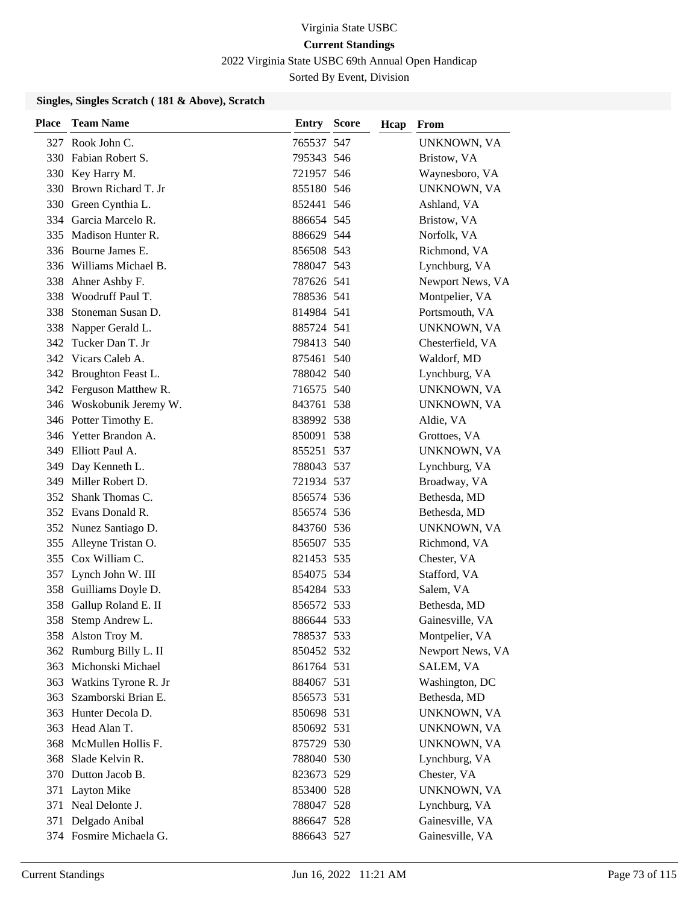2022 Virginia State USBC 69th Annual Open Handicap

Sorted By Event, Division

#### **Singles, Singles Scratch ( 181 & Above), Scratch**

| <b>Place</b> | <b>Team Name</b>         | <b>Entry Score</b> | Hcap | From             |
|--------------|--------------------------|--------------------|------|------------------|
|              | 327 Rook John C.         | 765537 547         |      | UNKNOWN, VA      |
|              | 330 Fabian Robert S.     | 795343 546         |      | Bristow, VA      |
|              | 330 Key Harry M.         | 721957 546         |      | Waynesboro, VA   |
|              | 330 Brown Richard T. Jr  | 855180 546         |      | UNKNOWN, VA      |
|              | 330 Green Cynthia L.     | 852441 546         |      | Ashland, VA      |
|              | 334 Garcia Marcelo R.    | 886654 545         |      | Bristow, VA      |
|              | 335 Madison Hunter R.    | 886629 544         |      | Norfolk, VA      |
|              | 336 Bourne James E.      | 856508 543         |      | Richmond, VA     |
|              | 336 Williams Michael B.  | 788047 543         |      | Lynchburg, VA    |
| 338          | Ahner Ashby F.           | 787626 541         |      | Newport News, VA |
| 338          | Woodruff Paul T.         | 788536 541         |      | Montpelier, VA   |
| 338          | Stoneman Susan D.        | 814984 541         |      | Portsmouth, VA   |
| 338          | Napper Gerald L.         | 885724 541         |      | UNKNOWN, VA      |
| 342          | Tucker Dan T. Jr         | 798413 540         |      | Chesterfield, VA |
|              | 342 Vicars Caleb A.      | 875461 540         |      | Waldorf, MD      |
|              | 342 Broughton Feast L.   | 788042 540         |      | Lynchburg, VA    |
|              | 342 Ferguson Matthew R.  | 716575 540         |      | UNKNOWN, VA      |
|              | 346 Woskobunik Jeremy W. | 843761 538         |      | UNKNOWN, VA      |
|              | 346 Potter Timothy E.    | 838992 538         |      | Aldie, VA        |
|              | 346 Yetter Brandon A.    | 850091 538         |      | Grottoes, VA     |
|              | 349 Elliott Paul A.      | 855251 537         |      | UNKNOWN, VA      |
| 349          | Day Kenneth L.           | 788043 537         |      | Lynchburg, VA    |
| 349          | Miller Robert D.         | 721934 537         |      | Broadway, VA     |
| 352          | Shank Thomas C.          | 856574 536         |      | Bethesda, MD     |
|              | 352 Evans Donald R.      | 856574 536         |      | Bethesda, MD     |
|              | 352 Nunez Santiago D.    | 843760 536         |      | UNKNOWN, VA      |
|              | 355 Alleyne Tristan O.   | 856507 535         |      | Richmond, VA     |
| 355          | Cox William C.           | 821453 535         |      | Chester, VA      |
|              | 357 Lynch John W. III    | 854075 534         |      | Stafford, VA     |
| 358          | Guilliams Doyle D.       | 854284 533         |      | Salem, VA        |
| 358          | Gallup Roland E. II      | 856572 533         |      | Bethesda, MD     |
| 358          | Stemp Andrew L.          | 886644 533         |      | Gainesville, VA  |
|              | 358 Alston Troy M.       | 788537 533         |      | Montpelier, VA   |
|              | 362 Rumburg Billy L. II  | 850452 532         |      | Newport News, VA |
| 363          | Michonski Michael        | 861764 531         |      | SALEM, VA        |
| 363          | Watkins Tyrone R. Jr     | 884067 531         |      | Washington, DC   |
| 363          | Szamborski Brian E.      | 856573 531         |      | Bethesda, MD     |
| 363          | Hunter Decola D.         | 850698 531         |      | UNKNOWN, VA      |
| 363          | Head Alan T.             | 850692 531         |      | UNKNOWN, VA      |
| 368          | McMullen Hollis F.       | 875729 530         |      | UNKNOWN, VA      |
| 368          | Slade Kelvin R.          | 788040 530         |      | Lynchburg, VA    |
|              | 370 Dutton Jacob B.      | 823673 529         |      | Chester, VA      |
| 371          | Layton Mike              | 853400 528         |      | UNKNOWN, VA      |
|              | 371 Neal Delonte J.      | 788047 528         |      | Lynchburg, VA    |
| 371          | Delgado Anibal           | 886647 528         |      | Gainesville, VA  |
|              | 374 Fosmire Michaela G.  | 886643 527         |      | Gainesville, VA  |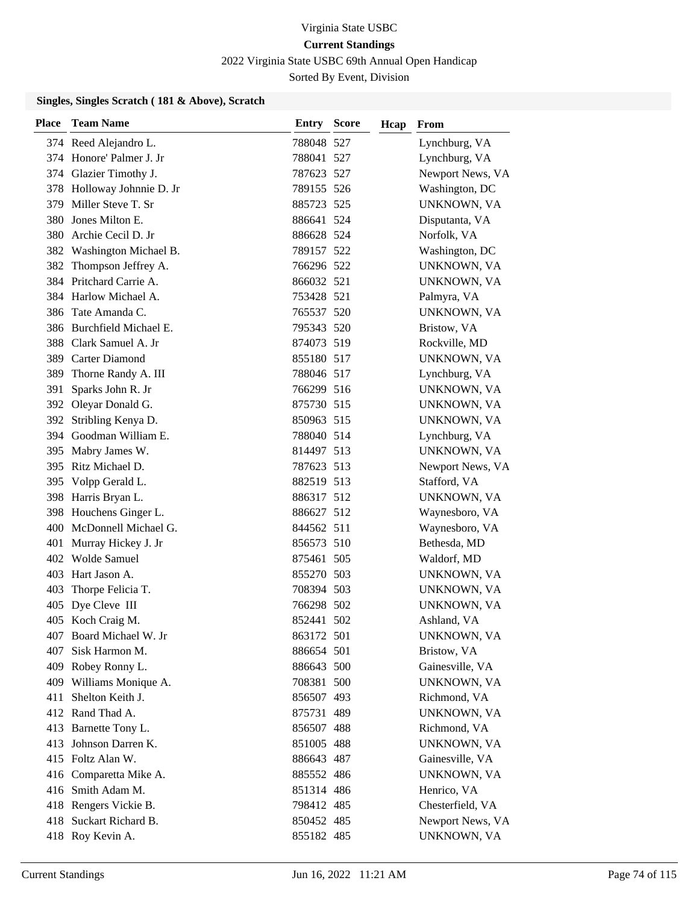2022 Virginia State USBC 69th Annual Open Handicap

Sorted By Event, Division

#### **Singles, Singles Scratch ( 181 & Above), Scratch**

| Place | <b>Team Name</b>           | <b>Entry Score</b> | Hcap | From             |
|-------|----------------------------|--------------------|------|------------------|
|       | 374 Reed Alejandro L.      | 788048 527         |      | Lynchburg, VA    |
|       | 374 Honore' Palmer J. Jr   | 788041 527         |      | Lynchburg, VA    |
|       | 374 Glazier Timothy J.     | 787623 527         |      | Newport News, VA |
|       | 378 Holloway Johnnie D. Jr | 789155 526         |      | Washington, DC   |
| 379   | Miller Steve T. Sr         | 885723 525         |      | UNKNOWN, VA      |
| 380   | Jones Milton E.            | 886641 524         |      | Disputanta, VA   |
| 380   | Archie Cecil D. Jr         | 886628 524         |      | Norfolk, VA      |
|       | 382 Washington Michael B.  | 789157 522         |      | Washington, DC   |
| 382   | Thompson Jeffrey A.        | 766296 522         |      | UNKNOWN, VA      |
| 384   | Pritchard Carrie A.        | 866032 521         |      | UNKNOWN, VA      |
|       | 384 Harlow Michael A.      | 753428 521         |      | Palmyra, VA      |
| 386   | Tate Amanda C.             | 765537 520         |      | UNKNOWN, VA      |
|       | 386 Burchfield Michael E.  | 795343 520         |      | Bristow, VA      |
| 388   | Clark Samuel A. Jr         | 874073 519         |      | Rockville, MD    |
|       | 389 Carter Diamond         | 855180 517         |      | UNKNOWN, VA      |
|       | 389 Thorne Randy A. III    | 788046 517         |      | Lynchburg, VA    |
| 391   | Sparks John R. Jr          | 766299 516         |      | UNKNOWN, VA      |
|       | 392 Oleyar Donald G.       | 875730 515         |      | UNKNOWN, VA      |
|       | 392 Stribling Kenya D.     | 850963 515         |      | UNKNOWN, VA      |
|       | 394 Goodman William E.     | 788040 514         |      | Lynchburg, VA    |
| 395   | Mabry James W.             | 814497 513         |      | UNKNOWN, VA      |
| 395   | Ritz Michael D.            | 787623 513         |      | Newport News, VA |
|       | 395 Volpp Gerald L.        | 882519 513         |      | Stafford, VA     |
|       | 398 Harris Bryan L.        | 886317 512         |      | UNKNOWN, VA      |
| 398   | Houchens Ginger L.         | 886627 512         |      | Waynesboro, VA   |
| 400   | McDonnell Michael G.       | 844562 511         |      | Waynesboro, VA   |
| 401   | Murray Hickey J. Jr        | 856573 510         |      | Bethesda, MD     |
|       | 402 Wolde Samuel           | 875461 505         |      | Waldorf, MD      |
| 403   | Hart Jason A.              | 855270 503         |      | UNKNOWN, VA      |
| 403   | Thorpe Felicia T.          | 708394 503         |      | UNKNOWN, VA      |
| 405   | Dye Cleve III              | 766298 502         |      | UNKNOWN, VA      |
|       | 405 Koch Craig M.          | 852441 502         |      | Ashland, VA      |
|       | 407 Board Michael W. Jr    | 863172 501         |      | UNKNOWN, VA      |
| 407   | Sisk Harmon M.             | 886654 501         |      | Bristow, VA      |
|       | 409 Robey Ronny L.         | 886643 500         |      | Gainesville, VA  |
|       | 409 Williams Monique A.    | 708381 500         |      | UNKNOWN, VA      |
| 411   | Shelton Keith J.           | 856507 493         |      | Richmond, VA     |
|       | 412 Rand Thad A.           | 875731 489         |      | UNKNOWN, VA      |
|       | 413 Barnette Tony L.       | 856507 488         |      | Richmond, VA     |
|       | 413 Johnson Darren K.      | 851005 488         |      | UNKNOWN, VA      |
|       | 415 Foltz Alan W.          | 886643 487         |      | Gainesville, VA  |
|       | 416 Comparetta Mike A.     | 885552 486         |      | UNKNOWN, VA      |
|       | 416 Smith Adam M.          | 851314 486         |      | Henrico, VA      |
|       | 418 Rengers Vickie B.      | 798412 485         |      | Chesterfield, VA |
|       | 418 Suckart Richard B.     | 850452 485         |      | Newport News, VA |
|       | 418 Roy Kevin A.           | 855182 485         |      | UNKNOWN, VA      |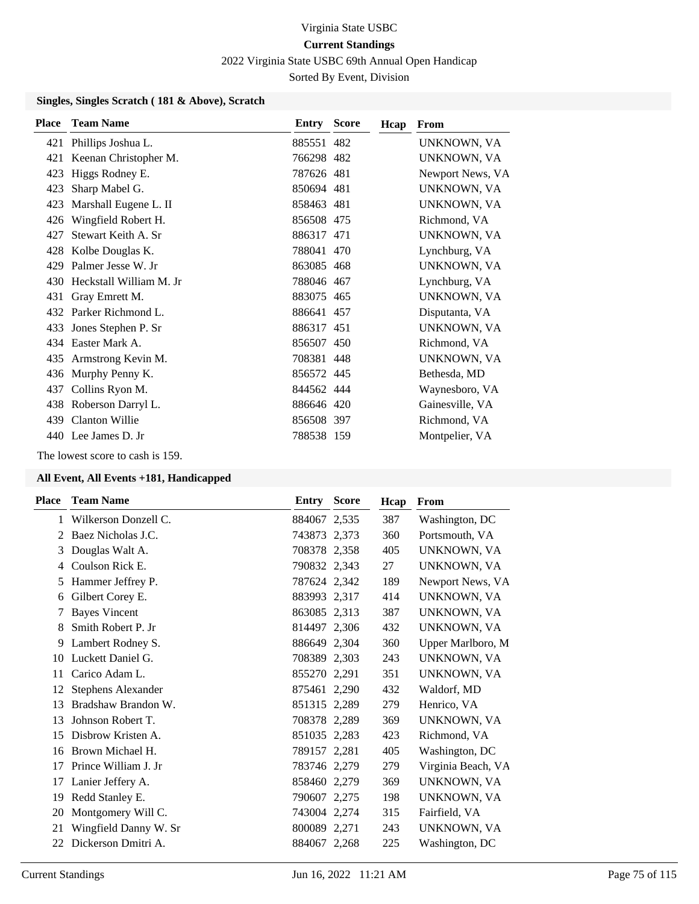2022 Virginia State USBC 69th Annual Open Handicap

Sorted By Event, Division

#### **Singles, Singles Scratch ( 181 & Above), Scratch**

| <b>Place</b> | <b>Team Name</b>        | <b>Entry Score</b> | Hcap | <b>From</b>      |
|--------------|-------------------------|--------------------|------|------------------|
| 421          | Phillips Joshua L.      | 885551 482         |      | UNKNOWN, VA      |
| 421          | Keenan Christopher M.   | 766298 482         |      | UNKNOWN, VA      |
| 423          | Higgs Rodney E.         | 787626 481         |      | Newport News, VA |
| 423          | Sharp Mabel G.          | 850694 481         |      | UNKNOWN, VA      |
| 423          | Marshall Eugene L. II   | 858463 481         |      | UNKNOWN, VA      |
| 426          | Wingfield Robert H.     | 856508 475         |      | Richmond, VA     |
| 427          | Stewart Keith A. Sr     | 886317 471         |      | UNKNOWN, VA      |
| 428          | Kolbe Douglas K.        | 788041 470         |      | Lynchburg, VA    |
| 429          | Palmer Jesse W. Jr      | 863085 468         |      | UNKNOWN, VA      |
| 430          | Heckstall William M. Jr | 788046 467         |      | Lynchburg, VA    |
| 431          | Gray Emrett M.          | 883075 465         |      | UNKNOWN, VA      |
| 432          | Parker Richmond L.      | 886641 457         |      | Disputanta, VA   |
| 433          | Jones Stephen P. Sr     | 886317 451         |      | UNKNOWN, VA      |
| 434          | Easter Mark A.          | 856507 450         |      | Richmond, VA     |
| 435          | Armstrong Kevin M.      | 708381 448         |      | UNKNOWN, VA      |
| 436          | Murphy Penny K.         | 856572 445         |      | Bethesda, MD     |
| 437          | Collins Ryon M.         | 844562 444         |      | Waynesboro, VA   |
| 438          | Roberson Darryl L.      | 886646 420         |      | Gainesville, VA  |
| 439          | Clanton Willie          | 856508 397         |      | Richmond, VA     |
|              | 440 Lee James D. Jr     | 788538 159         |      | Montpelier, VA   |
|              |                         |                    |      |                  |

The lowest score to cash is 159.

| Place         | <b>Team Name</b>          | Entry        | <b>Score</b> | Hcap | From               |
|---------------|---------------------------|--------------|--------------|------|--------------------|
| 1             | Wilkerson Donzell C.      | 884067 2,535 |              | 387  | Washington, DC     |
| $\mathcal{L}$ | Baez Nicholas J.C.        | 743873 2,373 |              | 360  | Portsmouth, VA     |
| 3             | Douglas Walt A.           | 708378 2,358 |              | 405  | UNKNOWN, VA        |
| 4             | Coulson Rick E.           | 790832 2,343 |              | 27   | UNKNOWN, VA        |
| 5             | Hammer Jeffrey P.         | 787624 2,342 |              | 189  | Newport News, VA   |
| 6             | Gilbert Corey E.          | 883993 2,317 |              | 414  | UNKNOWN, VA        |
| 7             | <b>Bayes Vincent</b>      | 863085 2,313 |              | 387  | UNKNOWN, VA        |
| 8             | Smith Robert P. Jr        | 814497 2,306 |              | 432  | <b>UNKNOWN, VA</b> |
| 9             | Lambert Rodney S.         | 886649 2,304 |              | 360  | Upper Marlboro, M  |
| 10            | Luckett Daniel G.         | 708389 2,303 |              | 243  | UNKNOWN, VA        |
| 11            | Carico Adam L.            | 855270 2,291 |              | 351  | UNKNOWN, VA        |
| 12            | <b>Stephens Alexander</b> | 875461 2,290 |              | 432  | Waldorf, MD        |
| 13            | Bradshaw Brandon W.       | 851315 2,289 |              | 279  | Henrico, VA        |
| 13            | Johnson Robert T.         | 708378 2,289 |              | 369  | UNKNOWN, VA        |
| 15            | Disbrow Kristen A.        | 851035 2,283 |              | 423  | Richmond, VA       |
| 16            | Brown Michael H.          | 789157 2,281 |              | 405  | Washington, DC     |
| 17            | Prince William J. Jr      | 783746 2,279 |              | 279  | Virginia Beach, VA |
| 17            | Lanier Jeffery A.         | 858460 2,279 |              | 369  | UNKNOWN, VA        |
| 19            | Redd Stanley E.           | 790607 2,275 |              | 198  | UNKNOWN, VA        |
| 20            | Montgomery Will C.        | 743004 2,274 |              | 315  | Fairfield, VA      |
| 21            | Wingfield Danny W. Sr     | 800089 2,271 |              | 243  | UNKNOWN, VA        |
| 22            | Dickerson Dmitri A.       | 884067 2,268 |              | 225  | Washington, DC     |
|               |                           |              |              |      |                    |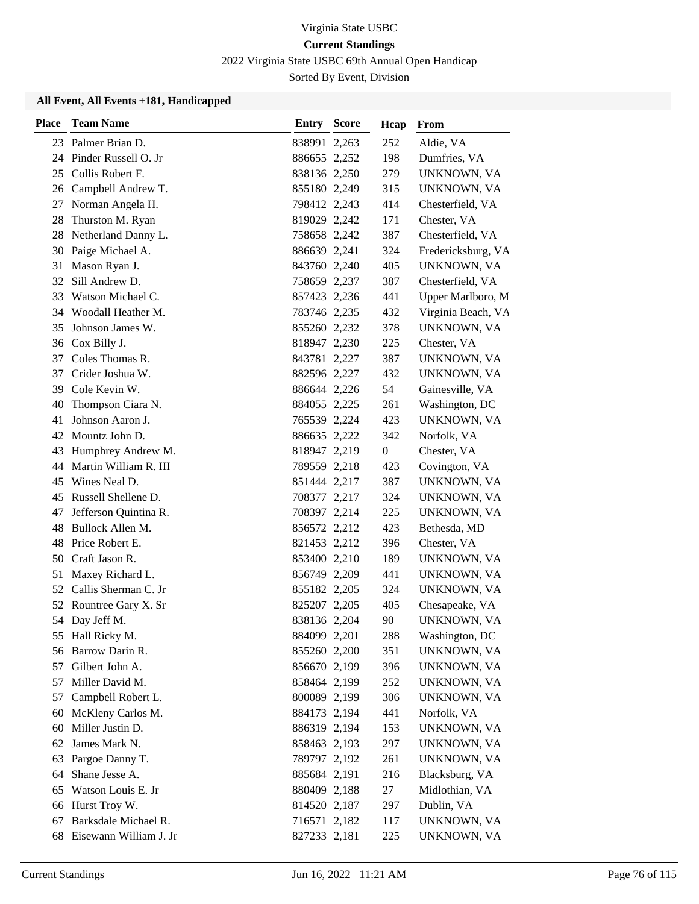2022 Virginia State USBC 69th Annual Open Handicap

Sorted By Event, Division

| <b>Place</b> | <b>Team Name</b>        | Entry        | <b>Score</b> | Hcap             | From               |
|--------------|-------------------------|--------------|--------------|------------------|--------------------|
|              | 23 Palmer Brian D.      | 838991 2,263 |              | 252              | Aldie, VA          |
|              | 24 Pinder Russell O. Jr | 886655 2,252 |              | 198              | Dumfries, VA       |
|              | 25 Collis Robert F.     | 838136 2,250 |              | 279              | UNKNOWN, VA        |
|              | 26 Campbell Andrew T.   | 855180 2,249 |              | 315              | UNKNOWN, VA        |
| 27           | Norman Angela H.        | 798412 2,243 |              | 414              | Chesterfield, VA   |
| 28           | Thurston M. Ryan        | 819029 2,242 |              | 171              | Chester, VA        |
| 28           | Netherland Danny L.     | 758658 2,242 |              | 387              | Chesterfield, VA   |
|              | 30 Paige Michael A.     | 886639 2,241 |              | 324              | Fredericksburg, VA |
| 31           | Mason Ryan J.           | 843760 2,240 |              | 405              | UNKNOWN, VA        |
| 32           | Sill Andrew D.          | 758659 2,237 |              | 387              | Chesterfield, VA   |
| 33           | Watson Michael C.       | 857423 2,236 |              | 441              | Upper Marlboro, M  |
| 34           | Woodall Heather M.      | 783746 2,235 |              | 432              | Virginia Beach, VA |
| 35           | Johnson James W.        | 855260 2,232 |              | 378              | UNKNOWN, VA        |
|              | 36 Cox Billy J.         | 818947 2,230 |              | 225              | Chester, VA        |
| 37           | Coles Thomas R.         | 843781 2,227 |              | 387              | UNKNOWN, VA        |
|              | 37 Crider Joshua W.     | 882596 2,227 |              | 432              | UNKNOWN, VA        |
|              | 39 Cole Kevin W.        | 886644 2,226 |              | 54               | Gainesville, VA    |
| 40           | Thompson Ciara N.       | 884055 2,225 |              | 261              | Washington, DC     |
| 41           | Johnson Aaron J.        | 765539 2,224 |              | 423              | UNKNOWN, VA        |
| 42           | Mountz John D.          | 886635 2,222 |              | 342              | Norfolk, VA        |
| 43           | Humphrey Andrew M.      | 818947 2,219 |              | $\boldsymbol{0}$ | Chester, VA        |
| 44           | Martin William R. III   | 789559 2,218 |              | 423              | Covington, VA      |
|              | 45 Wines Neal D.        | 851444 2,217 |              | 387              | UNKNOWN, VA        |
|              | 45 Russell Shellene D.  | 708377 2,217 |              | 324              | UNKNOWN, VA        |
| 47           | Jefferson Quintina R.   | 708397 2,214 |              | 225              | UNKNOWN, VA        |
| 48           | Bullock Allen M.        | 856572 2,212 |              | 423              | Bethesda, MD       |
| 48           | Price Robert E.         | 821453 2,212 |              | 396              | Chester, VA        |
|              | 50 Craft Jason R.       | 853400 2,210 |              | 189              | UNKNOWN, VA        |
| 51           | Maxey Richard L.        | 856749 2,209 |              | 441              | UNKNOWN, VA        |
| 52           | Callis Sherman C. Jr    | 855182 2,205 |              | 324              | UNKNOWN, VA        |
|              | 52 Rountree Gary X. Sr  | 825207 2,205 |              | 405              | Chesapeake, VA     |
|              | 54 Day Jeff M.          | 838136 2,204 |              | 90               | UNKNOWN, VA        |
|              | 55 Hall Ricky M.        | 884099 2,201 |              | 288              | Washington, DC     |
|              | 56 Barrow Darin R.      | 855260 2,200 |              | 351              | UNKNOWN, VA        |
| 57           | Gilbert John A.         | 856670 2,199 |              | 396              | UNKNOWN, VA        |
| 57           | Miller David M.         | 858464 2,199 |              | 252              | UNKNOWN, VA        |
| 57           | Campbell Robert L.      | 800089 2,199 |              | 306              | UNKNOWN, VA        |
| 60           | McKleny Carlos M.       | 884173 2,194 |              | 441              | Norfolk, VA        |
| 60           | Miller Justin D.        | 886319 2,194 |              | 153              | UNKNOWN, VA        |
| 62           | James Mark N.           | 858463 2,193 |              | 297              | UNKNOWN, VA        |
| 63           | Pargoe Danny T.         | 789797 2,192 |              | 261              | UNKNOWN, VA        |
| 64           | Shane Jesse A.          | 885684 2,191 |              | 216              | Blacksburg, VA     |
| 65           | Watson Louis E. Jr      | 880409 2,188 |              | 27               | Midlothian, VA     |
| 66           | Hurst Troy W.           | 814520 2,187 |              | 297              | Dublin, VA         |
| 67           | Barksdale Michael R.    | 716571 2,182 |              | 117              | UNKNOWN, VA        |
| 68           | Eisewann William J. Jr  | 827233 2,181 |              | 225              | UNKNOWN, VA        |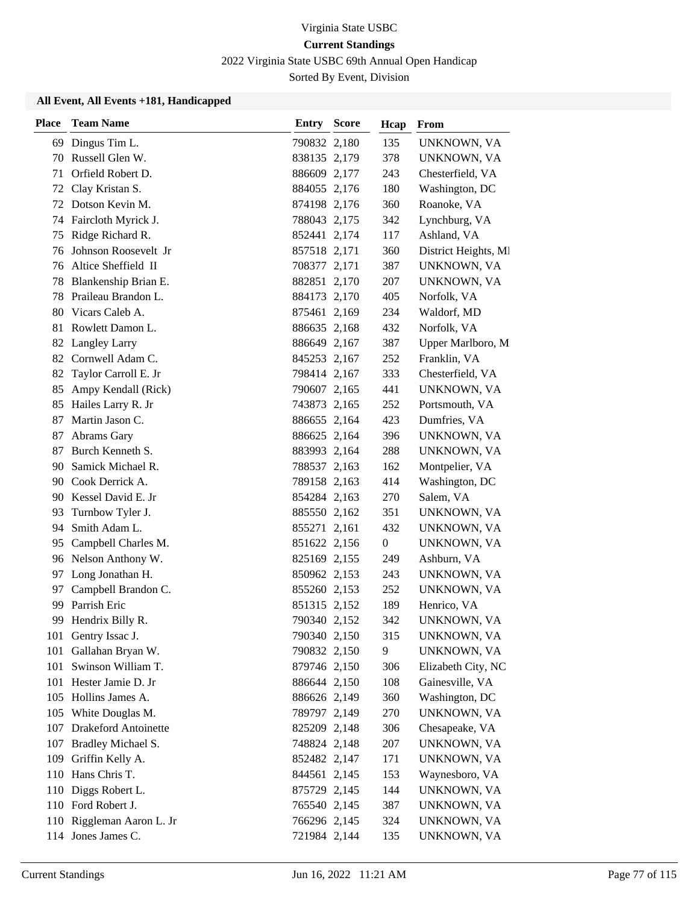2022 Virginia State USBC 69th Annual Open Handicap

Sorted By Event, Division

| <b>Place</b> | <b>Team Name</b>          | Entry        | <b>Score</b> | Hcap | From                 |
|--------------|---------------------------|--------------|--------------|------|----------------------|
| 69           | Dingus Tim L.             | 790832 2,180 |              | 135  | UNKNOWN, VA          |
| 70           | Russell Glen W.           | 838135 2,179 |              | 378  | UNKNOWN, VA          |
| 71           | Orfield Robert D.         | 886609 2,177 |              | 243  | Chesterfield, VA     |
|              | 72 Clay Kristan S.        | 884055 2,176 |              | 180  | Washington, DC       |
|              | 72 Dotson Kevin M.        | 874198 2,176 |              | 360  | Roanoke, VA          |
| 74           | Faircloth Myrick J.       | 788043 2,175 |              | 342  | Lynchburg, VA        |
| 75           | Ridge Richard R.          | 852441 2,174 |              | 117  | Ashland, VA          |
| 76           | Johnson Roosevelt Jr      | 857518 2,171 |              | 360  | District Heights, MI |
| 76           | Altice Sheffield II       | 708377 2,171 |              | 387  | UNKNOWN, VA          |
| 78           | Blankenship Brian E.      | 882851 2,170 |              | 207  | UNKNOWN, VA          |
| 78           | Praileau Brandon L.       | 884173 2,170 |              | 405  | Norfolk, VA          |
| 80           | Vicars Caleb A.           | 875461 2,169 |              | 234  | Waldorf, MD          |
| 81           | Rowlett Damon L.          | 886635 2,168 |              | 432  | Norfolk, VA          |
| 82           | <b>Langley Larry</b>      | 886649 2,167 |              | 387  | Upper Marlboro, M    |
| 82           | Cornwell Adam C.          | 845253 2,167 |              | 252  | Franklin, VA         |
| 82           | Taylor Carroll E. Jr      | 798414 2,167 |              | 333  | Chesterfield, VA     |
| 85           | Ampy Kendall (Rick)       | 790607 2,165 |              | 441  | UNKNOWN, VA          |
| 85           | Hailes Larry R. Jr        | 743873 2,165 |              | 252  | Portsmouth, VA       |
| 87           | Martin Jason C.           | 886655 2,164 |              | 423  | Dumfries, VA         |
| 87           | Abrams Gary               | 886625 2,164 |              | 396  | UNKNOWN, VA          |
| 87           | Burch Kenneth S.          | 883993 2,164 |              | 288  | UNKNOWN, VA          |
| 90           | Samick Michael R.         | 788537 2,163 |              | 162  | Montpelier, VA       |
| 90           | Cook Derrick A.           | 789158 2,163 |              | 414  | Washington, DC       |
|              | 90 Kessel David E. Jr     | 854284 2,163 |              | 270  | Salem, VA            |
| 93           | Turnbow Tyler J.          | 885550 2,162 |              | 351  | UNKNOWN, VA          |
| 94           | Smith Adam L.             | 855271 2,161 |              | 432  | UNKNOWN, VA          |
| 95           | Campbell Charles M.       | 851622 2,156 |              | 0    | UNKNOWN, VA          |
|              | 96 Nelson Anthony W.      | 825169 2,155 |              | 249  | Ashburn, VA          |
| 97           | Long Jonathan H.          | 850962 2,153 |              | 243  | UNKNOWN, VA          |
| 97           | Campbell Brandon C.       | 855260 2,153 |              | 252  | UNKNOWN, VA          |
| 99           | Parrish Eric              | 851315 2,152 |              | 189  | Henrico, VA          |
| 99           | Hendrix Billy R.          | 790340 2,152 |              | 342  | UNKNOWN, VA          |
| 101          | Gentry Issac J.           | 790340 2,150 |              | 315  | UNKNOWN, VA          |
| 101          | Gallahan Bryan W.         | 790832 2,150 |              | 9    | UNKNOWN, VA          |
| 101          | Swinson William T.        | 879746 2,150 |              | 306  | Elizabeth City, NC   |
| 101          | Hester Jamie D. Jr        | 886644 2,150 |              | 108  | Gainesville, VA      |
|              | 105 Hollins James A.      | 886626 2,149 |              | 360  | Washington, DC       |
|              | 105 White Douglas M.      | 789797 2,149 |              | 270  | UNKNOWN, VA          |
|              | 107 Drakeford Antoinette  | 825209 2,148 |              | 306  | Chesapeake, VA       |
|              | 107 Bradley Michael S.    | 748824 2,148 |              | 207  | UNKNOWN, VA          |
| 109          | Griffin Kelly A.          | 852482 2,147 |              | 171  | UNKNOWN, VA          |
|              | 110 Hans Chris T.         | 844561 2,145 |              | 153  | Waynesboro, VA       |
|              | 110 Diggs Robert L.       | 875729 2,145 |              | 144  | UNKNOWN, VA          |
|              | 110 Ford Robert J.        | 765540 2,145 |              | 387  | UNKNOWN, VA          |
|              | 110 Riggleman Aaron L. Jr | 766296 2,145 |              | 324  | UNKNOWN, VA          |
|              | 114 Jones James C.        | 721984 2,144 |              | 135  | UNKNOWN, VA          |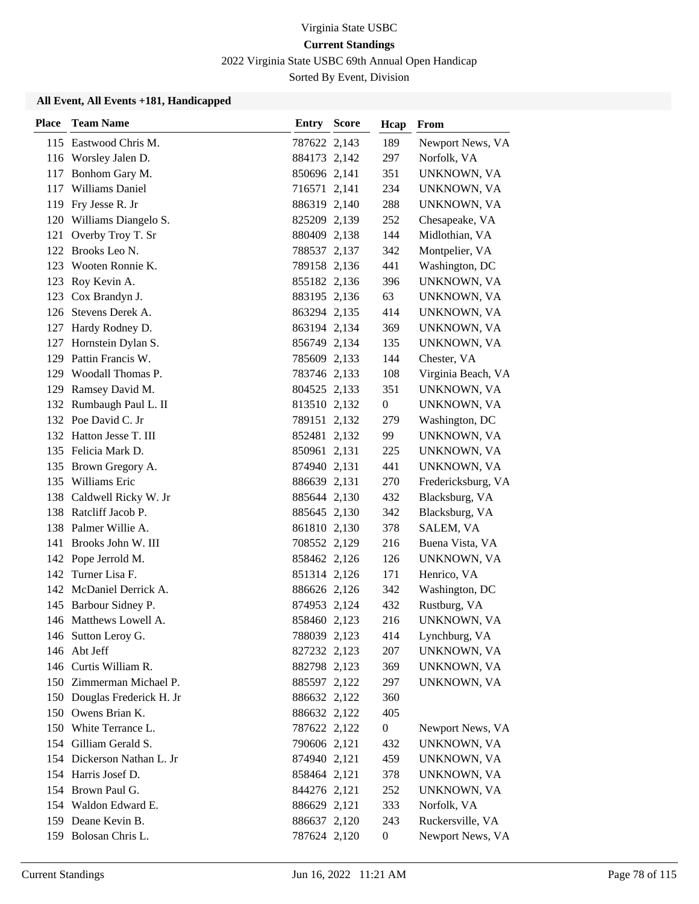2022 Virginia State USBC 69th Annual Open Handicap

Sorted By Event, Division

| <b>Place</b> | <b>Team Name</b>            | Entry        | <b>Score</b> | Hcap             | From               |
|--------------|-----------------------------|--------------|--------------|------------------|--------------------|
|              | 115 Eastwood Chris M.       | 787622 2,143 |              | 189              | Newport News, VA   |
|              | 116 Worsley Jalen D.        | 884173 2,142 |              | 297              | Norfolk, VA        |
|              | 117 Bonhom Gary M.          | 850696 2,141 |              | 351              | UNKNOWN, VA        |
|              | 117 Williams Daniel         | 716571 2,141 |              | 234              | UNKNOWN, VA        |
|              | 119 Fry Jesse R. Jr         | 886319 2,140 |              | 288              | UNKNOWN, VA        |
|              | 120 Williams Diangelo S.    | 825209 2,139 |              | 252              | Chesapeake, VA     |
| 121          | Overby Troy T. Sr           | 880409 2,138 |              | 144              | Midlothian, VA     |
|              | 122 Brooks Leo N.           | 788537 2,137 |              | 342              | Montpelier, VA     |
|              | 123 Wooten Ronnie K.        | 789158 2,136 |              | 441              | Washington, DC     |
| 123          | Roy Kevin A.                | 855182 2,136 |              | 396              | UNKNOWN, VA        |
| 123          | Cox Brandyn J.              | 883195 2,136 |              | 63               | UNKNOWN, VA        |
|              | 126 Stevens Derek A.        | 863294 2,135 |              | 414              | UNKNOWN, VA        |
|              | 127 Hardy Rodney D.         | 863194 2,134 |              | 369              | UNKNOWN, VA        |
|              | 127 Hornstein Dylan S.      | 856749 2,134 |              | 135              | UNKNOWN, VA        |
|              | 129 Pattin Francis W.       | 785609 2,133 |              | 144              | Chester, VA        |
|              | 129 Woodall Thomas P.       | 783746 2,133 |              | 108              | Virginia Beach, VA |
|              | 129 Ramsey David M.         | 804525 2,133 |              | 351              | UNKNOWN, VA        |
|              | 132 Rumbaugh Paul L. II     | 813510 2,132 |              | $\boldsymbol{0}$ | UNKNOWN, VA        |
|              | 132 Poe David C. Jr         | 789151 2,132 |              | 279              | Washington, DC     |
|              | 132 Hatton Jesse T. III     | 852481 2,132 |              | 99               | UNKNOWN, VA        |
|              | 135 Felicia Mark D.         | 850961 2,131 |              | 225              | UNKNOWN, VA        |
|              | 135 Brown Gregory A.        | 874940 2,131 |              | 441              | UNKNOWN, VA        |
|              | 135 Williams Eric           | 886639 2,131 |              | 270              | Fredericksburg, VA |
|              | 138 Caldwell Ricky W. Jr    | 885644 2,130 |              | 432              | Blacksburg, VA     |
|              | 138 Ratcliff Jacob P.       | 885645 2,130 |              | 342              | Blacksburg, VA     |
|              | 138 Palmer Willie A.        | 861810 2,130 |              | 378              | SALEM, VA          |
|              | 141 Brooks John W. III      | 708552 2,129 |              | 216              | Buena Vista, VA    |
|              | 142 Pope Jerrold M.         | 858462 2,126 |              | 126              | UNKNOWN, VA        |
|              | 142 Turner Lisa F.          | 851314 2,126 |              | 171              | Henrico, VA        |
|              | 142 McDaniel Derrick A.     | 886626 2,126 |              | 342              | Washington, DC     |
|              | 145 Barbour Sidney P.       | 874953 2,124 |              | 432              | Rustburg, VA       |
|              | 146 Matthews Lowell A.      | 858460 2,123 |              | 216              | UNKNOWN, VA        |
|              | 146 Sutton Leroy G.         | 788039 2,123 |              | 414              | Lynchburg, VA      |
|              | 146 Abt Jeff                | 827232 2,123 |              | 207              | <b>UNKNOWN, VA</b> |
|              | 146 Curtis William R.       | 882798 2,123 |              | 369              | UNKNOWN, VA        |
|              | 150 Zimmerman Michael P.    | 885597 2,122 |              | 297              | UNKNOWN, VA        |
|              | 150 Douglas Frederick H. Jr | 886632 2,122 |              | 360              |                    |
|              | 150 Owens Brian K.          | 886632 2,122 |              | 405              |                    |
|              | 150 White Terrance L.       | 787622 2,122 |              | $\boldsymbol{0}$ | Newport News, VA   |
|              | 154 Gilliam Gerald S.       | 790606 2,121 |              | 432              | UNKNOWN, VA        |
|              | 154 Dickerson Nathan L. Jr  | 874940 2,121 |              | 459              | UNKNOWN, VA        |
|              | 154 Harris Josef D.         | 858464 2,121 |              | 378              | UNKNOWN, VA        |
|              | 154 Brown Paul G.           | 844276 2,121 |              | 252              | UNKNOWN, VA        |
|              | 154 Waldon Edward E.        | 886629 2,121 |              | 333              | Norfolk, VA        |
|              | 159 Deane Kevin B.          | 886637 2,120 |              | 243              | Ruckersville, VA   |
|              | 159 Bolosan Chris L.        | 787624 2,120 |              | $\boldsymbol{0}$ | Newport News, VA   |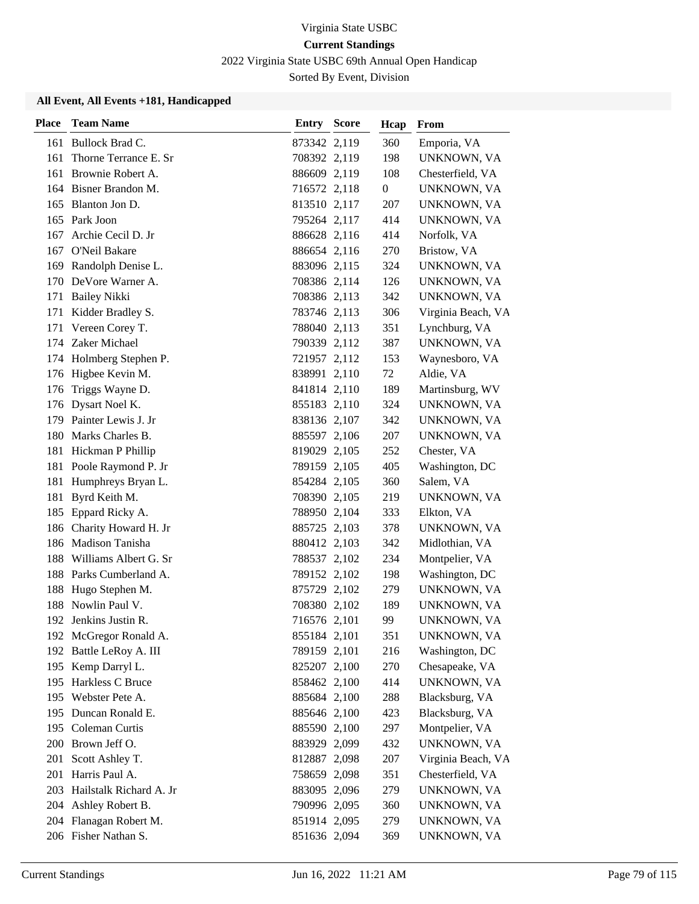2022 Virginia State USBC 69th Annual Open Handicap

Sorted By Event, Division

| <b>Place</b> | <b>Team Name</b>            | Entry        | <b>Score</b> | Hcap             | From               |
|--------------|-----------------------------|--------------|--------------|------------------|--------------------|
|              | 161 Bullock Brad C.         | 873342 2,119 |              | 360              | Emporia, VA        |
| 161          | Thorne Terrance E. Sr       | 708392 2,119 |              | 198              | UNKNOWN, VA        |
| 161          | Brownie Robert A.           | 886609 2,119 |              | 108              | Chesterfield, VA   |
|              | 164 Bisner Brandon M.       | 716572 2,118 |              | $\boldsymbol{0}$ | UNKNOWN, VA        |
|              | 165 Blanton Jon D.          | 813510 2,117 |              | 207              | UNKNOWN, VA        |
|              | 165 Park Joon               | 795264 2,117 |              | 414              | UNKNOWN, VA        |
| 167          | Archie Cecil D. Jr          | 886628 2,116 |              | 414              | Norfolk, VA        |
| 167          | O'Neil Bakare               | 886654 2,116 |              | 270              | Bristow, VA        |
|              | 169 Randolph Denise L.      | 883096 2,115 |              | 324              | UNKNOWN, VA        |
|              | 170 DeVore Warner A.        | 708386 2,114 |              | 126              | UNKNOWN, VA        |
| 171          | <b>Bailey Nikki</b>         | 708386 2,113 |              | 342              | UNKNOWN, VA        |
| 171          | Kidder Bradley S.           | 783746 2,113 |              | 306              | Virginia Beach, VA |
| 171          | Vereen Corey T.             | 788040 2,113 |              | 351              | Lynchburg, VA      |
|              | 174 Zaker Michael           | 790339 2,112 |              | 387              | UNKNOWN, VA        |
|              | 174 Holmberg Stephen P.     | 721957 2,112 |              | 153              | Waynesboro, VA     |
|              | 176 Higbee Kevin M.         | 838991 2,110 |              | 72               | Aldie, VA          |
| 176          | Triggs Wayne D.             | 841814 2,110 |              | 189              | Martinsburg, WV    |
|              | 176 Dysart Noel K.          | 855183 2,110 |              | 324              | UNKNOWN, VA        |
|              | 179 Painter Lewis J. Jr     | 838136 2,107 |              | 342              | UNKNOWN, VA        |
|              | 180 Marks Charles B.        | 885597 2,106 |              | 207              | UNKNOWN, VA        |
|              | 181 Hickman P Phillip       | 819029 2,105 |              | 252              | Chester, VA        |
|              | 181 Poole Raymond P. Jr     | 789159 2,105 |              | 405              | Washington, DC     |
| 181          | Humphreys Bryan L.          | 854284 2,105 |              | 360              | Salem, VA          |
| 181          | Byrd Keith M.               | 708390 2,105 |              | 219              | UNKNOWN, VA        |
|              | 185 Eppard Ricky A.         | 788950 2,104 |              | 333              | Elkton, VA         |
|              | 186 Charity Howard H. Jr    | 885725 2,103 |              | 378              | UNKNOWN, VA        |
|              | 186 Madison Tanisha         | 880412 2,103 |              | 342              | Midlothian, VA     |
| 188          | Williams Albert G. Sr       | 788537 2,102 |              | 234              | Montpelier, VA     |
|              | 188 Parks Cumberland A.     | 789152 2,102 |              | 198              | Washington, DC     |
| 188          | Hugo Stephen M.             | 875729 2,102 |              | 279              | UNKNOWN, VA        |
| 188          | Nowlin Paul V.              | 708380 2,102 |              | 189              | UNKNOWN, VA        |
|              | 192 Jenkins Justin R.       | 716576 2,101 |              | 99               | UNKNOWN, VA        |
|              | 192 McGregor Ronald A.      | 855184 2,101 |              | 351              | UNKNOWN, VA        |
|              | 192 Battle LeRoy A. III     | 789159 2,101 |              | 216              | Washington, DC     |
|              | 195 Kemp Darryl L.          | 825207 2,100 |              | 270              | Chesapeake, VA     |
|              | 195 Harkless C Bruce        | 858462 2,100 |              | 414              | UNKNOWN, VA        |
|              | 195 Webster Pete A.         | 885684 2,100 |              | 288              | Blacksburg, VA     |
|              | 195 Duncan Ronald E.        | 885646 2,100 |              | 423              | Blacksburg, VA     |
| 195          | Coleman Curtis              | 885590 2,100 |              | 297              | Montpelier, VA     |
|              | 200 Brown Jeff O.           | 883929 2,099 |              | 432              | UNKNOWN, VA        |
| 201          | Scott Ashley T.             | 812887 2,098 |              | 207              | Virginia Beach, VA |
| 201          | Harris Paul A.              | 758659 2,098 |              | 351              | Chesterfield, VA   |
|              | 203 Hailstalk Richard A. Jr | 883095 2,096 |              | 279              | UNKNOWN, VA        |
|              | 204 Ashley Robert B.        | 790996 2,095 |              | 360              | UNKNOWN, VA        |
|              | 204 Flanagan Robert M.      | 851914 2,095 |              | 279              | UNKNOWN, VA        |
|              | 206 Fisher Nathan S.        | 851636 2,094 |              | 369              | UNKNOWN, VA        |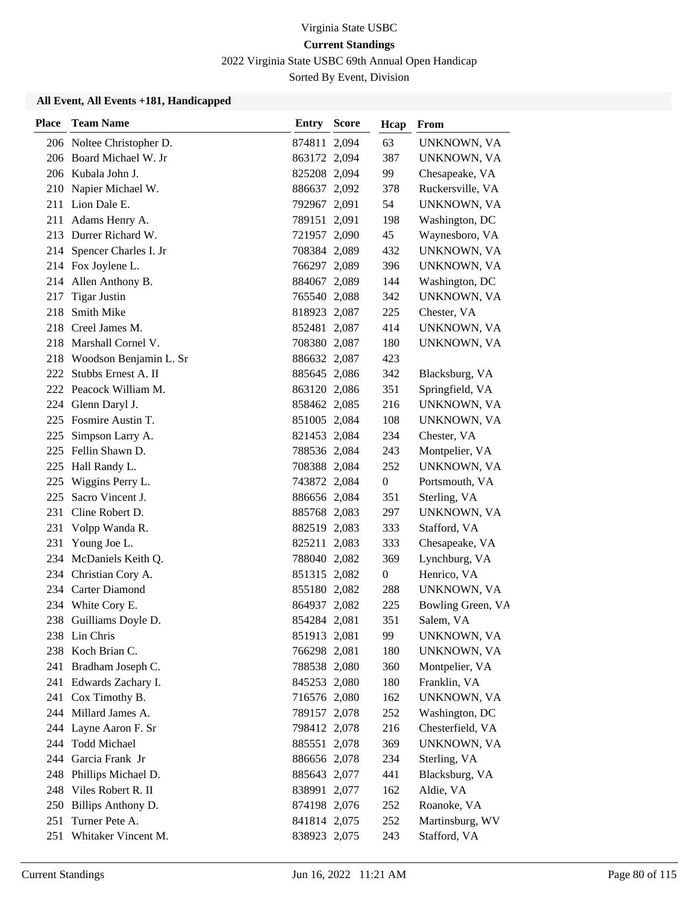2022 Virginia State USBC 69th Annual Open Handicap

Sorted By Event, Division

| <b>Place</b> | <b>Team Name</b>          | <b>Entry Score</b> | Hcap           | From              |
|--------------|---------------------------|--------------------|----------------|-------------------|
|              | 206 Noltee Christopher D. | 874811 2,094       | 63             | UNKNOWN, VA       |
|              | 206 Board Michael W. Jr   | 863172 2,094       | 387            | UNKNOWN, VA       |
|              | 206 Kubala John J.        | 825208 2,094       | 99             | Chesapeake, VA    |
|              | 210 Napier Michael W.     | 886637 2,092       | 378            | Ruckersville, VA  |
| 211          | Lion Dale E.              | 792967 2,091       | 54             | UNKNOWN, VA       |
| 211          | Adams Henry A.            | 789151 2,091       | 198            | Washington, DC    |
| 213          | Durrer Richard W.         | 721957 2,090       | 45             | Waynesboro, VA    |
|              | 214 Spencer Charles I. Jr | 708384 2,089       | 432            | UNKNOWN, VA       |
|              | 214 Fox Joylene L.        | 766297 2,089       | 396            | UNKNOWN, VA       |
|              | 214 Allen Anthony B.      | 884067 2,089       | 144            | Washington, DC    |
| 217          | <b>Tigar Justin</b>       | 765540 2,088       | 342            | UNKNOWN, VA       |
| 218          | Smith Mike                | 818923 2,087       | 225            | Chester, VA       |
|              | 218 Creel James M.        | 852481 2,087       | 414            | UNKNOWN, VA       |
| 218          | Marshall Cornel V.        | 708380 2,087       | 180            | UNKNOWN, VA       |
| 218          | Woodson Benjamin L. Sr    | 886632 2,087       | 423            |                   |
| 222          | Stubbs Ernest A. II       | 885645 2,086       | 342            | Blacksburg, VA    |
|              | 222 Peacock William M.    | 863120 2,086       | 351            | Springfield, VA   |
| 224          | Glenn Daryl J.            | 858462 2,085       | 216            | UNKNOWN, VA       |
| 225          | Fosmire Austin T.         | 851005 2,084       | 108            | UNKNOWN, VA       |
| 225          | Simpson Larry A.          | 821453 2,084       | 234            | Chester, VA       |
|              | 225 Fellin Shawn D.       | 788536 2,084       | 243            | Montpelier, VA    |
| 225          | Hall Randy L.             | 708388 2,084       | 252            | UNKNOWN, VA       |
| 225          | Wiggins Perry L.          | 743872 2,084       | $\overline{0}$ | Portsmouth, VA    |
| 225          | Sacro Vincent J.          | 886656 2,084       | 351            | Sterling, VA      |
| 231          | Cline Robert D.           | 885768 2,083       | 297            | UNKNOWN, VA       |
| 231          | Volpp Wanda R.            | 882519 2,083       | 333            | Stafford, VA      |
| 231          | Young Joe L.              | 825211 2,083       | 333            | Chesapeake, VA    |
|              | 234 McDaniels Keith Q.    | 788040 2,082       | 369            | Lynchburg, VA     |
| 234          | Christian Cory A.         | 851315 2,082       | $\overline{0}$ | Henrico, VA       |
|              | 234 Carter Diamond        | 855180 2,082       | 288            | UNKNOWN, VA       |
| 234          | White Cory E.             | 864937 2,082       | 225            | Bowling Green, VA |
|              | 238 Guilliams Doyle D.    | 854284 2,081       | 351            | Salem, VA         |
|              | 238 Lin Chris             | 851913 2,081       | 99             | UNKNOWN, VA       |
|              | 238 Koch Brian C.         | 766298 2,081       | 180            | UNKNOWN, VA       |
| 241          | Bradham Joseph C.         | 788538 2,080       | 360            | Montpelier, VA    |
|              | 241 Edwards Zachary I.    | 845253 2,080       | 180            | Franklin, VA      |
| 241          | Cox Timothy B.            | 716576 2,080       | 162            | UNKNOWN, VA       |
|              | 244 Millard James A.      | 789157 2,078       | 252            | Washington, DC    |
| 244          | Layne Aaron F. Sr         | 798412 2,078       | 216            | Chesterfield, VA  |
| 244          | Todd Michael              | 885551 2,078       | 369            | UNKNOWN, VA       |
| 244          | Garcia Frank Jr           | 886656 2,078       | 234            | Sterling, VA      |
| 248          | Phillips Michael D.       | 885643 2,077       | 441            | Blacksburg, VA    |
| 248          | Viles Robert R. II        | 838991 2,077       | 162            | Aldie, VA         |
|              | 250 Billips Anthony D.    | 874198 2,076       | 252            | Roanoke, VA       |
| 251          | Turner Pete A.            | 841814 2,075       | 252            | Martinsburg, WV   |
| 251          | Whitaker Vincent M.       | 838923 2,075       | 243            | Stafford, VA      |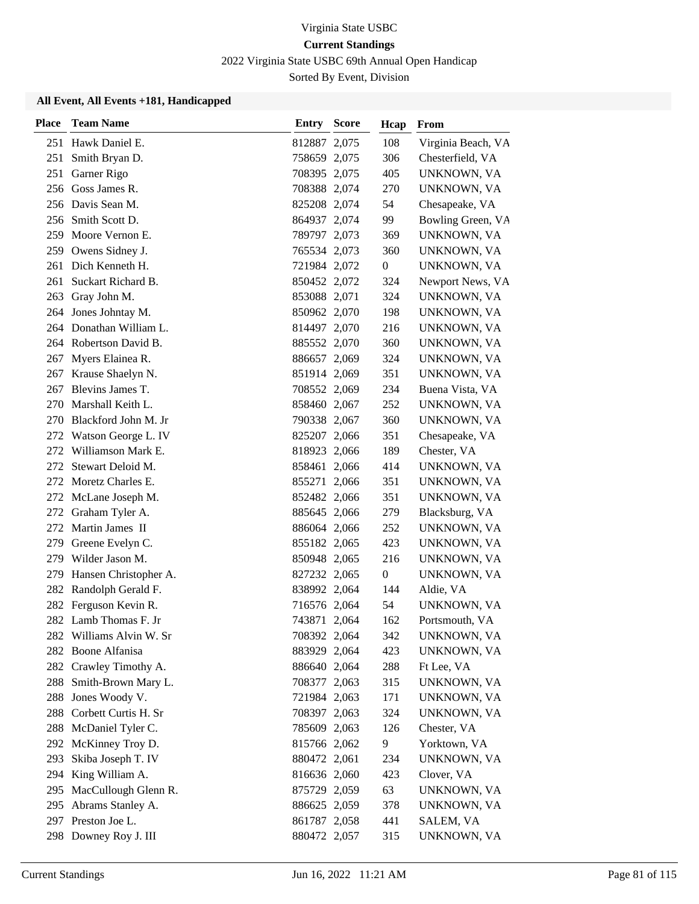2022 Virginia State USBC 69th Annual Open Handicap

Sorted By Event, Division

| <b>Place</b> | <b>Team Name</b>         | <b>Entry Score</b> | Hcap             | From               |
|--------------|--------------------------|--------------------|------------------|--------------------|
| 251          | Hawk Daniel E.           | 812887 2,075       | 108              | Virginia Beach, VA |
| 251          | Smith Bryan D.           | 758659 2,075       | 306              | Chesterfield, VA   |
| 251          | Garner Rigo              | 708395 2,075       | 405              | UNKNOWN, VA        |
|              | 256 Goss James R.        | 708388 2,074       | 270              | UNKNOWN, VA        |
|              | 256 Davis Sean M.        | 825208 2,074       | 54               | Chesapeake, VA     |
|              | 256 Smith Scott D.       | 864937 2,074       | 99               | Bowling Green, VA  |
| 259          | Moore Vernon E.          | 789797 2,073       | 369              | UNKNOWN, VA        |
|              | 259 Owens Sidney J.      | 765534 2,073       | 360              | UNKNOWN, VA        |
| 261          | Dich Kenneth H.          | 721984 2,072       | $\boldsymbol{0}$ | UNKNOWN, VA        |
| 261          | Suckart Richard B.       | 850452 2,072       | 324              | Newport News, VA   |
| 263          | Gray John M.             | 853088 2,071       | 324              | UNKNOWN, VA        |
|              | 264 Jones Johntay M.     | 850962 2,070       | 198              | UNKNOWN, VA        |
|              | 264 Donathan William L.  | 814497 2,070       | 216              | UNKNOWN, VA        |
|              | 264 Robertson David B.   | 885552 2,070       | 360              | UNKNOWN, VA        |
|              | 267 Myers Elainea R.     | 886657 2,069       | 324              | UNKNOWN, VA        |
|              | 267 Krause Shaelyn N.    | 851914 2,069       | 351              | UNKNOWN, VA        |
| 267          | Blevins James T.         | 708552 2,069       | 234              | Buena Vista, VA    |
| 270          | Marshall Keith L.        | 858460 2,067       | 252              | UNKNOWN, VA        |
| 270          | Blackford John M. Jr     | 790338 2,067       | 360              | UNKNOWN, VA        |
|              | 272 Watson George L. IV  | 825207 2,066       | 351              | Chesapeake, VA     |
|              | 272 Williamson Mark E.   | 818923 2,066       | 189              | Chester, VA        |
|              | 272 Stewart Deloid M.    | 858461 2,066       | 414              | UNKNOWN, VA        |
|              | 272 Moretz Charles E.    | 855271 2,066       | 351              | UNKNOWN, VA        |
|              | 272 McLane Joseph M.     | 852482 2,066       | 351              | UNKNOWN, VA        |
|              | 272 Graham Tyler A.      | 885645 2,066       | 279              | Blacksburg, VA     |
|              | 272 Martin James II      | 886064 2,066       | 252              | UNKNOWN, VA        |
| 279          | Greene Evelyn C.         | 855182 2,065       | 423              | UNKNOWN, VA        |
| 279          | Wilder Jason M.          | 850948 2,065       | 216              | UNKNOWN, VA        |
| 279          | Hansen Christopher A.    | 827232 2,065       | $\boldsymbol{0}$ | UNKNOWN, VA        |
|              | 282 Randolph Gerald F.   | 838992 2,064       | 144              | Aldie, VA          |
|              | 282 Ferguson Kevin R.    | 716576 2,064       | 54               | UNKNOWN, VA        |
|              | 282 Lamb Thomas F. Jr    | 743871 2,064       | 162              | Portsmouth, VA     |
|              | 282 Williams Alvin W. Sr | 708392 2,064       | 342              | UNKNOWN, VA        |
|              | 282 Boone Alfanisa       | 883929 2,064       | 423              | UNKNOWN, VA        |
|              | 282 Crawley Timothy A.   | 886640 2,064       | 288              | Ft Lee, VA         |
| 288          | Smith-Brown Mary L.      | 708377 2,063       | 315              | UNKNOWN, VA        |
| 288          | Jones Woody V.           | 721984 2,063       | 171              | UNKNOWN, VA        |
| 288          | Corbett Curtis H. Sr     | 708397 2,063       | 324              | UNKNOWN, VA        |
| 288          | McDaniel Tyler C.        | 785609 2,063       | 126              | Chester, VA        |
|              | 292 McKinney Troy D.     | 815766 2,062       | 9                | Yorktown, VA       |
| 293          | Skiba Joseph T. IV       | 880472 2,061       | 234              | UNKNOWN, VA        |
| 294          | King William A.          | 816636 2,060       | 423              | Clover, VA         |
| 295          | MacCullough Glenn R.     | 875729 2,059       | 63               | UNKNOWN, VA        |
| 295          | Abrams Stanley A.        | 886625 2,059       | 378              | UNKNOWN, VA        |
|              | 297 Preston Joe L.       | 861787 2,058       | 441              | SALEM, VA          |
|              | 298 Downey Roy J. III    | 880472 2,057       | 315              | UNKNOWN, VA        |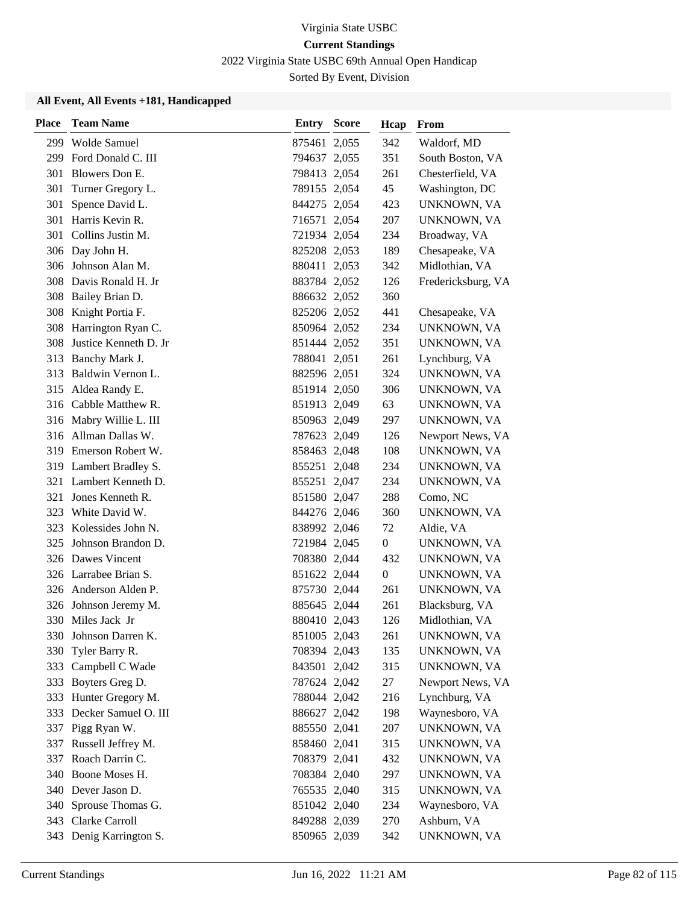2022 Virginia State USBC 69th Annual Open Handicap

Sorted By Event, Division

| Place | <b>Team Name</b>        | Entry        | <b>Score</b> | Hcap             | From               |
|-------|-------------------------|--------------|--------------|------------------|--------------------|
|       | 299 Wolde Samuel        | 875461 2,055 |              | 342              | Waldorf, MD        |
| 299   | Ford Donald C. III      | 794637 2,055 |              | 351              | South Boston, VA   |
| 301   | Blowers Don E.          | 798413 2,054 |              | 261              | Chesterfield, VA   |
| 301   | Turner Gregory L.       | 789155 2,054 |              | 45               | Washington, DC     |
| 301   | Spence David L.         | 844275 2,054 |              | 423              | UNKNOWN, VA        |
| 301   | Harris Kevin R.         | 716571 2,054 |              | 207              | UNKNOWN, VA        |
| 301   | Collins Justin M.       | 721934 2,054 |              | 234              | Broadway, VA       |
|       | 306 Day John H.         | 825208 2,053 |              | 189              | Chesapeake, VA     |
| 306   | Johnson Alan M.         | 880411 2,053 |              | 342              | Midlothian, VA     |
|       | 308 Davis Ronald H. Jr  | 883784 2,052 |              | 126              | Fredericksburg, VA |
|       | 308 Bailey Brian D.     | 886632 2,052 |              | 360              |                    |
|       | 308 Knight Portia F.    | 825206 2,052 |              | 441              | Chesapeake, VA     |
| 308   | Harrington Ryan C.      | 850964 2,052 |              | 234              | UNKNOWN, VA        |
| 308   | Justice Kenneth D. Jr   | 851444 2,052 |              | 351              | UNKNOWN, VA        |
| 313   | Banchy Mark J.          | 788041 2,051 |              | 261              | Lynchburg, VA      |
| 313   | Baldwin Vernon L.       | 882596 2,051 |              | 324              | UNKNOWN, VA        |
|       | 315 Aldea Randy E.      | 851914 2,050 |              | 306              | UNKNOWN, VA        |
| 316   | Cabble Matthew R.       | 851913 2,049 |              | 63               | UNKNOWN, VA        |
|       | 316 Mabry Willie L. III | 850963 2,049 |              | 297              | UNKNOWN, VA        |
|       | 316 Allman Dallas W.    | 787623 2,049 |              | 126              | Newport News, VA   |
|       | 319 Emerson Robert W.   | 858463 2,048 |              | 108              | UNKNOWN, VA        |
|       | 319 Lambert Bradley S.  | 855251 2,048 |              | 234              | UNKNOWN, VA        |
| 321   | Lambert Kenneth D.      | 855251 2,047 |              | 234              | UNKNOWN, VA        |
| 321   | Jones Kenneth R.        | 851580 2,047 |              | 288              | Como, NC           |
| 323   | White David W.          | 844276 2,046 |              | 360              | UNKNOWN, VA        |
|       | 323 Kolessides John N.  | 838992 2,046 |              | 72               | Aldie, VA          |
| 325   | Johnson Brandon D.      | 721984 2,045 |              | $\boldsymbol{0}$ | UNKNOWN, VA        |
|       | 326 Dawes Vincent       | 708380 2,044 |              | 432              | UNKNOWN, VA        |
|       | 326 Larrabee Brian S.   | 851622 2,044 |              | $\boldsymbol{0}$ | UNKNOWN, VA        |
|       | 326 Anderson Alden P.   | 875730 2,044 |              | 261              | UNKNOWN, VA        |
|       | 326 Johnson Jeremy M.   | 885645 2,044 |              | 261              | Blacksburg, VA     |
|       | 330 Miles Jack Jr       | 880410 2,043 |              | 126              | Midlothian, VA     |
|       | 330 Johnson Darren K.   | 851005 2,043 |              | 261              | UNKNOWN, VA        |
| 330   | Tyler Barry R.          | 708394 2,043 |              | 135              | UNKNOWN, VA        |
| 333   | Campbell C Wade         | 843501 2,042 |              | 315              | UNKNOWN, VA        |
|       | 333 Boyters Greg D.     | 787624 2,042 |              | 27               | Newport News, VA   |
|       | 333 Hunter Gregory M.   | 788044 2,042 |              | 216              | Lynchburg, VA      |
| 333   | Decker Samuel O. III    | 886627 2,042 |              | 198              | Waynesboro, VA     |
| 337   | Pigg Ryan W.            | 885550 2,041 |              | 207              | UNKNOWN, VA        |
| 337   | Russell Jeffrey M.      | 858460 2,041 |              | 315              | UNKNOWN, VA        |
| 337   | Roach Darrin C.         | 708379 2,041 |              | 432              | UNKNOWN, VA        |
|       | 340 Boone Moses H.      | 708384 2,040 |              | 297              | UNKNOWN, VA        |
|       | 340 Dever Jason D.      | 765535 2,040 |              | 315              | UNKNOWN, VA        |
| 340   | Sprouse Thomas G.       | 851042 2,040 |              | 234              | Waynesboro, VA     |
|       | 343 Clarke Carroll      | 849288 2,039 |              | 270              | Ashburn, VA        |
|       | 343 Denig Karrington S. | 850965 2,039 |              | 342              | UNKNOWN, VA        |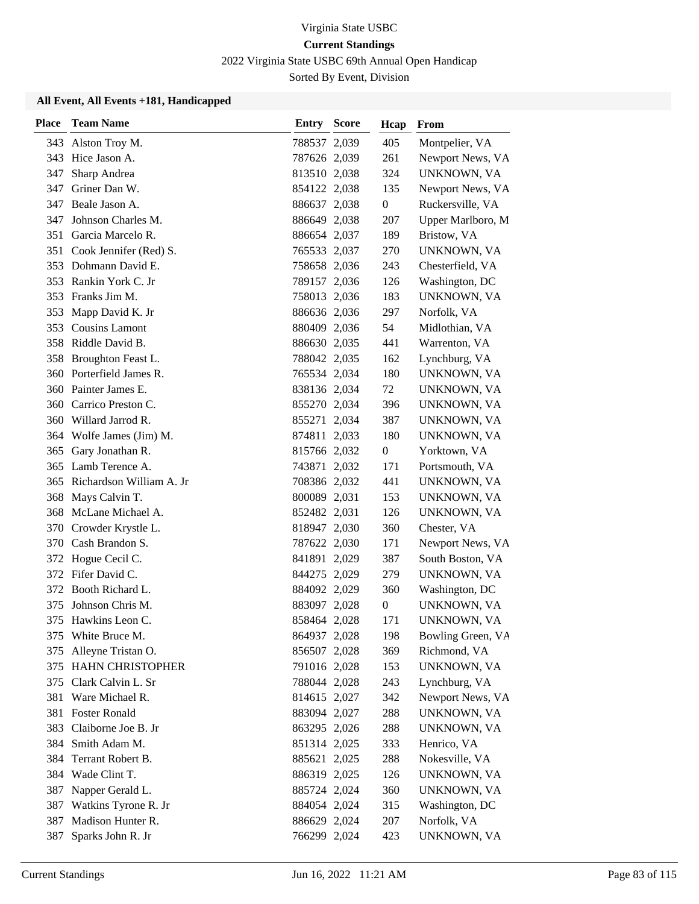2022 Virginia State USBC 69th Annual Open Handicap

Sorted By Event, Division

| <b>Place</b> | <b>Team Name</b>           | Entry        | <b>Score</b> | Hcap             | From              |
|--------------|----------------------------|--------------|--------------|------------------|-------------------|
|              | 343 Alston Troy M.         | 788537 2,039 |              | 405              | Montpelier, VA    |
|              | 343 Hice Jason A.          | 787626 2,039 |              | 261              | Newport News, VA  |
| 347          | Sharp Andrea               | 813510 2,038 |              | 324              | UNKNOWN, VA       |
| 347          | Griner Dan W.              | 854122 2,038 |              | 135              | Newport News, VA  |
| 347          | Beale Jason A.             | 886637 2,038 |              | $\boldsymbol{0}$ | Ruckersville, VA  |
| 347          | Johnson Charles M.         | 886649 2,038 |              | 207              | Upper Marlboro, M |
| 351          | Garcia Marcelo R.          | 886654 2,037 |              | 189              | Bristow, VA       |
|              | 351 Cook Jennifer (Red) S. | 765533 2,037 |              | 270              | UNKNOWN, VA       |
|              | 353 Dohmann David E.       | 758658 2,036 |              | 243              | Chesterfield, VA  |
|              | 353 Rankin York C. Jr      | 789157 2,036 |              | 126              | Washington, DC    |
| 353          | Franks Jim M.              | 758013 2,036 |              | 183              | UNKNOWN, VA       |
| 353          | Mapp David K. Jr           | 886636 2,036 |              | 297              | Norfolk, VA       |
|              | 353 Cousins Lamont         | 880409 2,036 |              | 54               | Midlothian, VA    |
| 358          | Riddle David B.            | 886630 2,035 |              | 441              | Warrenton, VA     |
| 358          | Broughton Feast L.         | 788042 2,035 |              | 162              | Lynchburg, VA     |
|              | 360 Porterfield James R.   | 765534 2,034 |              | 180              | UNKNOWN, VA       |
| 360          | Painter James E.           | 838136 2,034 |              | 72               | UNKNOWN, VA       |
| 360          | Carrico Preston C.         | 855270 2,034 |              | 396              | UNKNOWN, VA       |
| 360          | Willard Jarrod R.          | 855271 2,034 |              | 387              | UNKNOWN, VA       |
| 364          | Wolfe James (Jim) M.       | 874811 2,033 |              | 180              | UNKNOWN, VA       |
| 365          | Gary Jonathan R.           | 815766 2,032 |              | $\boldsymbol{0}$ | Yorktown, VA      |
| 365          | Lamb Terence A.            | 743871 2,032 |              | 171              | Portsmouth, VA    |
| 365          | Richardson William A. Jr   | 708386 2,032 |              | 441              | UNKNOWN, VA       |
| 368          | Mays Calvin T.             | 800089 2,031 |              | 153              | UNKNOWN, VA       |
| 368          | McLane Michael A.          | 852482 2,031 |              | 126              | UNKNOWN, VA       |
| 370          | Crowder Krystle L.         | 818947 2,030 |              | 360              | Chester, VA       |
| 370          | Cash Brandon S.            | 787622 2,030 |              | 171              | Newport News, VA  |
| 372          | Hogue Cecil C.             | 841891 2,029 |              | 387              | South Boston, VA  |
|              | 372 Fifer David C.         | 844275 2,029 |              | 279              | UNKNOWN, VA       |
| 372          | Booth Richard L.           | 884092 2,029 |              | 360              | Washington, DC    |
| 375          | Johnson Chris M.           | 883097 2,028 |              | $\boldsymbol{0}$ | UNKNOWN, VA       |
|              | 375 Hawkins Leon C.        | 858464 2,028 |              | 171              | UNKNOWN, VA       |
|              | 375 White Bruce M.         | 864937 2,028 |              | 198              | Bowling Green, VA |
| 375          | Alleyne Tristan O.         | 856507 2,028 |              | 369              | Richmond, VA      |
| 375          | <b>HAHN CHRISTOPHER</b>    | 791016 2,028 |              | 153              | UNKNOWN, VA       |
|              | 375 Clark Calvin L. Sr     | 788044 2,028 |              | 243              | Lynchburg, VA     |
| 381          | Ware Michael R.            | 814615 2,027 |              | 342              | Newport News, VA  |
| 381          | <b>Foster Ronald</b>       | 883094 2,027 |              | 288              | UNKNOWN, VA       |
| 383          | Claiborne Joe B. Jr        | 863295 2,026 |              | 288              | UNKNOWN, VA       |
| 384          | Smith Adam M.              | 851314 2,025 |              | 333              | Henrico, VA       |
| 384          | Terrant Robert B.          | 885621 2,025 |              | 288              | Nokesville, VA    |
| 384          | Wade Clint T.              | 886319 2,025 |              | 126              | UNKNOWN, VA       |
| 387          | Napper Gerald L.           | 885724 2,024 |              | 360              | UNKNOWN, VA       |
| 387          | Watkins Tyrone R. Jr       | 884054 2,024 |              | 315              | Washington, DC    |
| 387          | Madison Hunter R.          | 886629 2,024 |              | 207              | Norfolk, VA       |
| 387          | Sparks John R. Jr          | 766299 2,024 |              | 423              | UNKNOWN, VA       |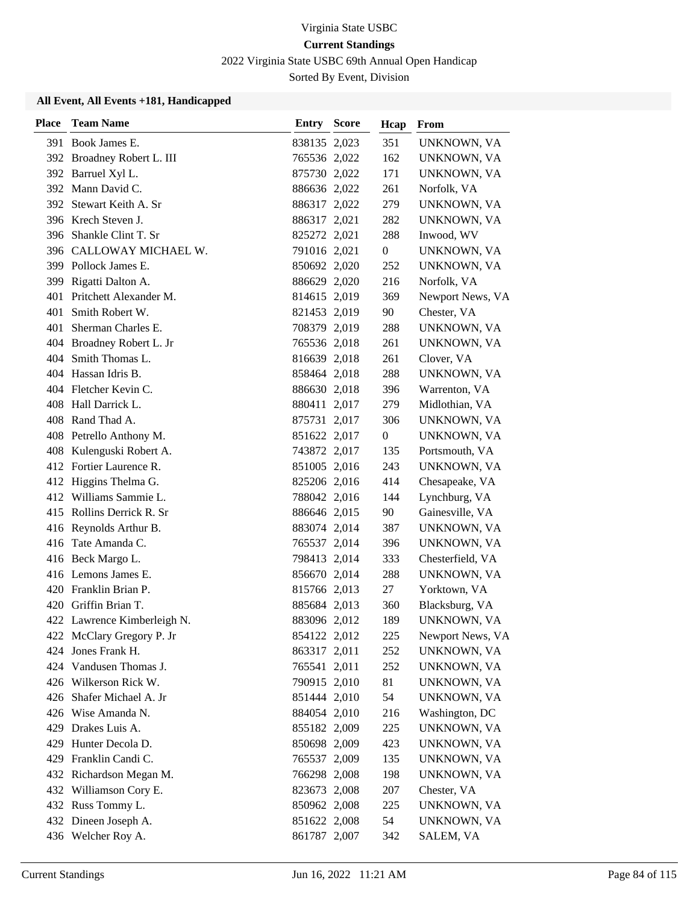2022 Virginia State USBC 69th Annual Open Handicap

Sorted By Event, Division

| <b>Place</b> | <b>Team Name</b>            | <b>Entry Score</b> | Hcap             | From             |
|--------------|-----------------------------|--------------------|------------------|------------------|
|              | 391 Book James E.           | 838135 2,023       | 351              | UNKNOWN, VA      |
|              | 392 Broadney Robert L. III  | 765536 2,022       | 162              | UNKNOWN, VA      |
|              | 392 Barruel Xyl L.          | 875730 2,022       | 171              | UNKNOWN, VA      |
|              | 392 Mann David C.           | 886636 2,022       | 261              | Norfolk, VA      |
|              | 392 Stewart Keith A. Sr     | 886317 2,022       | 279              | UNKNOWN, VA      |
|              | 396 Krech Steven J.         | 886317 2,021       | 282              | UNKNOWN, VA      |
| 396-         | Shankle Clint T. Sr         | 825272 2,021       | 288              | Inwood, WV       |
|              | 396 CALLOWAY MICHAEL W.     | 791016 2,021       | $\boldsymbol{0}$ | UNKNOWN, VA      |
|              | 399 Pollock James E.        | 850692 2,020       | 252              | UNKNOWN, VA      |
| 399          | Rigatti Dalton A.           | 886629 2,020       | 216              | Norfolk, VA      |
| 401          | Pritchett Alexander M.      | 814615 2,019       | 369              | Newport News, VA |
| 401          | Smith Robert W.             | 821453 2,019       | 90               | Chester, VA      |
| 401          | Sherman Charles E.          | 708379 2,019       | 288              | UNKNOWN, VA      |
|              | 404 Broadney Robert L. Jr   | 765536 2,018       | 261              | UNKNOWN, VA      |
| 404          | Smith Thomas L.             | 816639 2,018       | 261              | Clover, VA       |
|              | 404 Hassan Idris B.         | 858464 2,018       | 288              | UNKNOWN, VA      |
|              | 404 Fletcher Kevin C.       | 886630 2,018       | 396              | Warrenton, VA    |
|              | 408 Hall Darrick L.         | 880411 2,017       | 279              | Midlothian, VA   |
|              | 408 Rand Thad A.            | 875731 2,017       | 306              | UNKNOWN, VA      |
|              | 408 Petrello Anthony M.     | 851622 2,017       | $\overline{0}$   | UNKNOWN, VA      |
|              | 408 Kulenguski Robert A.    | 743872 2,017       | 135              | Portsmouth, VA   |
|              | 412 Fortier Laurence R.     | 851005 2,016       | 243              | UNKNOWN, VA      |
|              | 412 Higgins Thelma G.       | 825206 2,016       | 414              | Chesapeake, VA   |
|              | 412 Williams Sammie L.      | 788042 2,016       | 144              | Lynchburg, VA    |
|              | 415 Rollins Derrick R. Sr   | 886646 2,015       | 90               | Gainesville, VA  |
|              | 416 Reynolds Arthur B.      | 883074 2,014       | 387              | UNKNOWN, VA      |
|              | 416 Tate Amanda C.          | 765537 2,014       | 396              | UNKNOWN, VA      |
|              | 416 Beck Margo L.           | 798413 2,014       | 333              | Chesterfield, VA |
|              | 416 Lemons James E.         | 856670 2,014       | 288              | UNKNOWN, VA      |
|              | 420 Franklin Brian P.       | 815766 2,013       | 27               | Yorktown, VA     |
|              | 420 Griffin Brian T.        | 885684 2,013       | 360              | Blacksburg, VA   |
|              | 422 Lawrence Kimberleigh N. | 883096 2,012       | 189              | UNKNOWN, VA      |
|              | 422 McClary Gregory P. Jr   | 854122 2,012       | 225              | Newport News, VA |
| 424          | Jones Frank H.              | 863317 2,011       | 252              | UNKNOWN, VA      |
| 424          | Vandusen Thomas J.          | 765541 2,011       | 252              | UNKNOWN, VA      |
|              | 426 Wilkerson Rick W.       | 790915 2,010       | 81               | UNKNOWN, VA      |
|              | 426 Shafer Michael A. Jr    | 851444 2,010       | 54               | UNKNOWN, VA      |
|              | 426 Wise Amanda N.          | 884054 2,010       | 216              | Washington, DC   |
| 429          | Drakes Luis A.              | 855182 2,009       | 225              | UNKNOWN, VA      |
| 429          | Hunter Decola D.            | 850698 2,009       | 423              | UNKNOWN, VA      |
|              | 429 Franklin Candi C.       | 765537 2,009       | 135              | UNKNOWN, VA      |
|              | 432 Richardson Megan M.     | 766298 2,008       | 198              | UNKNOWN, VA      |
|              | 432 Williamson Cory E.      | 823673 2,008       | 207              | Chester, VA      |
|              | 432 Russ Tommy L.           | 850962 2,008       | 225              | UNKNOWN, VA      |
|              | 432 Dineen Joseph A.        | 851622 2,008       | 54               | UNKNOWN, VA      |
|              | 436 Welcher Roy A.          | 861787 2,007       | 342              | SALEM, VA        |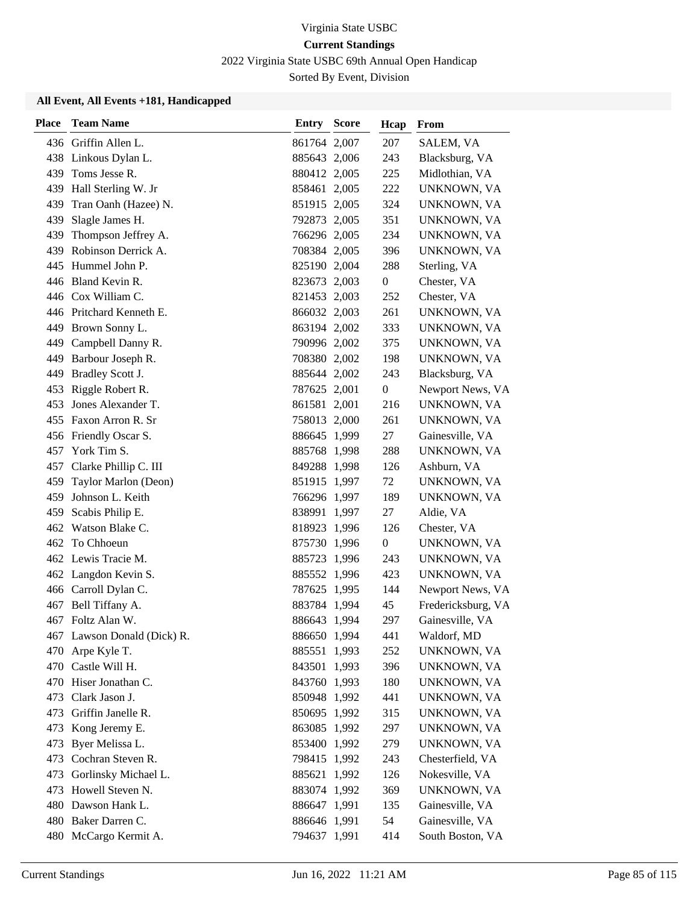2022 Virginia State USBC 69th Annual Open Handicap

Sorted By Event, Division

| Place | <b>Team Name</b>            | <b>Entry Score</b> | Hcap             | From               |
|-------|-----------------------------|--------------------|------------------|--------------------|
|       | 436 Griffin Allen L.        | 861764 2,007       | 207              | SALEM, VA          |
|       | 438 Linkous Dylan L.        | 885643 2,006       | 243              | Blacksburg, VA     |
|       | 439 Toms Jesse R.           | 880412 2,005       | 225              | Midlothian, VA     |
|       | 439 Hall Sterling W. Jr     | 858461 2,005       | 222              | UNKNOWN, VA        |
| 439   | Tran Oanh (Hazee) N.        | 851915 2,005       | 324              | UNKNOWN, VA        |
| 439   | Slagle James H.             | 792873 2,005       | 351              | UNKNOWN, VA        |
| 439   | Thompson Jeffrey A.         | 766296 2,005       | 234              | UNKNOWN, VA        |
|       | 439 Robinson Derrick A.     | 708384 2,005       | 396              | UNKNOWN, VA        |
|       | 445 Hummel John P.          | 825190 2,004       | 288              | Sterling, VA       |
|       | 446 Bland Kevin R.          | 823673 2,003       | $\boldsymbol{0}$ | Chester, VA        |
|       | 446 Cox William C.          | 821453 2,003       | 252              | Chester, VA        |
|       | 446 Pritchard Kenneth E.    | 866032 2,003       | 261              | UNKNOWN, VA        |
|       | 449 Brown Sonny L.          | 863194 2,002       | 333              | UNKNOWN, VA        |
| 449   | Campbell Danny R.           | 790996 2,002       | 375              | UNKNOWN, VA        |
|       | 449 Barbour Joseph R.       | 708380 2,002       | 198              | UNKNOWN, VA        |
|       | 449 Bradley Scott J.        | 885644 2,002       | 243              | Blacksburg, VA     |
| 453   | Riggle Robert R.            | 787625 2,001       | $\boldsymbol{0}$ | Newport News, VA   |
| 453   | Jones Alexander T.          | 861581 2,001       | 216              | UNKNOWN, VA        |
| 455   | Faxon Arron R. Sr           | 758013 2,000       | 261              | UNKNOWN, VA        |
|       | 456 Friendly Oscar S.       | 886645 1,999       | 27               | Gainesville, VA    |
| 457   | York Tim S.                 | 885768 1,998       | 288              | UNKNOWN, VA        |
| 457   | Clarke Phillip C. III       | 849288 1,998       | 126              | Ashburn, VA        |
| 459   | Taylor Marlon (Deon)        | 851915 1,997       | 72               | UNKNOWN, VA        |
| 459   | Johnson L. Keith            | 766296 1,997       | 189              | UNKNOWN, VA        |
| 459   | Scabis Philip E.            | 838991 1,997       | 27               | Aldie, VA          |
| 462   | Watson Blake C.             | 818923 1,996       | 126              | Chester, VA        |
|       | 462 To Chhoeun              | 875730 1,996       | $\boldsymbol{0}$ | UNKNOWN, VA        |
|       | 462 Lewis Tracie M.         | 885723 1,996       | 243              | UNKNOWN, VA        |
|       | 462 Langdon Kevin S.        | 885552 1,996       | 423              | UNKNOWN, VA        |
|       | 466 Carroll Dylan C.        | 787625 1,995       | 144              | Newport News, VA   |
| 467   | Bell Tiffany A.             | 883784 1,994       | 45               | Fredericksburg, VA |
|       | 467 Foltz Alan W.           | 886643 1,994       | 297              | Gainesville, VA    |
|       | 467 Lawson Donald (Dick) R. | 886650 1,994       | 441              | Waldorf, MD        |
| 470   | Arpe Kyle T.                | 885551 1,993       | 252              | UNKNOWN, VA        |
| 470   | Castle Will H.              | 843501 1,993       | 396              | UNKNOWN, VA        |
|       | 470 Hiser Jonathan C.       | 843760 1,993       | 180              | UNKNOWN, VA        |
| 473   | Clark Jason J.              | 850948 1,992       | 441              | UNKNOWN, VA        |
| 473   | Griffin Janelle R.          | 850695 1,992       | 315              | UNKNOWN, VA        |
| 473   | Kong Jeremy E.              | 863085 1,992       | 297              | UNKNOWN, VA        |
| 473   | Byer Melissa L.             | 853400 1,992       | 279              | UNKNOWN, VA        |
| 473   | Cochran Steven R.           | 798415 1,992       | 243              | Chesterfield, VA   |
| 473   | Gorlinsky Michael L.        | 885621 1,992       | 126              | Nokesville, VA     |
| 473   | Howell Steven N.            | 883074 1,992       | 369              | UNKNOWN, VA        |
|       | 480 Dawson Hank L.          | 886647 1,991       | 135              | Gainesville, VA    |
|       | 480 Baker Darren C.         | 886646 1,991       | 54               | Gainesville, VA    |
|       | 480 McCargo Kermit A.       | 794637 1,991       | 414              | South Boston, VA   |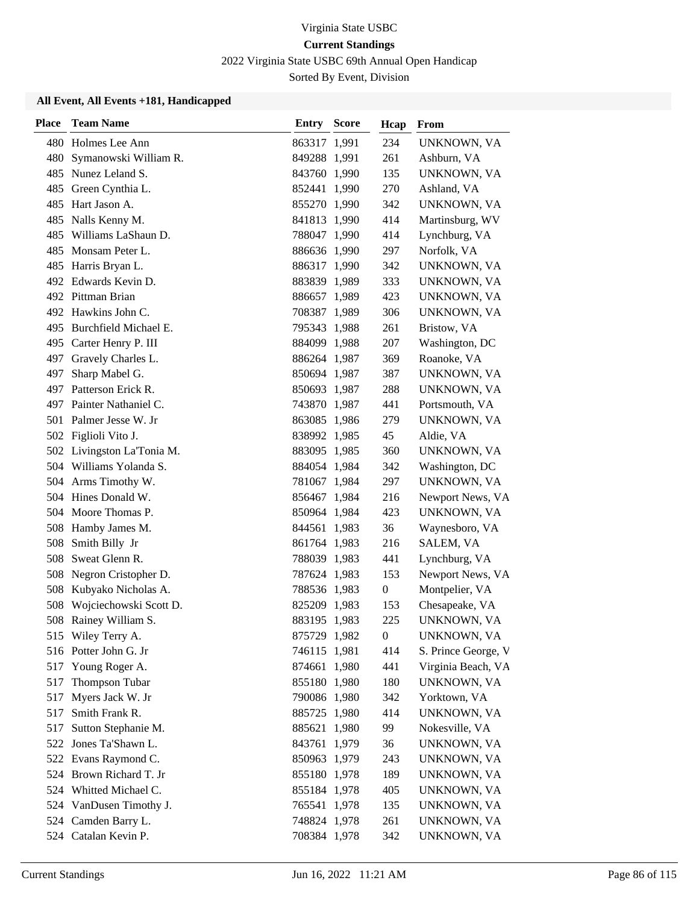2022 Virginia State USBC 69th Annual Open Handicap

Sorted By Event, Division

| <b>Place</b> | <b>Team Name</b>           | <b>Entry Score</b> | Hcap             | From                |
|--------------|----------------------------|--------------------|------------------|---------------------|
|              | 480 Holmes Lee Ann         | 863317 1,991       | 234              | UNKNOWN, VA         |
| 480          | Symanowski William R.      | 849288 1,991       | 261              | Ashburn, VA         |
|              | 485 Nunez Leland S.        | 843760 1,990       | 135              | UNKNOWN, VA         |
|              | 485 Green Cynthia L.       | 852441 1,990       | 270              | Ashland, VA         |
| 485          | Hart Jason A.              | 855270 1,990       | 342              | UNKNOWN, VA         |
| 485          | Nalls Kenny M.             | 841813 1,990       | 414              | Martinsburg, WV     |
| 485          | Williams LaShaun D.        | 788047 1,990       | 414              | Lynchburg, VA       |
|              | 485 Monsam Peter L.        | 886636 1,990       | 297              | Norfolk, VA         |
|              | 485 Harris Bryan L.        | 886317 1,990       | 342              | UNKNOWN, VA         |
|              | 492 Edwards Kevin D.       | 883839 1,989       | 333              | UNKNOWN, VA         |
|              | 492 Pittman Brian          | 886657 1,989       | 423              | UNKNOWN, VA         |
|              | 492 Hawkins John C.        | 708387 1,989       | 306              | UNKNOWN, VA         |
|              | 495 Burchfield Michael E.  | 795343 1,988       | 261              | Bristow, VA         |
|              | 495 Carter Henry P. III    | 884099 1,988       | 207              | Washington, DC      |
|              | 497 Gravely Charles L.     | 886264 1,987       | 369              | Roanoke, VA         |
|              | 497 Sharp Mabel G.         | 850694 1,987       | 387              | UNKNOWN, VA         |
|              | 497 Patterson Erick R.     | 850693 1,987       | 288              | UNKNOWN, VA         |
|              | 497 Painter Nathaniel C.   | 743870 1,987       | 441              | Portsmouth, VA      |
|              | 501 Palmer Jesse W. Jr     | 863085 1,986       | 279              | UNKNOWN, VA         |
|              | 502 Figlioli Vito J.       | 838992 1,985       | 45               | Aldie, VA           |
|              | 502 Livingston La'Tonia M. | 883095 1,985       | 360              | UNKNOWN, VA         |
|              | 504 Williams Yolanda S.    | 884054 1,984       | 342              | Washington, DC      |
|              | 504 Arms Timothy W.        | 781067 1,984       | 297              | UNKNOWN, VA         |
|              | 504 Hines Donald W.        | 856467 1,984       | 216              | Newport News, VA    |
|              | 504 Moore Thomas P.        | 850964 1,984       | 423              | UNKNOWN, VA         |
|              | 508 Hamby James M.         | 844561 1,983       | 36               | Waynesboro, VA      |
| 508          | Smith Billy Jr             | 861764 1,983       | 216              | SALEM, VA           |
| 508          | Sweat Glenn R.             | 788039 1,983       | 441              | Lynchburg, VA       |
| 508          | Negron Cristopher D.       | 787624 1,983       | 153              | Newport News, VA    |
| 508          | Kubyako Nicholas A.        | 788536 1,983       | $\boldsymbol{0}$ | Montpelier, VA      |
| 508          | Wojciechowski Scott D.     | 825209 1,983       | 153              | Chesapeake, VA      |
|              | 508 Rainey William S.      | 883195 1,983       | 225              | UNKNOWN, VA         |
|              | 515 Wiley Terry A.         | 875729 1,982       | $\boldsymbol{0}$ | UNKNOWN, VA         |
|              | 516 Potter John G. Jr      | 746115 1,981       | 414              | S. Prince George, V |
| 517          | Young Roger A.             | 874661 1,980       | 441              | Virginia Beach, VA  |
| 517          | Thompson Tubar             | 855180 1,980       | 180              | UNKNOWN, VA         |
| 517          | Myers Jack W. Jr           | 790086 1,980       | 342              | Yorktown, VA        |
| 517          | Smith Frank R.             | 885725 1,980       | 414              | UNKNOWN, VA         |
| 517          | Sutton Stephanie M.        | 885621 1,980       | 99               | Nokesville, VA      |
| 522          | Jones Ta'Shawn L.          | 843761 1,979       | 36               | UNKNOWN, VA         |
|              | 522 Evans Raymond C.       | 850963 1,979       | 243              | UNKNOWN, VA         |
|              | 524 Brown Richard T. Jr    | 855180 1,978       | 189              | UNKNOWN, VA         |
|              | 524 Whitted Michael C.     | 855184 1,978       | 405              | UNKNOWN, VA         |
|              | 524 VanDusen Timothy J.    | 765541 1,978       | 135              | UNKNOWN, VA         |
|              | 524 Camden Barry L.        | 748824 1,978       | 261              | UNKNOWN, VA         |
|              | 524 Catalan Kevin P.       | 708384 1,978       | 342              | UNKNOWN, VA         |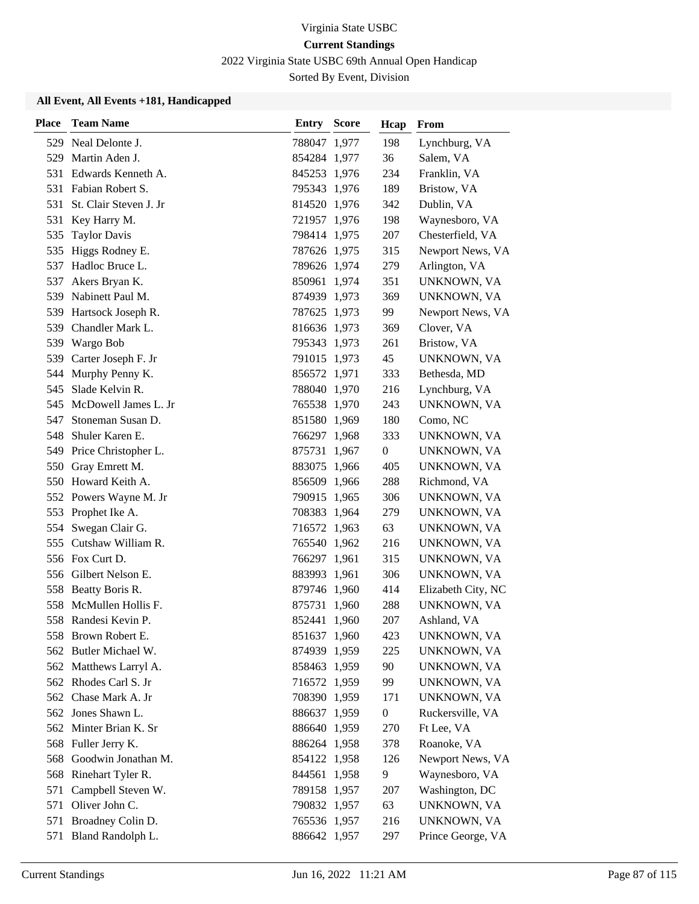2022 Virginia State USBC 69th Annual Open Handicap

Sorted By Event, Division

| <b>Place</b> | <b>Team Name</b>         | Entry        | <b>Score</b> | Hcap             | From               |
|--------------|--------------------------|--------------|--------------|------------------|--------------------|
|              | 529 Neal Delonte J.      | 788047 1,977 |              | 198              | Lynchburg, VA      |
| 529          | Martin Aden J.           | 854284 1,977 |              | 36               | Salem, VA          |
| 531          | Edwards Kenneth A.       | 845253 1,976 |              | 234              | Franklin, VA       |
| 531          | Fabian Robert S.         | 795343 1,976 |              | 189              | Bristow, VA        |
| 531          | St. Clair Steven J. Jr   | 814520 1,976 |              | 342              | Dublin, VA         |
| 531          | Key Harry M.             | 721957 1,976 |              | 198              | Waynesboro, VA     |
| 535          | <b>Taylor Davis</b>      | 798414 1,975 |              | 207              | Chesterfield, VA   |
| 535          | Higgs Rodney E.          | 787626 1,975 |              | 315              | Newport News, VA   |
| 537          | Hadloc Bruce L.          | 789626 1,974 |              | 279              | Arlington, VA      |
| 537          | Akers Bryan K.           | 850961 1,974 |              | 351              | UNKNOWN, VA        |
| 539          | Nabinett Paul M.         | 874939 1,973 |              | 369              | UNKNOWN, VA        |
|              | 539 Hartsock Joseph R.   | 787625 1,973 |              | 99               | Newport News, VA   |
|              | 539 Chandler Mark L.     | 816636 1,973 |              | 369              | Clover, VA         |
|              | 539 Wargo Bob            | 795343 1,973 |              | 261              | Bristow, VA        |
| 539          | Carter Joseph F. Jr      | 791015 1,973 |              | 45               | UNKNOWN, VA        |
|              | 544 Murphy Penny K.      | 856572 1,971 |              | 333              | Bethesda, MD       |
| 545          | Slade Kelvin R.          | 788040 1,970 |              | 216              | Lynchburg, VA      |
| 545          | McDowell James L. Jr     | 765538 1,970 |              | 243              | UNKNOWN, VA        |
| 547          | Stoneman Susan D.        | 851580 1,969 |              | 180              | Como, NC           |
| 548          | Shuler Karen E.          | 766297 1,968 |              | 333              | UNKNOWN, VA        |
|              | 549 Price Christopher L. | 875731 1,967 |              | $\boldsymbol{0}$ | UNKNOWN, VA        |
| 550          | Gray Emrett M.           | 883075 1,966 |              | 405              | UNKNOWN, VA        |
|              | 550 Howard Keith A.      | 856509 1,966 |              | 288              | Richmond, VA       |
|              | 552 Powers Wayne M. Jr   | 790915 1,965 |              | 306              | UNKNOWN, VA        |
| 553          | Prophet Ike A.           | 708383 1,964 |              | 279              | UNKNOWN, VA        |
| 554          | Swegan Clair G.          | 716572 1,963 |              | 63               | UNKNOWN, VA        |
| 555          | Cutshaw William R.       | 765540 1,962 |              | 216              | UNKNOWN, VA        |
|              | 556 Fox Curt D.          | 766297 1,961 |              | 315              | UNKNOWN, VA        |
|              | 556 Gilbert Nelson E.    | 883993 1,961 |              | 306              | UNKNOWN, VA        |
|              | 558 Beatty Boris R.      | 879746 1,960 |              | 414              | Elizabeth City, NC |
| 558          | McMullen Hollis F.       | 875731 1,960 |              | 288              | UNKNOWN, VA        |
|              | 558 Randesi Kevin P.     | 852441 1,960 |              | 207              | Ashland, VA        |
|              | 558 Brown Robert E.      | 851637 1,960 |              | 423              | UNKNOWN, VA        |
|              | 562 Butler Michael W.    | 874939 1,959 |              | 225              | UNKNOWN, VA        |
|              | 562 Matthews Larryl A.   | 858463 1,959 |              | 90               | UNKNOWN, VA        |
|              | 562 Rhodes Carl S. Jr    | 716572 1,959 |              | 99               | UNKNOWN, VA        |
|              | 562 Chase Mark A. Jr     | 708390 1,959 |              | 171              | UNKNOWN, VA        |
|              | 562 Jones Shawn L.       | 886637 1,959 |              | $\boldsymbol{0}$ | Ruckersville, VA   |
|              | 562 Minter Brian K. Sr   | 886640 1,959 |              | 270              | Ft Lee, VA         |
|              | 568 Fuller Jerry K.      | 886264 1,958 |              | 378              | Roanoke, VA        |
| 568          | Goodwin Jonathan M.      | 854122 1,958 |              | 126              | Newport News, VA   |
|              | 568 Rinehart Tyler R.    | 844561 1,958 |              | 9                | Waynesboro, VA     |
| 571          | Campbell Steven W.       | 789158 1,957 |              | 207              | Washington, DC     |
|              | 571 Oliver John C.       | 790832 1,957 |              | 63               | UNKNOWN, VA        |
|              | 571 Broadney Colin D.    | 765536 1,957 |              | 216              | UNKNOWN, VA        |
|              | 571 Bland Randolph L.    | 886642 1,957 |              | 297              | Prince George, VA  |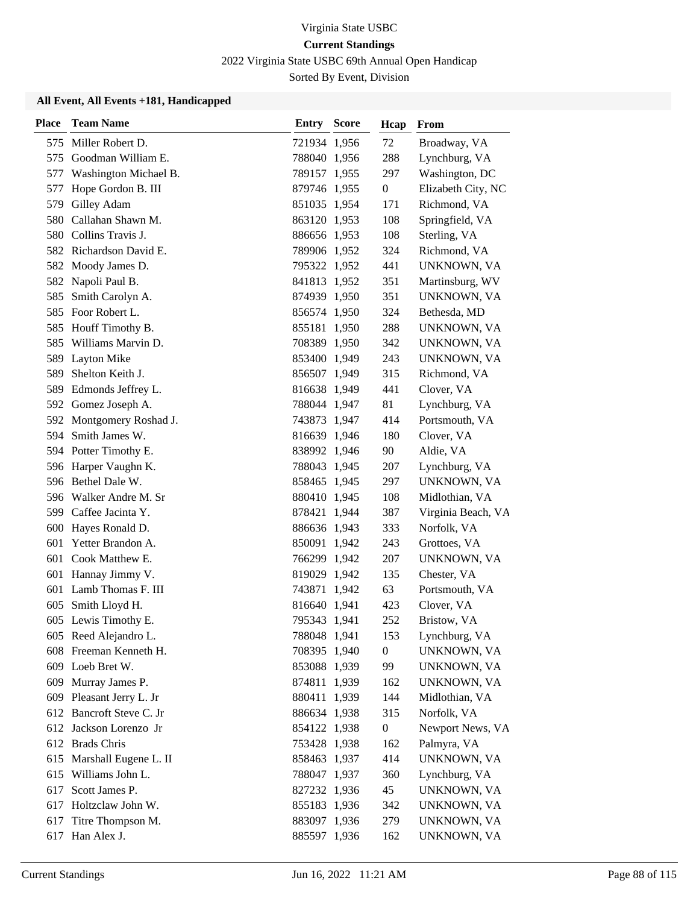2022 Virginia State USBC 69th Annual Open Handicap

Sorted By Event, Division

| <b>Place</b> | <b>Team Name</b>          | <b>Entry Score</b> | Hcap             | From               |
|--------------|---------------------------|--------------------|------------------|--------------------|
| 575          | Miller Robert D.          | 721934 1,956       | 72               | Broadway, VA       |
| 575          | Goodman William E.        | 788040 1,956       | 288              | Lynchburg, VA      |
| 577          | Washington Michael B.     | 789157 1,955       | 297              | Washington, DC     |
|              | 577 Hope Gordon B. III    | 879746 1,955       | $\overline{0}$   | Elizabeth City, NC |
| 579          | Gilley Adam               | 851035 1,954       | 171              | Richmond, VA       |
|              | 580 Callahan Shawn M.     | 863120 1,953       | 108              | Springfield, VA    |
|              | 580 Collins Travis J.     | 886656 1,953       | 108              | Sterling, VA       |
|              | 582 Richardson David E.   | 789906 1,952       | 324              | Richmond, VA       |
|              | 582 Moody James D.        | 795322 1,952       | 441              | UNKNOWN, VA        |
| 582          | Napoli Paul B.            | 841813 1,952       | 351              | Martinsburg, WV    |
| 585          | Smith Carolyn A.          | 874939 1,950       | 351              | UNKNOWN, VA        |
|              | 585 Foor Robert L.        | 856574 1,950       | 324              | Bethesda, MD       |
| 585          | Houff Timothy B.          | 855181 1,950       | 288              | UNKNOWN, VA        |
| 585          | Williams Marvin D.        | 708389 1,950       | 342              | UNKNOWN, VA        |
| 589          | <b>Layton Mike</b>        | 853400 1,949       | 243              | UNKNOWN, VA        |
| 589          | Shelton Keith J.          | 856507 1,949       | 315              | Richmond, VA       |
|              | 589 Edmonds Jeffrey L.    | 816638 1,949       | 441              | Clover, VA         |
|              | 592 Gomez Joseph A.       | 788044 1,947       | 81               | Lynchburg, VA      |
|              | 592 Montgomery Roshad J.  | 743873 1,947       | 414              | Portsmouth, VA     |
| 594          | Smith James W.            | 816639 1,946       | 180              | Clover, VA         |
|              | 594 Potter Timothy E.     | 838992 1,946       | 90               | Aldie, VA          |
|              | 596 Harper Vaughn K.      | 788043 1,945       | 207              | Lynchburg, VA      |
|              | 596 Bethel Dale W.        | 858465 1,945       | 297              | UNKNOWN, VA        |
|              | 596 Walker Andre M. Sr    | 880410 1,945       | 108              | Midlothian, VA     |
|              | 599 Caffee Jacinta Y.     | 878421 1,944       | 387              | Virginia Beach, VA |
| 600          | Hayes Ronald D.           | 886636 1,943       | 333              | Norfolk, VA        |
| 601          | Yetter Brandon A.         | 850091 1,942       | 243              | Grottoes, VA       |
|              | 601 Cook Matthew E.       | 766299 1,942       | 207              | UNKNOWN, VA        |
|              | 601 Hannay Jimmy V.       | 819029 1,942       | 135              | Chester, VA        |
|              | 601 Lamb Thomas F. III    | 743871 1,942       | 63               | Portsmouth, VA     |
| 605          | Smith Lloyd H.            | 816640 1,941       | 423              | Clover, VA         |
|              | 605 Lewis Timothy E.      | 795343 1,941       | 252              | Bristow, VA        |
|              | 605 Reed Alejandro L.     | 788048 1,941       | 153              | Lynchburg, VA      |
|              | 608 Freeman Kenneth H.    | 708395 1,940       | $\boldsymbol{0}$ | UNKNOWN, VA        |
|              | 609 Loeb Bret W.          | 853088 1,939       | 99               | UNKNOWN, VA        |
|              | 609 Murray James P.       | 874811 1,939       | 162              | UNKNOWN, VA        |
|              | 609 Pleasant Jerry L. Jr  | 880411 1,939       | 144              | Midlothian, VA     |
|              | 612 Bancroft Steve C. Jr  | 886634 1,938       | 315              | Norfolk, VA        |
|              | 612 Jackson Lorenzo Jr    | 854122 1,938       | $\boldsymbol{0}$ | Newport News, VA   |
|              | 612 Brads Chris           | 753428 1,938       | 162              | Palmyra, VA        |
|              | 615 Marshall Eugene L. II | 858463 1,937       | 414              | UNKNOWN, VA        |
|              | 615 Williams John L.      | 788047 1,937       | 360              | Lynchburg, VA      |
| 617          | Scott James P.            | 827232 1,936       | 45               | UNKNOWN, VA        |
|              | 617 Holtzclaw John W.     | 855183 1,936       | 342              | UNKNOWN, VA        |
|              | 617 Titre Thompson M.     | 883097 1,936       | 279              | UNKNOWN, VA        |
|              | 617 Han Alex J.           | 885597 1,936       | 162              | UNKNOWN, VA        |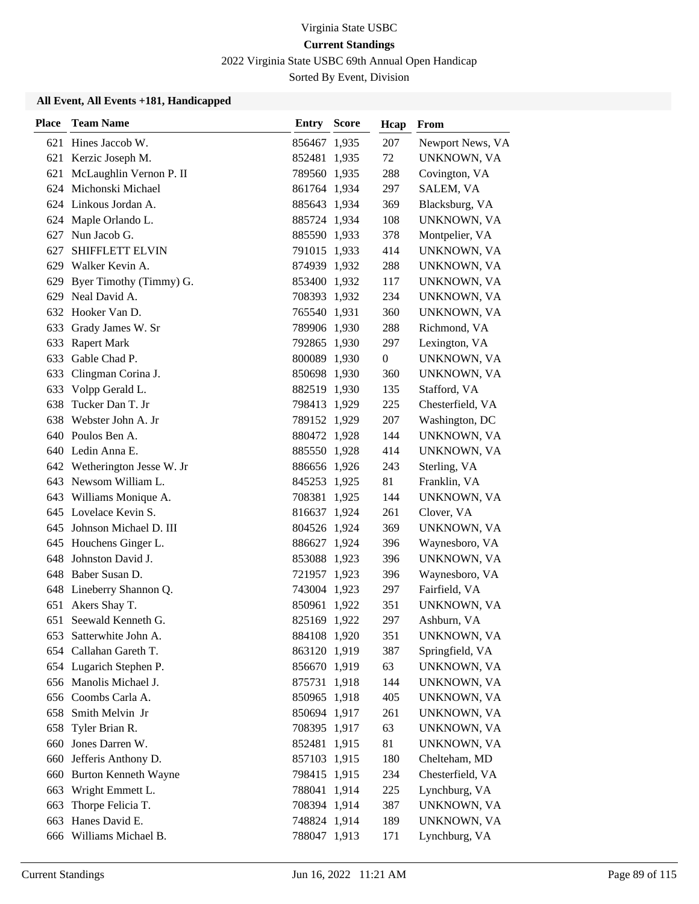2022 Virginia State USBC 69th Annual Open Handicap

Sorted By Event, Division

| <b>Place</b> | <b>Team Name</b>             | Entry        | <b>Score</b> | Hcap           | From             |
|--------------|------------------------------|--------------|--------------|----------------|------------------|
|              | 621 Hines Jaccob W.          | 856467 1,935 |              | 207            | Newport News, VA |
| 621          | Kerzic Joseph M.             | 852481 1,935 |              | 72             | UNKNOWN, VA      |
| 621          | McLaughlin Vernon P. II      | 789560 1,935 |              | 288            | Covington, VA    |
|              | 624 Michonski Michael        | 861764 1,934 |              | 297            | SALEM, VA        |
|              | 624 Linkous Jordan A.        | 885643 1,934 |              | 369            | Blacksburg, VA   |
| 624          | Maple Orlando L.             | 885724 1,934 |              | 108            | UNKNOWN, VA      |
| 627          | Nun Jacob G.                 | 885590 1,933 |              | 378            | Montpelier, VA   |
| 627          | SHIFFLETT ELVIN              | 791015 1,933 |              | 414            | UNKNOWN, VA      |
|              | 629 Walker Kevin A.          | 874939 1,932 |              | 288            | UNKNOWN, VA      |
| 629          | Byer Timothy (Timmy) G.      | 853400 1,932 |              | 117            | UNKNOWN, VA      |
| 629          | Neal David A.                | 708393 1,932 |              | 234            | UNKNOWN, VA      |
| 632          | Hooker Van D.                | 765540 1,931 |              | 360            | UNKNOWN, VA      |
| 633          | Grady James W. Sr            | 789906 1,930 |              | 288            | Richmond, VA     |
| 633          | <b>Rapert Mark</b>           | 792865 1,930 |              | 297            | Lexington, VA    |
| 633          | Gable Chad P.                | 800089 1,930 |              | $\overline{0}$ | UNKNOWN, VA      |
| 633          | Clingman Corina J.           | 850698 1,930 |              | 360            | UNKNOWN, VA      |
| 633          | Volpp Gerald L.              | 882519 1,930 |              | 135            | Stafford, VA     |
| 638          | Tucker Dan T. Jr             | 798413 1,929 |              | 225            | Chesterfield, VA |
| 638          | Webster John A. Jr           | 789152 1,929 |              | 207            | Washington, DC   |
| 640          | Poulos Ben A.                | 880472 1,928 |              | 144            | UNKNOWN, VA      |
|              | 640 Ledin Anna E.            | 885550 1,928 |              | 414            | UNKNOWN, VA      |
|              | 642 Wetherington Jesse W. Jr | 886656 1,926 |              | 243            | Sterling, VA     |
|              | 643 Newsom William L.        | 845253 1,925 |              | 81             | Franklin, VA     |
|              | 643 Williams Monique A.      | 708381 1,925 |              | 144            | UNKNOWN, VA      |
|              | 645 Lovelace Kevin S.        | 816637 1,924 |              | 261            | Clover, VA       |
|              | 645 Johnson Michael D. III   | 804526 1,924 |              | 369            | UNKNOWN, VA      |
|              | 645 Houchens Ginger L.       | 886627 1,924 |              | 396            | Waynesboro, VA   |
| 648          | Johnston David J.            | 853088 1,923 |              | 396            | UNKNOWN, VA      |
|              | 648 Baber Susan D.           | 721957 1,923 |              | 396            | Waynesboro, VA   |
|              | 648 Lineberry Shannon Q.     | 743004 1,923 |              | 297            | Fairfield, VA    |
| 651          | Akers Shay T.                | 850961 1,922 |              | 351            | UNKNOWN, VA      |
| 651          | Seewald Kenneth G.           | 825169 1,922 |              | 297            | Ashburn, VA      |
|              | 653 Satterwhite John A.      | 884108 1,920 |              | 351            | UNKNOWN, VA      |
| 654          | Callahan Gareth T.           | 863120 1,919 |              | 387            | Springfield, VA  |
|              | 654 Lugarich Stephen P.      | 856670 1,919 |              | 63             | UNKNOWN, VA      |
|              | 656 Manolis Michael J.       | 875731 1,918 |              | 144            | UNKNOWN, VA      |
|              | 656 Coombs Carla A.          | 850965 1,918 |              | 405            | UNKNOWN, VA      |
| 658          | Smith Melvin Jr              | 850694 1,917 |              | 261            | UNKNOWN, VA      |
| 658          | Tyler Brian R.               | 708395 1,917 |              | 63             | UNKNOWN, VA      |
| 660          | Jones Darren W.              | 852481 1,915 |              | 81             | UNKNOWN, VA      |
| 660          | Jefferis Anthony D.          | 857103 1,915 |              | 180            | Chelteham, MD    |
| 660          | <b>Burton Kenneth Wayne</b>  | 798415 1,915 |              | 234            | Chesterfield, VA |
| 663          | Wright Emmett L.             | 788041 1,914 |              | 225            | Lynchburg, VA    |
| 663          | Thorpe Felicia T.            | 708394 1,914 |              | 387            | UNKNOWN, VA      |
| 663          | Hanes David E.               | 748824 1,914 |              | 189            | UNKNOWN, VA      |
|              | 666 Williams Michael B.      | 788047 1,913 |              | 171            | Lynchburg, VA    |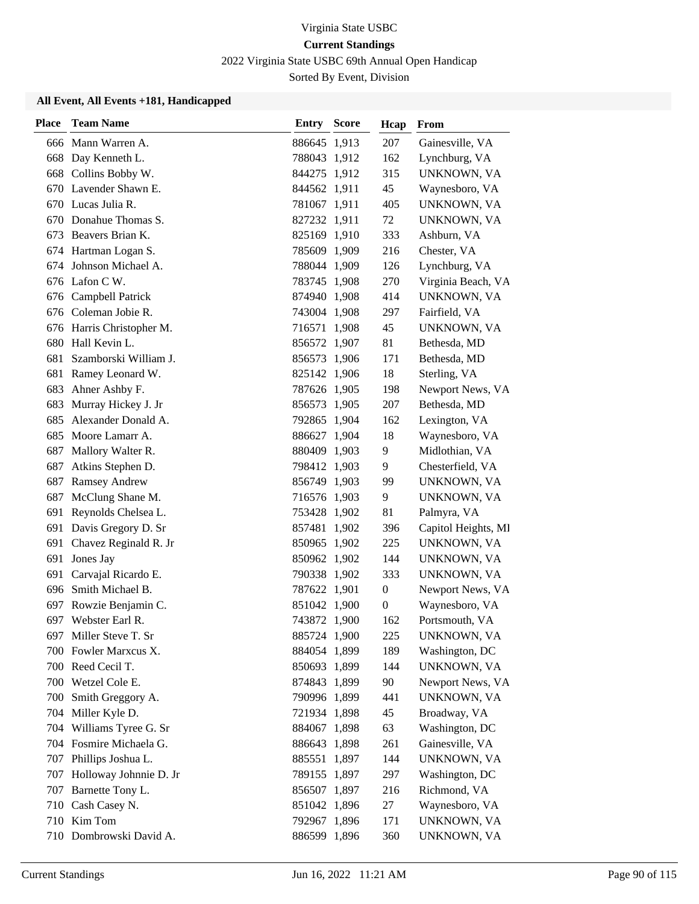2022 Virginia State USBC 69th Annual Open Handicap

Sorted By Event, Division

| <b>Place</b> | <b>Team Name</b>           | <b>Entry Score</b> | Hcap             | From                |
|--------------|----------------------------|--------------------|------------------|---------------------|
|              | 666 Mann Warren A.         | 886645 1,913       | 207              | Gainesville, VA     |
|              | 668 Day Kenneth L.         | 788043 1,912       | 162              | Lynchburg, VA       |
|              | 668 Collins Bobby W.       | 844275 1,912       | 315              | <b>UNKNOWN, VA</b>  |
|              | 670 Lavender Shawn E.      | 844562 1,911       | 45               | Waynesboro, VA      |
|              | 670 Lucas Julia R.         | 781067 1,911       | 405              | UNKNOWN, VA         |
| 670          | Donahue Thomas S.          | 827232 1,911       | 72               | UNKNOWN, VA         |
| 673          | Beavers Brian K.           | 825169 1,910       | 333              | Ashburn, VA         |
|              | 674 Hartman Logan S.       | 785609 1,909       | 216              | Chester, VA         |
|              | 674 Johnson Michael A.     | 788044 1,909       | 126              | Lynchburg, VA       |
|              | 676 Lafon C W.             | 783745 1,908       | 270              | Virginia Beach, VA  |
| 676          | Campbell Patrick           | 874940 1,908       | 414              | UNKNOWN, VA         |
|              | 676 Coleman Jobie R.       | 743004 1,908       | 297              | Fairfield, VA       |
|              | 676 Harris Christopher M.  | 716571 1,908       | 45               | UNKNOWN, VA         |
|              | 680 Hall Kevin L.          | 856572 1,907       | 81               | Bethesda, MD        |
| 681          | Szamborski William J.      | 856573 1,906       | 171              | Bethesda, MD        |
|              | 681 Ramey Leonard W.       | 825142 1,906       | 18               | Sterling, VA        |
| 683          | Ahner Ashby F.             | 787626 1,905       | 198              | Newport News, VA    |
| 683          | Murray Hickey J. Jr        | 856573 1,905       | 207              | Bethesda, MD        |
| 685          | Alexander Donald A.        | 792865 1,904       | 162              | Lexington, VA       |
|              | 685 Moore Lamarr A.        | 886627 1,904       | 18               | Waynesboro, VA      |
| 687          | Mallory Walter R.          | 880409 1,903       | 9                | Midlothian, VA      |
| 687          | Atkins Stephen D.          | 798412 1,903       | 9                | Chesterfield, VA    |
| 687          | <b>Ramsey Andrew</b>       | 856749 1,903       | 99               | UNKNOWN, VA         |
|              | 687 McClung Shane M.       | 716576 1,903       | 9                | UNKNOWN, VA         |
| 691          | Reynolds Chelsea L.        | 753428 1,902       | 81               | Palmyra, VA         |
| 691          | Davis Gregory D. Sr        | 857481 1,902       | 396              | Capitol Heights, MI |
| 691          | Chavez Reginald R. Jr      | 850965 1,902       | 225              | UNKNOWN, VA         |
|              | 691 Jones Jay              | 850962 1,902       | 144              | UNKNOWN, VA         |
| 691          | Carvajal Ricardo E.        | 790338 1,902       | 333              | UNKNOWN, VA         |
| 696.         | Smith Michael B.           | 787622 1,901       | $\boldsymbol{0}$ | Newport News, VA    |
| 697          | Rowzie Benjamin C.         | 851042 1,900       | $\boldsymbol{0}$ | Waynesboro, VA      |
|              | 697 Webster Earl R.        | 743872 1,900       | 162              | Portsmouth, VA      |
|              | 697 Miller Steve T. Sr     | 885724 1,900       | 225              | UNKNOWN, VA         |
|              | 700 Fowler Marxcus X.      | 884054 1,899       | 189              | Washington, DC      |
|              | 700 Reed Cecil T.          | 850693 1,899       | 144              | UNKNOWN, VA         |
|              | 700 Wetzel Cole E.         | 874843 1,899       | 90               | Newport News, VA    |
| 700          | Smith Greggory A.          | 790996 1,899       | 441              | UNKNOWN, VA         |
|              | 704 Miller Kyle D.         | 721934 1,898       | 45               | Broadway, VA        |
|              | 704 Williams Tyree G. Sr   | 884067 1,898       | 63               | Washington, DC      |
|              | 704 Fosmire Michaela G.    | 886643 1,898       | 261              | Gainesville, VA     |
|              | 707 Phillips Joshua L.     | 885551 1,897       | 144              | UNKNOWN, VA         |
|              | 707 Holloway Johnnie D. Jr | 789155 1,897       | 297              | Washington, DC      |
|              | 707 Barnette Tony L.       | 856507 1,897       | 216              | Richmond, VA        |
|              | 710 Cash Casey N.          | 851042 1,896       | 27               | Waynesboro, VA      |
|              | 710 Kim Tom                | 792967 1,896       | 171              | UNKNOWN, VA         |
|              | 710 Dombrowski David A.    | 886599 1,896       | 360              | UNKNOWN, VA         |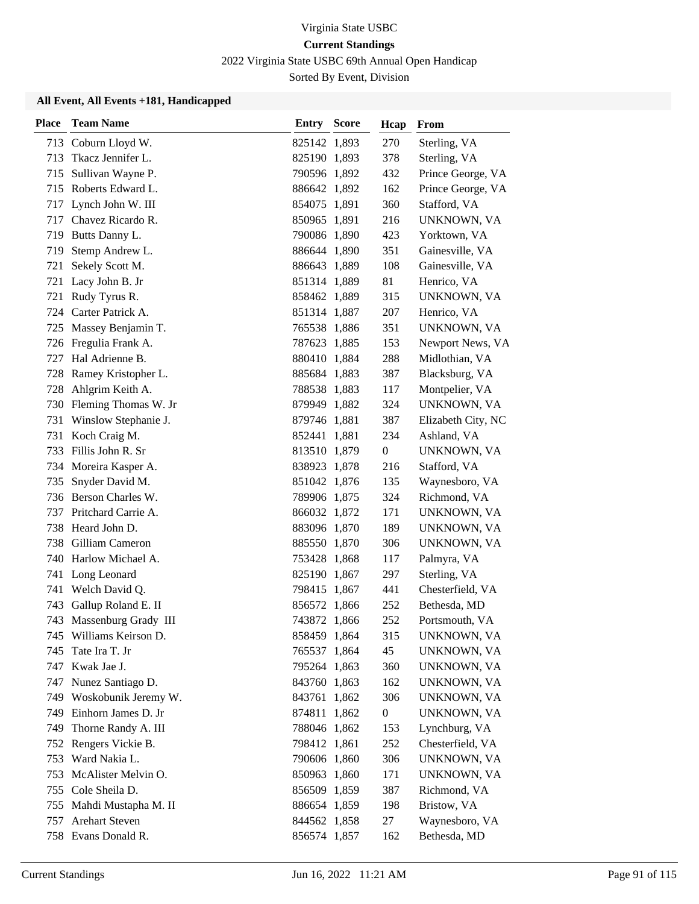2022 Virginia State USBC 69th Annual Open Handicap

Sorted By Event, Division

| <b>Place</b> | <b>Team Name</b>         | <b>Entry Score</b> | Hcap             | From               |
|--------------|--------------------------|--------------------|------------------|--------------------|
| 713          | Coburn Lloyd W.          | 825142 1,893       | 270              | Sterling, VA       |
| 713          | Tkacz Jennifer L.        | 825190 1,893       | 378              | Sterling, VA       |
| 715          | Sullivan Wayne P.        | 790596 1,892       | 432              | Prince George, VA  |
| 715          | Roberts Edward L.        | 886642 1,892       | 162              | Prince George, VA  |
| 717          | Lynch John W. III        | 854075 1,891       | 360              | Stafford, VA       |
| 717          | Chavez Ricardo R.        | 850965 1,891       | 216              | UNKNOWN, VA        |
| 719          | Butts Danny L.           | 790086 1,890       | 423              | Yorktown, VA       |
| 719          | Stemp Andrew L.          | 886644 1,890       | 351              | Gainesville, VA    |
| 721          | Sekely Scott M.          | 886643 1,889       | 108              | Gainesville, VA    |
| 721          | Lacy John B. Jr          | 851314 1,889       | 81               | Henrico, VA        |
| 721          | Rudy Tyrus R.            | 858462 1,889       | 315              | UNKNOWN, VA        |
|              | 724 Carter Patrick A.    | 851314 1,887       | 207              | Henrico, VA        |
| 725          | Massey Benjamin T.       | 765538 1,886       | 351              | UNKNOWN, VA        |
| 726          | Fregulia Frank A.        | 787623 1,885       | 153              | Newport News, VA   |
| 727          | Hal Adrienne B.          | 880410 1,884       | 288              | Midlothian, VA     |
| 728          | Ramey Kristopher L.      | 885684 1,883       | 387              | Blacksburg, VA     |
| 728          | Ahlgrim Keith A.         | 788538 1,883       | 117              | Montpelier, VA     |
| 730.         | Fleming Thomas W. Jr     | 879949 1,882       | 324              | UNKNOWN, VA        |
| 731          | Winslow Stephanie J.     | 879746 1,881       | 387              | Elizabeth City, NC |
| 731          | Koch Craig M.            | 852441 1,881       | 234              | Ashland, VA        |
| 733          | Fillis John R. Sr        | 813510 1,879       | $\boldsymbol{0}$ | UNKNOWN, VA        |
|              | 734 Moreira Kasper A.    | 838923 1,878       | 216              | Stafford, VA       |
| 735          | Snyder David M.          | 851042 1,876       | 135              | Waynesboro, VA     |
|              | 736 Berson Charles W.    | 789906 1,875       | 324              | Richmond, VA       |
| 737          | Pritchard Carrie A.      | 866032 1,872       | 171              | UNKNOWN, VA        |
|              | 738 Heard John D.        | 883096 1,870       | 189              | UNKNOWN, VA        |
| 738          | Gilliam Cameron          | 885550 1,870       | 306              | UNKNOWN, VA        |
| 740          | Harlow Michael A.        | 753428 1,868       | 117              | Palmyra, VA        |
| 741          | Long Leonard             | 825190 1,867       | 297              | Sterling, VA       |
| 741          | Welch David Q.           | 798415 1,867       | 441              | Chesterfield, VA   |
| 743          | Gallup Roland E. II      | 856572 1,866       | 252              | Bethesda, MD       |
|              | 743 Massenburg Grady III | 743872 1,866       | 252              | Portsmouth, VA     |
|              | 745 Williams Keirson D.  | 858459 1,864       | 315              | UNKNOWN, VA        |
| 745          | Tate Ira T. Jr           | 765537 1,864       | 45               | UNKNOWN, VA        |
| 747          | Kwak Jae J.              | 795264 1,863       | 360              | UNKNOWN, VA        |
| 747          | Nunez Santiago D.        | 843760 1,863       | 162              | UNKNOWN, VA        |
|              | 749 Woskobunik Jeremy W. | 843761 1,862       | 306              | UNKNOWN, VA        |
| 749          | Einhorn James D. Jr      | 874811 1,862       | $\boldsymbol{0}$ | UNKNOWN, VA        |
| 749          | Thorne Randy A. III      | 788046 1,862       | 153              | Lynchburg, VA      |
|              | 752 Rengers Vickie B.    | 798412 1,861       | 252              | Chesterfield, VA   |
| 753          | Ward Nakia L.            | 790606 1,860       | 306              | UNKNOWN, VA        |
| 753          | McAlister Melvin O.      | 850963 1,860       | 171              | UNKNOWN, VA        |
| 755          | Cole Sheila D.           | 856509 1,859       | 387              | Richmond, VA       |
|              | 755 Mahdi Mustapha M. II | 886654 1,859       | 198              | Bristow, VA        |
| 757          | Arehart Steven           | 844562 1,858       | 27               | Waynesboro, VA     |
|              | 758 Evans Donald R.      | 856574 1,857       | 162              | Bethesda, MD       |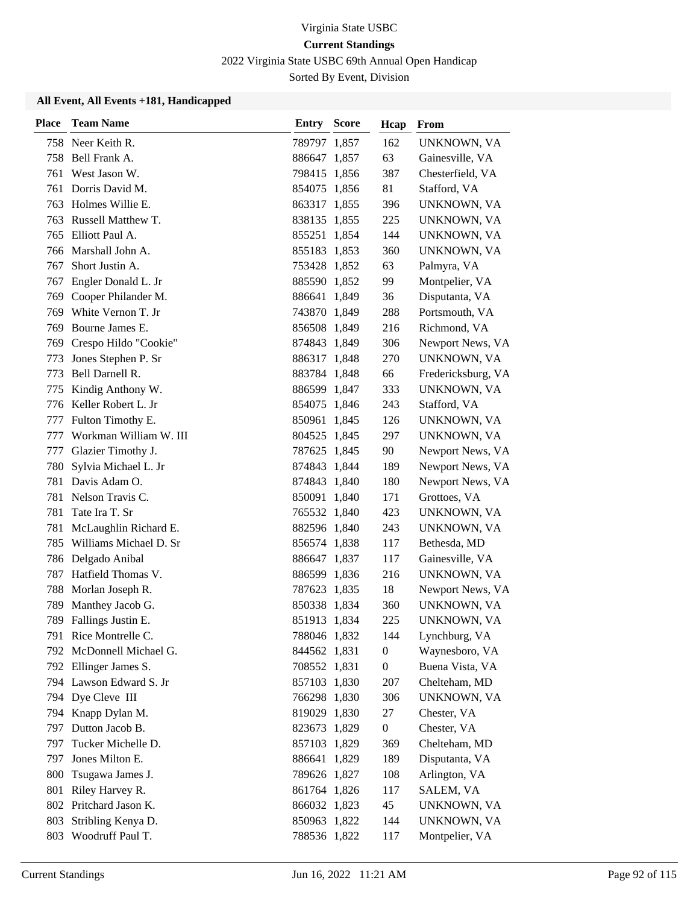2022 Virginia State USBC 69th Annual Open Handicap

Sorted By Event, Division

| <b>Place</b> | <b>Team Name</b>         | Entry        | <b>Score</b> | Hcap             | From               |
|--------------|--------------------------|--------------|--------------|------------------|--------------------|
|              | 758 Neer Keith R.        | 789797 1,857 |              | 162              | UNKNOWN, VA        |
| 758          | Bell Frank A.            | 886647 1,857 |              | 63               | Gainesville, VA    |
| 761          | West Jason W.            | 798415 1,856 |              | 387              | Chesterfield, VA   |
| 761          | Dorris David M.          | 854075 1,856 |              | 81               | Stafford, VA       |
| 763          | Holmes Willie E.         | 863317 1,855 |              | 396              | UNKNOWN, VA        |
| 763          | Russell Matthew T.       | 838135 1,855 |              | 225              | UNKNOWN, VA        |
|              | 765 Elliott Paul A.      | 855251 1,854 |              | 144              | UNKNOWN, VA        |
| 766          | Marshall John A.         | 855183 1,853 |              | 360              | UNKNOWN, VA        |
| 767          | Short Justin A.          | 753428 1,852 |              | 63               | Palmyra, VA        |
| 767          | Engler Donald L. Jr      | 885590 1,852 |              | 99               | Montpelier, VA     |
|              | 769 Cooper Philander M.  | 886641 1,849 |              | 36               | Disputanta, VA     |
| 769          | White Vernon T. Jr       | 743870 1,849 |              | 288              | Portsmouth, VA     |
| 769          | Bourne James E.          | 856508 1,849 |              | 216              | Richmond, VA       |
| 769          | Crespo Hildo "Cookie"    | 874843 1,849 |              | 306              | Newport News, VA   |
| 773          | Jones Stephen P. Sr      | 886317 1,848 |              | 270              | UNKNOWN, VA        |
| 773          | Bell Darnell R.          | 883784 1,848 |              | 66               | Fredericksburg, VA |
| 775          | Kindig Anthony W.        | 886599 1,847 |              | 333              | UNKNOWN, VA        |
|              | 776 Keller Robert L. Jr  | 854075 1,846 |              | 243              | Stafford, VA       |
| 777          | Fulton Timothy E.        | 850961 1,845 |              | 126              | UNKNOWN, VA        |
| 777          | Workman William W. III   | 804525 1,845 |              | 297              | UNKNOWN, VA        |
| 777          | Glazier Timothy J.       | 787625 1,845 |              | 90               | Newport News, VA   |
| 780          | Sylvia Michael L. Jr     | 874843 1,844 |              | 189              | Newport News, VA   |
| 781          | Davis Adam O.            | 874843 1,840 |              | 180              | Newport News, VA   |
| 781          | Nelson Travis C.         | 850091 1,840 |              | 171              | Grottoes, VA       |
| 781          | Tate Ira T. Sr           | 765532 1,840 |              | 423              | UNKNOWN, VA        |
| 781          | McLaughlin Richard E.    | 882596 1,840 |              | 243              | UNKNOWN, VA        |
| 785          | Williams Michael D. Sr   | 856574 1,838 |              | 117              | Bethesda, MD       |
|              | 786 Delgado Anibal       | 886647 1,837 |              | 117              | Gainesville, VA    |
| 787          | Hatfield Thomas V.       | 886599 1,836 |              | 216              | UNKNOWN, VA        |
| 788          | Morlan Joseph R.         | 787623 1,835 |              | 18               | Newport News, VA   |
| 789          | Manthey Jacob G.         | 850338 1,834 |              | 360              | UNKNOWN, VA        |
|              | 789 Fallings Justin E.   | 851913 1,834 |              | 225              | UNKNOWN, VA        |
|              | 791 Rice Montrelle C.    | 788046 1,832 |              | 144              | Lynchburg, VA      |
|              | 792 McDonnell Michael G. | 844562 1,831 |              | $\boldsymbol{0}$ | Waynesboro, VA     |
|              | 792 Ellinger James S.    | 708552 1,831 |              | $\boldsymbol{0}$ | Buena Vista, VA    |
|              | 794 Lawson Edward S. Jr  | 857103 1,830 |              | 207              | Chelteham, MD      |
|              | 794 Dye Cleve III        | 766298 1,830 |              | 306              | UNKNOWN, VA        |
|              | 794 Knapp Dylan M.       | 819029 1,830 |              | 27               | Chester, VA        |
|              | 797 Dutton Jacob B.      | 823673 1,829 |              | $\boldsymbol{0}$ | Chester, VA        |
| 797          | Tucker Michelle D.       | 857103 1,829 |              | 369              | Chelteham, MD      |
| 797          | Jones Milton E.          | 886641 1,829 |              | 189              | Disputanta, VA     |
| 800          | Tsugawa James J.         | 789626 1,827 |              | 108              | Arlington, VA      |
| 801          | Riley Harvey R.          | 861764 1,826 |              | 117              | SALEM, VA          |
|              | 802 Pritchard Jason K.   | 866032 1,823 |              | 45               | UNKNOWN, VA        |
| 803          | Stribling Kenya D.       | 850963 1,822 |              | 144              | UNKNOWN, VA        |
| 803          | Woodruff Paul T.         | 788536 1,822 |              | 117              | Montpelier, VA     |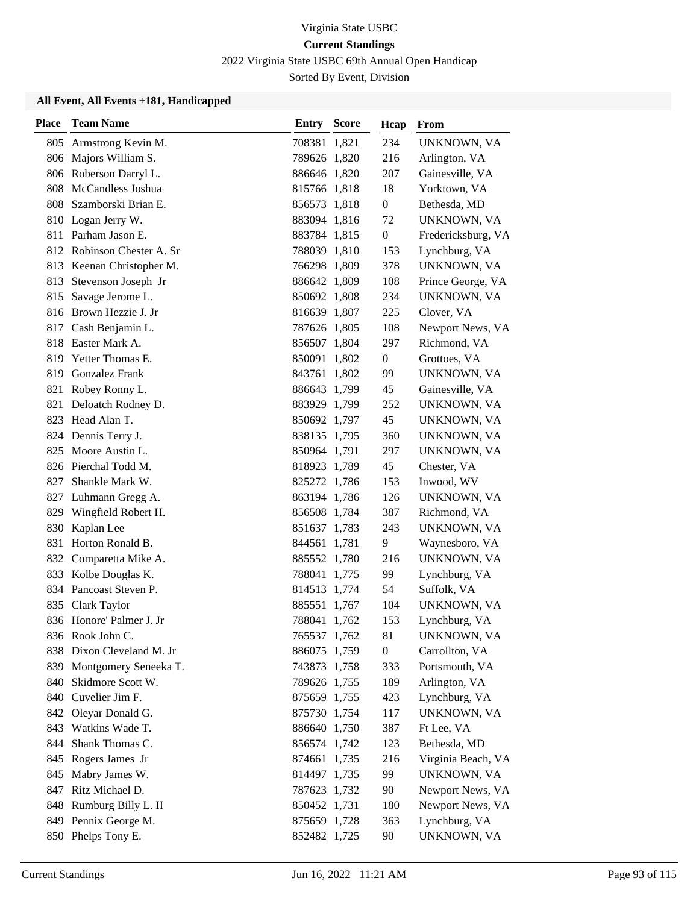2022 Virginia State USBC 69th Annual Open Handicap

Sorted By Event, Division

| <b>Place</b> | <b>Team Name</b>           | <b>Entry Score</b> | Hcap             | From               |
|--------------|----------------------------|--------------------|------------------|--------------------|
|              | 805 Armstrong Kevin M.     | 708381 1,821       | 234              | UNKNOWN, VA        |
|              | 806 Majors William S.      | 789626 1,820       | 216              | Arlington, VA      |
|              | 806 Roberson Darryl L.     | 886646 1,820       | 207              | Gainesville, VA    |
| 808          | McCandless Joshua          | 815766 1,818       | 18               | Yorktown, VA       |
|              | 808 Szamborski Brian E.    | 856573 1,818       | $\boldsymbol{0}$ | Bethesda, MD       |
| 810          | Logan Jerry W.             | 883094 1,816       | 72               | UNKNOWN, VA        |
| 811          | Parham Jason E.            | 883784 1,815       | $\boldsymbol{0}$ | Fredericksburg, VA |
|              | 812 Robinson Chester A. Sr | 788039 1,810       | 153              | Lynchburg, VA      |
|              | 813 Keenan Christopher M.  | 766298 1,809       | 378              | UNKNOWN, VA        |
|              | 813 Stevenson Joseph Jr    | 886642 1,809       | 108              | Prince George, VA  |
| 815          | Savage Jerome L.           | 850692 1,808       | 234              | UNKNOWN, VA        |
|              | 816 Brown Hezzie J. Jr     | 816639 1,807       | 225              | Clover, VA         |
|              | 817 Cash Benjamin L.       | 787626 1,805       | 108              | Newport News, VA   |
| 818          | Easter Mark A.             | 856507 1,804       | 297              | Richmond, VA       |
| 819          | Yetter Thomas E.           | 850091 1,802       | $\boldsymbol{0}$ | Grottoes, VA       |
|              | 819 Gonzalez Frank         | 843761 1,802       | 99               | UNKNOWN, VA        |
| 821          | Robey Ronny L.             | 886643 1,799       | 45               | Gainesville, VA    |
| 821          | Deloatch Rodney D.         | 883929 1,799       | 252              | UNKNOWN, VA        |
|              | 823 Head Alan T.           | 850692 1,797       | 45               | UNKNOWN, VA        |
|              | 824 Dennis Terry J.        | 838135 1,795       | 360              | UNKNOWN, VA        |
|              | 825 Moore Austin L.        | 850964 1,791       | 297              | UNKNOWN, VA        |
|              | 826 Pierchal Todd M.       | 818923 1,789       | 45               | Chester, VA        |
| 827          | Shankle Mark W.            | 825272 1,786       | 153              | Inwood, WV         |
|              | 827 Luhmann Gregg A.       | 863194 1,786       | 126              | UNKNOWN, VA        |
|              | 829 Wingfield Robert H.    | 856508 1,784       | 387              | Richmond, VA       |
| 830          | Kaplan Lee                 | 851637 1,783       | 243              | UNKNOWN, VA        |
| 831          | Horton Ronald B.           | 844561 1,781       | 9                | Waynesboro, VA     |
|              | 832 Comparetta Mike A.     | 885552 1,780       | 216              | UNKNOWN, VA        |
| 833          | Kolbe Douglas K.           | 788041 1,775       | 99               | Lynchburg, VA      |
| 834          | Pancoast Steven P.         | 814513 1,774       | 54               | Suffolk, VA        |
|              | 835 Clark Taylor           | 885551 1,767       | 104              | UNKNOWN, VA        |
|              | 836 Honore' Palmer J. Jr   | 788041 1,762       | 153              | Lynchburg, VA      |
|              | 836 Rook John C.           | 765537 1,762       | 81               | UNKNOWN, VA        |
|              | 838 Dixon Cleveland M. Jr  | 886075 1,759       | $\boldsymbol{0}$ | Carrollton, VA     |
| 839          | Montgomery Seneeka T.      | 743873 1,758       | 333              | Portsmouth, VA     |
|              | 840 Skidmore Scott W.      | 789626 1,755       | 189              | Arlington, VA      |
|              | 840 Cuvelier Jim F.        | 875659 1,755       | 423              | Lynchburg, VA      |
|              | 842 Oleyar Donald G.       | 875730 1,754       | 117              | UNKNOWN, VA        |
| 843          | Watkins Wade T.            | 886640 1,750       | 387              | Ft Lee, VA         |
| 844          | Shank Thomas C.            | 856574 1,742       | 123              | Bethesda, MD       |
|              | 845 Rogers James Jr        | 874661 1,735       | 216              | Virginia Beach, VA |
| 845          | Mabry James W.             | 814497 1,735       | 99               | UNKNOWN, VA        |
| 847          | Ritz Michael D.            | 787623 1,732       | 90               | Newport News, VA   |
|              | 848 Rumburg Billy L. II    | 850452 1,731       | 180              | Newport News, VA   |
|              | 849 Pennix George M.       | 875659 1,728       | 363              | Lynchburg, VA      |
|              | 850 Phelps Tony E.         | 852482 1,725       | 90               | UNKNOWN, VA        |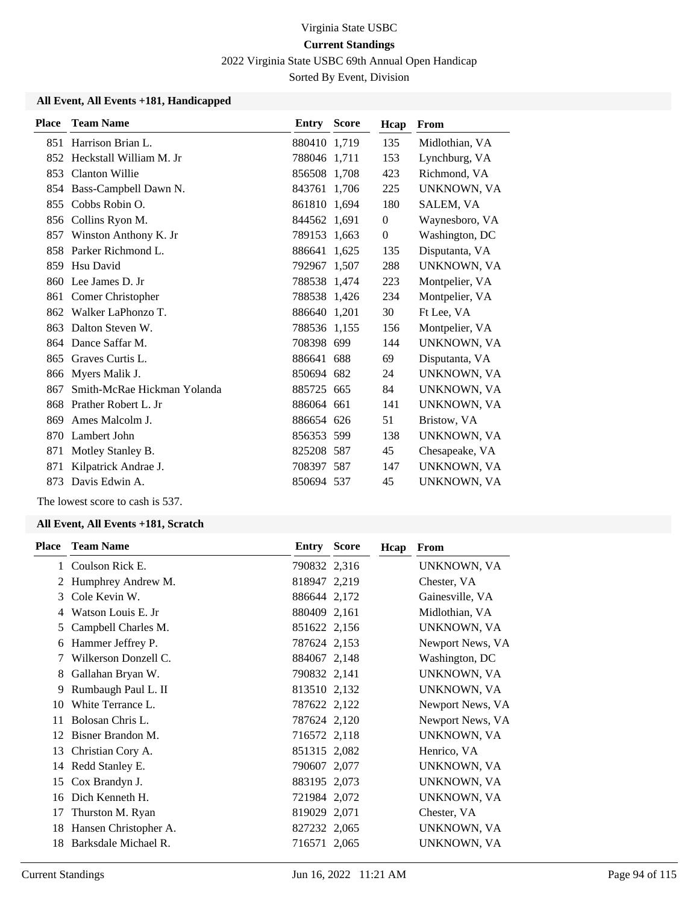2022 Virginia State USBC 69th Annual Open Handicap

Sorted By Event, Division

#### **All Event, All Events +181, Handicapped**

| <b>Place</b> | <b>Team Name</b>            | <b>Entry Score</b> | Hcap           | From           |
|--------------|-----------------------------|--------------------|----------------|----------------|
| 851          | Harrison Brian L.           | 880410 1,719       | 135            | Midlothian, VA |
| 852          | Heckstall William M. Jr     | 788046 1.711       | 153            | Lynchburg, VA  |
| 853          | <b>Clanton Willie</b>       | 856508 1.708       | 423            | Richmond, VA   |
| 854          | Bass-Campbell Dawn N.       | 843761 1,706       | 225            | UNKNOWN, VA    |
| 855          | Cobbs Robin O.              | 861810 1,694       | 180            | SALEM, VA      |
| 856          | Collins Ryon M.             | 844562 1,691       | $\overline{0}$ | Waynesboro, VA |
| 857          | Winston Anthony K. Jr       | 789153 1,663       | $\overline{0}$ | Washington, DC |
| 858          | Parker Richmond L.          | 886641 1,625       | 135            | Disputanta, VA |
| 859          | Hsu David                   | 792967 1,507       | 288            | UNKNOWN, VA    |
| 860          | Lee James D. Jr             | 788538 1,474       | 223            | Montpelier, VA |
| 861          | Comer Christopher           | 788538 1,426       | 234            | Montpelier, VA |
| 862          | Walker LaPhonzo T.          | 886640 1,201       | 30             | Ft Lee, VA     |
| 863          | Dalton Steven W.            | 788536 1,155       | 156            | Montpelier, VA |
| 864          | Dance Saffar M.             | 708398 699         | 144            | UNKNOWN, VA    |
| 865          | Graves Curtis L.            | 886641 688         | 69             | Disputanta, VA |
| 866          | Myers Malik J.              | 850694 682         | 24             | UNKNOWN, VA    |
| 867          | Smith-McRae Hickman Yolanda | 885725 665         | 84             | UNKNOWN, VA    |
| 868          | Prather Robert L. Jr        | 886064 661         | 141            | UNKNOWN, VA    |
| 869          | Ames Malcolm J.             | 886654 626         | 51             | Bristow, VA    |
| 870          | Lambert John                | 856353 599         | 138            | UNKNOWN, VA    |
| 871          | Motley Stanley B.           | 825208 587         | 45             | Chesapeake, VA |
| 871          | Kilpatrick Andrae J.        | 708397 587         | 147            | UNKNOWN, VA    |
| 873          | Davis Edwin A.              | 850694 537         | 45             | UNKNOWN, VA    |

The lowest score to cash is 537.

|    | <b>Place</b> Team Name | Entry        | <b>Score</b> | Hcap | <b>From</b>      |
|----|------------------------|--------------|--------------|------|------------------|
|    | Coulson Rick E.        | 790832 2,316 |              |      | UNKNOWN, VA      |
| 2  | Humphrey Andrew M.     | 818947 2,219 |              |      | Chester, VA      |
| 3  | Cole Kevin W.          | 886644 2,172 |              |      | Gainesville, VA  |
| 4  | Watson Louis E. Jr     | 880409 2,161 |              |      | Midlothian, VA   |
| 5  | Campbell Charles M.    | 851622 2,156 |              |      | UNKNOWN, VA      |
| 6  | Hammer Jeffrey P.      | 787624 2,153 |              |      | Newport News, VA |
| 7  | Wilkerson Donzell C.   | 884067 2,148 |              |      | Washington, DC   |
| 8  | Gallahan Bryan W.      | 790832 2,141 |              |      | UNKNOWN, VA      |
| 9  | Rumbaugh Paul L. II    | 813510 2,132 |              |      | UNKNOWN, VA      |
| 10 | White Terrance L.      | 787622 2,122 |              |      | Newport News, VA |
| 11 | Bolosan Chris L.       | 787624 2,120 |              |      | Newport News, VA |
| 12 | Bisner Brandon M.      | 716572 2,118 |              |      | UNKNOWN, VA      |
| 13 | Christian Cory A.      | 851315 2,082 |              |      | Henrico, VA      |
|    | 14 Redd Stanley E.     | 790607 2,077 |              |      | UNKNOWN, VA      |
| 15 | Cox Brandyn J.         | 883195 2,073 |              |      | UNKNOWN, VA      |
| 16 | Dich Kenneth H.        | 721984 2,072 |              |      | UNKNOWN, VA      |
| 17 | Thurston M. Ryan       | 819029 2,071 |              |      | Chester, VA      |
| 18 | Hansen Christopher A.  | 827232 2,065 |              |      | UNKNOWN, VA      |
| 18 | Barksdale Michael R.   | 716571 2,065 |              |      | UNKNOWN, VA      |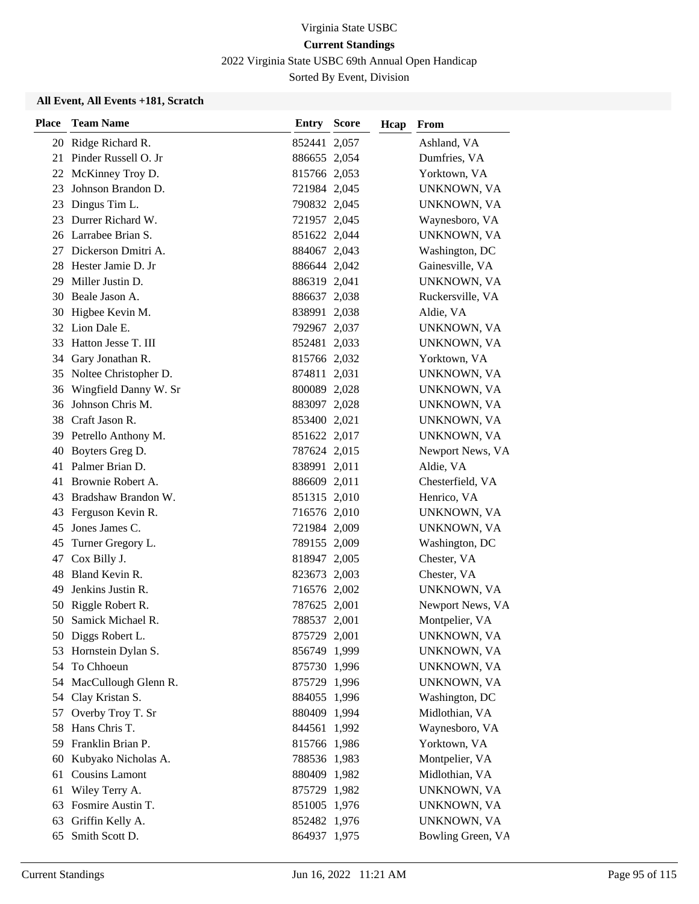2022 Virginia State USBC 69th Annual Open Handicap

Sorted By Event, Division

| <b>Place</b> | <b>Team Name</b>         | <b>Entry Score</b> | Hcap | From               |
|--------------|--------------------------|--------------------|------|--------------------|
|              | 20 Ridge Richard R.      | 852441 2,057       |      | Ashland, VA        |
|              | 21 Pinder Russell O. Jr  | 886655 2,054       |      | Dumfries, VA       |
|              | 22 McKinney Troy D.      | 815766 2,053       |      | Yorktown, VA       |
| 23           | Johnson Brandon D.       | 721984 2,045       |      | UNKNOWN, VA        |
| 23           | Dingus Tim L.            | 790832 2,045       |      | UNKNOWN, VA        |
| 23           | Durrer Richard W.        | 721957 2,045       |      | Waynesboro, VA     |
|              | 26 Larrabee Brian S.     | 851622 2,044       |      | <b>UNKNOWN, VA</b> |
|              | 27 Dickerson Dmitri A.   | 884067 2,043       |      | Washington, DC     |
|              | 28 Hester Jamie D. Jr    | 886644 2,042       |      | Gainesville, VA    |
| 29           | Miller Justin D.         | 886319 2,041       |      | UNKNOWN, VA        |
|              | 30 Beale Jason A.        | 886637 2,038       |      | Ruckersville, VA   |
|              | 30 Higbee Kevin M.       | 838991 2,038       |      | Aldie, VA          |
|              | 32 Lion Dale E.          | 792967 2,037       |      | UNKNOWN, VA        |
| 33           | Hatton Jesse T. III      | 852481 2,033       |      | UNKNOWN, VA        |
|              | 34 Gary Jonathan R.      | 815766 2,032       |      | Yorktown, VA       |
|              | 35 Noltee Christopher D. | 874811 2,031       |      | UNKNOWN, VA        |
|              | 36 Wingfield Danny W. Sr | 800089 2,028       |      | UNKNOWN, VA        |
| 36           | Johnson Chris M.         | 883097 2,028       |      | UNKNOWN, VA        |
|              | 38 Craft Jason R.        | 853400 2,021       |      | UNKNOWN, VA        |
|              | 39 Petrello Anthony M.   | 851622 2,017       |      | UNKNOWN, VA        |
| 40           | Boyters Greg D.          | 787624 2,015       |      | Newport News, VA   |
|              | 41 Palmer Brian D.       | 838991 2,011       |      | Aldie, VA          |
|              | 41 Brownie Robert A.     | 886609 2,011       |      | Chesterfield, VA   |
|              | 43 Bradshaw Brandon W.   | 851315 2,010       |      | Henrico, VA        |
| 43           | Ferguson Kevin R.        | 716576 2,010       |      | UNKNOWN, VA        |
| 45           | Jones James C.           | 721984 2,009       |      | UNKNOWN, VA        |
| 45           | Turner Gregory L.        | 789155 2,009       |      | Washington, DC     |
|              | 47 Cox Billy J.          | 818947 2,005       |      | Chester, VA        |
| 48           | Bland Kevin R.           | 823673 2,003       |      | Chester, VA        |
| 49           | Jenkins Justin R.        | 716576 2,002       |      | UNKNOWN, VA        |
| 50           | Riggle Robert R.         | 787625 2,001       |      | Newport News, VA   |
|              | 50 Samick Michael R.     | 788537 2,001       |      | Montpelier, VA     |
|              | 50 Diggs Robert L.       | 875729 2,001       |      | UNKNOWN, VA        |
| 53           | Hornstein Dylan S.       | 856749 1,999       |      | UNKNOWN, VA        |
| 54           | To Chhoeun               | 875730 1,996       |      | UNKNOWN, VA        |
|              | 54 MacCullough Glenn R.  | 875729 1,996       |      | UNKNOWN, VA        |
| 54           | Clay Kristan S.          | 884055 1,996       |      | Washington, DC     |
| 57           | Overby Troy T. Sr        | 880409 1,994       |      | Midlothian, VA     |
|              | 58 Hans Chris T.         | 844561 1,992       |      | Waynesboro, VA     |
|              | 59 Franklin Brian P.     | 815766 1,986       |      | Yorktown, VA       |
| 60           | Kubyako Nicholas A.      | 788536 1,983       |      | Montpelier, VA     |
| 61           | <b>Cousins Lamont</b>    | 880409 1,982       |      | Midlothian, VA     |
| 61           | Wiley Terry A.           | 875729 1,982       |      | UNKNOWN, VA        |
| 63           | Fosmire Austin T.        | 851005 1,976       |      | UNKNOWN, VA        |
| 63           | Griffin Kelly A.         | 852482 1,976       |      | UNKNOWN, VA        |
| 65           | Smith Scott D.           | 864937 1,975       |      | Bowling Green, VA  |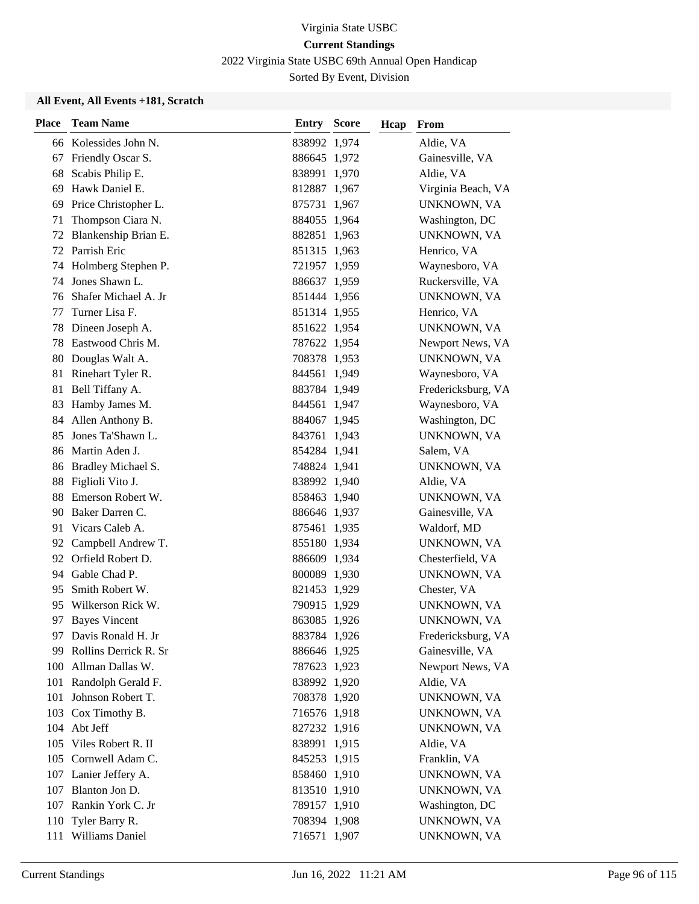2022 Virginia State USBC 69th Annual Open Handicap

Sorted By Event, Division

| <b>Place</b> | <b>Team Name</b>        | <b>Entry Score</b> | Hcap | From               |
|--------------|-------------------------|--------------------|------|--------------------|
|              | 66 Kolessides John N.   | 838992 1,974       |      | Aldie, VA          |
|              | 67 Friendly Oscar S.    | 886645 1,972       |      | Gainesville, VA    |
| 68           | Scabis Philip E.        | 838991 1,970       |      | Aldie, VA          |
| 69           | Hawk Daniel E.          | 812887 1,967       |      | Virginia Beach, VA |
| 69           | Price Christopher L.    | 875731 1,967       |      | UNKNOWN, VA        |
| 71           | Thompson Ciara N.       | 884055 1,964       |      | Washington, DC     |
|              | 72 Blankenship Brian E. | 882851 1,963       |      | <b>UNKNOWN, VA</b> |
|              | 72 Parrish Eric         | 851315 1,963       |      | Henrico, VA        |
|              | 74 Holmberg Stephen P.  | 721957 1,959       |      | Waynesboro, VA     |
| 74           | Jones Shawn L.          | 886637 1,959       |      | Ruckersville, VA   |
| 76           | Shafer Michael A. Jr    | 851444 1,956       |      | UNKNOWN, VA        |
| 77           | Turner Lisa F.          | 851314 1,955       |      | Henrico, VA        |
| 78           | Dineen Joseph A.        | 851622 1,954       |      | UNKNOWN, VA        |
| 78           | Eastwood Chris M.       | 787622 1,954       |      | Newport News, VA   |
| 80           | Douglas Walt A.         | 708378 1,953       |      | UNKNOWN, VA        |
|              | 81 Rinehart Tyler R.    | 844561 1,949       |      | Waynesboro, VA     |
| 81           | Bell Tiffany A.         | 883784 1,949       |      | Fredericksburg, VA |
| 83           | Hamby James M.          | 844561 1,947       |      | Waynesboro, VA     |
|              | 84 Allen Anthony B.     | 884067 1,945       |      | Washington, DC     |
| 85.          | Jones Ta'Shawn L.       | 843761 1,943       |      | UNKNOWN, VA        |
|              | 86 Martin Aden J.       | 854284 1,941       |      | Salem, VA          |
|              | 86 Bradley Michael S.   | 748824 1,941       |      | UNKNOWN, VA        |
| 88           | Figlioli Vito J.        | 838992 1,940       |      | Aldie, VA          |
| 88           | Emerson Robert W.       | 858463 1,940       |      | UNKNOWN, VA        |
| 90           | Baker Darren C.         | 886646 1,937       |      | Gainesville, VA    |
| 91           | Vicars Caleb A.         | 875461 1,935       |      | Waldorf, MD        |
| 92           | Campbell Andrew T.      | 855180 1,934       |      | UNKNOWN, VA        |
|              | 92 Orfield Robert D.    | 886609 1,934       |      | Chesterfield, VA   |
|              | 94 Gable Chad P.        | 800089 1,930       |      | UNKNOWN, VA        |
| 95           | Smith Robert W.         | 821453 1,929       |      | Chester, VA        |
| 95           | Wilkerson Rick W.       | 790915 1,929       |      | UNKNOWN, VA        |
|              | 97 Bayes Vincent        | 863085 1,926       |      | UNKNOWN, VA        |
|              | 97 Davis Ronald H. Jr   | 883784 1,926       |      | Fredericksburg, VA |
| 99.          | Rollins Derrick R. Sr   | 886646 1,925       |      | Gainesville, VA    |
|              | 100 Allman Dallas W.    | 787623 1,923       |      | Newport News, VA   |
|              | 101 Randolph Gerald F.  | 838992 1,920       |      | Aldie, VA          |
|              | 101 Johnson Robert T.   | 708378 1,920       |      | UNKNOWN, VA        |
|              | 103 Cox Timothy B.      | 716576 1,918       |      | UNKNOWN, VA        |
|              | 104 Abt Jeff            | 827232 1,916       |      | UNKNOWN, VA        |
| 105          | Viles Robert R. II      | 838991 1,915       |      | Aldie, VA          |
|              | 105 Cornwell Adam C.    | 845253 1,915       |      | Franklin, VA       |
|              | 107 Lanier Jeffery A.   | 858460 1,910       |      | UNKNOWN, VA        |
|              | 107 Blanton Jon D.      | 813510 1,910       |      | UNKNOWN, VA        |
|              | 107 Rankin York C. Jr   | 789157 1,910       |      | Washington, DC     |
|              | 110 Tyler Barry R.      | 708394 1,908       |      | UNKNOWN, VA        |
|              | 111 Williams Daniel     | 716571 1,907       |      | UNKNOWN, VA        |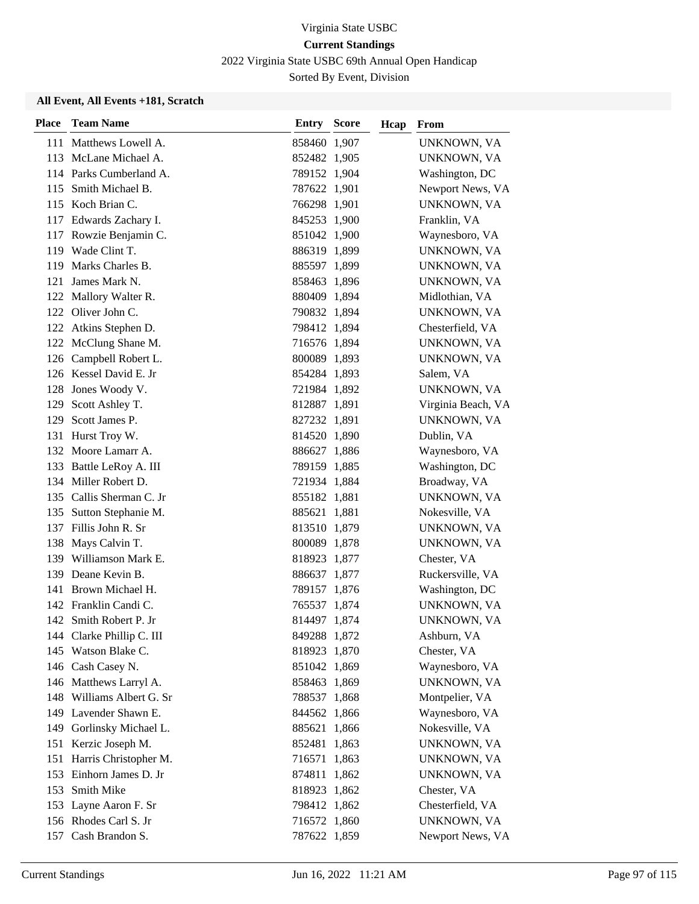2022 Virginia State USBC 69th Annual Open Handicap

Sorted By Event, Division

| <b>Place</b> | <b>Team Name</b>          | <b>Entry Score</b> | Hcap | From               |
|--------------|---------------------------|--------------------|------|--------------------|
|              | 111 Matthews Lowell A.    | 858460 1,907       |      | UNKNOWN, VA        |
|              | 113 McLane Michael A.     | 852482 1,905       |      | UNKNOWN, VA        |
|              | 114 Parks Cumberland A.   | 789152 1,904       |      | Washington, DC     |
|              | 115 Smith Michael B.      | 787622 1,901       |      | Newport News, VA   |
|              | 115 Koch Brian C.         | 766298 1,901       |      | UNKNOWN, VA        |
|              | 117 Edwards Zachary I.    | 845253 1,900       |      | Franklin, VA       |
|              | 117 Rowzie Benjamin C.    | 851042 1,900       |      | Waynesboro, VA     |
|              | 119 Wade Clint T.         | 886319 1,899       |      | UNKNOWN, VA        |
| 119          | Marks Charles B.          | 885597 1,899       |      | UNKNOWN, VA        |
| 121          | James Mark N.             | 858463 1,896       |      | UNKNOWN, VA        |
|              | 122 Mallory Walter R.     | 880409 1,894       |      | Midlothian, VA     |
|              | 122 Oliver John C.        | 790832 1,894       |      | UNKNOWN, VA        |
|              | 122 Atkins Stephen D.     | 798412 1,894       |      | Chesterfield, VA   |
|              | 122 McClung Shane M.      | 716576 1,894       |      | UNKNOWN, VA        |
|              | 126 Campbell Robert L.    | 800089 1,893       |      | UNKNOWN, VA        |
|              | 126 Kessel David E. Jr    | 854284 1,893       |      | Salem, VA          |
|              | 128 Jones Woody V.        | 721984 1,892       |      | UNKNOWN, VA        |
|              | 129 Scott Ashley T.       | 812887 1,891       |      | Virginia Beach, VA |
| 129          | Scott James P.            | 827232 1,891       |      | UNKNOWN, VA        |
|              | 131 Hurst Troy W.         | 814520 1,890       |      | Dublin, VA         |
|              | 132 Moore Lamarr A.       | 886627 1,886       |      | Waynesboro, VA     |
|              | 133 Battle LeRoy A. III   | 789159 1,885       |      | Washington, DC     |
|              | 134 Miller Robert D.      | 721934 1,884       |      | Broadway, VA       |
|              | 135 Callis Sherman C. Jr  | 855182 1,881       |      | UNKNOWN, VA        |
|              | 135 Sutton Stephanie M.   | 885621 1,881       |      | Nokesville, VA     |
|              | 137 Fillis John R. Sr     | 813510 1,879       |      | UNKNOWN, VA        |
|              | 138 Mays Calvin T.        | 800089 1,878       |      | UNKNOWN, VA        |
|              | 139 Williamson Mark E.    | 818923 1,877       |      | Chester, VA        |
|              | 139 Deane Kevin B.        | 886637 1,877       |      | Ruckersville, VA   |
|              | 141 Brown Michael H.      | 789157 1,876       |      | Washington, DC     |
|              | 142 Franklin Candi C.     | 765537 1,874       |      | UNKNOWN, VA        |
|              | 142 Smith Robert P. Jr    | 814497 1,874       |      | UNKNOWN, VA        |
|              | 144 Clarke Phillip C. III | 849288 1,872       |      | Ashburn, VA        |
|              | 145 Watson Blake C.       | 818923 1,870       |      | Chester, VA        |
|              | 146 Cash Casey N.         | 851042 1,869       |      | Waynesboro, VA     |
|              | 146 Matthews Larryl A.    | 858463 1,869       |      | UNKNOWN, VA        |
|              | 148 Williams Albert G. Sr | 788537 1,868       |      | Montpelier, VA     |
|              | 149 Lavender Shawn E.     | 844562 1,866       |      | Waynesboro, VA     |
| 149          | Gorlinsky Michael L.      | 885621 1,866       |      | Nokesville, VA     |
|              | 151 Kerzic Joseph M.      | 852481 1,863       |      | UNKNOWN, VA        |
| 151          | Harris Christopher M.     | 716571 1,863       |      | UNKNOWN, VA        |
|              | 153 Einhorn James D. Jr   | 874811 1,862       |      | UNKNOWN, VA        |
| 153          | Smith Mike                | 818923 1,862       |      | Chester, VA        |
|              | 153 Layne Aaron F. Sr     | 798412 1,862       |      | Chesterfield, VA   |
|              | 156 Rhodes Carl S. Jr     | 716572 1,860       |      | UNKNOWN, VA        |
|              | 157 Cash Brandon S.       | 787622 1,859       |      | Newport News, VA   |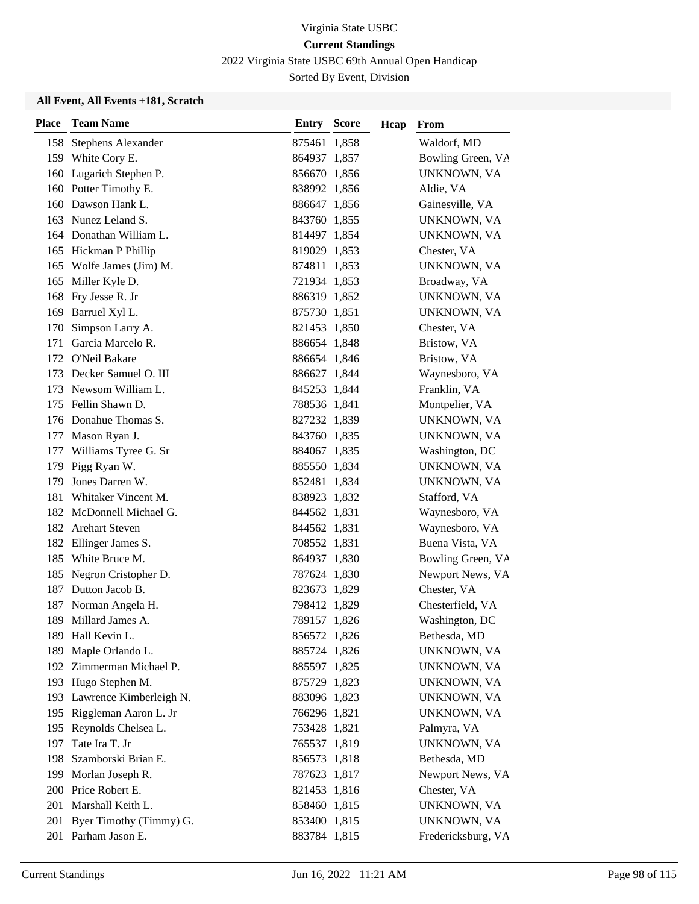2022 Virginia State USBC 69th Annual Open Handicap

Sorted By Event, Division

| <b>Place</b> | <b>Team Name</b>            | Entry        | <b>Score</b> | Hcap | From               |
|--------------|-----------------------------|--------------|--------------|------|--------------------|
|              | 158 Stephens Alexander      | 875461 1,858 |              |      | Waldorf, MD        |
|              | 159 White Cory E.           | 864937 1,857 |              |      | Bowling Green, VA  |
|              | 160 Lugarich Stephen P.     | 856670 1,856 |              |      | UNKNOWN, VA        |
|              | 160 Potter Timothy E.       | 838992 1,856 |              |      | Aldie, VA          |
|              | 160 Dawson Hank L.          | 886647 1,856 |              |      | Gainesville, VA    |
|              | 163 Nunez Leland S.         | 843760 1,855 |              |      | UNKNOWN, VA        |
|              | 164 Donathan William L.     | 814497 1,854 |              |      | UNKNOWN, VA        |
|              | 165 Hickman P Phillip       | 819029 1,853 |              |      | Chester, VA        |
|              | 165 Wolfe James (Jim) M.    | 874811 1,853 |              |      | UNKNOWN, VA        |
| 165          | Miller Kyle D.              | 721934 1,853 |              |      | Broadway, VA       |
| 168          | Fry Jesse R. Jr             | 886319 1,852 |              |      | UNKNOWN, VA        |
| 169          | Barruel Xyl L.              | 875730 1,851 |              |      | UNKNOWN, VA        |
| 170          | Simpson Larry A.            | 821453 1,850 |              |      | Chester, VA        |
| 171          | Garcia Marcelo R.           | 886654 1,848 |              |      | Bristow, VA        |
|              | 172 O'Neil Bakare           | 886654 1,846 |              |      | Bristow, VA        |
|              | 173 Decker Samuel O. III    | 886627 1,844 |              |      | Waynesboro, VA     |
|              | 173 Newsom William L.       | 845253 1,844 |              |      | Franklin, VA       |
| 175          | Fellin Shawn D.             | 788536 1,841 |              |      | Montpelier, VA     |
|              | 176 Donahue Thomas S.       | 827232 1,839 |              |      | UNKNOWN, VA        |
| 177          | Mason Ryan J.               | 843760 1,835 |              |      | UNKNOWN, VA        |
|              | 177 Williams Tyree G. Sr    | 884067 1,835 |              |      | Washington, DC     |
| 179          | Pigg Ryan W.                | 885550 1,834 |              |      | UNKNOWN, VA        |
| 179          | Jones Darren W.             | 852481 1,834 |              |      | UNKNOWN, VA        |
| 181          | Whitaker Vincent M.         | 838923 1,832 |              |      | Stafford, VA       |
|              | 182 McDonnell Michael G.    | 844562 1,831 |              |      | Waynesboro, VA     |
|              | 182 Arehart Steven          | 844562 1,831 |              |      | Waynesboro, VA     |
| 182          | Ellinger James S.           | 708552 1,831 |              |      | Buena Vista, VA    |
| 185          | White Bruce M.              | 864937 1,830 |              |      | Bowling Green, VA  |
| 185          | Negron Cristopher D.        | 787624 1,830 |              |      | Newport News, VA   |
| 187          | Dutton Jacob B.             | 823673 1,829 |              |      | Chester, VA        |
| 187          | Norman Angela H.            | 798412 1,829 |              |      | Chesterfield, VA   |
|              | 189 Millard James A.        | 789157 1,826 |              |      | Washington, DC     |
|              | 189 Hall Kevin L.           | 856572 1,826 |              |      | Bethesda, MD       |
| 189          | Maple Orlando L.            | 885724 1,826 |              |      | UNKNOWN, VA        |
|              | 192 Zimmerman Michael P.    | 885597 1,825 |              |      | UNKNOWN, VA        |
|              | 193 Hugo Stephen M.         | 875729 1,823 |              |      | UNKNOWN, VA        |
|              | 193 Lawrence Kimberleigh N. | 883096 1,823 |              |      | UNKNOWN, VA        |
|              | 195 Riggleman Aaron L. Jr   | 766296 1,821 |              |      | UNKNOWN, VA        |
|              | 195 Reynolds Chelsea L.     | 753428 1,821 |              |      | Palmyra, VA        |
| 197          | Tate Ira T. Jr              | 765537 1,819 |              |      | UNKNOWN, VA        |
| 198          | Szamborski Brian E.         | 856573 1,818 |              |      | Bethesda, MD       |
| 199          | Morlan Joseph R.            | 787623 1,817 |              |      | Newport News, VA   |
|              | 200 Price Robert E.         | 821453 1,816 |              |      | Chester, VA        |
| 201          | Marshall Keith L.           | 858460 1,815 |              |      | UNKNOWN, VA        |
|              | 201 Byer Timothy (Timmy) G. | 853400 1,815 |              |      | UNKNOWN, VA        |
|              | 201 Parham Jason E.         | 883784 1,815 |              |      | Fredericksburg, VA |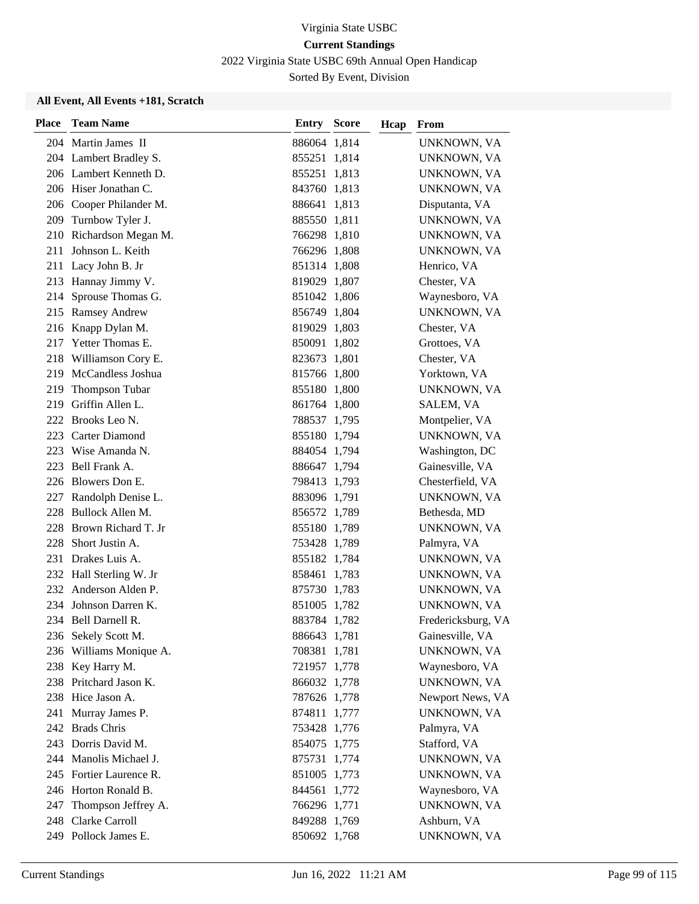2022 Virginia State USBC 69th Annual Open Handicap

Sorted By Event, Division

| <b>Place</b> | <b>Team Name</b>        | Entry        | <b>Score</b> | Hcap | From               |
|--------------|-------------------------|--------------|--------------|------|--------------------|
|              | 204 Martin James II     | 886064 1,814 |              |      | UNKNOWN, VA        |
|              | 204 Lambert Bradley S.  | 855251 1,814 |              |      | UNKNOWN, VA        |
|              | 206 Lambert Kenneth D.  | 855251 1,813 |              |      | UNKNOWN, VA        |
|              | 206 Hiser Jonathan C.   | 843760 1,813 |              |      | UNKNOWN, VA        |
|              | 206 Cooper Philander M. | 886641 1,813 |              |      | Disputanta, VA     |
|              | 209 Turnbow Tyler J.    | 885550 1,811 |              |      | UNKNOWN, VA        |
|              | 210 Richardson Megan M. | 766298 1,810 |              |      | UNKNOWN, VA        |
| 211          | Johnson L. Keith        | 766296 1,808 |              |      | UNKNOWN, VA        |
|              | 211 Lacy John B. Jr     | 851314 1,808 |              |      | Henrico, VA        |
|              | 213 Hannay Jimmy V.     | 819029 1,807 |              |      | Chester, VA        |
| 214          | Sprouse Thomas G.       | 851042 1,806 |              |      | Waynesboro, VA     |
|              | 215 Ramsey Andrew       | 856749 1,804 |              |      | UNKNOWN, VA        |
|              | 216 Knapp Dylan M.      | 819029 1,803 |              |      | Chester, VA        |
|              | 217 Yetter Thomas E.    | 850091 1,802 |              |      | Grottoes, VA       |
|              | 218 Williamson Cory E.  | 823673 1,801 |              |      | Chester, VA        |
|              | 219 McCandless Joshua   | 815766 1,800 |              |      | Yorktown, VA       |
| 219          | <b>Thompson Tubar</b>   | 855180 1,800 |              |      | UNKNOWN, VA        |
| 219          | Griffin Allen L.        | 861764 1,800 |              |      | <b>SALEM, VA</b>   |
|              | 222 Brooks Leo N.       | 788537 1,795 |              |      | Montpelier, VA     |
|              | 223 Carter Diamond      | 855180 1,794 |              |      | UNKNOWN, VA        |
|              | 223 Wise Amanda N.      | 884054 1,794 |              |      | Washington, DC     |
|              | 223 Bell Frank A.       | 886647 1,794 |              |      | Gainesville, VA    |
|              | 226 Blowers Don E.      | 798413 1,793 |              |      | Chesterfield, VA   |
|              | 227 Randolph Denise L.  | 883096 1,791 |              |      | UNKNOWN, VA        |
|              | 228 Bullock Allen M.    | 856572 1,789 |              |      | Bethesda, MD       |
| 228          | Brown Richard T. Jr     | 855180 1,789 |              |      | UNKNOWN, VA        |
| 228          | Short Justin A.         | 753428 1,789 |              |      | Palmyra, VA        |
| 231          | Drakes Luis A.          | 855182 1,784 |              |      | UNKNOWN, VA        |
|              | 232 Hall Sterling W. Jr | 858461 1,783 |              |      | UNKNOWN, VA        |
|              | 232 Anderson Alden P.   | 875730 1,783 |              |      | UNKNOWN, VA        |
|              | 234 Johnson Darren K.   | 851005 1,782 |              |      | UNKNOWN, VA        |
|              | 234 Bell Darnell R.     | 883784 1,782 |              |      | Fredericksburg, VA |
|              | 236 Sekely Scott M.     | 886643 1,781 |              |      | Gainesville, VA    |
|              | 236 Williams Monique A. | 708381 1,781 |              |      | UNKNOWN, VA        |
|              | 238 Key Harry M.        | 721957 1,778 |              |      | Waynesboro, VA     |
|              | 238 Pritchard Jason K.  | 866032 1,778 |              |      | UNKNOWN, VA        |
|              | 238 Hice Jason A.       | 787626 1,778 |              |      | Newport News, VA   |
|              | 241 Murray James P.     | 874811 1,777 |              |      | UNKNOWN, VA        |
|              | 242 Brads Chris         | 753428 1,776 |              |      | Palmyra, VA        |
|              | 243 Dorris David M.     | 854075 1,775 |              |      | Stafford, VA       |
|              | 244 Manolis Michael J.  | 875731 1,774 |              |      | UNKNOWN, VA        |
|              | 245 Fortier Laurence R. | 851005 1,773 |              |      | UNKNOWN, VA        |
|              | 246 Horton Ronald B.    | 844561 1,772 |              |      | Waynesboro, VA     |
| 247          | Thompson Jeffrey A.     | 766296 1,771 |              |      | UNKNOWN, VA        |
|              | 248 Clarke Carroll      | 849288 1,769 |              |      | Ashburn, VA        |
|              | 249 Pollock James E.    | 850692 1,768 |              |      | UNKNOWN, VA        |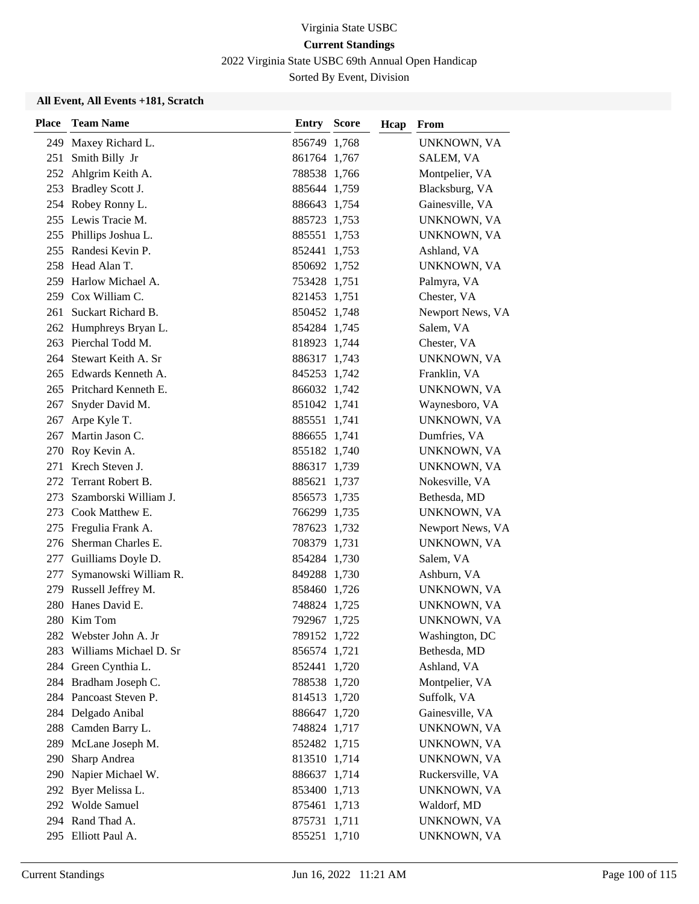2022 Virginia State USBC 69th Annual Open Handicap

Sorted By Event, Division

| <b>Place</b> | <b>Team Name</b>         | <b>Entry Score</b> | Hcap | From             |
|--------------|--------------------------|--------------------|------|------------------|
|              | 249 Maxey Richard L.     | 856749 1,768       |      | UNKNOWN, VA      |
| 251          | Smith Billy Jr           | 861764 1,767       |      | SALEM, VA        |
|              | 252 Ahlgrim Keith A.     | 788538 1,766       |      | Montpelier, VA   |
|              | 253 Bradley Scott J.     | 885644 1,759       |      | Blacksburg, VA   |
|              | 254 Robey Ronny L.       | 886643 1,754       |      | Gainesville, VA  |
|              | 255 Lewis Tracie M.      | 885723 1,753       |      | UNKNOWN, VA      |
|              | 255 Phillips Joshua L.   | 885551 1,753       |      | UNKNOWN, VA      |
|              | 255 Randesi Kevin P.     | 852441 1,753       |      | Ashland, VA      |
|              | 258 Head Alan T.         | 850692 1,752       |      | UNKNOWN, VA      |
|              | 259 Harlow Michael A.    | 753428 1,751       |      | Palmyra, VA      |
|              | 259 Cox William C.       | 821453 1,751       |      | Chester, VA      |
|              | 261 Suckart Richard B.   | 850452 1,748       |      | Newport News, VA |
|              | 262 Humphreys Bryan L.   | 854284 1,745       |      | Salem, VA        |
|              | 263 Pierchal Todd M.     | 818923 1,744       |      | Chester, VA      |
|              | 264 Stewart Keith A. Sr  | 886317 1,743       |      | UNKNOWN, VA      |
|              | 265 Edwards Kenneth A.   | 845253 1,742       |      | Franklin, VA     |
|              | 265 Pritchard Kenneth E. | 866032 1,742       |      | UNKNOWN, VA      |
| 267          | Snyder David M.          | 851042 1,741       |      | Waynesboro, VA   |
| 267          | Arpe Kyle T.             | 885551 1,741       |      | UNKNOWN, VA      |
|              | 267 Martin Jason C.      | 886655 1,741       |      | Dumfries, VA     |
|              | 270 Roy Kevin A.         | 855182 1,740       |      | UNKNOWN, VA      |
|              | 271 Krech Steven J.      | 886317 1,739       |      | UNKNOWN, VA      |
|              | 272 Terrant Robert B.    | 885621 1,737       |      | Nokesville, VA   |
| 273          | Szamborski William J.    | 856573 1,735       |      | Bethesda, MD     |
|              | 273 Cook Matthew E.      | 766299 1,735       |      | UNKNOWN, VA      |
|              | 275 Fregulia Frank A.    | 787623 1,732       |      | Newport News, VA |
|              | 276 Sherman Charles E.   | 708379 1,731       |      | UNKNOWN, VA      |
|              | 277 Guilliams Doyle D.   | 854284 1,730       |      | Salem, VA        |
| 277          | Symanowski William R.    | 849288 1,730       |      | Ashburn, VA      |
|              | 279 Russell Jeffrey M.   | 858460 1,726       |      | UNKNOWN, VA      |
|              | 280 Hanes David E.       | 748824 1,725       |      | UNKNOWN, VA      |
|              | 280 Kim Tom              | 792967 1,725       |      | UNKNOWN, VA      |
|              | 282 Webster John A. Jr   | 789152 1,722       |      | Washington, DC   |
| 283          | Williams Michael D. Sr   | 856574 1,721       |      | Bethesda, MD     |
|              | 284 Green Cynthia L.     | 852441 1,720       |      | Ashland, VA      |
|              | 284 Bradham Joseph C.    | 788538 1,720       |      | Montpelier, VA   |
|              | 284 Pancoast Steven P.   | 814513 1,720       |      | Suffolk, VA      |
|              | 284 Delgado Anibal       | 886647 1,720       |      | Gainesville, VA  |
|              | 288 Camden Barry L.      | 748824 1,717       |      | UNKNOWN, VA      |
|              | 289 McLane Joseph M.     | 852482 1,715       |      | UNKNOWN, VA      |
| 290          | Sharp Andrea             | 813510 1,714       |      | UNKNOWN, VA      |
|              | 290 Napier Michael W.    | 886637 1,714       |      | Ruckersville, VA |
|              | 292 Byer Melissa L.      | 853400 1,713       |      | UNKNOWN, VA      |
|              | 292 Wolde Samuel         | 875461 1,713       |      | Waldorf, MD      |
|              | 294 Rand Thad A.         | 875731 1,711       |      | UNKNOWN, VA      |
|              | 295 Elliott Paul A.      | 855251 1,710       |      | UNKNOWN, VA      |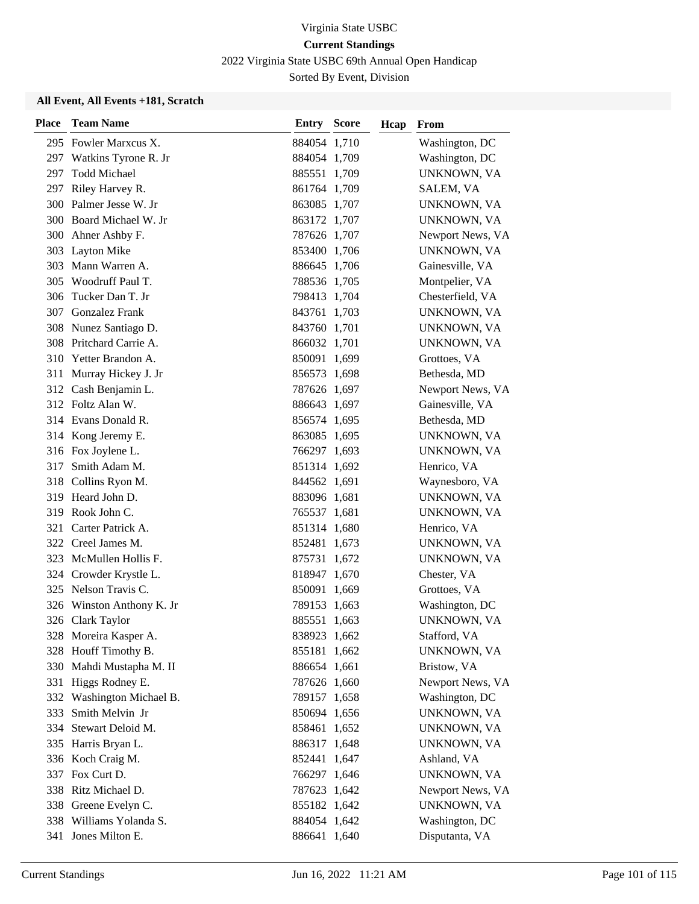2022 Virginia State USBC 69th Annual Open Handicap

Sorted By Event, Division

| <b>Place</b> | <b>Team Name</b>          | Entry        | <b>Score</b> | Hcap | From             |
|--------------|---------------------------|--------------|--------------|------|------------------|
|              | 295 Fowler Marxcus X.     | 884054 1,710 |              |      | Washington, DC   |
|              | 297 Watkins Tyrone R. Jr  | 884054 1,709 |              |      | Washington, DC   |
| 297          | <b>Todd Michael</b>       | 885551 1,709 |              |      | UNKNOWN, VA      |
|              | 297 Riley Harvey R.       | 861764 1,709 |              |      | SALEM, VA        |
|              | 300 Palmer Jesse W. Jr    | 863085 1,707 |              |      | UNKNOWN, VA      |
|              | 300 Board Michael W. Jr   | 863172 1,707 |              |      | UNKNOWN, VA      |
|              | 300 Ahner Ashby F.        | 787626 1,707 |              |      | Newport News, VA |
|              | 303 Layton Mike           | 853400 1,706 |              |      | UNKNOWN, VA      |
| 303          | Mann Warren A.            | 886645 1,706 |              |      | Gainesville, VA  |
| 305          | Woodruff Paul T.          | 788536 1,705 |              |      | Montpelier, VA   |
| 306          | Tucker Dan T. Jr          | 798413 1,704 |              |      | Chesterfield, VA |
| 307          | <b>Gonzalez Frank</b>     | 843761 1,703 |              |      | UNKNOWN, VA      |
|              | 308 Nunez Santiago D.     | 843760 1,701 |              |      | UNKNOWN, VA      |
|              | 308 Pritchard Carrie A.   | 866032 1,701 |              |      | UNKNOWN, VA      |
|              | 310 Yetter Brandon A.     | 850091 1,699 |              |      | Grottoes, VA     |
|              | 311 Murray Hickey J. Jr   | 856573 1,698 |              |      | Bethesda, MD     |
|              | 312 Cash Benjamin L.      | 787626 1,697 |              |      | Newport News, VA |
|              | 312 Foltz Alan W.         | 886643 1,697 |              |      | Gainesville, VA  |
|              | 314 Evans Donald R.       | 856574 1,695 |              |      | Bethesda, MD     |
|              | 314 Kong Jeremy E.        | 863085 1,695 |              |      | UNKNOWN, VA      |
|              | 316 Fox Joylene L.        | 766297 1,693 |              |      | UNKNOWN, VA      |
| 317          | Smith Adam M.             | 851314 1,692 |              |      | Henrico, VA      |
| 318          | Collins Ryon M.           | 844562 1,691 |              |      | Waynesboro, VA   |
|              | 319 Heard John D.         | 883096 1,681 |              |      | UNKNOWN, VA      |
| 319          | Rook John C.              | 765537 1,681 |              |      | UNKNOWN, VA      |
| 321          | Carter Patrick A.         | 851314 1,680 |              |      | Henrico, VA      |
|              | 322 Creel James M.        | 852481 1,673 |              |      | UNKNOWN, VA      |
|              | 323 McMullen Hollis F.    | 875731 1,672 |              |      | UNKNOWN, VA      |
|              | 324 Crowder Krystle L.    | 818947 1,670 |              |      | Chester, VA      |
|              | 325 Nelson Travis C.      | 850091 1,669 |              |      | Grottoes, VA     |
|              | 326 Winston Anthony K. Jr | 789153 1,663 |              |      | Washington, DC   |
|              | 326 Clark Taylor          | 885551 1,663 |              |      | UNKNOWN, VA      |
|              | 328 Moreira Kasper A.     | 838923 1,662 |              |      | Stafford, VA     |
|              | 328 Houff Timothy B.      | 855181 1,662 |              |      | UNKNOWN, VA      |
|              | 330 Mahdi Mustapha M. II  | 886654 1,661 |              |      | Bristow, VA      |
|              | 331 Higgs Rodney E.       | 787626 1,660 |              |      | Newport News, VA |
|              | 332 Washington Michael B. | 789157 1,658 |              |      | Washington, DC   |
| 333          | Smith Melvin Jr           | 850694 1,656 |              |      | UNKNOWN, VA      |
| 334          | Stewart Deloid M.         | 858461 1,652 |              |      | UNKNOWN, VA      |
|              | 335 Harris Bryan L.       | 886317 1,648 |              |      | UNKNOWN, VA      |
|              | 336 Koch Craig M.         | 852441 1,647 |              |      | Ashland, VA      |
|              | 337 Fox Curt D.           | 766297 1,646 |              |      | UNKNOWN, VA      |
|              | 338 Ritz Michael D.       | 787623 1,642 |              |      | Newport News, VA |
|              | 338 Greene Evelyn C.      | 855182 1,642 |              |      | UNKNOWN, VA      |
|              | 338 Williams Yolanda S.   | 884054 1,642 |              |      | Washington, DC   |
|              | 341 Jones Milton E.       | 886641 1,640 |              |      | Disputanta, VA   |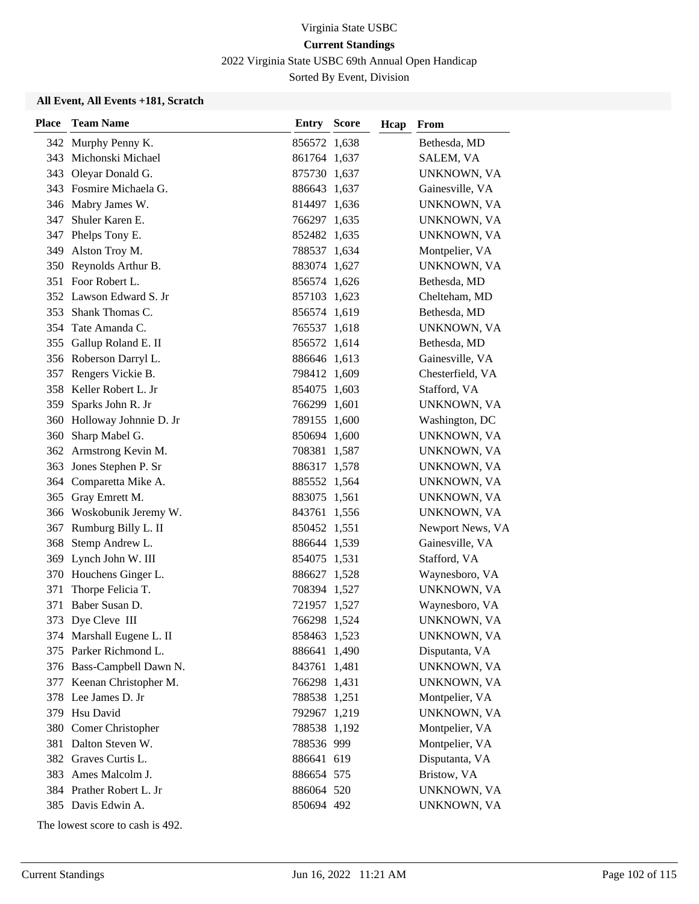2022 Virginia State USBC 69th Annual Open Handicap

Sorted By Event, Division

#### **All Event, All Events +181, Scratch**

| <b>Place</b> | <b>Team Name</b>           | <b>Entry Score</b> | Hcap | From             |
|--------------|----------------------------|--------------------|------|------------------|
|              | 342 Murphy Penny K.        | 856572 1,638       |      | Bethesda, MD     |
|              | 343 Michonski Michael      | 861764 1,637       |      | SALEM, VA        |
|              | 343 Oleyar Donald G.       | 875730 1,637       |      | UNKNOWN, VA      |
|              | 343 Fosmire Michaela G.    | 886643 1,637       |      | Gainesville, VA  |
|              | 346 Mabry James W.         | 814497 1,636       |      | UNKNOWN, VA      |
| 347          | Shuler Karen E.            | 766297 1,635       |      | UNKNOWN, VA      |
|              | 347 Phelps Tony E.         | 852482 1,635       |      | UNKNOWN, VA      |
|              | 349 Alston Troy M.         | 788537 1,634       |      | Montpelier, VA   |
|              | 350 Reynolds Arthur B.     | 883074 1,627       |      | UNKNOWN, VA      |
|              | 351 Foor Robert L.         | 856574 1,626       |      | Bethesda, MD     |
|              | 352 Lawson Edward S. Jr    | 857103 1,623       |      | Chelteham, MD    |
|              | 353 Shank Thomas C.        | 856574 1,619       |      | Bethesda, MD     |
| 354          | Tate Amanda C.             | 765537 1,618       |      | UNKNOWN, VA      |
|              | 355 Gallup Roland E. II    | 856572 1,614       |      | Bethesda, MD     |
|              | 356 Roberson Darryl L.     | 886646 1,613       |      | Gainesville, VA  |
|              | 357 Rengers Vickie B.      | 798412 1,609       |      | Chesterfield, VA |
|              | 358 Keller Robert L. Jr    | 854075 1,603       |      | Stafford, VA     |
| 359          | Sparks John R. Jr          | 766299 1,601       |      | UNKNOWN, VA      |
|              | 360 Holloway Johnnie D. Jr | 789155 1,600       |      | Washington, DC   |
| 360          | Sharp Mabel G.             | 850694 1,600       |      | UNKNOWN, VA      |
|              | 362 Armstrong Kevin M.     | 708381 1,587       |      | UNKNOWN, VA      |
| 363          | Jones Stephen P. Sr        | 886317 1,578       |      | UNKNOWN, VA      |
|              | 364 Comparetta Mike A.     | 885552 1,564       |      | UNKNOWN, VA      |
|              | 365 Gray Emrett M.         | 883075 1,561       |      | UNKNOWN, VA      |
|              | 366 Woskobunik Jeremy W.   | 843761 1,556       |      | UNKNOWN, VA      |
| 367          | Rumburg Billy L. II        | 850452 1,551       |      | Newport News, VA |
| 368          | Stemp Andrew L.            | 886644 1,539       |      | Gainesville, VA  |
|              | 369 Lynch John W. III      | 854075 1,531       |      | Stafford, VA     |
|              | 370 Houchens Ginger L.     | 886627 1,528       |      | Waynesboro, VA   |
| 371          | Thorpe Felicia T.          | 708394 1,527       |      | UNKNOWN, VA      |
| 371          | Baber Susan D.             | 721957 1,527       |      | Waynesboro, VA   |
|              | 373 Dye Cleve III          | 766298 1,524       |      | UNKNOWN, VA      |
|              | 374 Marshall Eugene L. II  | 858463 1,523       |      | UNKNOWN, VA      |
|              | 375 Parker Richmond L.     | 886641 1,490       |      | Disputanta, VA   |
|              | 376 Bass-Campbell Dawn N.  | 843761 1,481       |      | UNKNOWN, VA      |
|              | 377 Keenan Christopher M.  | 766298 1,431       |      | UNKNOWN, VA      |
|              | 378 Lee James D. Jr        | 788538 1,251       |      | Montpelier, VA   |
|              | 379 Hsu David              | 792967 1,219       |      | UNKNOWN, VA      |
|              | 380 Comer Christopher      | 788538 1,192       |      | Montpelier, VA   |
|              | 381 Dalton Steven W.       | 788536 999         |      | Montpelier, VA   |
|              | 382 Graves Curtis L.       | 886641 619         |      | Disputanta, VA   |
|              | 383 Ames Malcolm J.        | 886654 575         |      | Bristow, VA      |
|              | 384 Prather Robert L. Jr   | 886064 520         |      | UNKNOWN, VA      |
|              | 385 Davis Edwin A.         | 850694 492         |      | UNKNOWN, VA      |

The lowest score to cash is 492.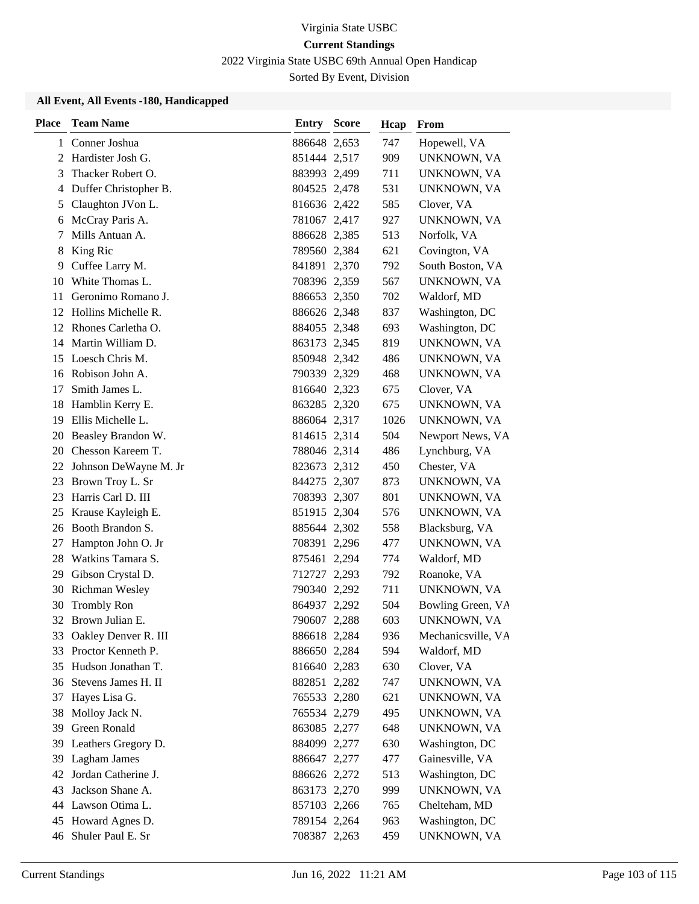2022 Virginia State USBC 69th Annual Open Handicap

Sorted By Event, Division

| <b>Place</b> | <b>Team Name</b>        | Entry        | <b>Score</b> | Hcap | From               |
|--------------|-------------------------|--------------|--------------|------|--------------------|
| 1            | Conner Joshua           | 886648 2,653 |              | 747  | Hopewell, VA       |
|              | 2 Hardister Josh G.     | 851444 2,517 |              | 909  | UNKNOWN, VA        |
| 3            | Thacker Robert O.       | 883993 2,499 |              | 711  | UNKNOWN, VA        |
| 4            | Duffer Christopher B.   | 804525 2,478 |              | 531  | UNKNOWN, VA        |
| 5            | Claughton JVon L.       | 816636 2,422 |              | 585  | Clover, VA         |
| 6            | McCray Paris A.         | 781067 2,417 |              | 927  | UNKNOWN, VA        |
| 7            | Mills Antuan A.         | 886628 2,385 |              | 513  | Norfolk, VA        |
| 8            | King Ric                | 789560 2,384 |              | 621  | Covington, VA      |
| 9            | Cuffee Larry M.         | 841891 2,370 |              | 792  | South Boston, VA   |
| 10           | White Thomas L.         | 708396 2,359 |              | 567  | UNKNOWN, VA        |
| 11           | Geronimo Romano J.      | 886653 2,350 |              | 702  | Waldorf, MD        |
|              | 12 Hollins Michelle R.  | 886626 2,348 |              | 837  | Washington, DC     |
|              | 12 Rhones Carletha O.   | 884055 2,348 |              | 693  | Washington, DC     |
|              | 14 Martin William D.    | 863173 2,345 |              | 819  | UNKNOWN, VA        |
|              | 15 Loesch Chris M.      | 850948 2,342 |              | 486  | UNKNOWN, VA        |
|              | 16 Robison John A.      | 790339 2,329 |              | 468  | UNKNOWN, VA        |
| 17           | Smith James L.          | 816640 2,323 |              | 675  | Clover, VA         |
| 18           | Hamblin Kerry E.        | 863285 2,320 |              | 675  | UNKNOWN, VA        |
| 19           | Ellis Michelle L.       | 886064 2,317 |              | 1026 | UNKNOWN, VA        |
| 20           | Beasley Brandon W.      | 814615 2,314 |              | 504  | Newport News, VA   |
| 20           | Chesson Kareem T.       | 788046 2,314 |              | 486  | Lynchburg, VA      |
| 22           | Johnson DeWayne M. Jr   | 823673 2,312 |              | 450  | Chester, VA        |
| 23           | Brown Troy L. Sr        | 844275 2,307 |              | 873  | UNKNOWN, VA        |
| 23           | Harris Carl D. III      | 708393 2,307 |              | 801  | UNKNOWN, VA        |
| 25           | Krause Kayleigh E.      | 851915 2,304 |              | 576  | UNKNOWN, VA        |
| 26           | Booth Brandon S.        | 885644 2,302 |              | 558  | Blacksburg, VA     |
| 27           | Hampton John O. Jr      | 708391 2,296 |              | 477  | UNKNOWN, VA        |
| 28           | Watkins Tamara S.       | 875461 2,294 |              | 774  | Waldorf, MD        |
| 29           | Gibson Crystal D.       | 712727 2,293 |              | 792  | Roanoke, VA        |
| 30           | Richman Wesley          | 790340 2,292 |              | 711  | UNKNOWN, VA        |
| 30           | <b>Trombly Ron</b>      | 864937 2,292 |              | 504  | Bowling Green, VA  |
|              | 32 Brown Julian E.      | 790607 2,288 |              | 603  | UNKNOWN, VA        |
|              | 33 Oakley Denver R. III | 886618 2,284 |              | 936  | Mechanicsville, VA |
| 33           | Proctor Kenneth P.      | 886650 2,284 |              | 594  | Waldorf, MD        |
| 35           | Hudson Jonathan T.      | 816640 2,283 |              | 630  | Clover, VA         |
|              | 36 Stevens James H. II  | 882851 2,282 |              | 747  | UNKNOWN, VA        |
| 37           | Hayes Lisa G.           | 765533 2,280 |              | 621  | UNKNOWN, VA        |
| 38           | Molloy Jack N.          | 765534 2,279 |              | 495  | UNKNOWN, VA        |
| 39           | <b>Green Ronald</b>     | 863085 2,277 |              | 648  | UNKNOWN, VA        |
| 39           | Leathers Gregory D.     | 884099 2,277 |              | 630  | Washington, DC     |
| 39           | Lagham James            | 886647 2,277 |              | 477  | Gainesville, VA    |
| 42           | Jordan Catherine J.     | 886626 2,272 |              | 513  | Washington, DC     |
| 43           | Jackson Shane A.        | 863173 2,270 |              | 999  | UNKNOWN, VA        |
|              | 44 Lawson Otima L.      | 857103 2,266 |              | 765  | Chelteham, MD      |
| 45           | Howard Agnes D.         | 789154 2,264 |              | 963  | Washington, DC     |
| 46           | Shuler Paul E. Sr       | 708387 2,263 |              | 459  | UNKNOWN, VA        |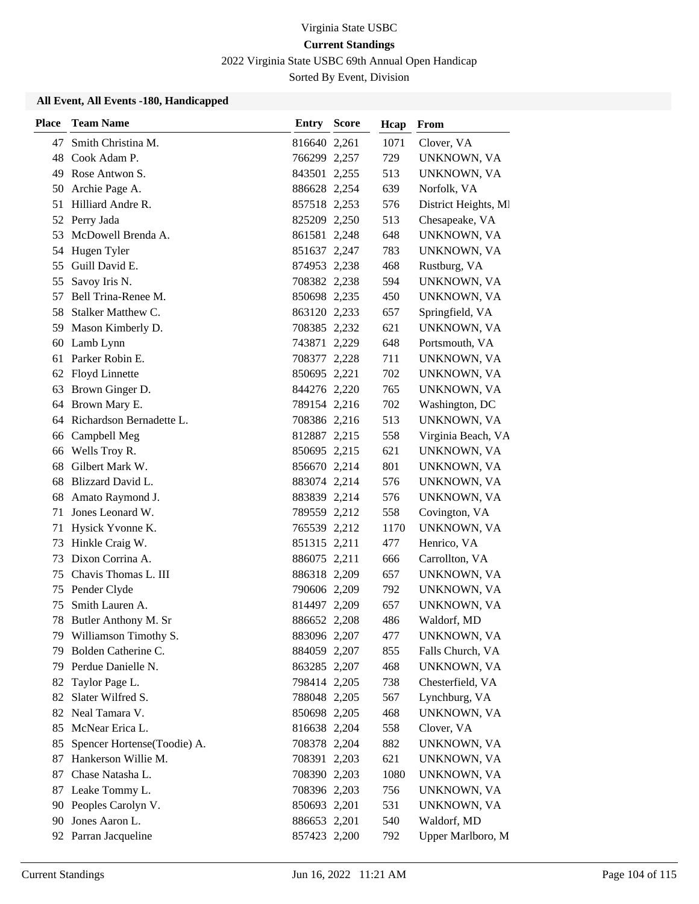2022 Virginia State USBC 69th Annual Open Handicap

Sorted By Event, Division

| <b>Place</b> | <b>Team Name</b>            | Entry        | <b>Score</b> | Hcap | From                 |
|--------------|-----------------------------|--------------|--------------|------|----------------------|
| 47           | Smith Christina M.          | 816640 2,261 |              | 1071 | Clover, VA           |
| 48           | Cook Adam P.                | 766299 2,257 |              | 729  | UNKNOWN, VA          |
| 49           | Rose Antwon S.              | 843501 2,255 |              | 513  | UNKNOWN, VA          |
| 50           | Archie Page A.              | 886628 2,254 |              | 639  | Norfolk, VA          |
|              | 51 Hilliard Andre R.        | 857518 2,253 |              | 576  | District Heights, MI |
| 52           | Perry Jada                  | 825209 2,250 |              | 513  | Chesapeake, VA       |
| 53           | McDowell Brenda A.          | 861581 2,248 |              | 648  | UNKNOWN, VA          |
| 54           | Hugen Tyler                 | 851637 2,247 |              | 783  | UNKNOWN, VA          |
| 55           | Guill David E.              | 874953 2,238 |              | 468  | Rustburg, VA         |
| 55           | Savoy Iris N.               | 708382 2,238 |              | 594  | UNKNOWN, VA          |
| 57           | Bell Trina-Renee M.         | 850698 2,235 |              | 450  | UNKNOWN, VA          |
| 58           | Stalker Matthew C.          | 863120 2,233 |              | 657  | Springfield, VA      |
| 59           | Mason Kimberly D.           | 708385 2,232 |              | 621  | UNKNOWN, VA          |
| 60           | Lamb Lynn                   | 743871 2,229 |              | 648  | Portsmouth, VA       |
| 61           | Parker Robin E.             | 708377 2,228 |              | 711  | UNKNOWN, VA          |
| 62           | <b>Floyd Linnette</b>       | 850695 2,221 |              | 702  | UNKNOWN, VA          |
| 63           | Brown Ginger D.             | 844276 2,220 |              | 765  | UNKNOWN, VA          |
| 64           | Brown Mary E.               | 789154 2,216 |              | 702  | Washington, DC       |
| 64           | Richardson Bernadette L.    | 708386 2,216 |              | 513  | UNKNOWN, VA          |
|              | 66 Campbell Meg             | 812887 2,215 |              | 558  | Virginia Beach, VA   |
|              | 66 Wells Troy R.            | 850695 2,215 |              | 621  | UNKNOWN, VA          |
| 68           | Gilbert Mark W.             | 856670 2,214 |              | 801  | UNKNOWN, VA          |
| 68           | Blizzard David L.           | 883074 2,214 |              | 576  | UNKNOWN, VA          |
| 68           | Amato Raymond J.            | 883839 2,214 |              | 576  | UNKNOWN, VA          |
| 71           | Jones Leonard W.            | 789559 2,212 |              | 558  | Covington, VA        |
| 71           | Hysick Yvonne K.            | 765539 2,212 |              | 1170 | UNKNOWN, VA          |
| 73           | Hinkle Craig W.             | 851315 2,211 |              | 477  | Henrico, VA          |
| 73           | Dixon Corrina A.            | 886075 2,211 |              | 666  | Carrollton, VA       |
| 75           | Chavis Thomas L. III        | 886318 2,209 |              | 657  | UNKNOWN, VA          |
| 75           | Pender Clyde                | 790606 2,209 |              | 792  | UNKNOWN, VA          |
| 75           | Smith Lauren A.             | 814497 2,209 |              | 657  | UNKNOWN, VA          |
| 78           | Butler Anthony M. Sr        | 886652 2,208 |              | 486  | Waldorf, MD          |
|              | 79 Williamson Timothy S.    | 883096 2,207 |              | 477  | UNKNOWN, VA          |
| 79           | Bolden Catherine C.         | 884059 2,207 |              | 855  | Falls Church, VA     |
| 79           | Perdue Danielle N.          | 863285 2,207 |              | 468  | UNKNOWN, VA          |
| 82           | Taylor Page L.              | 798414 2,205 |              | 738  | Chesterfield, VA     |
| 82           | Slater Wilfred S.           | 788048 2,205 |              | 567  | Lynchburg, VA        |
| 82           | Neal Tamara V.              | 850698 2,205 |              | 468  | UNKNOWN, VA          |
| 85           | McNear Erica L.             | 816638 2,204 |              | 558  | Clover, VA           |
| 85           | Spencer Hortense(Toodie) A. | 708378 2,204 |              | 882  | UNKNOWN, VA          |
| 87           | Hankerson Willie M.         | 708391 2,203 |              | 621  | UNKNOWN, VA          |
| 87           | Chase Natasha L.            | 708390 2,203 |              | 1080 | UNKNOWN, VA          |
| 87           | Leake Tommy L.              | 708396 2,203 |              | 756  | UNKNOWN, VA          |
| 90           | Peoples Carolyn V.          | 850693 2,201 |              | 531  | UNKNOWN, VA          |
| 90           | Jones Aaron L.              | 886653 2,201 |              | 540  | Waldorf, MD          |
| 92           | Parran Jacqueline           | 857423 2,200 |              | 792  | Upper Marlboro, M    |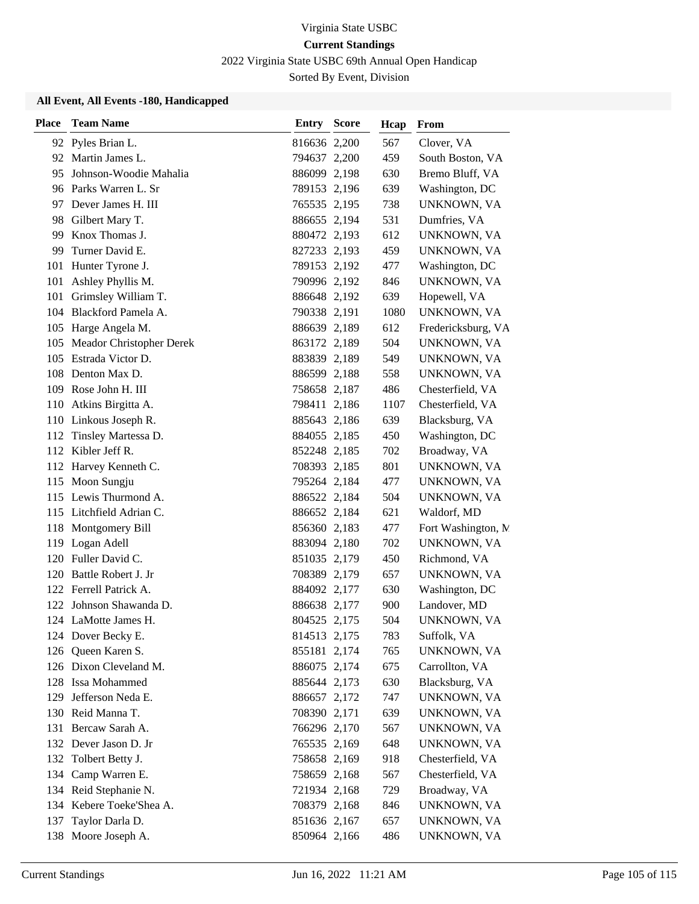2022 Virginia State USBC 69th Annual Open Handicap

Sorted By Event, Division

| <b>Place</b> | <b>Team Name</b>                | <b>Entry Score</b> | Hcap | From                |
|--------------|---------------------------------|--------------------|------|---------------------|
|              | 92 Pyles Brian L.               | 816636 2,200       | 567  | Clover, VA          |
| 92           | Martin James L.                 | 794637 2,200       | 459  | South Boston, VA    |
| 95           | Johnson-Woodie Mahalia          | 886099 2,198       | 630  | Bremo Bluff, VA     |
|              | 96 Parks Warren L. Sr           | 789153 2,196       | 639  | Washington, DC      |
|              | 97 Dever James H. III           | 765535 2,195       | 738  | UNKNOWN, VA         |
| 98           | Gilbert Mary T.                 | 886655 2,194       | 531  | Dumfries, VA        |
| 99           | Knox Thomas J.                  | 880472 2,193       | 612  | UNKNOWN, VA         |
|              | 99 Turner David E.              | 827233 2,193       | 459  | UNKNOWN, VA         |
| 101          | Hunter Tyrone J.                | 789153 2,192       | 477  | Washington, DC      |
| 101          | Ashley Phyllis M.               | 790996 2,192       | 846  | UNKNOWN, VA         |
|              | 101 Grimsley William T.         | 886648 2,192       | 639  | Hopewell, VA        |
|              | 104 Blackford Pamela A.         | 790338 2,191       | 1080 | UNKNOWN, VA         |
|              | 105 Harge Angela M.             | 886639 2,189       | 612  | Fredericksburg, VA  |
| 105          | <b>Meador Christopher Derek</b> | 863172 2,189       | 504  | UNKNOWN, VA         |
|              | 105 Estrada Victor D.           | 883839 2,189       | 549  | UNKNOWN, VA         |
|              | 108 Denton Max D.               | 886599 2,188       | 558  | UNKNOWN, VA         |
|              | 109 Rose John H. III            | 758658 2,187       | 486  | Chesterfield, VA    |
|              | 110 Atkins Birgitta A.          | 798411 2,186       | 1107 | Chesterfield, VA    |
|              | 110 Linkous Joseph R.           | 885643 2,186       | 639  | Blacksburg, VA      |
|              | 112 Tinsley Martessa D.         | 884055 2,185       | 450  | Washington, DC      |
|              | 112 Kibler Jeff R.              | 852248 2,185       | 702  | Broadway, VA        |
|              | 112 Harvey Kenneth C.           | 708393 2,185       | 801  | UNKNOWN, VA         |
|              | 115 Moon Sungju                 | 795264 2,184       | 477  | UNKNOWN, VA         |
|              | 115 Lewis Thurmond A.           | 886522 2,184       | 504  | UNKNOWN, VA         |
|              | 115 Litchfield Adrian C.        | 886652 2,184       | 621  | Waldorf, MD         |
| 118          | Montgomery Bill                 | 856360 2,183       | 477  | Fort Washington, N. |
| 119          | Logan Adell                     | 883094 2,180       | 702  | UNKNOWN, VA         |
|              | 120 Fuller David C.             | 851035 2,179       | 450  | Richmond, VA        |
| 120          | Battle Robert J. Jr             | 708389 2,179       | 657  | UNKNOWN, VA         |
|              | 122 Ferrell Patrick A.          | 884092 2,177       | 630  | Washington, DC      |
|              | 122 Johnson Shawanda D.         | 886638 2,177       | 900  | Landover, MD        |
|              | 124 LaMotte James H.            | 804525 2,175       | 504  | UNKNOWN, VA         |
|              | 124 Dover Becky E.              | 814513 2,175       | 783  | Suffolk, VA         |
|              | 126 Queen Karen S.              | 855181 2,174       | 765  | UNKNOWN, VA         |
|              | 126 Dixon Cleveland M.          | 886075 2,174       | 675  | Carrollton, VA      |
|              | 128 Issa Mohammed               | 885644 2,173       | 630  | Blacksburg, VA      |
| 129          | Jefferson Neda E.               | 886657 2,172       | 747  | UNKNOWN, VA         |
|              | 130 Reid Manna T.               | 708390 2,171       | 639  | UNKNOWN, VA         |
| 131          | Bercaw Sarah A.                 | 766296 2,170       | 567  | UNKNOWN, VA         |
|              | 132 Dever Jason D. Jr           | 765535 2,169       | 648  | UNKNOWN, VA         |
|              | 132 Tolbert Betty J.            | 758658 2,169       | 918  | Chesterfield, VA    |
|              | 134 Camp Warren E.              | 758659 2,168       | 567  | Chesterfield, VA    |
|              | 134 Reid Stephanie N.           | 721934 2,168       | 729  | Broadway, VA        |
|              | 134 Kebere Toeke'Shea A.        | 708379 2,168       | 846  | UNKNOWN, VA         |
| 137          | Taylor Darla D.                 | 851636 2,167       | 657  | UNKNOWN, VA         |
|              | 138 Moore Joseph A.             | 850964 2,166       | 486  | UNKNOWN, VA         |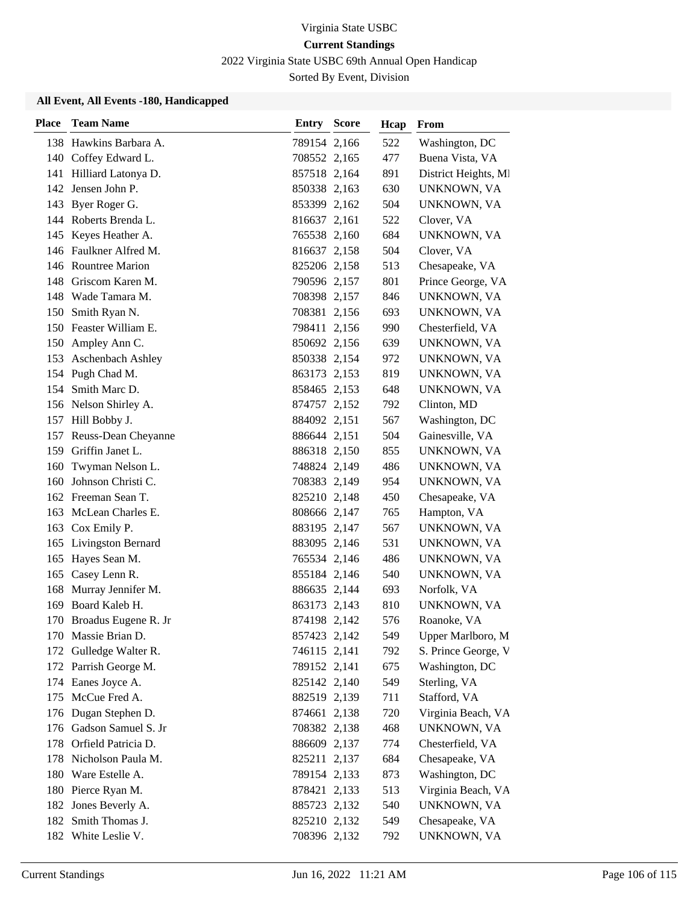2022 Virginia State USBC 69th Annual Open Handicap

Sorted By Event, Division

| <b>Place</b> | <b>Team Name</b>         | <b>Entry Score</b> | Hcap | From                 |
|--------------|--------------------------|--------------------|------|----------------------|
|              | 138 Hawkins Barbara A.   | 789154 2,166       | 522  | Washington, DC       |
|              | 140 Coffey Edward L.     | 708552 2,165       | 477  | Buena Vista, VA      |
|              | 141 Hilliard Latonya D.  | 857518 2,164       | 891  | District Heights, MI |
|              | 142 Jensen John P.       | 850338 2,163       | 630  | UNKNOWN, VA          |
|              | 143 Byer Roger G.        | 853399 2,162       | 504  | UNKNOWN, VA          |
|              | 144 Roberts Brenda L.    | 816637 2,161       | 522  | Clover, VA           |
|              | 145 Keyes Heather A.     | 765538 2,160       | 684  | UNKNOWN, VA          |
|              | 146 Faulkner Alfred M.   | 816637 2,158       | 504  | Clover, VA           |
|              | 146 Rountree Marion      | 825206 2,158       | 513  | Chesapeake, VA       |
| 148          | Griscom Karen M.         | 790596 2,157       | 801  | Prince George, VA    |
|              | 148 Wade Tamara M.       | 708398 2,157       | 846  | UNKNOWN, VA          |
| 150          | Smith Ryan N.            | 708381 2,156       | 693  | UNKNOWN, VA          |
|              | 150 Feaster William E.   | 798411 2,156       | 990  | Chesterfield, VA     |
|              | 150 Ampley Ann C.        | 850692 2,156       | 639  | UNKNOWN, VA          |
| 153          | <b>Aschenbach Ashley</b> | 850338 2,154       | 972  | UNKNOWN, VA          |
|              | 154 Pugh Chad M.         | 863173 2,153       | 819  | UNKNOWN, VA          |
| 154          | Smith Marc D.            | 858465 2,153       | 648  | UNKNOWN, VA          |
|              | 156 Nelson Shirley A.    | 874757 2,152       | 792  | Clinton, MD          |
|              | 157 Hill Bobby J.        | 884092 2,151       | 567  | Washington, DC       |
|              | 157 Reuss-Dean Cheyanne  | 886644 2,151       | 504  | Gainesville, VA      |
|              | 159 Griffin Janet L.     | 886318 2,150       | 855  | UNKNOWN, VA          |
| 160          | Twyman Nelson L.         | 748824 2,149       | 486  | UNKNOWN, VA          |
| 160          | Johnson Christi C.       | 708383 2,149       | 954  | UNKNOWN, VA          |
|              | 162 Freeman Sean T.      | 825210 2,148       | 450  | Chesapeake, VA       |
| 163          | McLean Charles E.        | 808666 2,147       | 765  | Hampton, VA          |
|              | 163 Cox Emily P.         | 883195 2,147       | 567  | UNKNOWN, VA          |
|              | 165 Livingston Bernard   | 883095 2,146       | 531  | UNKNOWN, VA          |
|              | 165 Hayes Sean M.        | 765534 2,146       | 486  | UNKNOWN, VA          |
| 165          | Casey Lenn R.            | 855184 2,146       | 540  | UNKNOWN, VA          |
| 168          | Murray Jennifer M.       | 886635 2,144       | 693  | Norfolk, VA          |
| 169          | Board Kaleb H.           | 863173 2,143       | 810  | UNKNOWN, VA          |
|              | 170 Broadus Eugene R. Jr | 874198 2,142       | 576  | Roanoke, VA          |
|              | 170 Massie Brian D.      | 857423 2,142       | 549  | Upper Marlboro, M    |
| 172          | Gulledge Walter R.       | 746115 2,141       | 792  | S. Prince George, V  |
|              | 172 Parrish George M.    | 789152 2,141       | 675  | Washington, DC       |
|              | 174 Eanes Joyce A.       | 825142 2,140       | 549  | Sterling, VA         |
|              | 175 McCue Fred A.        | 882519 2,139       | 711  | Stafford, VA         |
|              | 176 Dugan Stephen D.     | 874661 2,138       | 720  | Virginia Beach, VA   |
| 176          | Gadson Samuel S. Jr      | 708382 2,138       | 468  | UNKNOWN, VA          |
|              | 178 Orfield Patricia D.  | 886609 2,137       | 774  | Chesterfield, VA     |
| 178          | Nicholson Paula M.       | 825211 2,137       | 684  | Chesapeake, VA       |
|              | 180 Ware Estelle A.      | 789154 2,133       | 873  | Washington, DC       |
|              | 180 Pierce Ryan M.       | 878421 2,133       | 513  | Virginia Beach, VA   |
|              | 182 Jones Beverly A.     | 885723 2,132       | 540  | UNKNOWN, VA          |
|              | 182 Smith Thomas J.      | 825210 2,132       | 549  | Chesapeake, VA       |
|              | 182 White Leslie V.      | 708396 2,132       | 792  | UNKNOWN, VA          |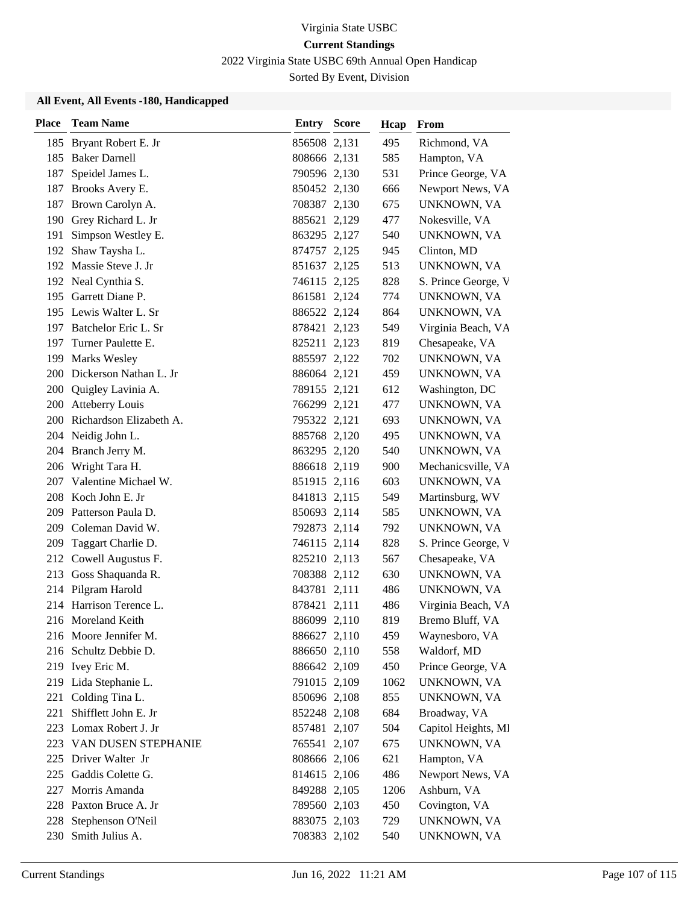2022 Virginia State USBC 69th Annual Open Handicap

Sorted By Event, Division

| <b>Place</b> | <b>Team Name</b>           | Entry        | <b>Score</b> | Hcap | From                |
|--------------|----------------------------|--------------|--------------|------|---------------------|
|              | 185 Bryant Robert E. Jr    | 856508 2,131 |              | 495  | Richmond, VA        |
|              | 185 Baker Darnell          | 808666 2,131 |              | 585  | Hampton, VA         |
| 187          | Speidel James L.           | 790596 2,130 |              | 531  | Prince George, VA   |
|              | 187 Brooks Avery E.        | 850452 2,130 |              | 666  | Newport News, VA    |
| 187          | Brown Carolyn A.           | 708387 2,130 |              | 675  | UNKNOWN, VA         |
| 190          | Grey Richard L. Jr         | 885621 2,129 |              | 477  | Nokesville, VA      |
| 191          | Simpson Westley E.         | 863295 2,127 |              | 540  | UNKNOWN, VA         |
| 192          | Shaw Taysha L.             | 874757 2,125 |              | 945  | Clinton, MD         |
|              | 192 Massie Steve J. Jr     | 851637 2,125 |              | 513  | UNKNOWN, VA         |
|              | 192 Neal Cynthia S.        | 746115 2,125 |              | 828  | S. Prince George, V |
| 195          | Garrett Diane P.           | 861581 2,124 |              | 774  | UNKNOWN, VA         |
|              | 195 Lewis Walter L. Sr     | 886522 2,124 |              | 864  | UNKNOWN, VA         |
|              | 197 Batchelor Eric L. Sr   | 878421 2,123 |              | 549  | Virginia Beach, VA  |
| 197          | Turner Paulette E.         | 825211 2,123 |              | 819  | Chesapeake, VA      |
| 199          | Marks Wesley               | 885597 2,122 |              | 702  | UNKNOWN, VA         |
|              | 200 Dickerson Nathan L. Jr | 886064 2,121 |              | 459  | UNKNOWN, VA         |
| 200          | Quigley Lavinia A.         | 789155 2,121 |              | 612  | Washington, DC      |
| 200          | <b>Atteberry Louis</b>     | 766299 2,121 |              | 477  | UNKNOWN, VA         |
| 200          | Richardson Elizabeth A.    | 795322 2,121 |              | 693  | UNKNOWN, VA         |
|              | 204 Neidig John L.         | 885768 2,120 |              | 495  | UNKNOWN, VA         |
|              | 204 Branch Jerry M.        | 863295 2,120 |              | 540  | UNKNOWN, VA         |
|              | 206 Wright Tara H.         | 886618 2,119 |              | 900  | Mechanicsville, VA  |
| 207          | Valentine Michael W.       | 851915 2,116 |              | 603  | UNKNOWN, VA         |
| 208          | Koch John E. Jr            | 841813 2,115 |              | 549  | Martinsburg, WV     |
| 209          | Patterson Paula D.         | 850693 2,114 |              | 585  | UNKNOWN, VA         |
| 209          | Coleman David W.           | 792873 2,114 |              | 792  | UNKNOWN, VA         |
| 209          | Taggart Charlie D.         | 746115 2,114 |              | 828  | S. Prince George, V |
| 212          | Cowell Augustus F.         | 825210 2,113 |              | 567  | Chesapeake, VA      |
| 213          | Goss Shaquanda R.          | 708388 2,112 |              | 630  | UNKNOWN, VA         |
|              | 214 Pilgram Harold         | 843781 2,111 |              | 486  | UNKNOWN, VA         |
|              | 214 Harrison Terence L.    | 878421 2,111 |              | 486  | Virginia Beach, VA  |
|              | 216 Moreland Keith         | 886099 2,110 |              | 819  | Bremo Bluff, VA     |
|              | 216 Moore Jennifer M.      | 886627 2,110 |              | 459  | Waynesboro, VA      |
|              | 216 Schultz Debbie D.      | 886650 2,110 |              | 558  | Waldorf, MD         |
| 219          | Ivey Eric M.               | 886642 2,109 |              | 450  | Prince George, VA   |
|              | 219 Lida Stephanie L.      | 791015 2,109 |              | 1062 | UNKNOWN, VA         |
| 221          | Colding Tina L.            | 850696 2,108 |              | 855  | UNKNOWN, VA         |
| 221          | Shifflett John E. Jr       | 852248 2,108 |              | 684  | Broadway, VA        |
| 223          | Lomax Robert J. Jr         | 857481 2,107 |              | 504  | Capitol Heights, MI |
| 223          | VAN DUSEN STEPHANIE        | 765541 2,107 |              | 675  | UNKNOWN, VA         |
|              | 225 Driver Walter Jr       | 808666 2,106 |              | 621  | Hampton, VA         |
|              | 225 Gaddis Colette G.      | 814615 2,106 |              | 486  | Newport News, VA    |
| 227          | Morris Amanda              | 849288 2,105 |              | 1206 | Ashburn, VA         |
|              | 228 Paxton Bruce A. Jr     | 789560 2,103 |              | 450  | Covington, VA       |
| 228          | Stephenson O'Neil          | 883075 2,103 |              | 729  | UNKNOWN, VA         |
| 230          | Smith Julius A.            | 708383 2,102 |              | 540  | UNKNOWN, VA         |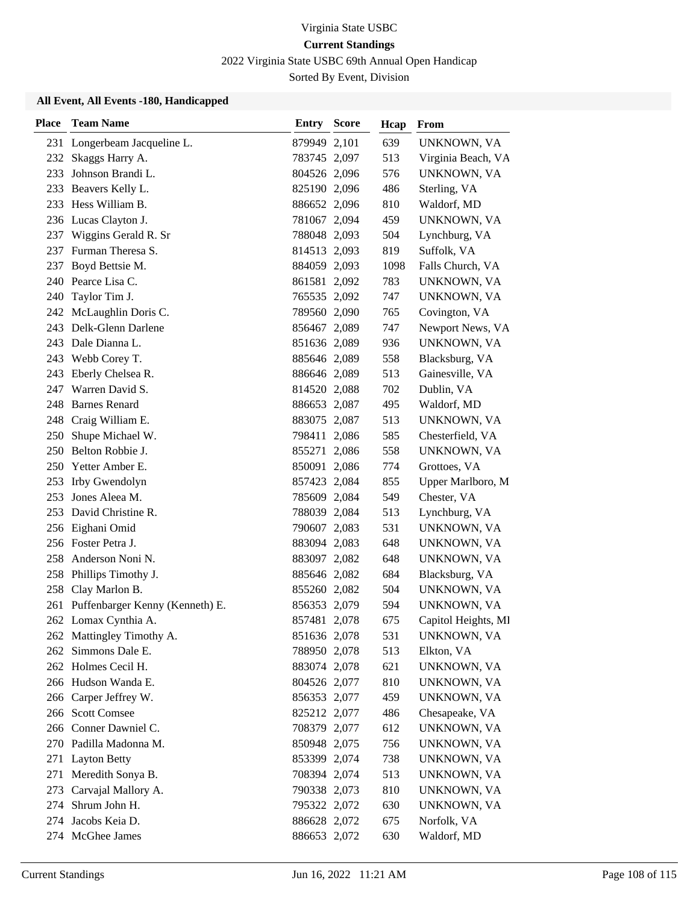2022 Virginia State USBC 69th Annual Open Handicap

Sorted By Event, Division

| <b>Place</b> | <b>Team Name</b>                    | <b>Entry Score</b> | Hcap | From                |
|--------------|-------------------------------------|--------------------|------|---------------------|
|              | 231 Longerbeam Jacqueline L.        | 879949 2,101       | 639  | UNKNOWN, VA         |
| 232          | Skaggs Harry A.                     | 783745 2,097       | 513  | Virginia Beach, VA  |
| 233          | Johnson Brandi L.                   | 804526 2,096       | 576  | UNKNOWN, VA         |
|              | 233 Beavers Kelly L.                | 825190 2,096       | 486  | Sterling, VA        |
|              | 233 Hess William B.                 | 886652 2,096       | 810  | Waldorf, MD         |
|              | 236 Lucas Clayton J.                | 781067 2,094       | 459  | UNKNOWN, VA         |
| 237          | Wiggins Gerald R. Sr                | 788048 2,093       | 504  | Lynchburg, VA       |
|              | 237 Furman Theresa S.               | 814513 2,093       | 819  | Suffolk, VA         |
| 237          | Boyd Bettsie M.                     | 884059 2,093       | 1098 | Falls Church, VA    |
|              | 240 Pearce Lisa C.                  | 861581 2,092       | 783  | UNKNOWN, VA         |
| 240          | Taylor Tim J.                       | 765535 2,092       | 747  | UNKNOWN, VA         |
|              | 242 McLaughlin Doris C.             | 789560 2,090       | 765  | Covington, VA       |
|              | 243 Delk-Glenn Darlene              | 856467 2,089       | 747  | Newport News, VA    |
| 243          | Dale Dianna L.                      | 851636 2,089       | 936  | UNKNOWN, VA         |
| 243          | Webb Corey T.                       | 885646 2,089       | 558  | Blacksburg, VA      |
|              | 243 Eberly Chelsea R.               | 886646 2,089       | 513  | Gainesville, VA     |
| 247          | Warren David S.                     | 814520 2,088       | 702  | Dublin, VA          |
| 248          | <b>Barnes Renard</b>                | 886653 2,087       | 495  | Waldorf, MD         |
| 248          | Craig William E.                    | 883075 2,087       | 513  | UNKNOWN, VA         |
| 250          | Shupe Michael W.                    | 798411 2,086       | 585  | Chesterfield, VA    |
|              | 250 Belton Robbie J.                | 855271 2,086       | 558  | UNKNOWN, VA         |
|              | 250 Yetter Amber E.                 | 850091 2,086       | 774  | Grottoes, VA        |
| 253          | Irby Gwendolyn                      | 857423 2,084       | 855  | Upper Marlboro, M   |
| 253          | Jones Aleea M.                      | 785609 2,084       | 549  | Chester, VA         |
| 253          | David Christine R.                  | 788039 2,084       | 513  | Lynchburg, VA       |
|              | 256 Eighani Omid                    | 790607 2,083       | 531  | UNKNOWN, VA         |
|              | 256 Foster Petra J.                 | 883094 2,083       | 648  | UNKNOWN, VA         |
|              | 258 Anderson Noni N.                | 883097 2,082       | 648  | UNKNOWN, VA         |
|              | 258 Phillips Timothy J.             | 885646 2,082       | 684  | Blacksburg, VA      |
|              | 258 Clay Marlon B.                  | 855260 2,082       | 504  | UNKNOWN, VA         |
|              | 261 Puffenbarger Kenny (Kenneth) E. | 856353 2,079       | 594  | UNKNOWN, VA         |
|              | 262 Lomax Cynthia A.                | 857481 2,078       | 675  | Capitol Heights, MI |
|              | 262 Mattingley Timothy A.           | 851636 2,078       | 531  | UNKNOWN, VA         |
| 262          | Simmons Dale E.                     | 788950 2,078       | 513  | Elkton, VA          |
|              | 262 Holmes Cecil H.                 | 883074 2,078       | 621  | UNKNOWN, VA         |
|              | 266 Hudson Wanda E.                 | 804526 2,077       | 810  | UNKNOWN, VA         |
|              | 266 Carper Jeffrey W.               | 856353 2,077       | 459  | UNKNOWN, VA         |
|              | 266 Scott Comsee                    | 825212 2,077       | 486  | Chesapeake, VA      |
|              | 266 Conner Dawniel C.               | 708379 2,077       | 612  | UNKNOWN, VA         |
|              | 270 Padilla Madonna M.              | 850948 2,075       | 756  | UNKNOWN, VA         |
| 271          | <b>Layton Betty</b>                 | 853399 2,074       | 738  | UNKNOWN, VA         |
| 271          | Meredith Sonya B.                   | 708394 2,074       | 513  | UNKNOWN, VA         |
| 273          | Carvajal Mallory A.                 | 790338 2,073       | 810  | UNKNOWN, VA         |
| 274          | Shrum John H.                       | 795322 2,072       | 630  | UNKNOWN, VA         |
| 274          | Jacobs Keia D.                      | 886628 2,072       | 675  | Norfolk, VA         |
|              | 274 McGhee James                    | 886653 2,072       | 630  | Waldorf, MD         |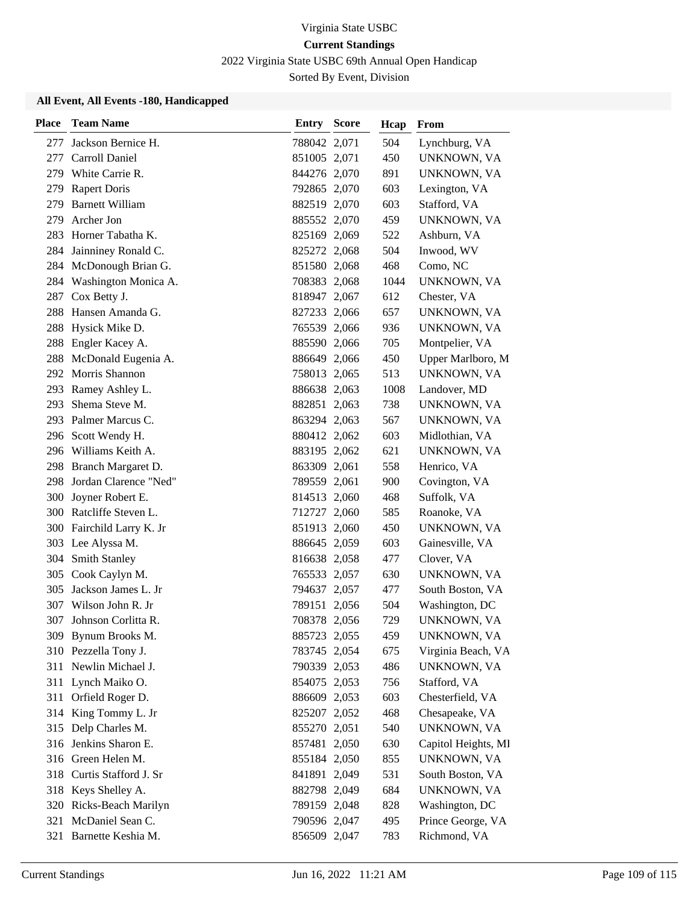2022 Virginia State USBC 69th Annual Open Handicap

Sorted By Event, Division

| <b>Place</b> | <b>Team Name</b>          | <b>Entry Score</b> | Hcap | From                |
|--------------|---------------------------|--------------------|------|---------------------|
| 277          | Jackson Bernice H.        | 788042 2,071       | 504  | Lynchburg, VA       |
| 277          | Carroll Daniel            | 851005 2,071       | 450  | UNKNOWN, VA         |
| 279.         | White Carrie R.           | 844276 2,070       | 891  | UNKNOWN, VA         |
| 279          | <b>Rapert Doris</b>       | 792865 2,070       | 603  | Lexington, VA       |
| 279          | <b>Barnett William</b>    | 882519 2,070       | 603  | Stafford, VA        |
| 279          | Archer Jon                | 885552 2,070       | 459  | UNKNOWN, VA         |
| 283          | Horner Tabatha K.         | 825169 2,069       | 522  | Ashburn, VA         |
|              | 284 Jainniney Ronald C.   | 825272 2,068       | 504  | Inwood, WV          |
|              | 284 McDonough Brian G.    | 851580 2,068       | 468  | Como, NC            |
| 284          | Washington Monica A.      | 708383 2,068       | 1044 | UNKNOWN, VA         |
| 287          | Cox Betty J.              | 818947 2,067       | 612  | Chester, VA         |
| 288          | Hansen Amanda G.          | 827233 2,066       | 657  | UNKNOWN, VA         |
| 288          | Hysick Mike D.            | 765539 2,066       | 936  | UNKNOWN, VA         |
| 288          | Engler Kacey A.           | 885590 2,066       | 705  | Montpelier, VA      |
| 288          | McDonald Eugenia A.       | 886649 2,066       | 450  | Upper Marlboro, M   |
|              | 292 Morris Shannon        | 758013 2,065       | 513  | UNKNOWN, VA         |
| 293          | Ramey Ashley L.           | 886638 2,063       | 1008 | Landover, MD        |
| 293          | Shema Steve M.            | 882851 2,063       | 738  | UNKNOWN, VA         |
|              | 293 Palmer Marcus C.      | 863294 2,063       | 567  | UNKNOWN, VA         |
|              | 296 Scott Wendy H.        | 880412 2,062       | 603  | Midlothian, VA      |
|              | 296 Williams Keith A.     | 883195 2,062       | 621  | UNKNOWN, VA         |
| 298          | Branch Margaret D.        | 863309 2,061       | 558  | Henrico, VA         |
| 298          | Jordan Clarence "Ned"     | 789559 2,061       | 900  | Covington, VA       |
| 300          | Joyner Robert E.          | 814513 2,060       | 468  | Suffolk, VA         |
| 300          | Ratcliffe Steven L.       | 712727 2,060       | 585  | Roanoke, VA         |
|              | 300 Fairchild Larry K. Jr | 851913 2,060       | 450  | UNKNOWN, VA         |
|              | 303 Lee Alyssa M.         | 886645 2,059       | 603  | Gainesville, VA     |
|              | 304 Smith Stanley         | 816638 2,058       | 477  | Clover, VA          |
|              | 305 Cook Caylyn M.        | 765533 2,057       | 630  | UNKNOWN, VA         |
| 305          | Jackson James L. Jr       | 794637 2,057       | 477  | South Boston, VA    |
| 307          | Wilson John R. Jr         | 789151 2,056       | 504  | Washington, DC      |
| 307          | Johnson Corlitta R.       | 708378 2,056       | 729  | UNKNOWN, VA         |
|              | 309 Bynum Brooks M.       | 885723 2,055       | 459  | UNKNOWN, VA         |
|              | 310 Pezzella Tony J.      | 783745 2,054       | 675  | Virginia Beach, VA  |
| 311          | Newlin Michael J.         | 790339 2,053       | 486  | UNKNOWN, VA         |
|              | 311 Lynch Maiko O.        | 854075 2,053       | 756  | Stafford, VA        |
| 311          | Orfield Roger D.          | 886609 2,053       | 603  | Chesterfield, VA    |
| 314          | King Tommy L. Jr          | 825207 2,052       | 468  | Chesapeake, VA      |
|              | 315 Delp Charles M.       | 855270 2,051       | 540  | UNKNOWN, VA         |
|              | 316 Jenkins Sharon E.     | 857481 2,050       | 630  | Capitol Heights, Ml |
|              | 316 Green Helen M.        | 855184 2,050       | 855  | UNKNOWN, VA         |
| 318          | Curtis Stafford J. Sr     | 841891 2,049       | 531  | South Boston, VA    |
|              | 318 Keys Shelley A.       | 882798 2,049       | 684  | UNKNOWN, VA         |
|              | 320 Ricks-Beach Marilyn   | 789159 2,048       | 828  | Washington, DC      |
| 321          | McDaniel Sean C.          | 790596 2,047       | 495  | Prince George, VA   |
|              | 321 Barnette Keshia M.    | 856509 2,047       | 783  | Richmond, VA        |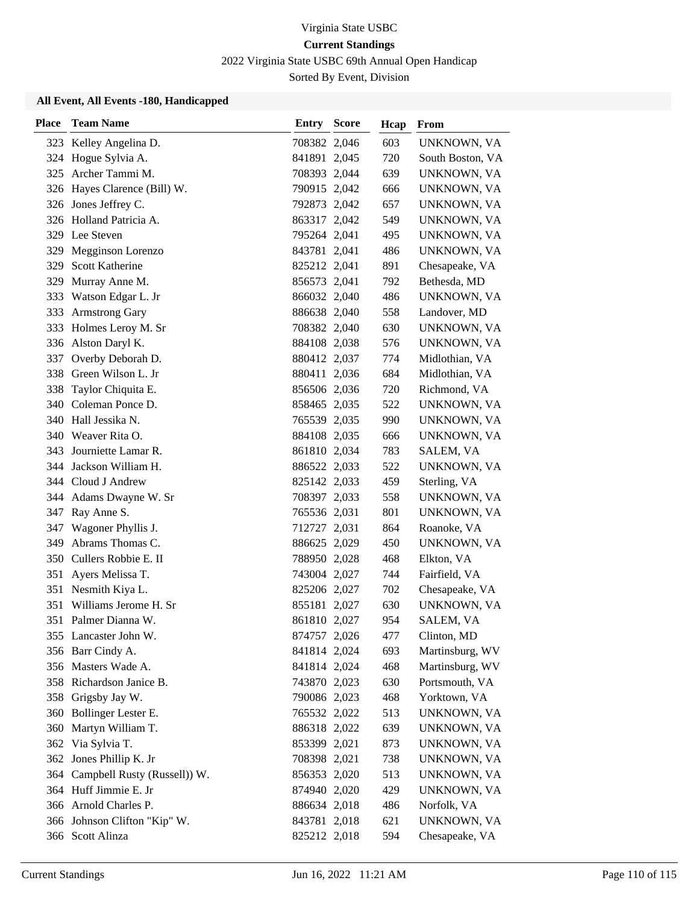2022 Virginia State USBC 69th Annual Open Handicap

Sorted By Event, Division

| <b>Place</b> | <b>Team Name</b>             | Entry        | <b>Score</b> | Hcap | From             |
|--------------|------------------------------|--------------|--------------|------|------------------|
|              | 323 Kelley Angelina D.       | 708382 2,046 |              | 603  | UNKNOWN, VA      |
| 324          | Hogue Sylvia A.              | 841891 2,045 |              | 720  | South Boston, VA |
|              | 325 Archer Tammi M.          | 708393 2,044 |              | 639  | UNKNOWN, VA      |
|              | 326 Hayes Clarence (Bill) W. | 790915 2,042 |              | 666  | UNKNOWN, VA      |
|              | 326 Jones Jeffrey C.         | 792873 2,042 |              | 657  | UNKNOWN, VA      |
|              | 326 Holland Patricia A.      | 863317 2,042 |              | 549  | UNKNOWN, VA      |
|              | 329 Lee Steven               | 795264 2,041 |              | 495  | UNKNOWN, VA      |
| 329          | Megginson Lorenzo            | 843781 2,041 |              | 486  | UNKNOWN, VA      |
| 329          | <b>Scott Katherine</b>       | 825212 2,041 |              | 891  | Chesapeake, VA   |
| 329          | Murray Anne M.               | 856573 2,041 |              | 792  | Bethesda, MD     |
| 333          | Watson Edgar L. Jr           | 866032 2,040 |              | 486  | UNKNOWN, VA      |
| 333          | <b>Armstrong Gary</b>        | 886638 2,040 |              | 558  | Landover, MD     |
| 333          | Holmes Leroy M. Sr           | 708382 2,040 |              | 630  | UNKNOWN, VA      |
|              | 336 Alston Daryl K.          | 884108 2,038 |              | 576  | UNKNOWN, VA      |
| 337          | Overby Deborah D.            | 880412 2,037 |              | 774  | Midlothian, VA   |
|              | 338 Green Wilson L. Jr       | 880411 2,036 |              | 684  | Midlothian, VA   |
| 338          | Taylor Chiquita E.           | 856506 2,036 |              | 720  | Richmond, VA     |
| 340          | Coleman Ponce D.             | 858465 2,035 |              | 522  | UNKNOWN, VA      |
|              | 340 Hall Jessika N.          | 765539 2,035 |              | 990  | UNKNOWN, VA      |
| 340-         | Weaver Rita O.               | 884108 2,035 |              | 666  | UNKNOWN, VA      |
| 343.         | Journiette Lamar R.          | 861810 2,034 |              | 783  | SALEM, VA        |
| 344          | Jackson William H.           | 886522 2,033 |              | 522  | UNKNOWN, VA      |
|              | 344 Cloud J Andrew           | 825142 2,033 |              | 459  | Sterling, VA     |
|              | 344 Adams Dwayne W. Sr       | 708397 2,033 |              | 558  | UNKNOWN, VA      |
| 347          | Ray Anne S.                  | 765536 2,031 |              | 801  | UNKNOWN, VA      |
| 347          | Wagoner Phyllis J.           | 712727 2,031 |              | 864  | Roanoke, VA      |
| 349          | Abrams Thomas C.             | 886625 2,029 |              | 450  | UNKNOWN, VA      |
| 350 -        | Cullers Robbie E. II         | 788950 2,028 |              | 468  | Elkton, VA       |
| 351          | Ayers Melissa T.             | 743004 2,027 |              | 744  | Fairfield, VA    |
| 351          | Nesmith Kiya L.              | 825206 2,027 |              | 702  | Chesapeake, VA   |
| 351          | Williams Jerome H. Sr        | 855181 2,027 |              | 630  | UNKNOWN, VA      |
|              | 351 Palmer Dianna W.         | 861810 2,027 |              | 954  | SALEM, VA        |
|              | 355 Lancaster John W.        | 874757 2,026 |              | 477  | Clinton, MD      |
|              | 356 Barr Cindy A.            | 841814 2,024 |              | 693  | Martinsburg, WV  |
|              | 356 Masters Wade A.          | 841814 2,024 |              | 468  | Martinsburg, WV  |
|              | 358 Richardson Janice B.     | 743870 2,023 |              | 630  | Portsmouth, VA   |
|              | 358 Grigsby Jay W.           | 790086 2,023 |              | 468  | Yorktown, VA     |
| 360          | Bollinger Lester E.          | 765532 2,022 |              | 513  | UNKNOWN, VA      |
| 360          | Martyn William T.            | 886318 2,022 |              | 639  | UNKNOWN, VA      |
|              | 362 Via Sylvia T.            | 853399 2,021 |              | 873  | UNKNOWN, VA      |
|              | 362 Jones Phillip K. Jr      | 708398 2,021 |              | 738  | UNKNOWN, VA      |
| 364          | Campbell Rusty (Russell)) W. | 856353 2,020 |              | 513  | UNKNOWN, VA      |
|              | 364 Huff Jimmie E. Jr        | 874940 2,020 |              | 429  | UNKNOWN, VA      |
|              | 366 Arnold Charles P.        | 886634 2,018 |              | 486  | Norfolk, VA      |
|              | 366 Johnson Clifton "Kip" W. | 843781 2,018 |              | 621  | UNKNOWN, VA      |
|              | 366 Scott Alinza             | 825212 2,018 |              | 594  | Chesapeake, VA   |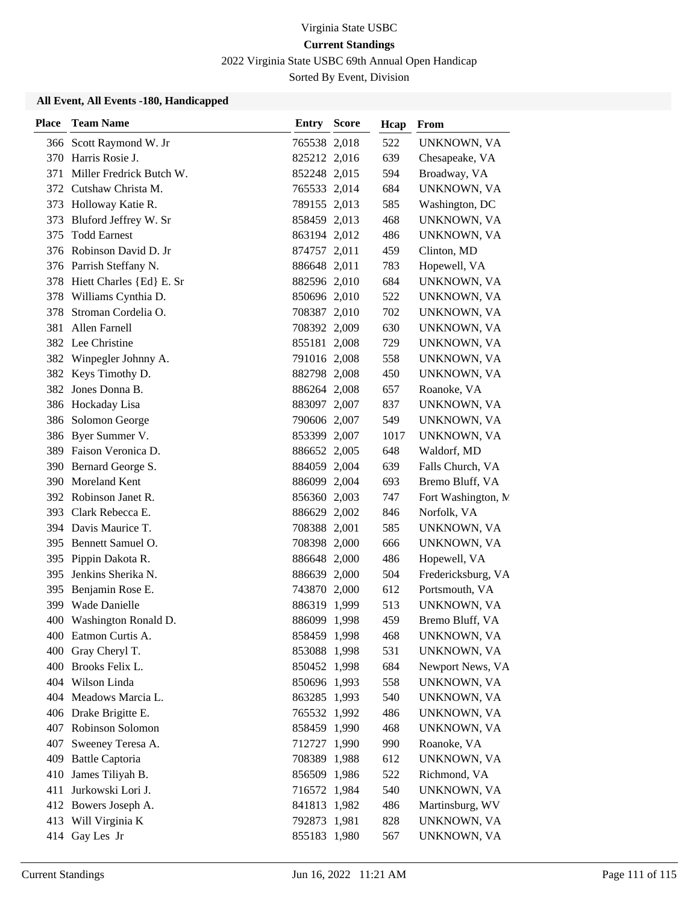2022 Virginia State USBC 69th Annual Open Handicap

Sorted By Event, Division

| <b>Place</b> | <b>Team Name</b>             | <b>Entry Score</b> | Hcap | From                |
|--------------|------------------------------|--------------------|------|---------------------|
|              | 366 Scott Raymond W. Jr      | 765538 2,018       | 522  | UNKNOWN, VA         |
|              | 370 Harris Rosie J.          | 825212 2,016       | 639  | Chesapeake, VA      |
| 371          | Miller Fredrick Butch W.     | 852248 2,015       | 594  | Broadway, VA        |
|              | 372 Cutshaw Christa M.       | 765533 2,014       | 684  | UNKNOWN, VA         |
|              | 373 Holloway Katie R.        | 789155 2,013       | 585  | Washington, DC      |
| 373          | Bluford Jeffrey W. Sr        | 858459 2,013       | 468  | UNKNOWN, VA         |
| 375          | <b>Todd Earnest</b>          | 863194 2,012       | 486  | UNKNOWN, VA         |
|              | 376 Robinson David D. Jr     | 874757 2,011       | 459  | Clinton, MD         |
|              | 376 Parrish Steffany N.      | 886648 2,011       | 783  | Hopewell, VA        |
|              | 378 Hiett Charles {Ed} E. Sr | 882596 2,010       | 684  | UNKNOWN, VA         |
| 378          | Williams Cynthia D.          | 850696 2,010       | 522  | UNKNOWN, VA         |
| 378          | Stroman Cordelia O.          | 708387 2,010       | 702  | UNKNOWN, VA         |
| 381          | Allen Farnell                | 708392 2,009       | 630  | UNKNOWN, VA         |
|              | 382 Lee Christine            | 855181 2,008       | 729  | UNKNOWN, VA         |
|              | 382 Winpegler Johnny A.      | 791016 2,008       | 558  | UNKNOWN, VA         |
|              | 382 Keys Timothy D.          | 882798 2,008       | 450  | UNKNOWN, VA         |
|              | 382 Jones Donna B.           | 886264 2,008       | 657  | Roanoke, VA         |
|              | 386 Hockaday Lisa            | 883097 2,007       | 837  | UNKNOWN, VA         |
| 386          | Solomon George               | 790606 2,007       | 549  | UNKNOWN, VA         |
|              | 386 Byer Summer V.           | 853399 2,007       | 1017 | UNKNOWN, VA         |
|              | 389 Faison Veronica D.       | 886652 2,005       | 648  | Waldorf, MD         |
| 390          | Bernard George S.            | 884059 2,004       | 639  | Falls Church, VA    |
| 390          | Moreland Kent                | 886099 2,004       | 693  | Bremo Bluff, VA     |
|              | 392 Robinson Janet R.        | 856360 2,003       | 747  | Fort Washington, N. |
|              | 393 Clark Rebecca E.         | 886629 2,002       | 846  | Norfolk, VA         |
| 394          | Davis Maurice T.             | 708388 2,001       | 585  | UNKNOWN, VA         |
| 395          | Bennett Samuel O.            | 708398 2,000       | 666  | UNKNOWN, VA         |
|              | 395 Pippin Dakota R.         | 886648 2,000       | 486  | Hopewell, VA        |
| 395          | Jenkins Sherika N.           | 886639 2,000       | 504  | Fredericksburg, VA  |
| 395          | Benjamin Rose E.             | 743870 2,000       | 612  | Portsmouth, VA      |
| 399          | Wade Danielle                | 886319 1,999       | 513  | UNKNOWN, VA         |
| 400          | Washington Ronald D.         | 886099 1,998       | 459  | Bremo Bluff, VA     |
|              | 400 Eatmon Curtis A.         | 858459 1,998       | 468  | UNKNOWN, VA         |
|              | 400 Gray Cheryl T.           | 853088 1,998       | 531  | UNKNOWN, VA         |
|              | 400 Brooks Felix L.          | 850452 1,998       | 684  | Newport News, VA    |
|              | 404 Wilson Linda             | 850696 1,993       | 558  | UNKNOWN, VA         |
|              | 404 Meadows Marcia L.        | 863285 1,993       | 540  | UNKNOWN, VA         |
|              | 406 Drake Brigitte E.        | 765532 1,992       | 486  | UNKNOWN, VA         |
|              | 407 Robinson Solomon         | 858459 1,990       | 468  | UNKNOWN, VA         |
|              | 407 Sweeney Teresa A.        | 712727 1,990       | 990  | Roanoke, VA         |
| 409          | <b>Battle Captoria</b>       | 708389 1,988       | 612  | UNKNOWN, VA         |
| 410          | James Tiliyah B.             | 856509 1,986       | 522  | Richmond, VA        |
| 411          | Jurkowski Lori J.            | 716572 1,984       | 540  | UNKNOWN, VA         |
|              | 412 Bowers Joseph A.         | 841813 1,982       | 486  | Martinsburg, WV     |
|              | 413 Will Virginia K          | 792873 1,981       | 828  | UNKNOWN, VA         |
| 414          | Gay Les Jr                   | 855183 1,980       | 567  | UNKNOWN, VA         |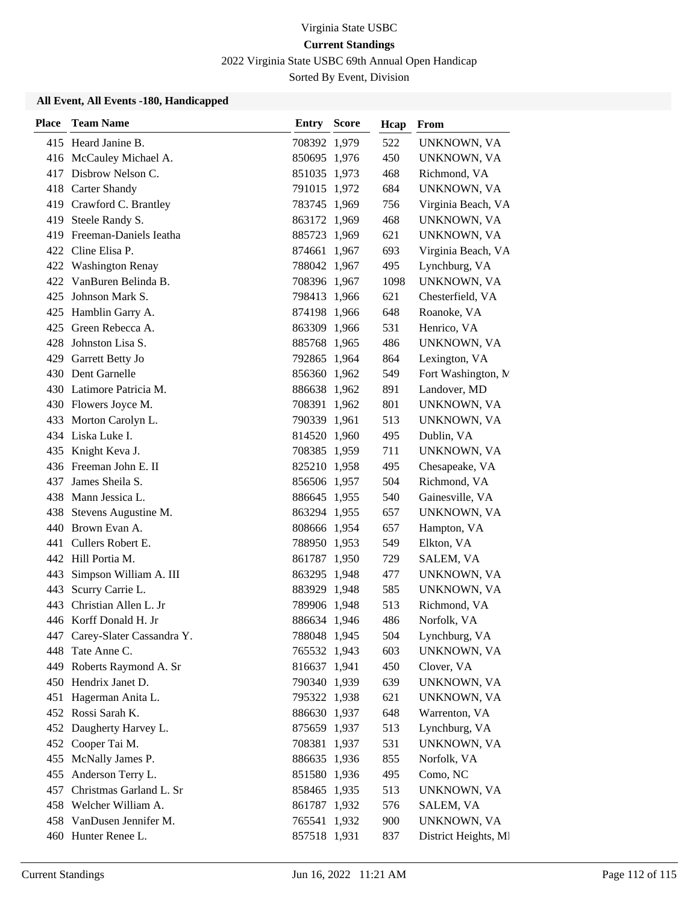2022 Virginia State USBC 69th Annual Open Handicap

Sorted By Event, Division

| <b>Place</b> | <b>Team Name</b>              | <b>Entry Score</b> | Hcap | From                 |
|--------------|-------------------------------|--------------------|------|----------------------|
|              | 415 Heard Janine B.           | 708392 1,979       | 522  | UNKNOWN, VA          |
|              | 416 McCauley Michael A.       | 850695 1,976       | 450  | UNKNOWN, VA          |
|              | 417 Disbrow Nelson C.         | 851035 1,973       | 468  | Richmond, VA         |
|              | 418 Carter Shandy             | 791015 1,972       | 684  | UNKNOWN, VA          |
|              | 419 Crawford C. Brantley      | 783745 1,969       | 756  | Virginia Beach, VA   |
|              | 419 Steele Randy S.           | 863172 1,969       | 468  | UNKNOWN, VA          |
|              | 419 Freeman-Daniels Ieatha    | 885723 1,969       | 621  | UNKNOWN, VA          |
|              | 422 Cline Elisa P.            | 874661 1,967       | 693  | Virginia Beach, VA   |
|              | 422 Washington Renay          | 788042 1,967       | 495  | Lynchburg, VA        |
|              | 422 VanBuren Belinda B.       | 708396 1,967       | 1098 | UNKNOWN, VA          |
| 425          | Johnson Mark S.               | 798413 1,966       | 621  | Chesterfield, VA     |
|              | 425 Hamblin Garry A.          | 874198 1,966       | 648  | Roanoke, VA          |
|              | 425 Green Rebecca A.          | 863309 1,966       | 531  | Henrico, VA          |
| 428          | Johnston Lisa S.              | 885768 1,965       | 486  | UNKNOWN, VA          |
|              | 429 Garrett Betty Jo          | 792865 1,964       | 864  | Lexington, VA        |
|              | 430 Dent Garnelle             | 856360 1,962       | 549  | Fort Washington, M   |
|              | 430 Latimore Patricia M.      | 886638 1,962       | 891  | Landover, MD         |
|              | 430 Flowers Joyce M.          | 708391 1,962       | 801  | UNKNOWN, VA          |
|              | 433 Morton Carolyn L.         | 790339 1,961       | 513  | UNKNOWN, VA          |
|              | 434 Liska Luke I.             | 814520 1,960       | 495  | Dublin, VA           |
|              | 435 Knight Keva J.            | 708385 1,959       | 711  | UNKNOWN, VA          |
|              | 436 Freeman John E. II        | 825210 1,958       | 495  | Chesapeake, VA       |
| 437          | James Sheila S.               | 856506 1,957       | 504  | Richmond, VA         |
|              | 438 Mann Jessica L.           | 886645 1,955       | 540  | Gainesville, VA      |
|              | 438 Stevens Augustine M.      | 863294 1,955       | 657  | UNKNOWN, VA          |
|              | 440 Brown Evan A.             | 808666 1,954       | 657  | Hampton, VA          |
|              | 441 Cullers Robert E.         | 788950 1,953       | 549  | Elkton, VA           |
|              | 442 Hill Portia M.            | 861787 1,950       | 729  | SALEM, VA            |
| 443          | Simpson William A. III        | 863295 1,948       | 477  | UNKNOWN, VA          |
| 443          | Scurry Carrie L.              | 883929 1,948       | 585  | UNKNOWN, VA          |
| 443          | Christian Allen L. Jr         | 789906 1,948       | 513  | Richmond, VA         |
|              | 446 Korff Donald H. Jr        | 886634 1,946       | 486  | Norfolk, VA          |
|              | 447 Carey-Slater Cassandra Y. | 788048 1,945       | 504  | Lynchburg, VA        |
| 448          | Tate Anne C.                  | 765532 1,943       | 603  | UNKNOWN, VA          |
|              | 449 Roberts Raymond A. Sr     | 816637 1,941       | 450  | Clover, VA           |
|              | 450 Hendrix Janet D.          | 790340 1,939       | 639  | UNKNOWN, VA          |
|              | 451 Hagerman Anita L.         | 795322 1,938       | 621  | UNKNOWN, VA          |
|              | 452 Rossi Sarah K.            | 886630 1,937       | 648  | Warrenton, VA        |
|              | 452 Daugherty Harvey L.       | 875659 1,937       | 513  | Lynchburg, VA        |
|              | 452 Cooper Tai M.             | 708381 1,937       | 531  | UNKNOWN, VA          |
| 455          | McNally James P.              | 886635 1,936       | 855  | Norfolk, VA          |
| 455          | Anderson Terry L.             | 851580 1,936       | 495  | Como, NC             |
| 457          | Christmas Garland L. Sr       | 858465 1,935       | 513  | UNKNOWN, VA          |
|              | 458 Welcher William A.        | 861787 1,932       | 576  | SALEM, VA            |
|              | 458 VanDusen Jennifer M.      | 765541 1,932       | 900  | UNKNOWN, VA          |
|              | 460 Hunter Renee L.           | 857518 1,931       | 837  | District Heights, MI |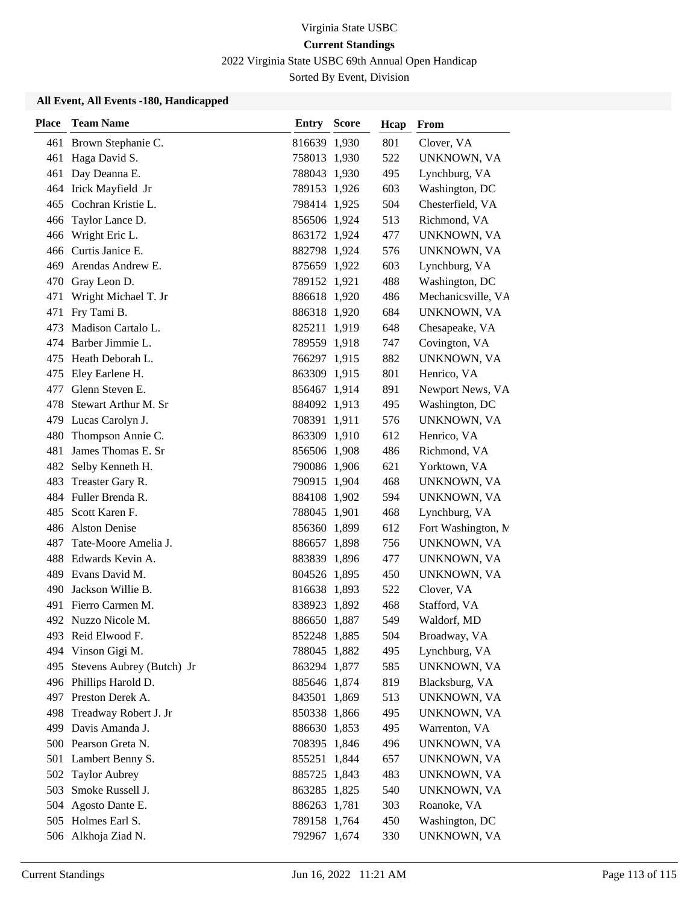2022 Virginia State USBC 69th Annual Open Handicap

Sorted By Event, Division

| <b>Place</b> | <b>Team Name</b>          | <b>Entry Score</b> | Hcap | From               |
|--------------|---------------------------|--------------------|------|--------------------|
|              | 461 Brown Stephanie C.    | 816639 1,930       | 801  | Clover, VA         |
| 461          | Haga David S.             | 758013 1,930       | 522  | UNKNOWN, VA        |
| 461          | Day Deanna E.             | 788043 1,930       | 495  | Lynchburg, VA      |
|              | 464 Irick Mayfield Jr     | 789153 1,926       | 603  | Washington, DC     |
|              | 465 Cochran Kristie L.    | 798414 1,925       | 504  | Chesterfield, VA   |
| 466          | Taylor Lance D.           | 856506 1,924       | 513  | Richmond, VA       |
| 466          | Wright Eric L.            | 863172 1,924       | 477  | UNKNOWN, VA        |
|              | 466 Curtis Janice E.      | 882798 1,924       | 576  | UNKNOWN, VA        |
| 469          | Arendas Andrew E.         | 875659 1,922       | 603  | Lynchburg, VA      |
| 470          | Gray Leon D.              | 789152 1,921       | 488  | Washington, DC     |
| 471          | Wright Michael T. Jr      | 886618 1,920       | 486  | Mechanicsville, VA |
| 471          | Fry Tami B.               | 886318 1,920       | 684  | UNKNOWN, VA        |
| 473          | Madison Cartalo L.        | 825211 1,919       | 648  | Chesapeake, VA     |
| 474          | Barber Jimmie L.          | 789559 1,918       | 747  | Covington, VA      |
|              | 475 Heath Deborah L.      | 766297 1,915       | 882  | UNKNOWN, VA        |
|              | 475 Eley Earlene H.       | 863309 1,915       | 801  | Henrico, VA        |
| 477          | Glenn Steven E.           | 856467 1,914       | 891  | Newport News, VA   |
| 478          | Stewart Arthur M. Sr      | 884092 1,913       | 495  | Washington, DC     |
|              | 479 Lucas Carolyn J.      | 708391 1,911       | 576  | UNKNOWN, VA        |
|              | 480 Thompson Annie C.     | 863309 1,910       | 612  | Henrico, VA        |
| 481          | James Thomas E. Sr        | 856506 1,908       | 486  | Richmond, VA       |
| 482          | Selby Kenneth H.          | 790086 1,906       | 621  | Yorktown, VA       |
| 483          | Treaster Gary R.          | 790915 1,904       | 468  | UNKNOWN, VA        |
|              | 484 Fuller Brenda R.      | 884108 1,902       | 594  | UNKNOWN, VA        |
| 485          | Scott Karen F.            | 788045 1,901       | 468  | Lynchburg, VA      |
| 486          | <b>Alston Denise</b>      | 856360 1,899       | 612  | Fort Washington, N |
| 487          | Tate-Moore Amelia J.      | 886657 1,898       | 756  | UNKNOWN, VA        |
|              | 488 Edwards Kevin A.      | 883839 1,896       | 477  | UNKNOWN, VA        |
| 489          | Evans David M.            | 804526 1,895       | 450  | UNKNOWN, VA        |
| 490          | Jackson Willie B.         | 816638 1,893       | 522  | Clover, VA         |
| 491          | Fierro Carmen M.          | 838923 1,892       | 468  | Stafford, VA       |
|              | 492 Nuzzo Nicole M.       | 886650 1,887       | 549  | Waldorf, MD        |
|              | 493 Reid Elwood F.        | 852248 1,885       | 504  | Broadway, VA       |
| 494          | Vinson Gigi M.            | 788045 1,882       | 495  | Lynchburg, VA      |
| 495          | Stevens Aubrey (Butch) Jr | 863294 1,877       | 585  | UNKNOWN, VA        |
|              | 496 Phillips Harold D.    | 885646 1,874       | 819  | Blacksburg, VA     |
|              | 497 Preston Derek A.      | 843501 1,869       | 513  | UNKNOWN, VA        |
| 498          | Treadway Robert J. Jr     | 850338 1,866       | 495  | UNKNOWN, VA        |
| 499          | Davis Amanda J.           | 886630 1,853       | 495  | Warrenton, VA      |
|              | 500 Pearson Greta N.      | 708395 1,846       | 496  | UNKNOWN, VA        |
| 501          | Lambert Benny S.          | 855251 1,844       | 657  | UNKNOWN, VA        |
| 502          | <b>Taylor Aubrey</b>      | 885725 1,843       | 483  | UNKNOWN, VA        |
| 503          | Smoke Russell J.          | 863285 1,825       | 540  | UNKNOWN, VA        |
|              | 504 Agosto Dante E.       | 886263 1,781       | 303  | Roanoke, VA        |
|              | 505 Holmes Earl S.        | 789158 1,764       | 450  | Washington, DC     |
|              | 506 Alkhoja Ziad N.       | 792967 1,674       | 330  | UNKNOWN, VA        |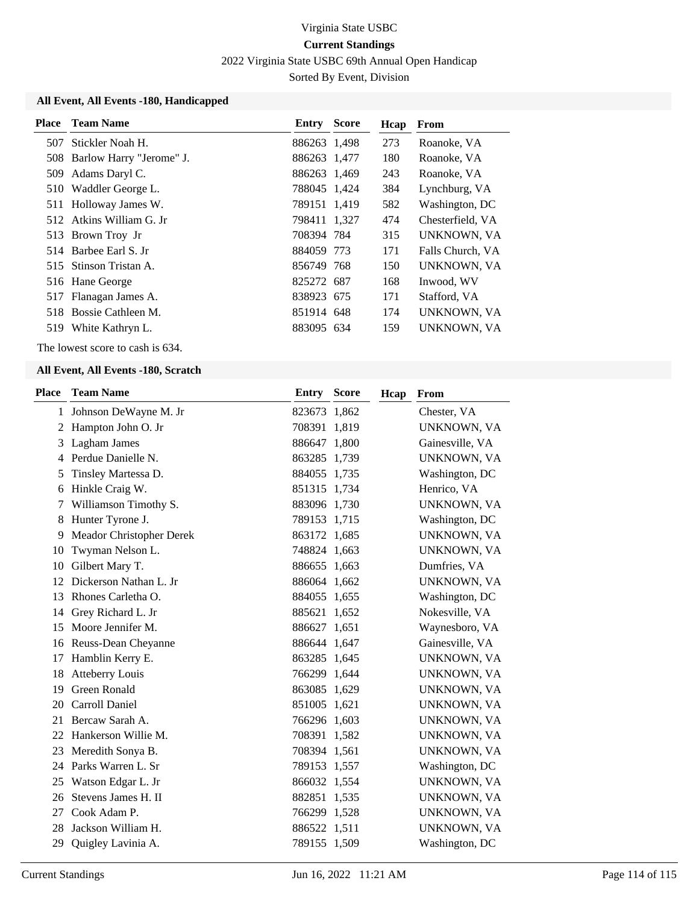2022 Virginia State USBC 69th Annual Open Handicap

Sorted By Event, Division

### **All Event, All Events -180, Handicapped**

|     | <b>Place</b> Team Name       | <b>Entry Score</b> | Hcap | From             |
|-----|------------------------------|--------------------|------|------------------|
| 507 | Stickler Noah H.             | 886263 1,498       | 273  | Roanoke, VA      |
|     | 508 Barlow Harry "Jerome" J. | 886263 1,477       | 180  | Roanoke, VA      |
| 509 | Adams Daryl C.               | 886263 1,469       | 243  | Roanoke, VA      |
|     | 510 Waddler George L.        | 788045 1,424       | 384  | Lynchburg, VA    |
|     | 511 Holloway James W.        | 789151 1,419       | 582  | Washington, DC   |
|     | 512 Atkins William G. Jr     | 798411 1,327       | 474  | Chesterfield, VA |
|     | 513 Brown Troy Jr            | 708394 784         | 315  | UNKNOWN, VA      |
|     | 514 Barbee Earl S. Jr        | 884059 773         | 171  | Falls Church, VA |
|     | 515 Stinson Tristan A.       | 856749 768         | 150  | UNKNOWN, VA      |
|     | 516 Hane George              | 825272 687         | 168  | Inwood, WV       |
|     | 517 Flanagan James A.        | 838923 675         | 171  | Stafford, VA     |
|     | 518 Bossie Cathleen M.       | 851914 648         | 174  | UNKNOWN, VA      |
| 519 | White Kathryn L.             | 883095 634         | 159  | UNKNOWN, VA      |

The lowest score to cash is 634.

#### **All Event, All Events -180, Scratch**

| <b>Place</b> | <b>Team Name</b>         | <b>Entry Score</b> |       | Hcap | From               |
|--------------|--------------------------|--------------------|-------|------|--------------------|
| $\mathbf{1}$ | Johnson DeWayne M. Jr    | 823673 1,862       |       |      | Chester, VA        |
| 2            | Hampton John O. Jr       | 708391             | 1,819 |      | <b>UNKNOWN, VA</b> |
| 3            | Lagham James             | 886647 1,800       |       |      | Gainesville, VA    |
| 4            | Perdue Danielle N.       | 863285 1,739       |       |      | UNKNOWN, VA        |
| 5            | Tinsley Martessa D.      | 884055 1,735       |       |      | Washington, DC     |
| 6            | Hinkle Craig W.          | 851315 1,734       |       |      | Henrico, VA        |
| 7            | Williamson Timothy S.    | 883096 1,730       |       |      | UNKNOWN, VA        |
| 8            | Hunter Tyrone J.         | 789153 1,715       |       |      | Washington, DC     |
| 9            | Meador Christopher Derek | 863172 1,685       |       |      | UNKNOWN, VA        |
| 10           | Twyman Nelson L.         | 748824 1,663       |       |      | UNKNOWN, VA        |
| 10           | Gilbert Mary T.          | 886655 1,663       |       |      | Dumfries, VA       |
| 12           | Dickerson Nathan L. Jr   | 886064 1,662       |       |      | UNKNOWN, VA        |
| 13           | Rhones Carletha O.       | 884055 1,655       |       |      | Washington, DC     |
| 14           | Grey Richard L. Jr       | 885621 1,652       |       |      | Nokesville, VA     |
| 15           | Moore Jennifer M.        | 886627 1,651       |       |      | Waynesboro, VA     |
| 16           | Reuss-Dean Cheyanne      | 886644 1,647       |       |      | Gainesville, VA    |
| 17           | Hamblin Kerry E.         | 863285 1,645       |       |      | UNKNOWN, VA        |
| 18           | <b>Atteberry Louis</b>   | 766299 1,644       |       |      | UNKNOWN, VA        |
| 19           | <b>Green Ronald</b>      | 863085 1,629       |       |      | UNKNOWN, VA        |
| 20           | Carroll Daniel           | 851005 1,621       |       |      | UNKNOWN, VA        |
| 21           | Bercaw Sarah A.          | 766296 1,603       |       |      | UNKNOWN, VA        |
| 22           | Hankerson Willie M.      | 708391 1,582       |       |      | UNKNOWN, VA        |
| 23           | Meredith Sonya B.        | 708394 1,561       |       |      | UNKNOWN, VA        |
| 24           | Parks Warren L. Sr       | 789153 1,557       |       |      | Washington, DC     |
| 25           | Watson Edgar L. Jr       | 866032 1,554       |       |      | UNKNOWN, VA        |
| 26           | Stevens James H. II      | 882851 1,535       |       |      | UNKNOWN, VA        |
| 27           | Cook Adam P.             | 766299 1,528       |       |      | UNKNOWN, VA        |
| 28           | Jackson William H.       | 886522 1,511       |       |      | UNKNOWN, VA        |
| 29           | Quigley Lavinia A.       | 789155 1,509       |       |      | Washington, DC     |